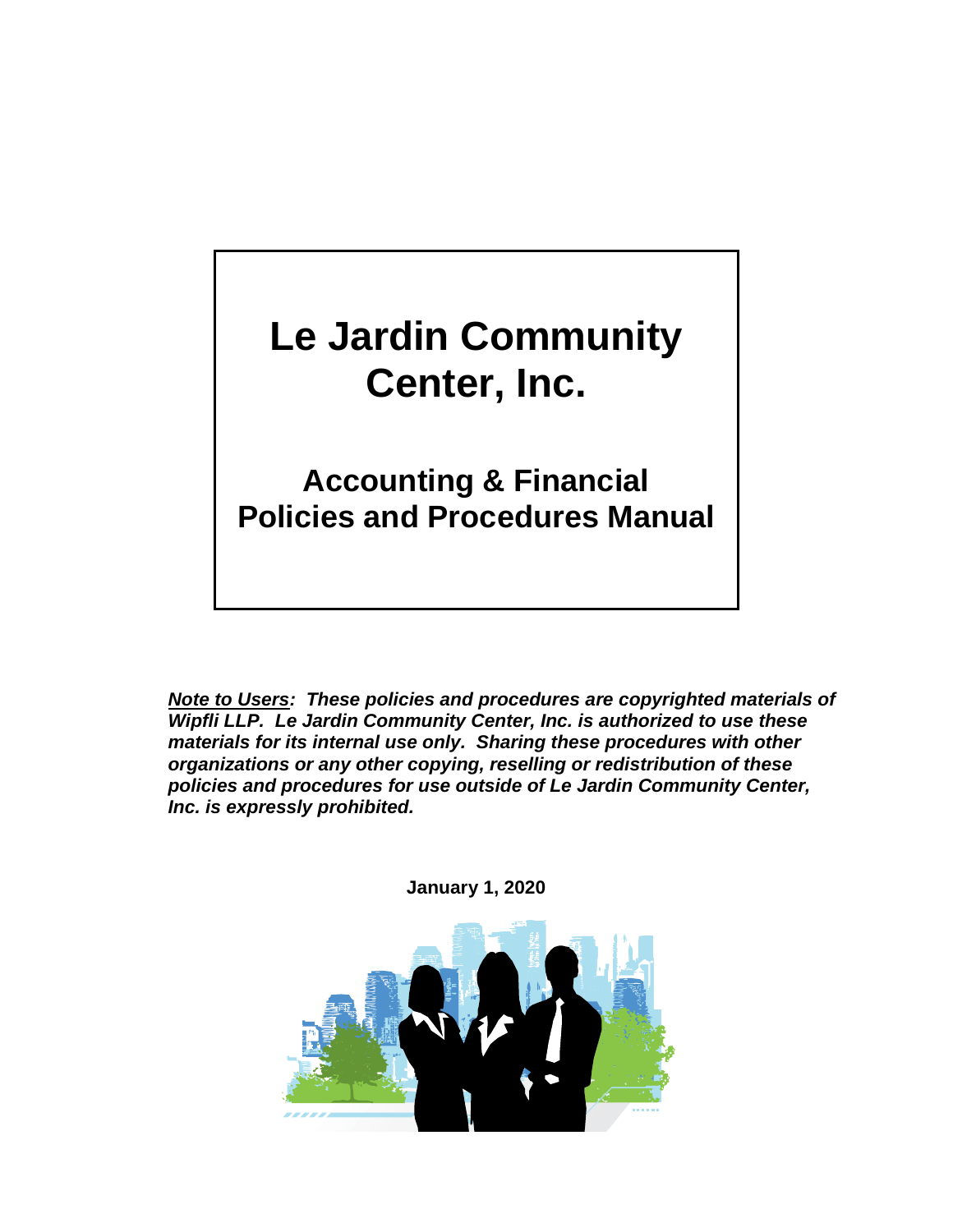# **Le Jardin Community Center, Inc.**

**Accounting & Financial Policies and Procedures Manual**

*Note to Users: These policies and procedures are copyrighted materials of Wipfli LLP. Le Jardin Community Center, Inc. is authorized to use these materials for its internal use only. Sharing these procedures with other organizations or any other copying, reselling or redistribution of these policies and procedures for use outside of Le Jardin Community Center, Inc. is expressly prohibited.*



**January 1, 2020**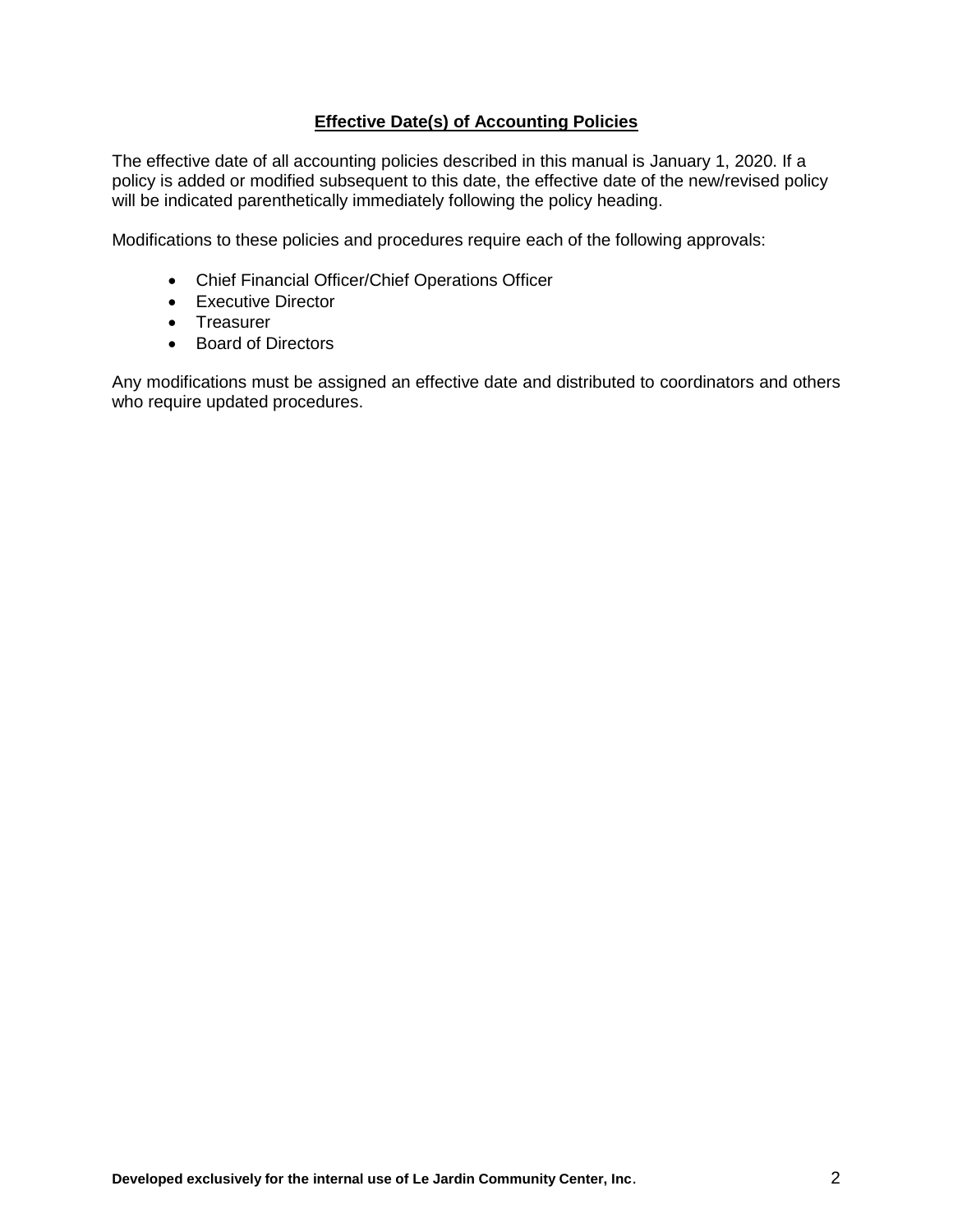## **Effective Date(s) of Accounting Policies**

The effective date of all accounting policies described in this manual is January 1, 2020. If a policy is added or modified subsequent to this date, the effective date of the new/revised policy will be indicated parenthetically immediately following the policy heading.

Modifications to these policies and procedures require each of the following approvals:

- Chief Financial Officer/Chief Operations Officer
- Executive Director
- Treasurer
- Board of Directors

Any modifications must be assigned an effective date and distributed to coordinators and others who require updated procedures.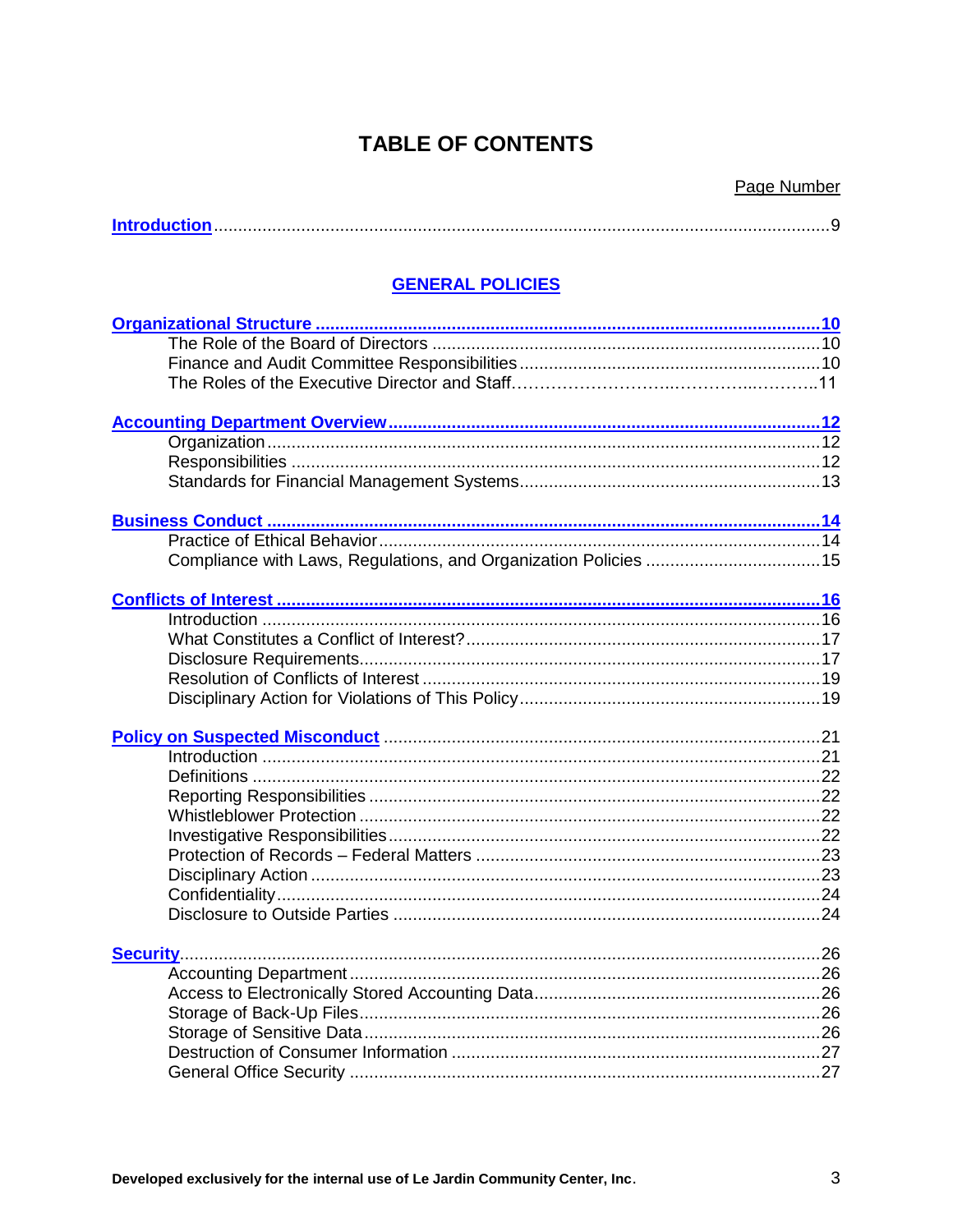# **TABLE OF CONTENTS**

<span id="page-2-0"></span>

## **GENERAL POLICIES**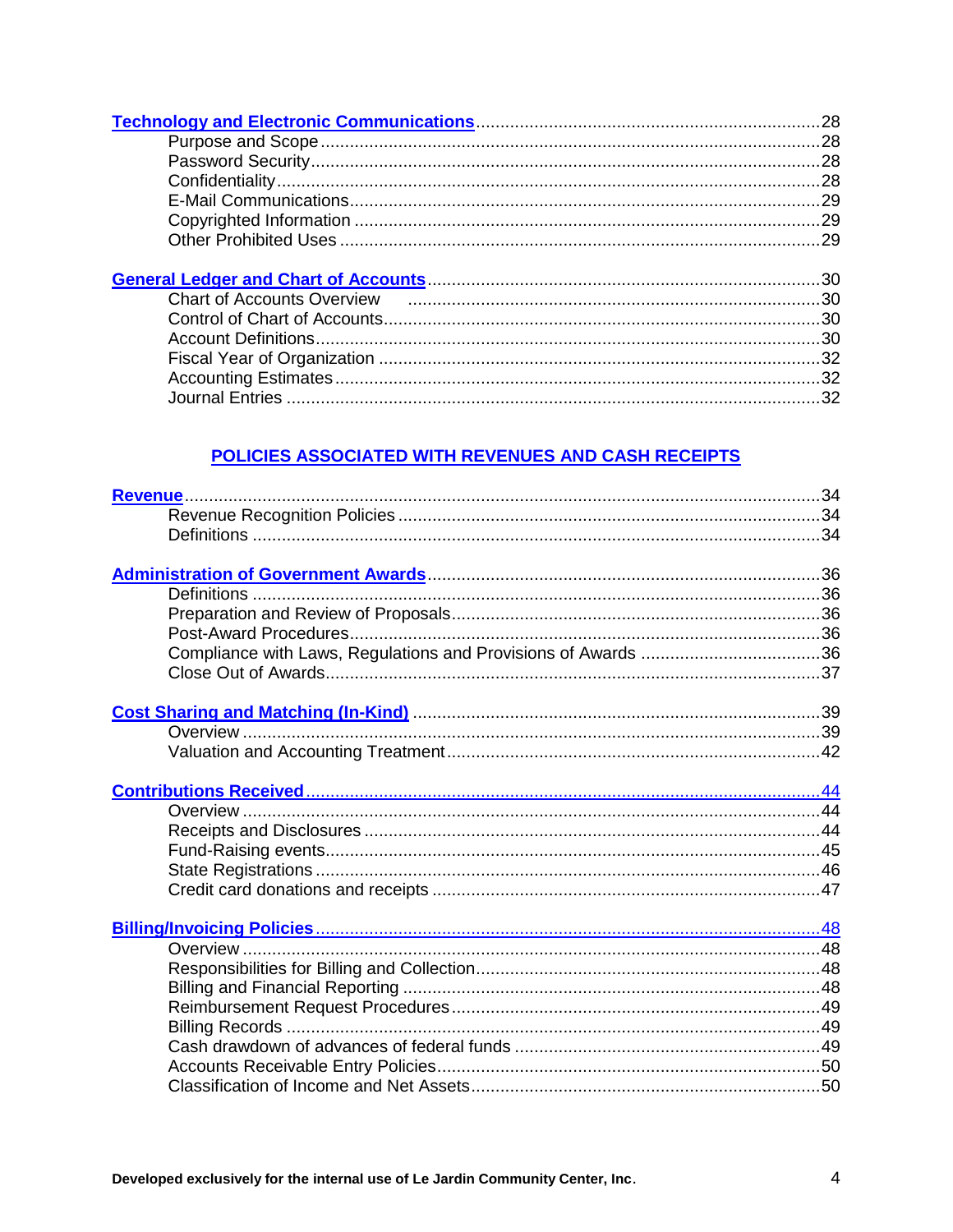## POLICIES ASSOCIATED WITH REVENUES AND CASH RECEIPTS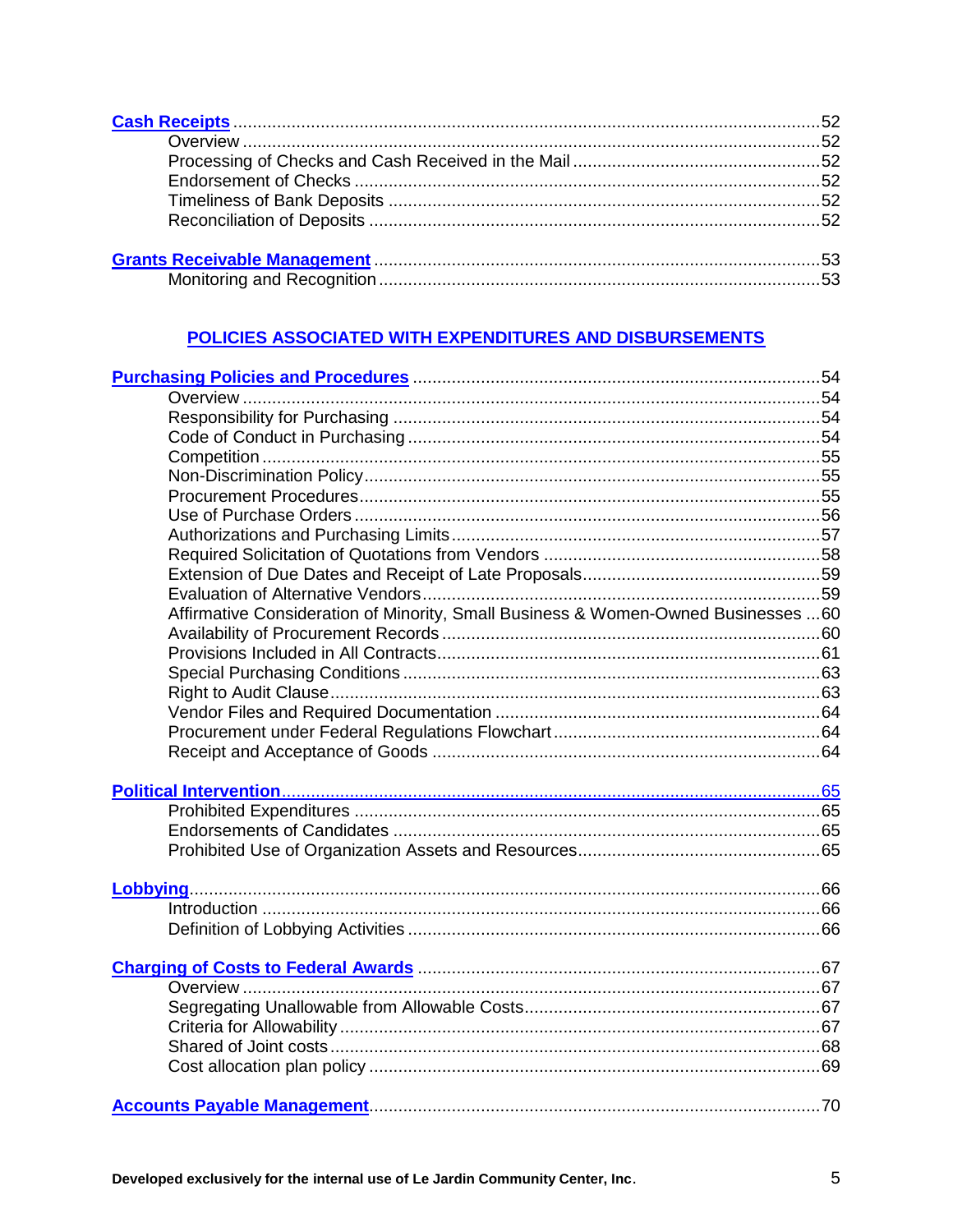## POLICIES ASSOCIATED WITH EXPENDITURES AND DISBURSEMENTS

| Purchasing Policies and Procedures <b>Entrarrow Marshall</b> 54                                  |  |
|--------------------------------------------------------------------------------------------------|--|
|                                                                                                  |  |
|                                                                                                  |  |
|                                                                                                  |  |
|                                                                                                  |  |
|                                                                                                  |  |
|                                                                                                  |  |
|                                                                                                  |  |
|                                                                                                  |  |
|                                                                                                  |  |
|                                                                                                  |  |
|                                                                                                  |  |
| Affirmative Consideration of Minority, Small Business & Women-Owned Businesses 60                |  |
|                                                                                                  |  |
|                                                                                                  |  |
|                                                                                                  |  |
|                                                                                                  |  |
|                                                                                                  |  |
|                                                                                                  |  |
|                                                                                                  |  |
|                                                                                                  |  |
|                                                                                                  |  |
|                                                                                                  |  |
|                                                                                                  |  |
|                                                                                                  |  |
|                                                                                                  |  |
|                                                                                                  |  |
|                                                                                                  |  |
|                                                                                                  |  |
|                                                                                                  |  |
| Charging of Costs to Federal Awards <b>Election Charging Charging of Costs to Federal Awards</b> |  |
|                                                                                                  |  |
|                                                                                                  |  |
|                                                                                                  |  |
|                                                                                                  |  |
|                                                                                                  |  |
|                                                                                                  |  |
|                                                                                                  |  |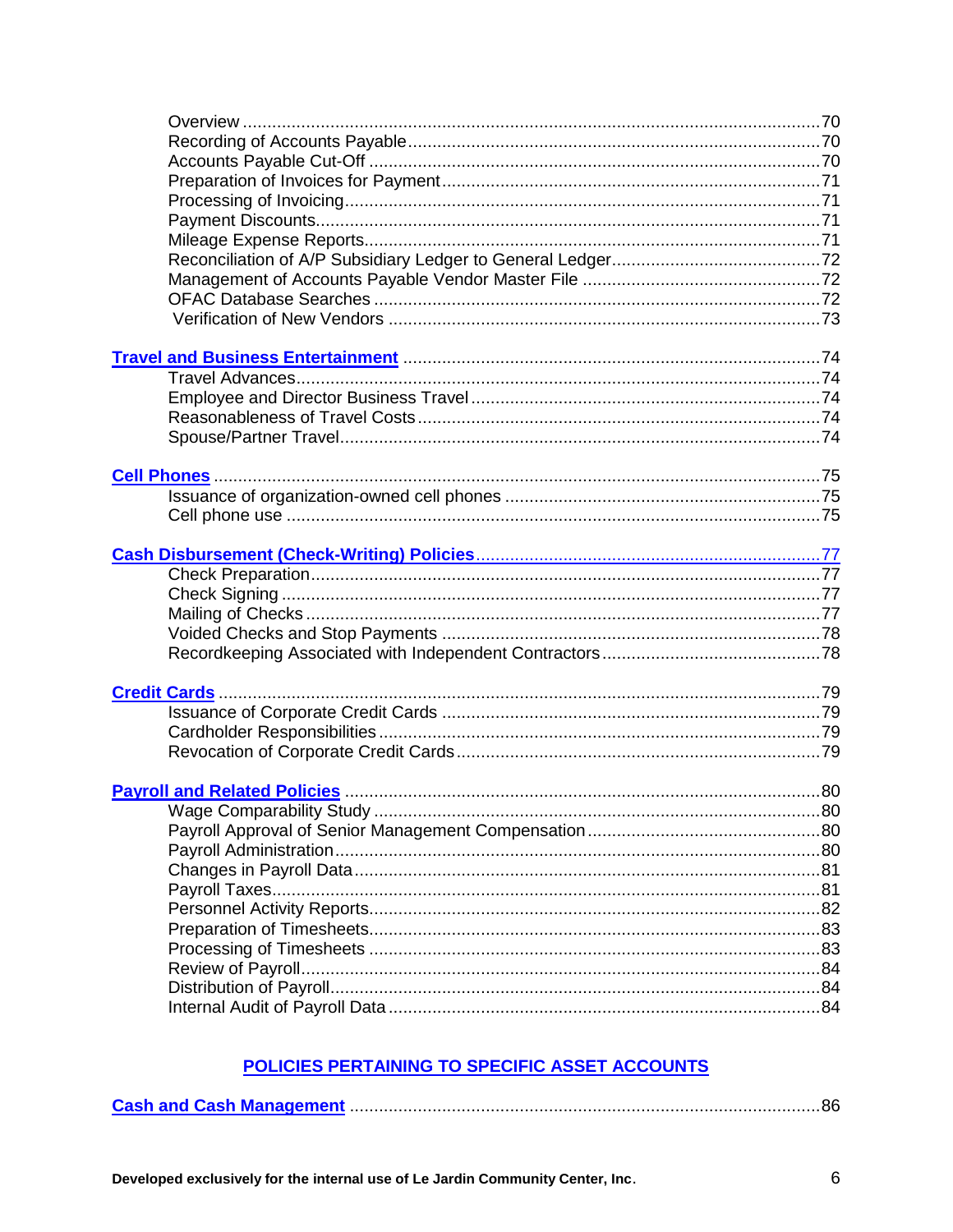# POLICIES PERTAINING TO SPECIFIC ASSET ACCOUNTS

|--|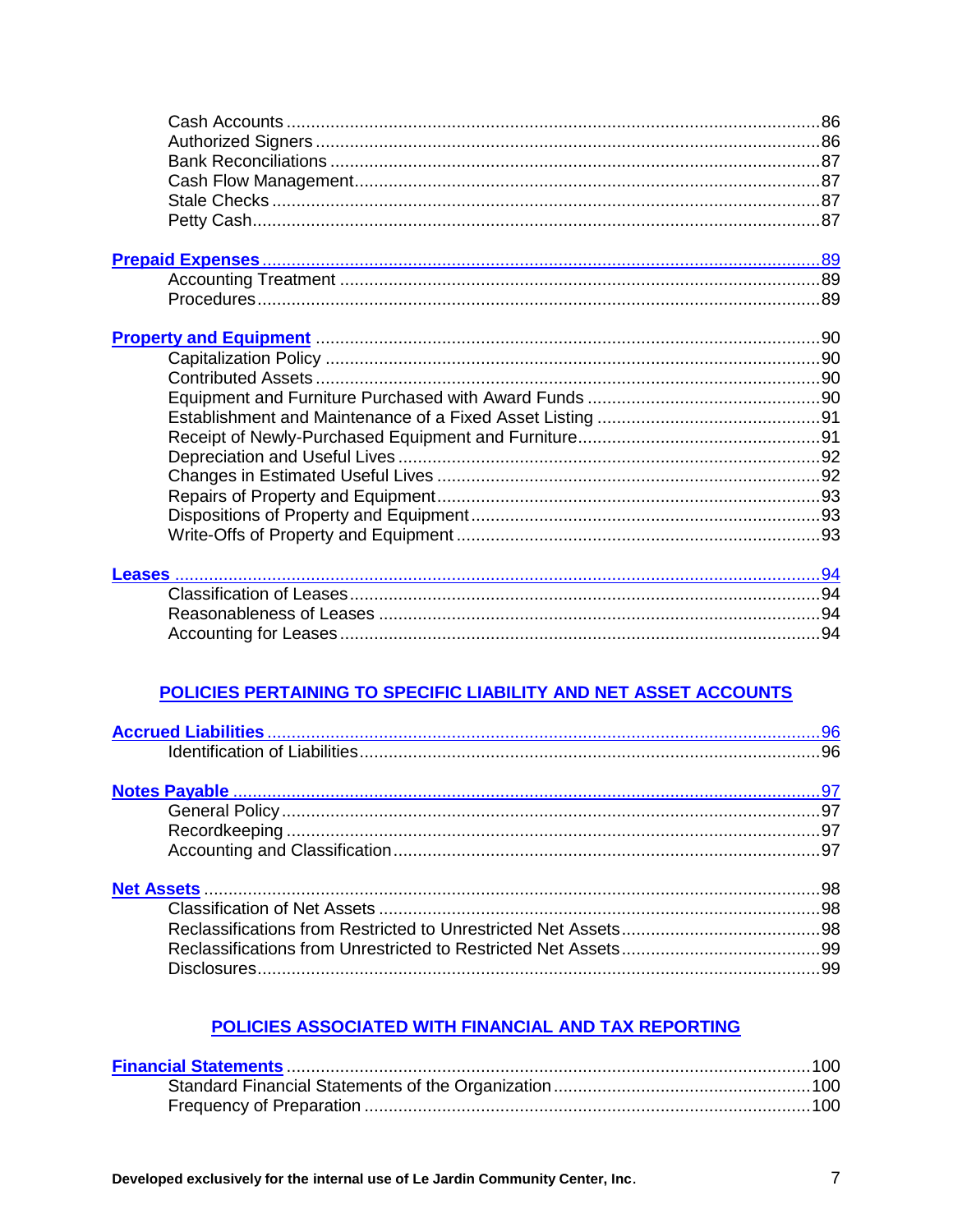## POLICIES PERTAINING TO SPECIFIC LIABILITY AND NET ASSET ACCOUNTS

## POLICIES ASSOCIATED WITH FINANCIAL AND TAX REPORTING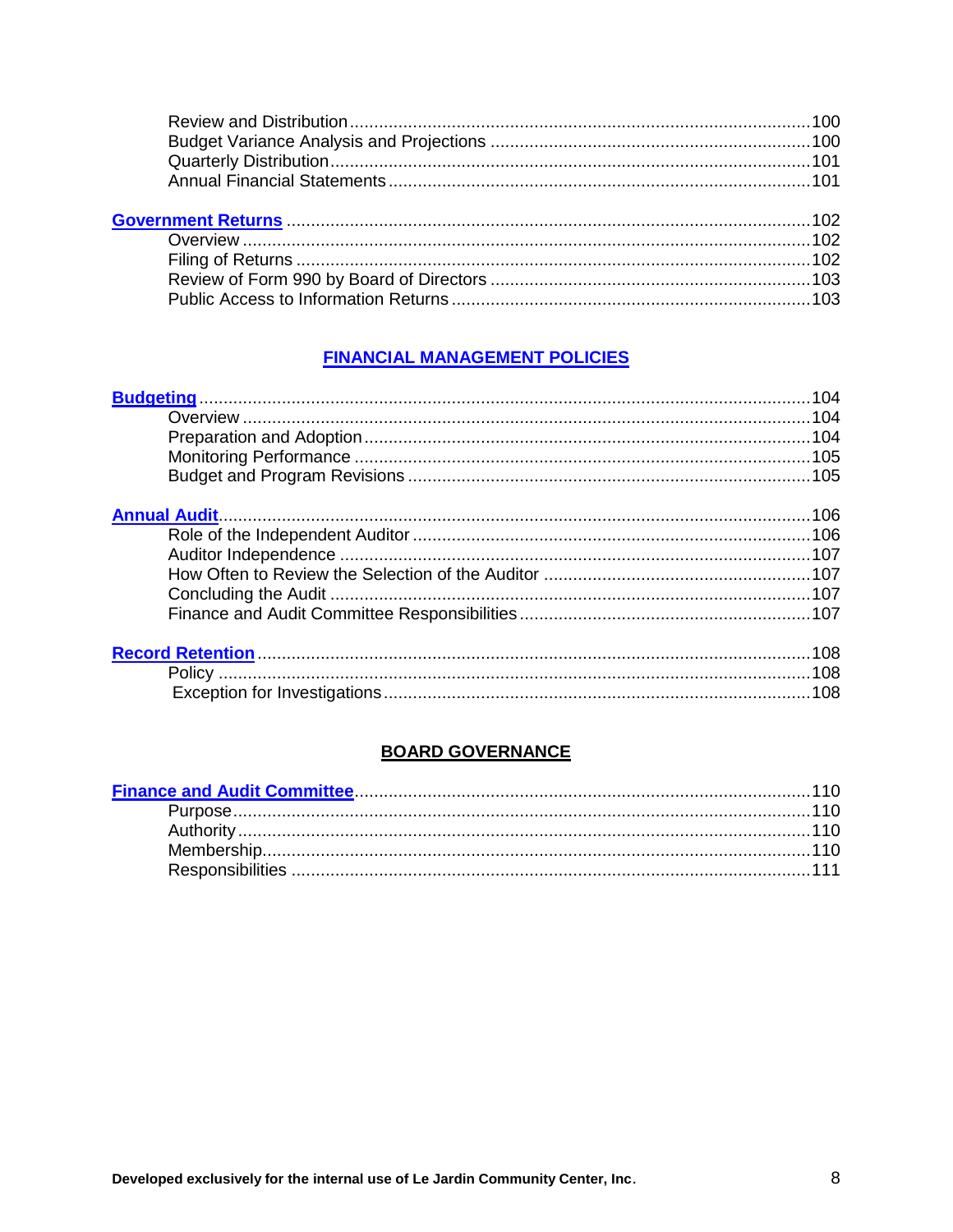## **FINANCIAL MANAGEMENT POLICIES**

| 108 |
|-----|
|     |
|     |

## **BOARD GOVERNANCE**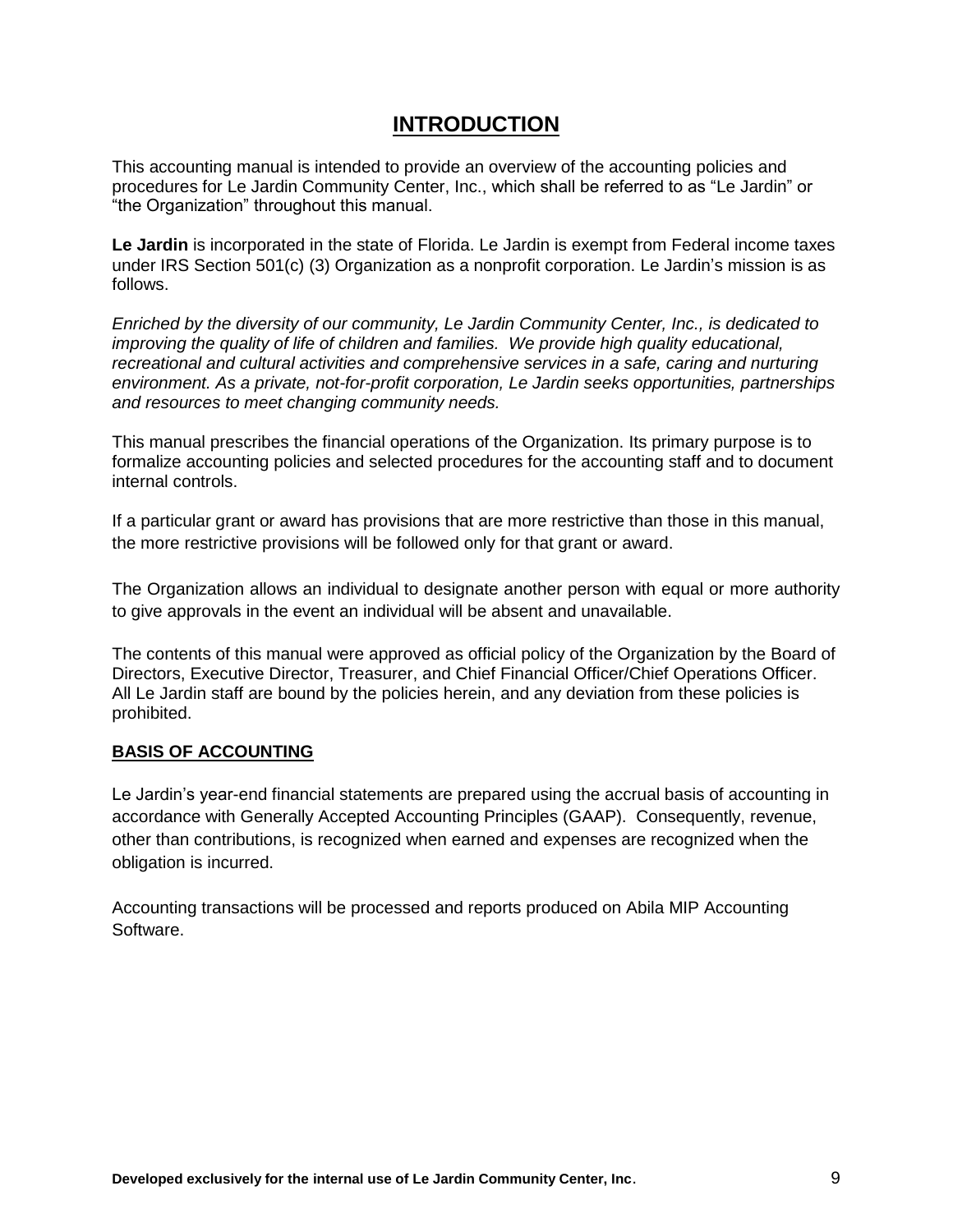## **INTRODUCTION**

This accounting manual is intended to provide an overview of the accounting policies and procedures for Le Jardin Community Center, Inc., which shall be referred to as "Le Jardin" or "the Organization" throughout this manual.

**Le Jardin** is incorporated in the state of Florida. Le Jardin is exempt from Federal income taxes under IRS Section 501(c) (3) Organization as a nonprofit corporation. Le Jardin's mission is as follows.

*Enriched by the diversity of our community, Le Jardin Community Center, Inc., is dedicated to improving the quality of life of children and families. We provide high quality educational, recreational and cultural activities and comprehensive services in a safe, caring and nurturing environment. As a private, not-for-profit corporation, Le Jardin seeks opportunities, partnerships and resources to meet changing community needs.*

This manual prescribes the financial operations of the Organization. Its primary purpose is to formalize accounting policies and selected procedures for the accounting staff and to document internal controls.

If a particular grant or award has provisions that are more restrictive than those in this manual, the more restrictive provisions will be followed only for that grant or award.

The Organization allows an individual to designate another person with equal or more authority to give approvals in the event an individual will be absent and unavailable.

The contents of this manual were approved as official policy of the Organization by the Board of Directors, Executive Director, Treasurer, and Chief Financial Officer/Chief Operations Officer. All Le Jardin staff are bound by the policies herein, and any deviation from these policies is prohibited.

#### **BASIS OF ACCOUNTING**

Le Jardin's year-end financial statements are prepared using the accrual basis of accounting in accordance with Generally Accepted Accounting Principles (GAAP). Consequently, revenue, other than contributions, is recognized when earned and expenses are recognized when the obligation is incurred.

Accounting transactions will be processed and reports produced on Abila MIP Accounting Software.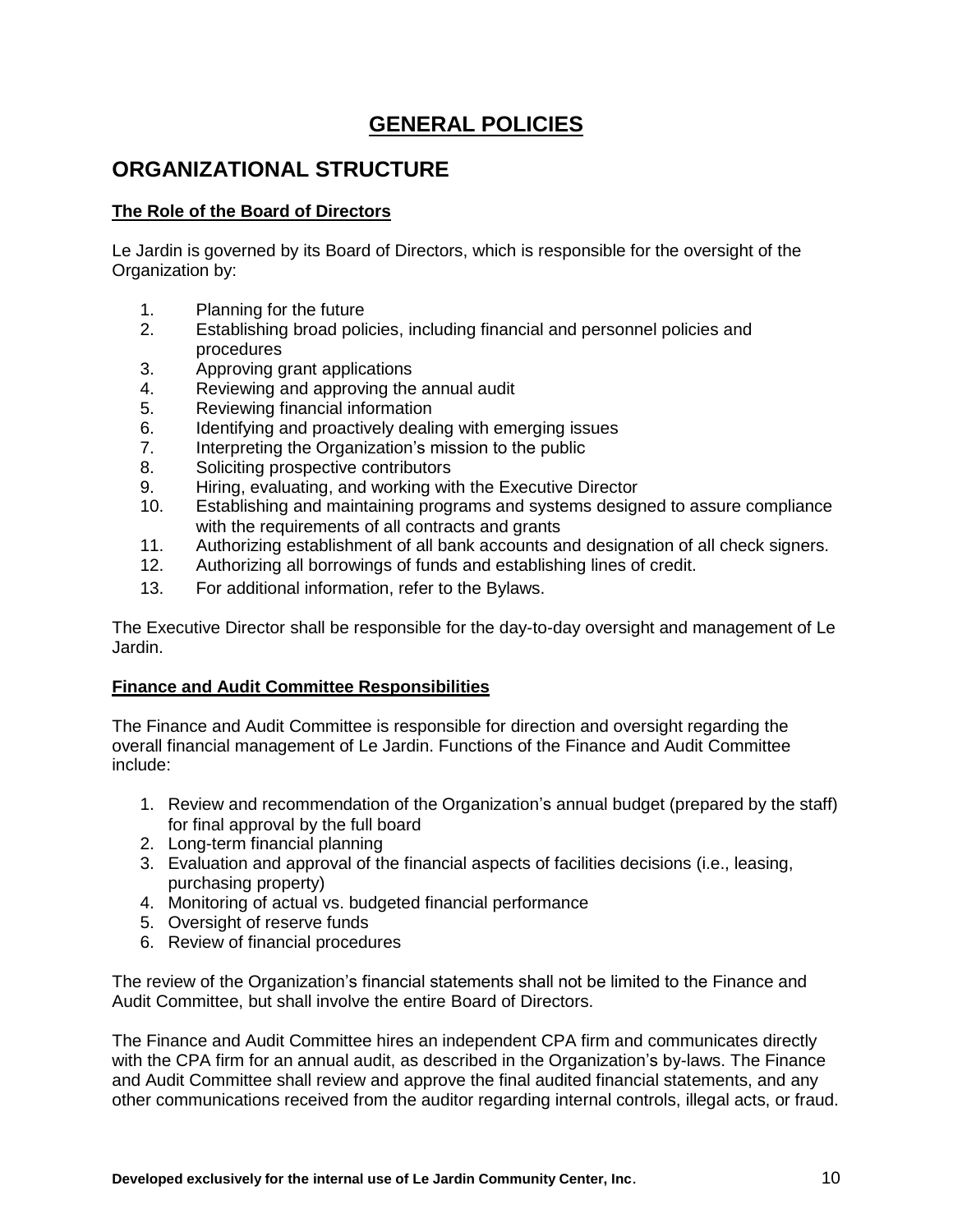# **GENERAL POLICIES**

# <span id="page-9-0"></span>**ORGANIZATIONAL STRUCTURE**

## **The Role of the Board of Directors**

Le Jardin is governed by its Board of Directors, which is responsible for the oversight of the Organization by:

- 1. Planning for the future
- 2. Establishing broad policies, including financial and personnel policies and procedures
- 3. Approving grant applications
- 4. Reviewing and approving the annual audit
- 5. Reviewing financial information
- 6. Identifying and proactively dealing with emerging issues
- 7. Interpreting the Organization's mission to the public
- 8. Soliciting prospective contributors
- 9. Hiring, evaluating, and working with the Executive Director
- 10. Establishing and maintaining programs and systems designed to assure compliance with the requirements of all contracts and grants
- 11. Authorizing establishment of all bank accounts and designation of all check signers.
- 12. Authorizing all borrowings of funds and establishing lines of credit.
- 13. For additional information, refer to the Bylaws.

The Executive Director shall be responsible for the day-to-day oversight and management of Le Jardin.

#### **Finance and Audit Committee Responsibilities**

The Finance and Audit Committee is responsible for direction and oversight regarding the overall financial management of Le Jardin. Functions of the Finance and Audit Committee include:

- 1. Review and recommendation of the Organization's annual budget (prepared by the staff) for final approval by the full board
- 2. Long-term financial planning
- 3. Evaluation and approval of the financial aspects of facilities decisions (i.e., leasing, purchasing property)
- 4. Monitoring of actual vs. budgeted financial performance
- 5. Oversight of reserve funds
- 6. Review of financial procedures

The review of the Organization's financial statements shall not be limited to the Finance and Audit Committee, but shall involve the entire Board of Directors.

The Finance and Audit Committee hires an independent CPA firm and communicates directly with the CPA firm for an annual audit, as described in the Organization's by-laws. The Finance and Audit Committee shall review and approve the final audited financial statements, and any other communications received from the auditor regarding internal controls, illegal acts, or fraud.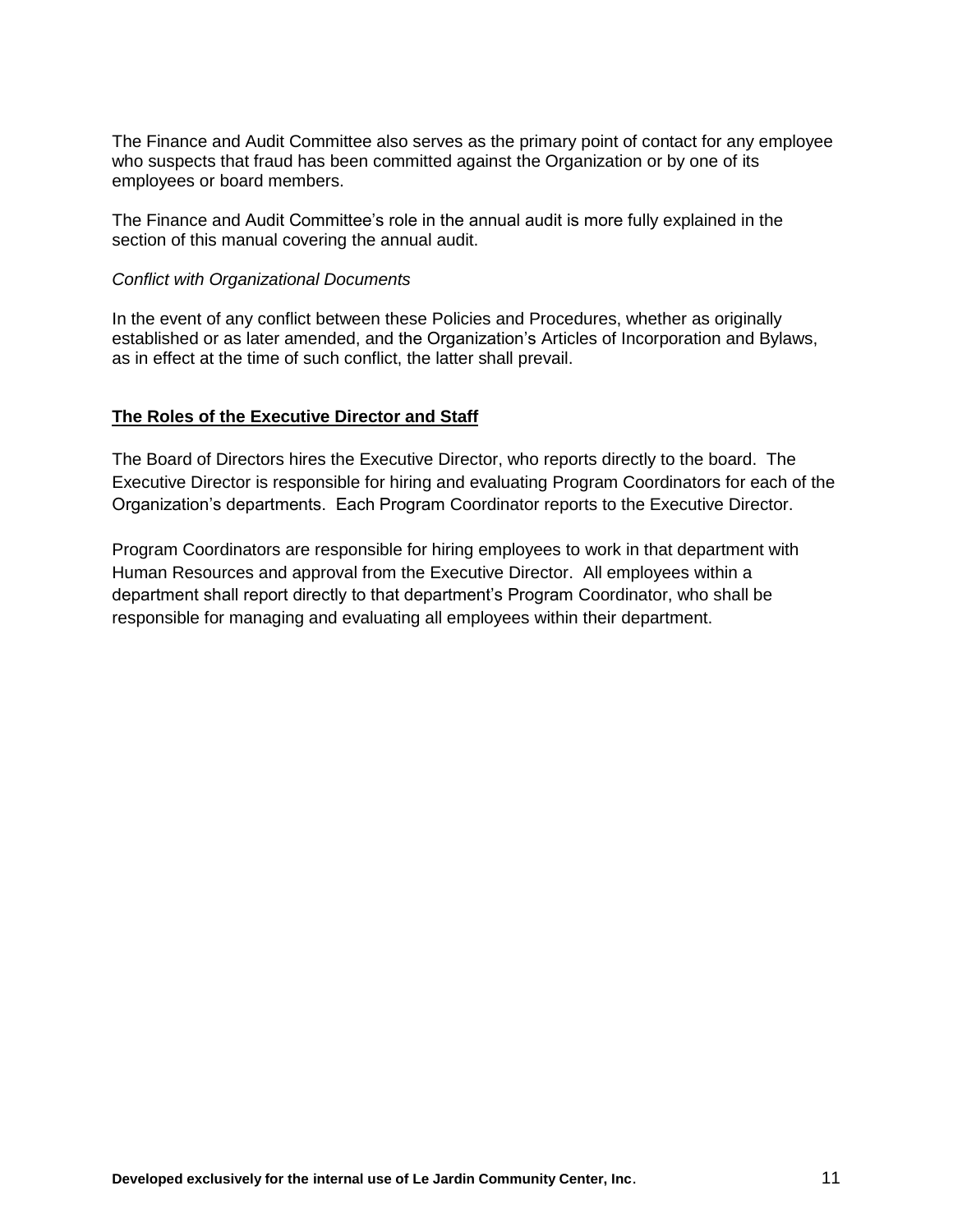The Finance and Audit Committee also serves as the primary point of contact for any employee who suspects that fraud has been committed against the Organization or by one of its employees or board members.

The Finance and Audit Committee's role in the annual audit is more fully explained in the section of this manual covering the annual audit.

#### *Conflict with Organizational Documents*

In the event of any conflict between these Policies and Procedures, whether as originally established or as later amended, and the Organization's Articles of Incorporation and Bylaws, as in effect at the time of such conflict, the latter shall prevail.

#### **The Roles of the Executive Director and Staff**

The Board of Directors hires the Executive Director, who reports directly to the board. The Executive Director is responsible for hiring and evaluating Program Coordinators for each of the Organization's departments. Each Program Coordinator reports to the Executive Director.

Program Coordinators are responsible for hiring employees to work in that department with Human Resources and approval from the Executive Director. All employees within a department shall report directly to that department's Program Coordinator, who shall be responsible for managing and evaluating all employees within their department.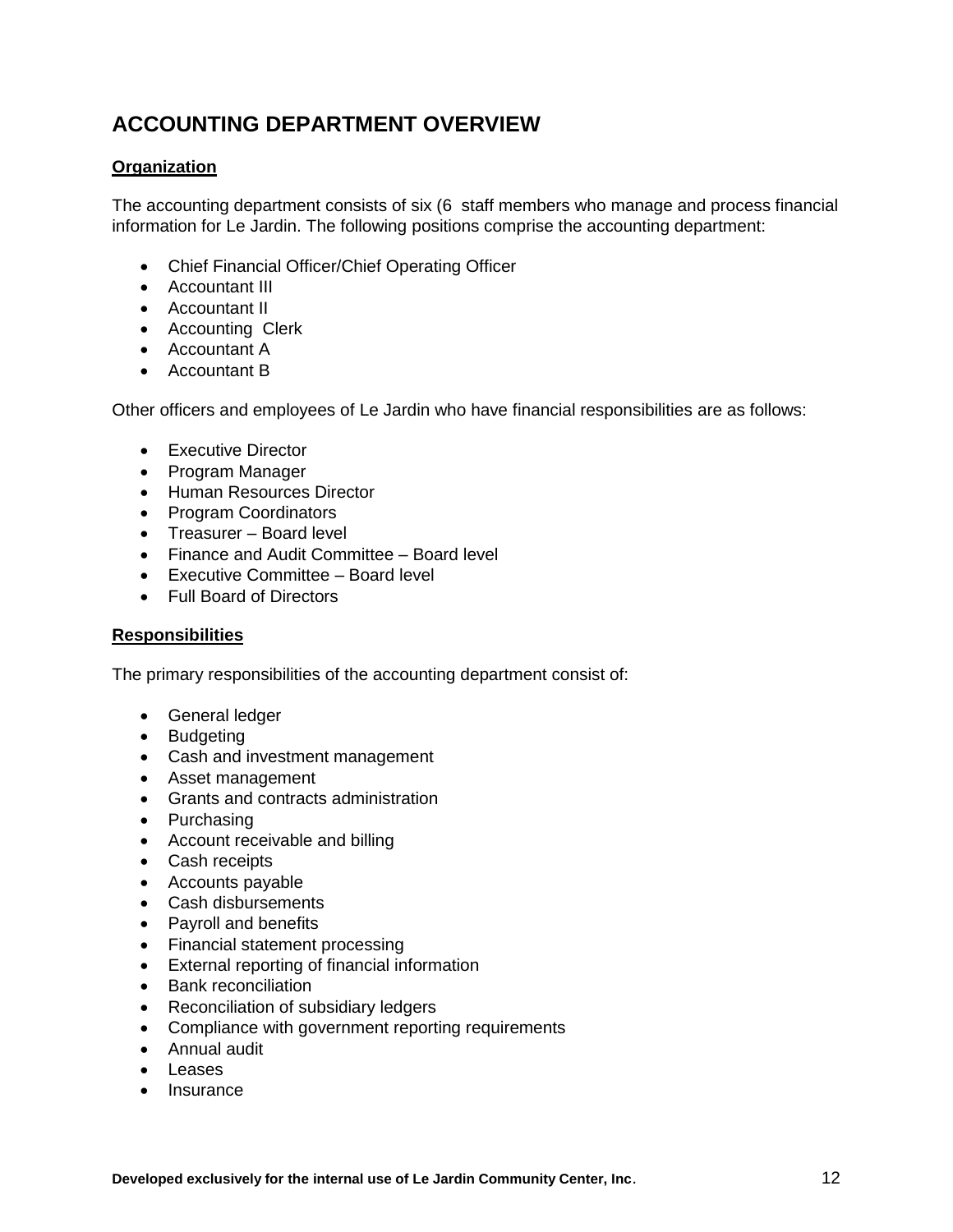# <span id="page-11-0"></span>**ACCOUNTING DEPARTMENT OVERVIEW**

#### **Organization**

The accounting department consists of six (6 staff members who manage and process financial information for Le Jardin. The following positions comprise the accounting department:

- Chief Financial Officer/Chief Operating Officer
- Accountant III
- Accountant II
- Accounting Clerk
- Accountant A
- Accountant B

Other officers and employees of Le Jardin who have financial responsibilities are as follows:

- Executive Director
- Program Manager
- Human Resources Director
- Program Coordinators
- Treasurer Board level
- Finance and Audit Committee Board level
- Executive Committee Board level
- Full Board of Directors

#### **Responsibilities**

The primary responsibilities of the accounting department consist of:

- **•** General ledger
- Budgeting
- Cash and investment management
- Asset management
- Grants and contracts administration
- Purchasing
- Account receivable and billing
- Cash receipts
- Accounts payable
- Cash disbursements
- Payroll and benefits
- Financial statement processing
- External reporting of financial information
- Bank reconciliation
- Reconciliation of subsidiary ledgers
- Compliance with government reporting requirements
- Annual audit
- Leases
- Insurance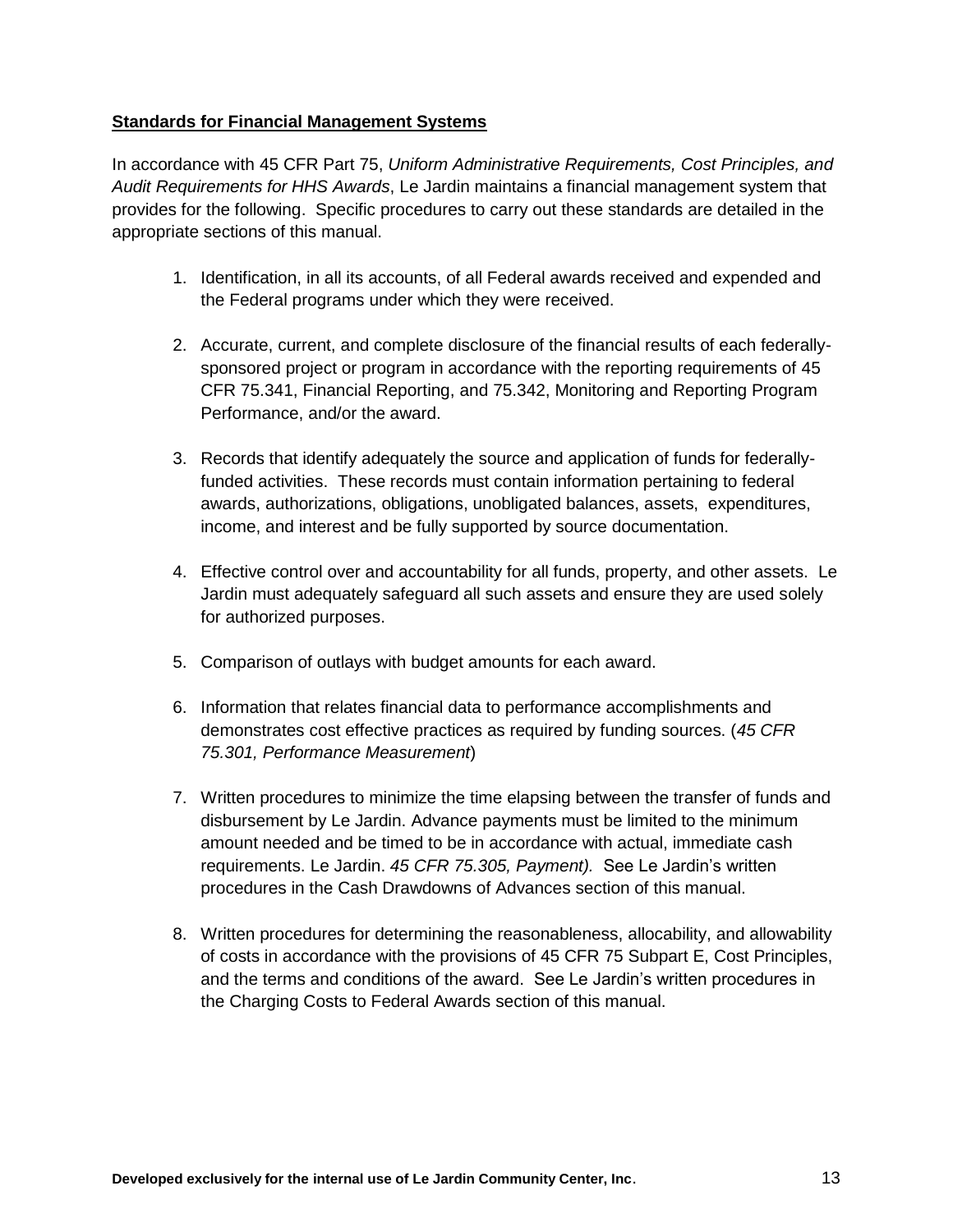#### <span id="page-12-0"></span>**Standards for Financial Management Systems**

In accordance with 45 CFR Part 75, *Uniform Administrative Requirements, Cost Principles, and Audit Requirements for HHS Awards*, Le Jardin maintains a financial management system that provides for the following. Specific procedures to carry out these standards are detailed in the appropriate sections of this manual.

- 1. Identification, in all its accounts, of all Federal awards received and expended and the Federal programs under which they were received.
- 2. Accurate, current, and complete disclosure of the financial results of each federallysponsored project or program in accordance with the reporting requirements of 45 CFR 75.341, Financial Reporting, and 75.342, Monitoring and Reporting Program Performance, and/or the award.
- 3. Records that identify adequately the source and application of funds for federallyfunded activities. These records must contain information pertaining to federal awards, authorizations, obligations, unobligated balances, assets, expenditures, income, and interest and be fully supported by source documentation.
- 4. Effective control over and accountability for all funds, property, and other assets. Le Jardin must adequately safeguard all such assets and ensure they are used solely for authorized purposes.
- 5. Comparison of outlays with budget amounts for each award.
- 6. Information that relates financial data to performance accomplishments and demonstrates cost effective practices as required by funding sources. (*45 CFR 75.301, Performance Measurement*)
- 7. Written procedures to minimize the time elapsing between the transfer of funds and disbursement by Le Jardin. Advance payments must be limited to the minimum amount needed and be timed to be in accordance with actual, immediate cash requirements. Le Jardin. *45 CFR 75.305, Payment).* See Le Jardin's written procedures in the Cash Drawdowns of Advances section of this manual.
- 8. Written procedures for determining the reasonableness, allocability, and allowability of costs in accordance with the provisions of 45 CFR 75 Subpart E, Cost Principles, and the terms and conditions of the award. See Le Jardin's written procedures in the Charging Costs to Federal Awards section of this manual.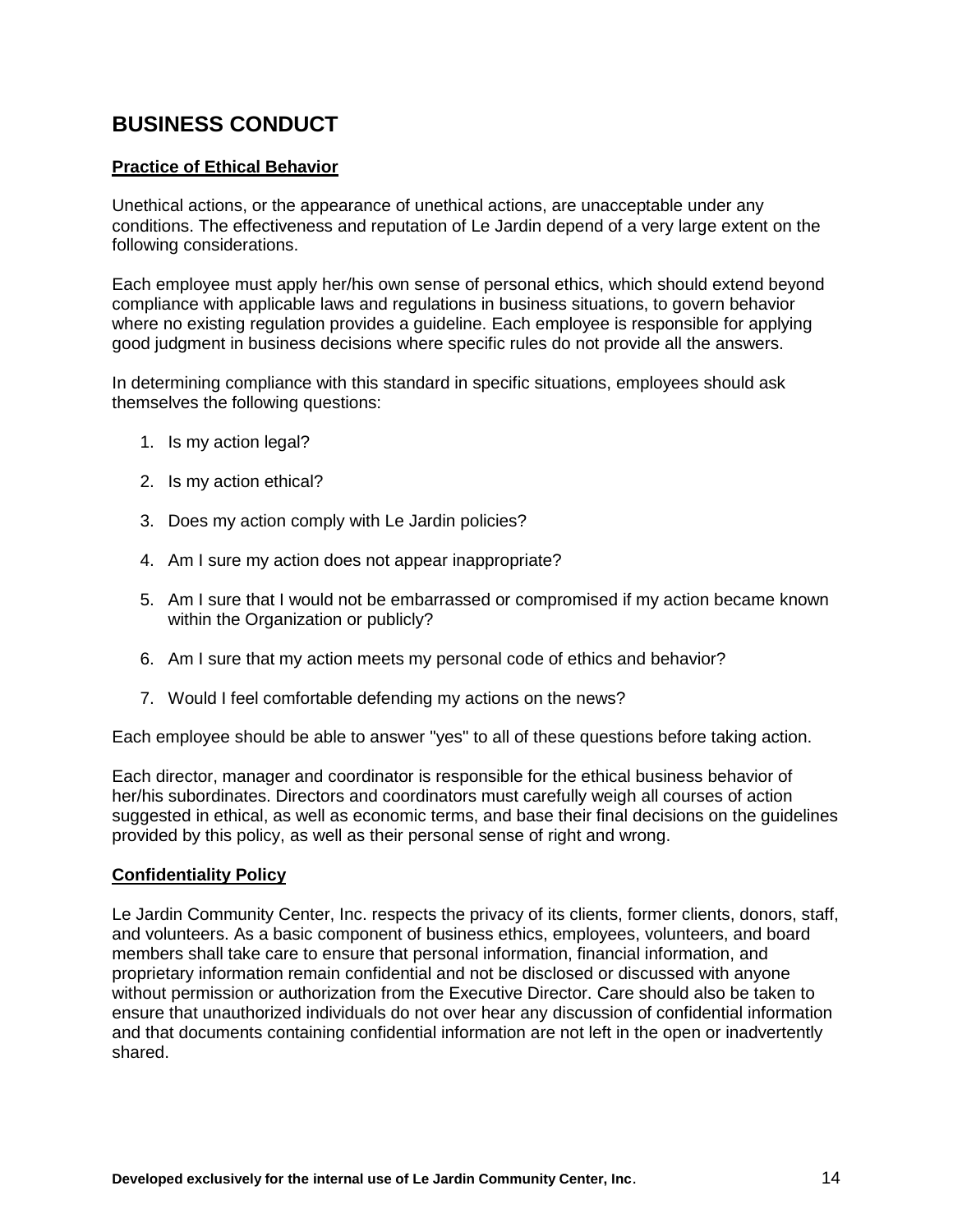# **BUSINESS CONDUCT**

#### **Practice of Ethical Behavior**

Unethical actions, or the appearance of unethical actions, are unacceptable under any conditions. The effectiveness and reputation of Le Jardin depend of a very large extent on the following considerations.

Each employee must apply her/his own sense of personal ethics, which should extend beyond compliance with applicable laws and regulations in business situations, to govern behavior where no existing regulation provides a guideline. Each employee is responsible for applying good judgment in business decisions where specific rules do not provide all the answers.

In determining compliance with this standard in specific situations, employees should ask themselves the following questions:

- 1. Is my action legal?
- 2. Is my action ethical?
- 3. Does my action comply with Le Jardin policies?
- 4. Am I sure my action does not appear inappropriate?
- 5. Am I sure that I would not be embarrassed or compromised if my action became known within the Organization or publicly?
- 6. Am I sure that my action meets my personal code of ethics and behavior?
- 7. Would I feel comfortable defending my actions on the news?

Each employee should be able to answer "yes" to all of these questions before taking action.

Each director, manager and coordinator is responsible for the ethical business behavior of her/his subordinates. Directors and coordinators must carefully weigh all courses of action suggested in ethical, as well as economic terms, and base their final decisions on the guidelines provided by this policy, as well as their personal sense of right and wrong.

#### **Confidentiality Policy**

Le Jardin Community Center, Inc. respects the privacy of its clients, former clients, donors, staff, and volunteers. As a basic component of business ethics, employees, volunteers, and board members shall take care to ensure that personal information, financial information, and proprietary information remain confidential and not be disclosed or discussed with anyone without permission or authorization from the Executive Director. Care should also be taken to ensure that unauthorized individuals do not over hear any discussion of confidential information and that documents containing confidential information are not left in the open or inadvertently shared.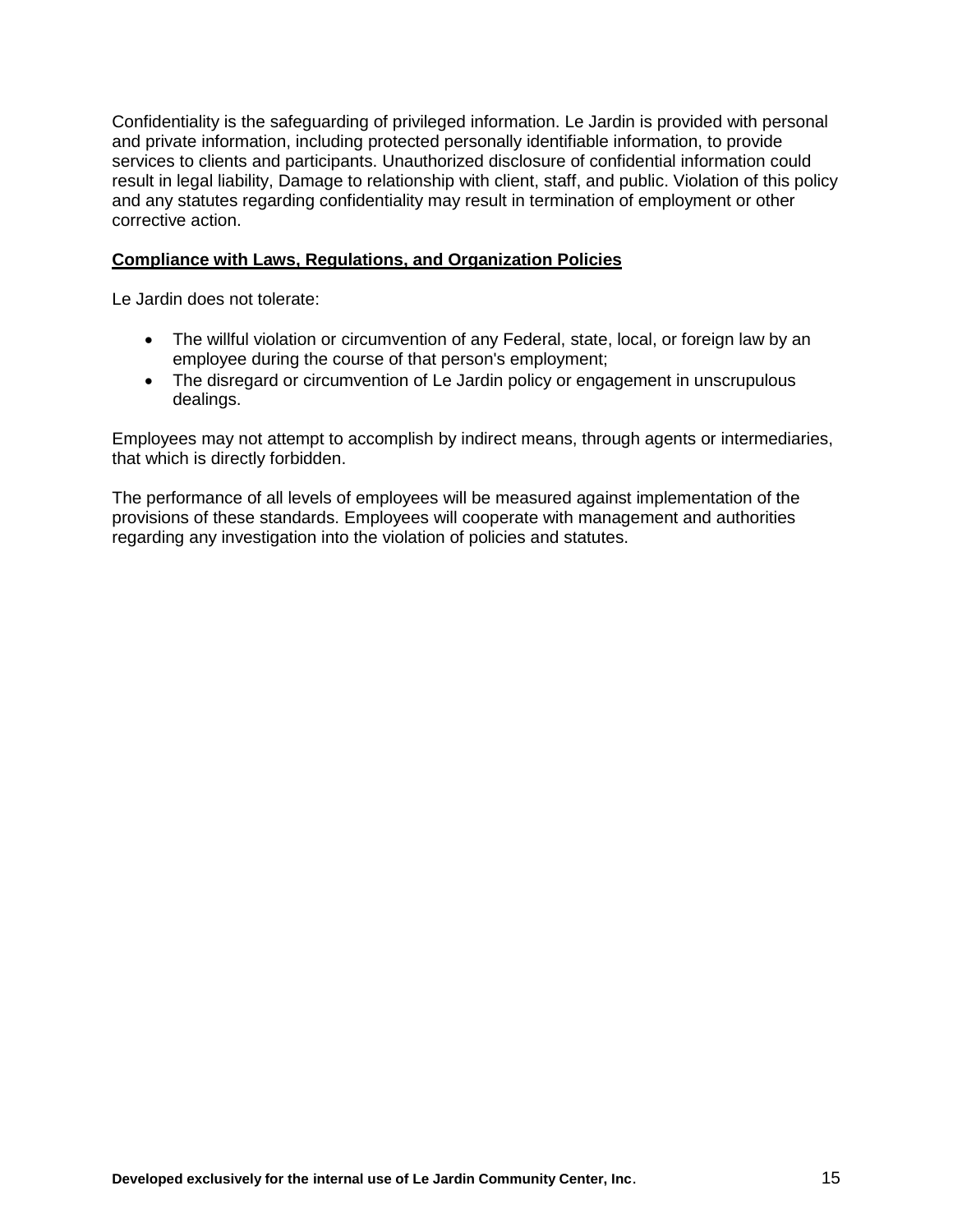Confidentiality is the safeguarding of privileged information. Le Jardin is provided with personal and private information, including protected personally identifiable information, to provide services to clients and participants. Unauthorized disclosure of confidential information could result in legal liability, Damage to relationship with client, staff, and public. Violation of this policy and any statutes regarding confidentiality may result in termination of employment or other corrective action.

#### **Compliance with Laws, Regulations, and Organization Policies**

Le Jardin does not tolerate:

- The willful violation or circumvention of any Federal, state, local, or foreign law by an employee during the course of that person's employment;
- The disregard or circumvention of Le Jardin policy or engagement in unscrupulous dealings.

Employees may not attempt to accomplish by indirect means, through agents or intermediaries, that which is directly forbidden.

<span id="page-14-0"></span>The performance of all levels of employees will be measured against implementation of the provisions of these standards. Employees will cooperate with management and authorities regarding any investigation into the violation of policies and statutes.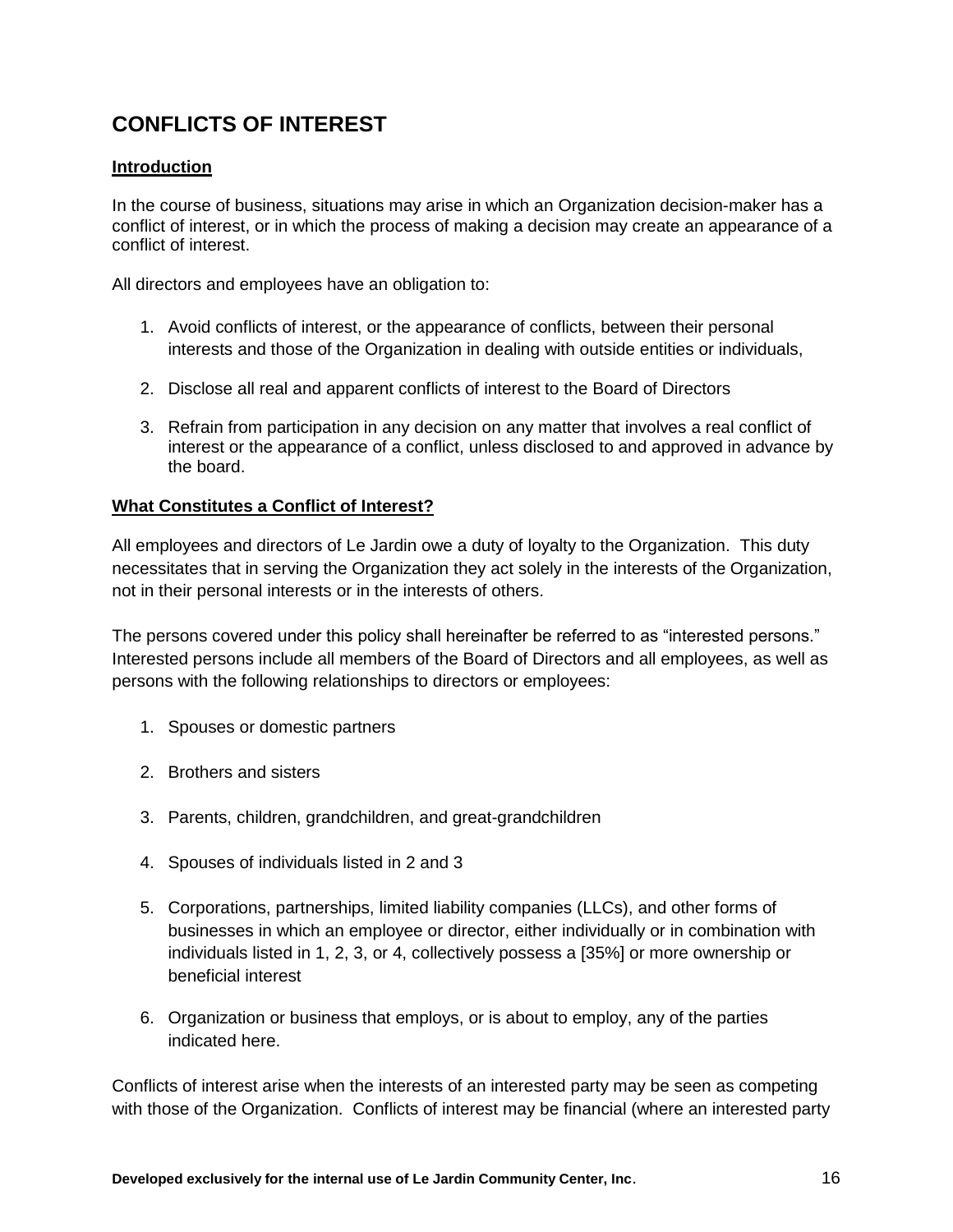# **CONFLICTS OF INTEREST**

#### **Introduction**

In the course of business, situations may arise in which an Organization decision-maker has a conflict of interest, or in which the process of making a decision may create an appearance of a conflict of interest.

All directors and employees have an obligation to:

- 1. Avoid conflicts of interest, or the appearance of conflicts, between their personal interests and those of the Organization in dealing with outside entities or individuals,
- 2. Disclose all real and apparent conflicts of interest to the Board of Directors
- 3. Refrain from participation in any decision on any matter that involves a real conflict of interest or the appearance of a conflict, unless disclosed to and approved in advance by the board.

#### **What Constitutes a Conflict of Interest?**

All employees and directors of Le Jardin owe a duty of loyalty to the Organization. This duty necessitates that in serving the Organization they act solely in the interests of the Organization, not in their personal interests or in the interests of others.

The persons covered under this policy shall hereinafter be referred to as "interested persons." Interested persons include all members of the Board of Directors and all employees, as well as persons with the following relationships to directors or employees:

- 1. Spouses or domestic partners
- 2. Brothers and sisters
- 3. Parents, children, grandchildren, and great-grandchildren
- 4. Spouses of individuals listed in 2 and 3
- 5. Corporations, partnerships, limited liability companies (LLCs), and other forms of businesses in which an employee or director, either individually or in combination with individuals listed in 1, 2, 3, or 4, collectively possess a [35%] or more ownership or beneficial interest
- 6. Organization or business that employs, or is about to employ, any of the parties indicated here.

Conflicts of interest arise when the interests of an interested party may be seen as competing with those of the Organization. Conflicts of interest may be financial (where an interested party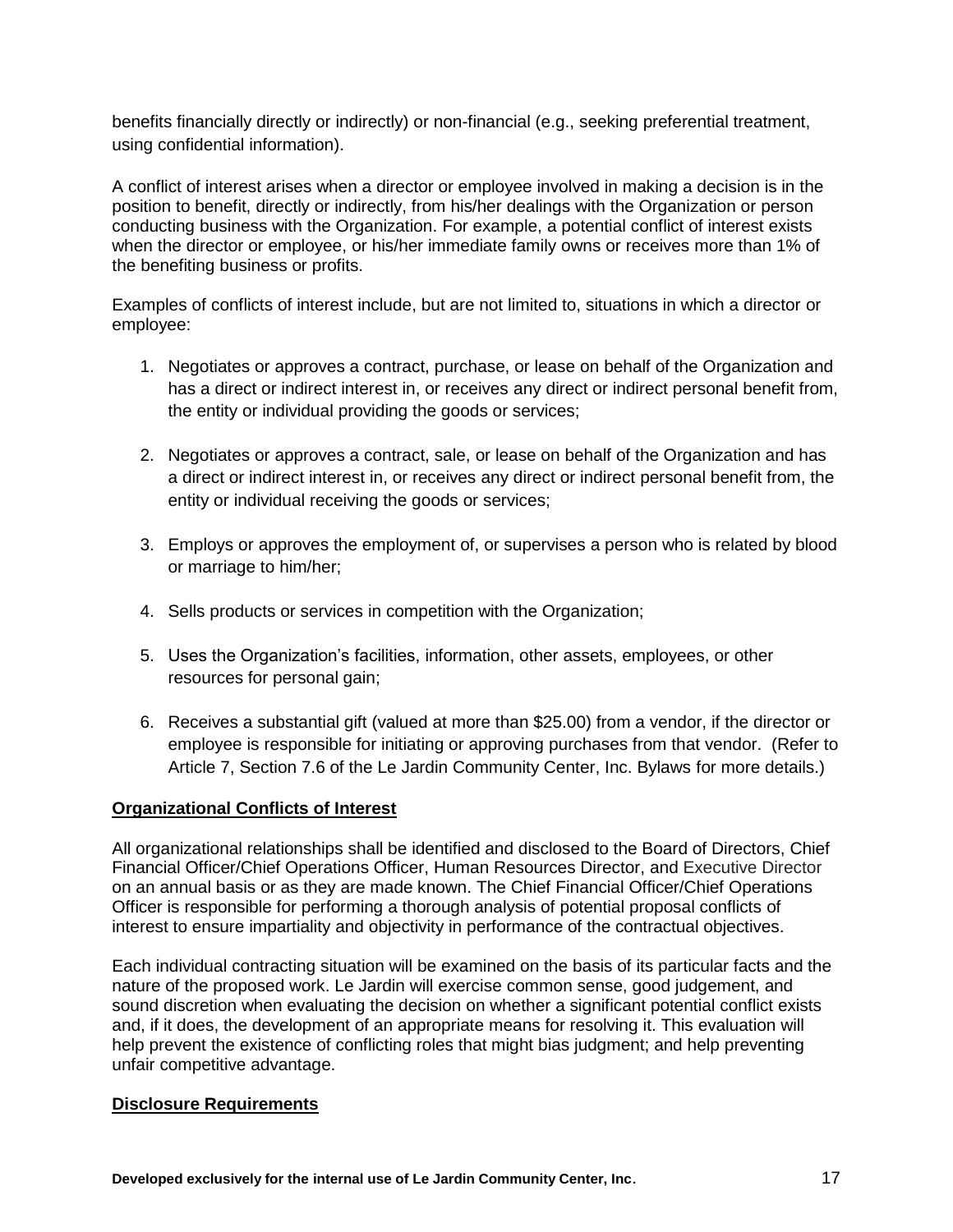benefits financially directly or indirectly) or non-financial (e.g., seeking preferential treatment, using confidential information).

A conflict of interest arises when a director or employee involved in making a decision is in the position to benefit, directly or indirectly, from his/her dealings with the Organization or person conducting business with the Organization. For example, a potential conflict of interest exists when the director or employee, or his/her immediate family owns or receives more than 1% of the benefiting business or profits.

Examples of conflicts of interest include, but are not limited to, situations in which a director or employee:

- 1. Negotiates or approves a contract, purchase, or lease on behalf of the Organization and has a direct or indirect interest in, or receives any direct or indirect personal benefit from, the entity or individual providing the goods or services;
- 2. Negotiates or approves a contract, sale, or lease on behalf of the Organization and has a direct or indirect interest in, or receives any direct or indirect personal benefit from, the entity or individual receiving the goods or services;
- 3. Employs or approves the employment of, or supervises a person who is related by blood or marriage to him/her;
- 4. Sells products or services in competition with the Organization;
- 5. Uses the Organization's facilities, information, other assets, employees, or other resources for personal gain;
- 6. Receives a substantial gift (valued at more than \$25.00) from a vendor, if the director or employee is responsible for initiating or approving purchases from that vendor. (Refer to Article 7, Section 7.6 of the Le Jardin Community Center, Inc. Bylaws for more details.)

#### **Organizational Conflicts of Interest**

All organizational relationships shall be identified and disclosed to the Board of Directors, Chief Financial Officer/Chief Operations Officer, Human Resources Director, and Executive Director on an annual basis or as they are made known. The Chief Financial Officer/Chief Operations Officer is responsible for performing a thorough analysis of potential proposal conflicts of interest to ensure impartiality and objectivity in performance of the contractual objectives.

Each individual contracting situation will be examined on the basis of its particular facts and the nature of the proposed work. Le Jardin will exercise common sense, good judgement, and sound discretion when evaluating the decision on whether a significant potential conflict exists and, if it does, the development of an appropriate means for resolving it. This evaluation will help prevent the existence of conflicting roles that might bias judgment; and help preventing unfair competitive advantage.

#### **Disclosure Requirements**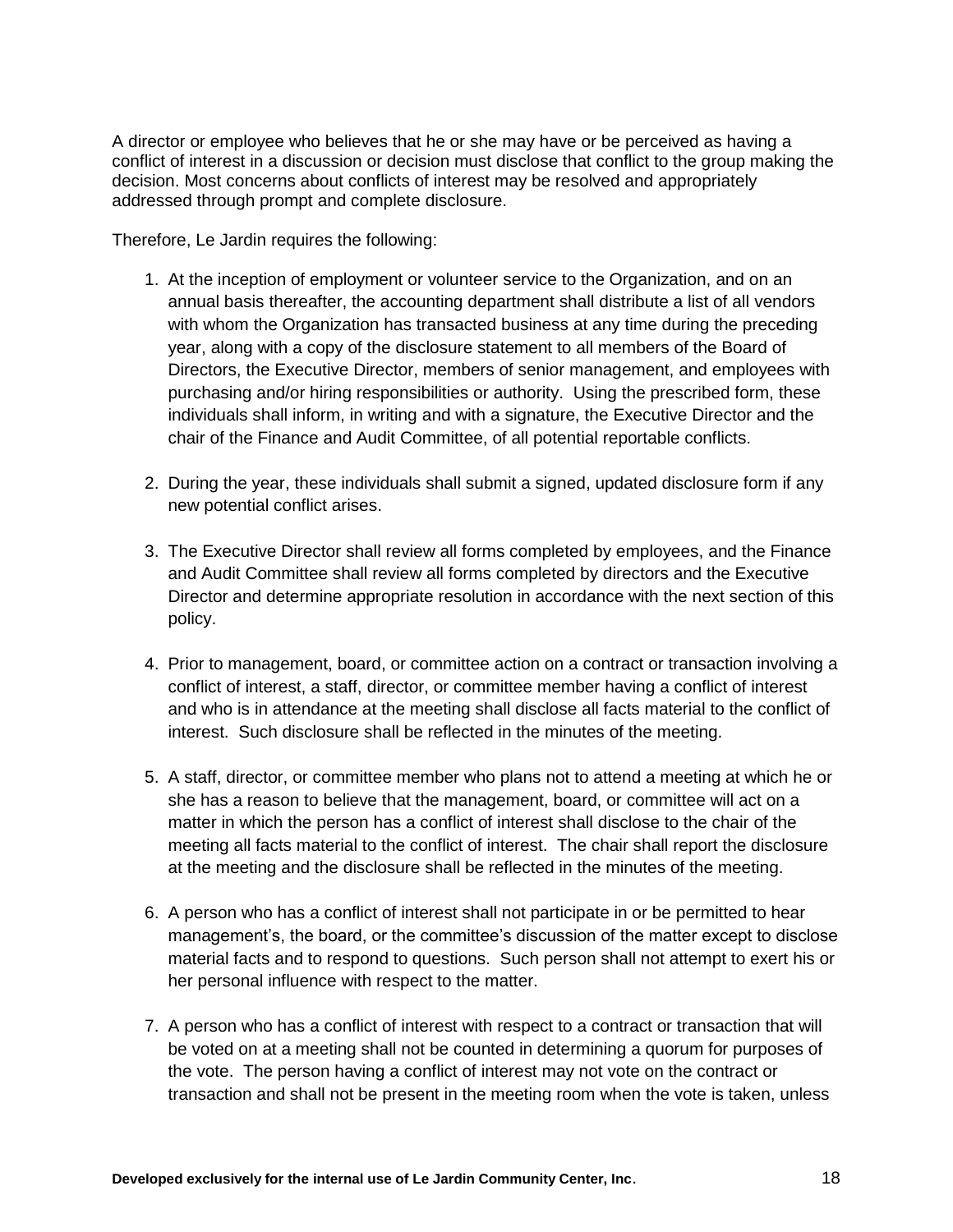A director or employee who believes that he or she may have or be perceived as having a conflict of interest in a discussion or decision must disclose that conflict to the group making the decision. Most concerns about conflicts of interest may be resolved and appropriately addressed through prompt and complete disclosure.

Therefore, Le Jardin requires the following:

- 1. At the inception of employment or volunteer service to the Organization, and on an annual basis thereafter, the accounting department shall distribute a list of all vendors with whom the Organization has transacted business at any time during the preceding year, along with a copy of the disclosure statement to all members of the Board of Directors, the Executive Director, members of senior management, and employees with purchasing and/or hiring responsibilities or authority. Using the prescribed form, these individuals shall inform, in writing and with a signature, the Executive Director and the chair of the Finance and Audit Committee, of all potential reportable conflicts.
- 2. During the year, these individuals shall submit a signed, updated disclosure form if any new potential conflict arises.
- 3. The Executive Director shall review all forms completed by employees, and the Finance and Audit Committee shall review all forms completed by directors and the Executive Director and determine appropriate resolution in accordance with the next section of this policy.
- 4. Prior to management, board, or committee action on a contract or transaction involving a conflict of interest, a staff, director, or committee member having a conflict of interest and who is in attendance at the meeting shall disclose all facts material to the conflict of interest. Such disclosure shall be reflected in the minutes of the meeting.
- 5. A staff, director, or committee member who plans not to attend a meeting at which he or she has a reason to believe that the management, board, or committee will act on a matter in which the person has a conflict of interest shall disclose to the chair of the meeting all facts material to the conflict of interest. The chair shall report the disclosure at the meeting and the disclosure shall be reflected in the minutes of the meeting.
- 6. A person who has a conflict of interest shall not participate in or be permitted to hear management's, the board, or the committee's discussion of the matter except to disclose material facts and to respond to questions. Such person shall not attempt to exert his or her personal influence with respect to the matter.
- 7. A person who has a conflict of interest with respect to a contract or transaction that will be voted on at a meeting shall not be counted in determining a quorum for purposes of the vote. The person having a conflict of interest may not vote on the contract or transaction and shall not be present in the meeting room when the vote is taken, unless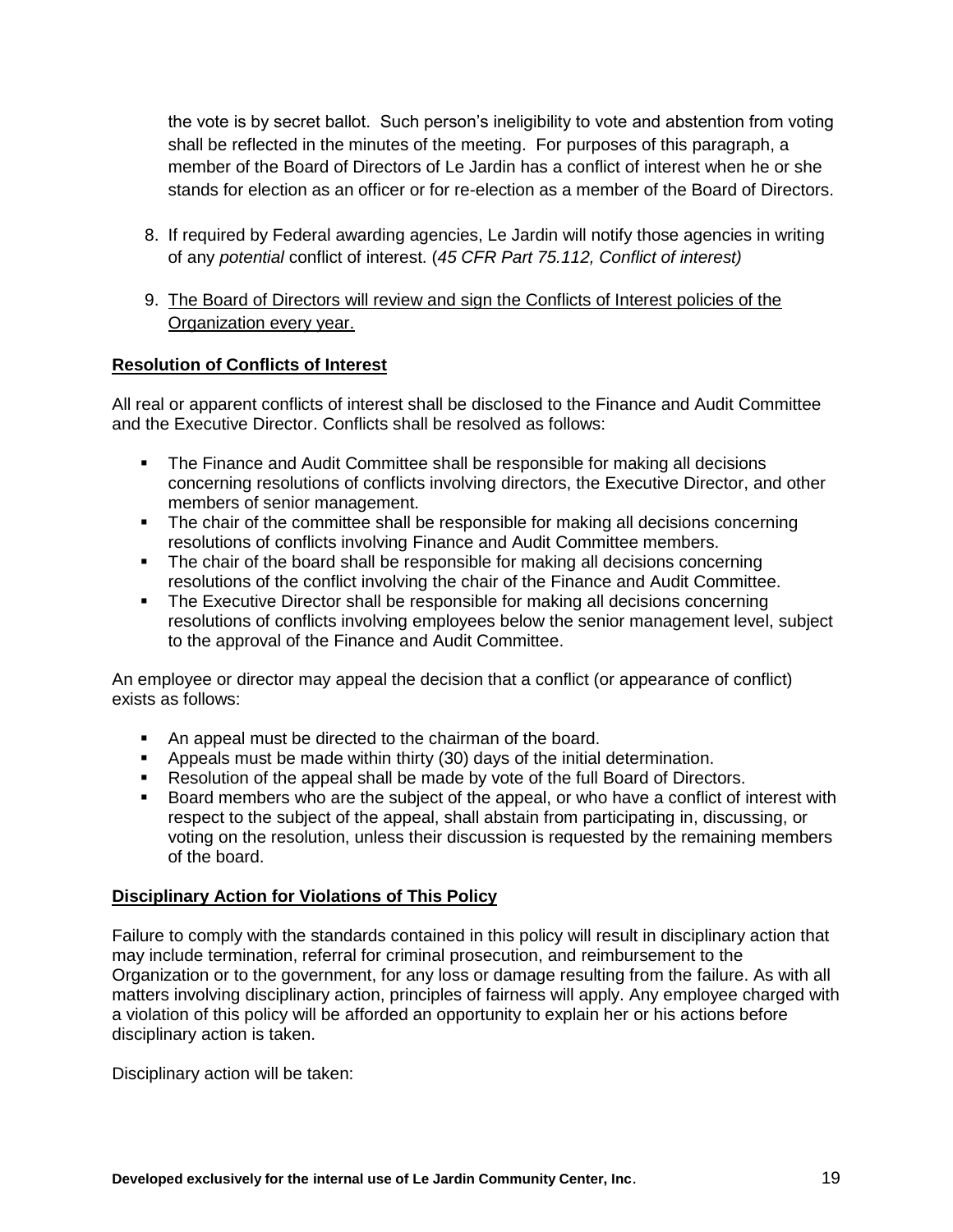the vote is by secret ballot. Such person's ineligibility to vote and abstention from voting shall be reflected in the minutes of the meeting. For purposes of this paragraph, a member of the Board of Directors of Le Jardin has a conflict of interest when he or she stands for election as an officer or for re-election as a member of the Board of Directors.

- 8. If required by Federal awarding agencies, Le Jardin will notify those agencies in writing of any *potential* conflict of interest. (*45 CFR Part 75.112, Conflict of interest)*
- 9. The Board of Directors will review and sign the Conflicts of Interest policies of the Organization every year.

#### **Resolution of Conflicts of Interest**

All real or apparent conflicts of interest shall be disclosed to the Finance and Audit Committee and the Executive Director. Conflicts shall be resolved as follows:

- The Finance and Audit Committee shall be responsible for making all decisions concerning resolutions of conflicts involving directors, the Executive Director, and other members of senior management.
- The chair of the committee shall be responsible for making all decisions concerning resolutions of conflicts involving Finance and Audit Committee members.
- The chair of the board shall be responsible for making all decisions concerning resolutions of the conflict involving the chair of the Finance and Audit Committee.
- The Executive Director shall be responsible for making all decisions concerning resolutions of conflicts involving employees below the senior management level, subject to the approval of the Finance and Audit Committee.

An employee or director may appeal the decision that a conflict (or appearance of conflict) exists as follows:

- An appeal must be directed to the chairman of the board.
- Appeals must be made within thirty (30) days of the initial determination.
- **Resolution of the appeal shall be made by vote of the full Board of Directors.**
- Board members who are the subject of the appeal, or who have a conflict of interest with respect to the subject of the appeal, shall abstain from participating in, discussing, or voting on the resolution, unless their discussion is requested by the remaining members of the board.

#### **Disciplinary Action for Violations of This Policy**

Failure to comply with the standards contained in this policy will result in disciplinary action that may include termination, referral for criminal prosecution, and reimbursement to the Organization or to the government, for any loss or damage resulting from the failure. As with all matters involving disciplinary action, principles of fairness will apply. Any employee charged with a violation of this policy will be afforded an opportunity to explain her or his actions before disciplinary action is taken.

Disciplinary action will be taken: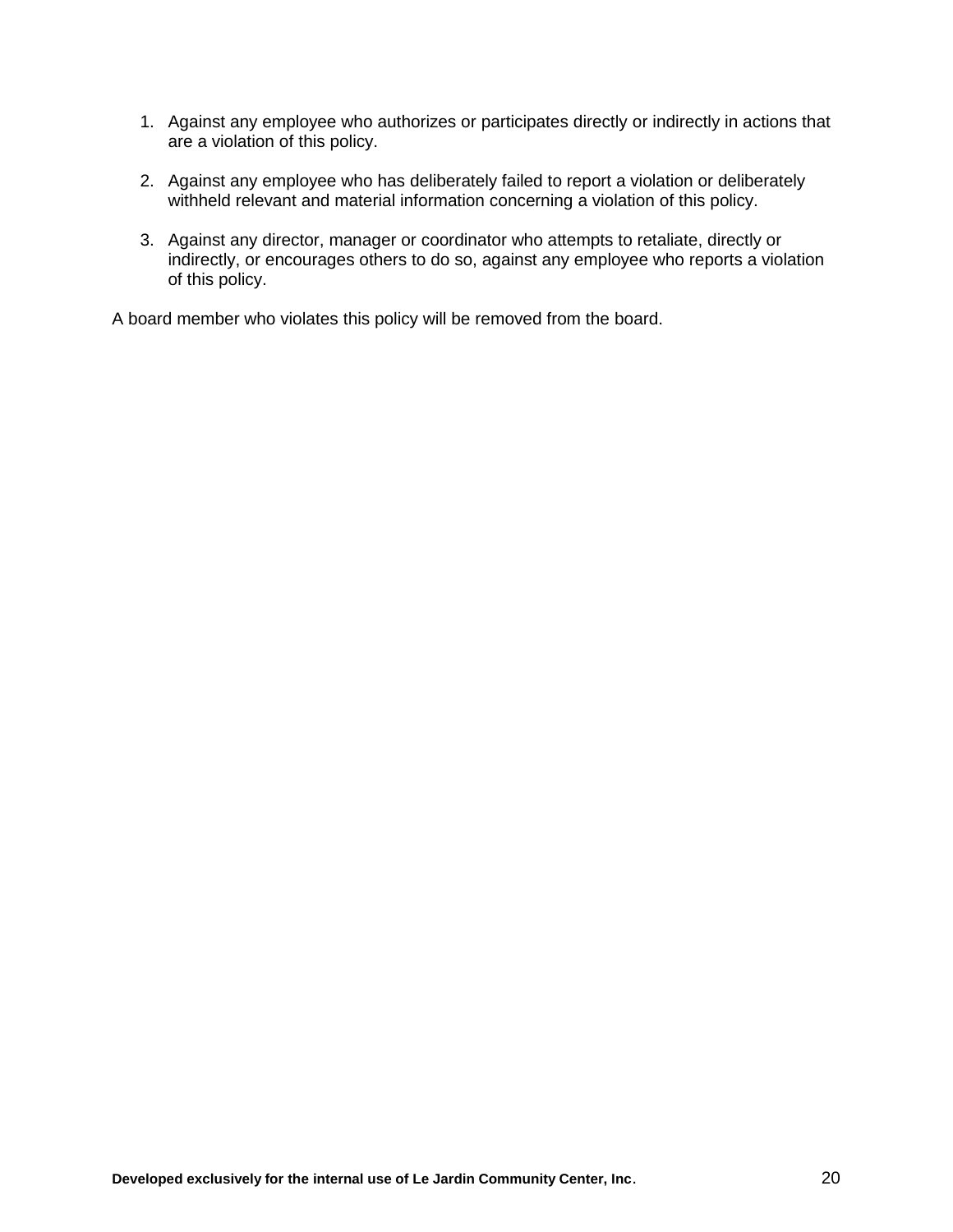- 1. Against any employee who authorizes or participates directly or indirectly in actions that are a violation of this policy.
- 2. Against any employee who has deliberately failed to report a violation or deliberately withheld relevant and material information concerning a violation of this policy.
- 3. Against any director, manager or coordinator who attempts to retaliate, directly or indirectly, or encourages others to do so, against any employee who reports a violation of this policy.

A board member who violates this policy will be removed from the board.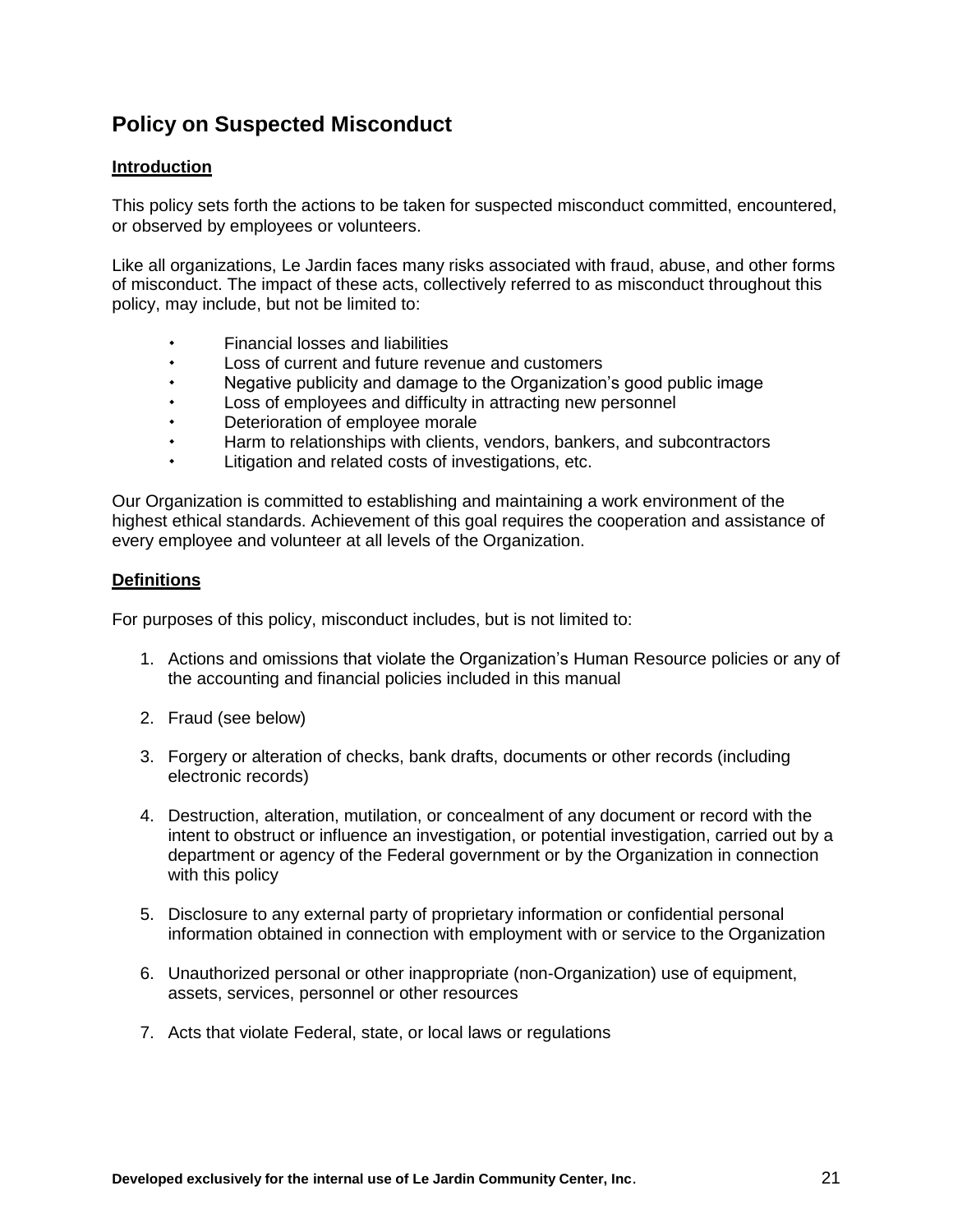# <span id="page-20-0"></span>**Policy on Suspected Misconduct**

#### **Introduction**

This policy sets forth the actions to be taken for suspected misconduct committed, encountered, or observed by employees or volunteers.

Like all organizations, Le Jardin faces many risks associated with fraud, abuse, and other forms of misconduct. The impact of these acts, collectively referred to as misconduct throughout this policy, may include, but not be limited to:

- Financial losses and liabilities
- Loss of current and future revenue and customers
- Negative publicity and damage to the Organization's good public image
- Loss of employees and difficulty in attracting new personnel
- Deterioration of employee morale
- Harm to relationships with clients, vendors, bankers, and subcontractors
- Litigation and related costs of investigations, etc.

Our Organization is committed to establishing and maintaining a work environment of the highest ethical standards. Achievement of this goal requires the cooperation and assistance of every employee and volunteer at all levels of the Organization.

#### **Definitions**

For purposes of this policy, misconduct includes, but is not limited to:

- 1. Actions and omissions that violate the Organization's Human Resource policies or any of the accounting and financial policies included in this manual
- 2. Fraud (see below)
- 3. Forgery or alteration of checks, bank drafts, documents or other records (including electronic records)
- 4. Destruction, alteration, mutilation, or concealment of any document or record with the intent to obstruct or influence an investigation, or potential investigation, carried out by a department or agency of the Federal government or by the Organization in connection with this policy
- 5. Disclosure to any external party of proprietary information or confidential personal information obtained in connection with employment with or service to the Organization
- 6. Unauthorized personal or other inappropriate (non-Organization) use of equipment, assets, services, personnel or other resources
- 7. Acts that violate Federal, state, or local laws or regulations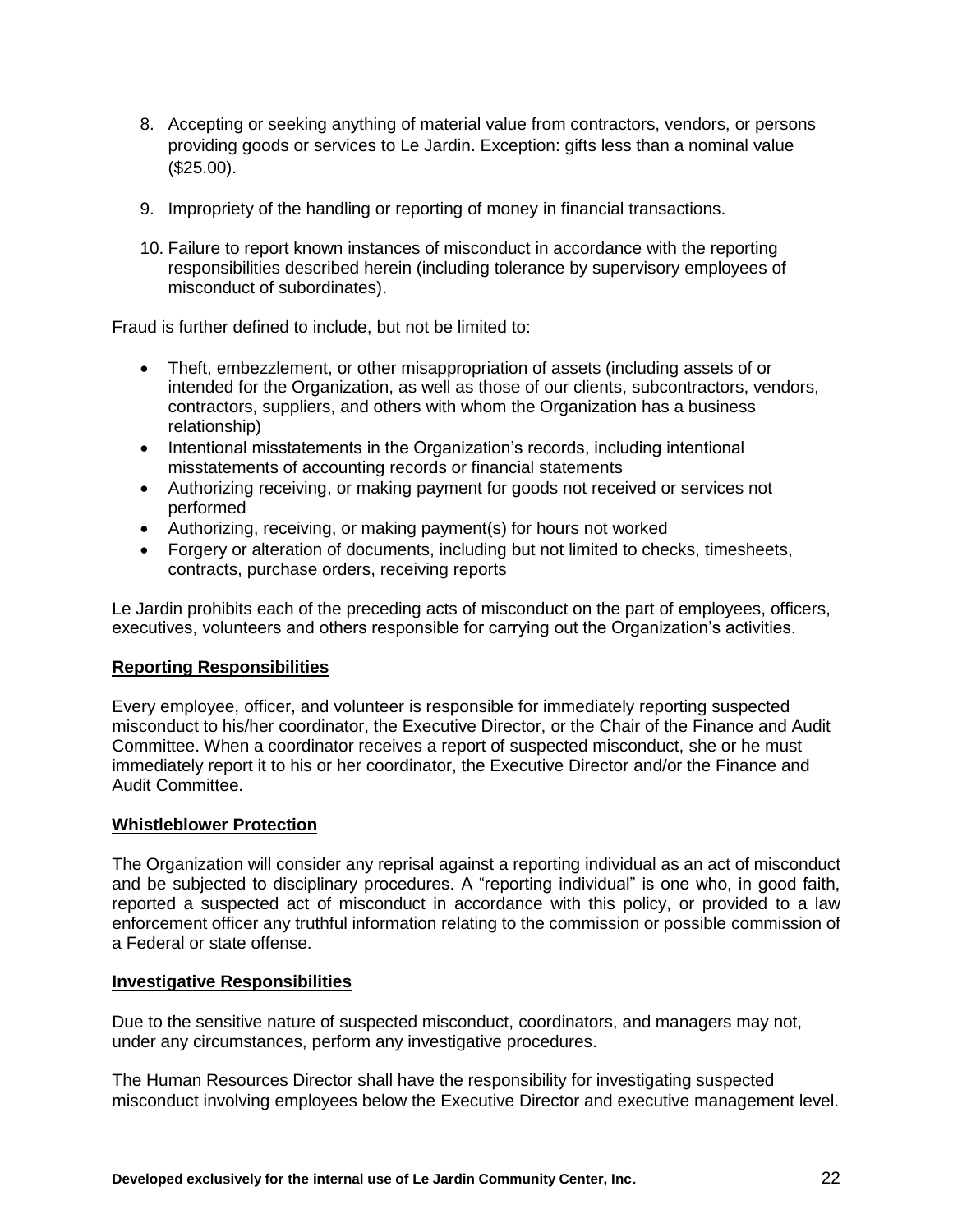- 8. Accepting or seeking anything of material value from contractors, vendors, or persons providing goods or services to Le Jardin. Exception: gifts less than a nominal value (\$25.00).
- 9. Impropriety of the handling or reporting of money in financial transactions.
- 10. Failure to report known instances of misconduct in accordance with the reporting responsibilities described herein (including tolerance by supervisory employees of misconduct of subordinates).

Fraud is further defined to include, but not be limited to:

- Theft, embezzlement, or other misappropriation of assets (including assets of or intended for the Organization, as well as those of our clients, subcontractors, vendors, contractors, suppliers, and others with whom the Organization has a business relationship)
- Intentional misstatements in the Organization's records, including intentional misstatements of accounting records or financial statements
- Authorizing receiving, or making payment for goods not received or services not performed
- Authorizing, receiving, or making payment(s) for hours not worked
- Forgery or alteration of documents, including but not limited to checks, timesheets, contracts, purchase orders, receiving reports

Le Jardin prohibits each of the preceding acts of misconduct on the part of employees, officers, executives, volunteers and others responsible for carrying out the Organization's activities.

#### **Reporting Responsibilities**

Every employee, officer, and volunteer is responsible for immediately reporting suspected misconduct to his/her coordinator, the Executive Director, or the Chair of the Finance and Audit Committee. When a coordinator receives a report of suspected misconduct, she or he must immediately report it to his or her coordinator, the Executive Director and/or the Finance and Audit Committee.

#### **Whistleblower Protection**

The Organization will consider any reprisal against a reporting individual as an act of misconduct and be subjected to disciplinary procedures. A "reporting individual" is one who, in good faith, reported a suspected act of misconduct in accordance with this policy, or provided to a law enforcement officer any truthful information relating to the commission or possible commission of a Federal or state offense.

#### **Investigative Responsibilities**

Due to the sensitive nature of suspected misconduct, coordinators, and managers may not, under any circumstances, perform any investigative procedures.

The Human Resources Director shall have the responsibility for investigating suspected misconduct involving employees below the Executive Director and executive management level.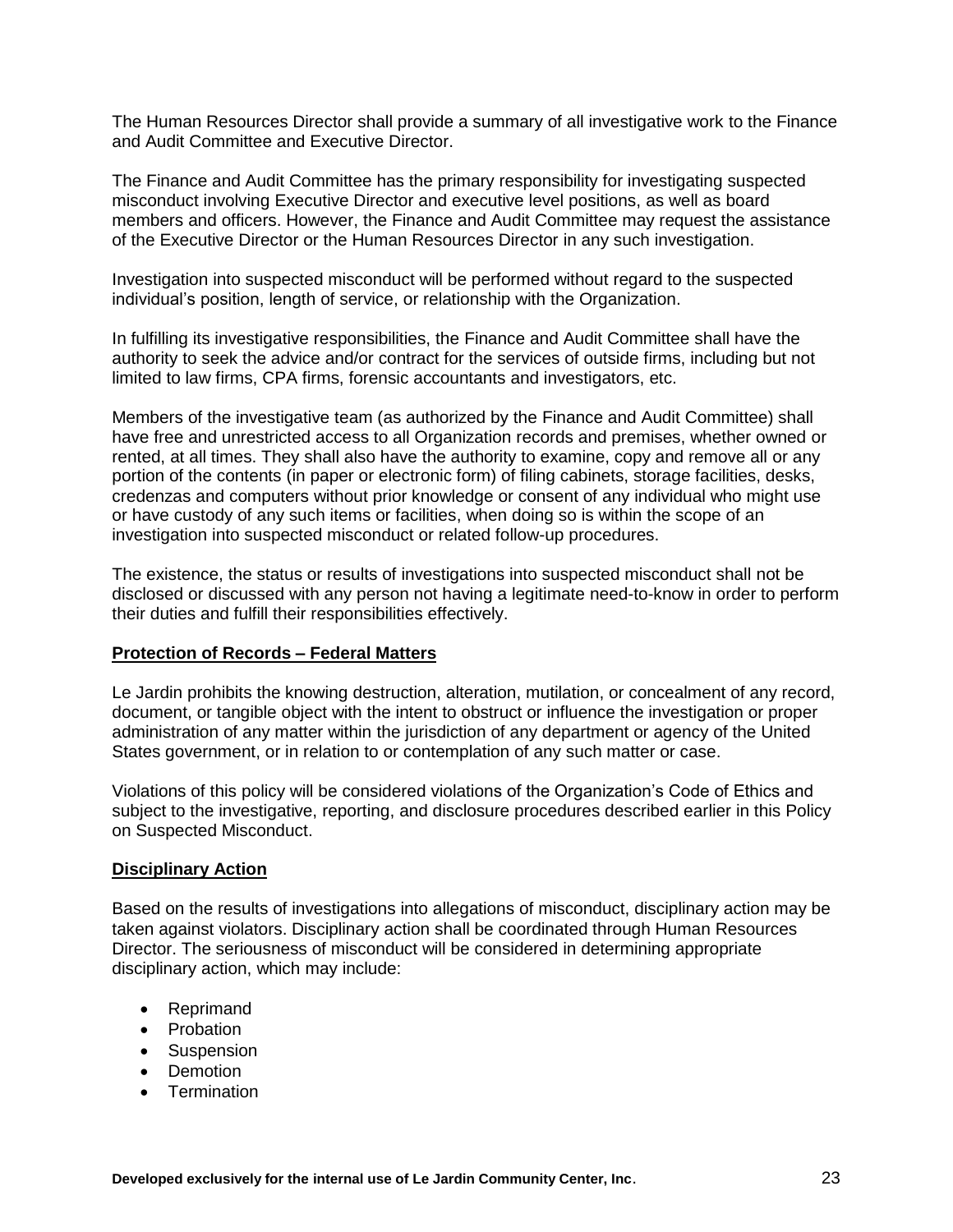The Human Resources Director shall provide a summary of all investigative work to the Finance and Audit Committee and Executive Director.

The Finance and Audit Committee has the primary responsibility for investigating suspected misconduct involving Executive Director and executive level positions, as well as board members and officers. However, the Finance and Audit Committee may request the assistance of the Executive Director or the Human Resources Director in any such investigation.

Investigation into suspected misconduct will be performed without regard to the suspected individual's position, length of service, or relationship with the Organization.

In fulfilling its investigative responsibilities, the Finance and Audit Committee shall have the authority to seek the advice and/or contract for the services of outside firms, including but not limited to law firms, CPA firms, forensic accountants and investigators, etc.

Members of the investigative team (as authorized by the Finance and Audit Committee) shall have free and unrestricted access to all Organization records and premises, whether owned or rented, at all times. They shall also have the authority to examine, copy and remove all or any portion of the contents (in paper or electronic form) of filing cabinets, storage facilities, desks, credenzas and computers without prior knowledge or consent of any individual who might use or have custody of any such items or facilities, when doing so is within the scope of an investigation into suspected misconduct or related follow-up procedures.

The existence, the status or results of investigations into suspected misconduct shall not be disclosed or discussed with any person not having a legitimate need-to-know in order to perform their duties and fulfill their responsibilities effectively.

#### **Protection of Records – Federal Matters**

Le Jardin prohibits the knowing destruction, alteration, mutilation, or concealment of any record, document, or tangible object with the intent to obstruct or influence the investigation or proper administration of any matter within the jurisdiction of any department or agency of the United States government, or in relation to or contemplation of any such matter or case.

Violations of this policy will be considered violations of the Organization's Code of Ethics and subject to the investigative, reporting, and disclosure procedures described earlier in this Policy on Suspected Misconduct.

#### **Disciplinary Action**

Based on the results of investigations into allegations of misconduct, disciplinary action may be taken against violators. Disciplinary action shall be coordinated through Human Resources Director. The seriousness of misconduct will be considered in determining appropriate disciplinary action, which may include:

- Reprimand
- Probation
- Suspension
- Demotion
- Termination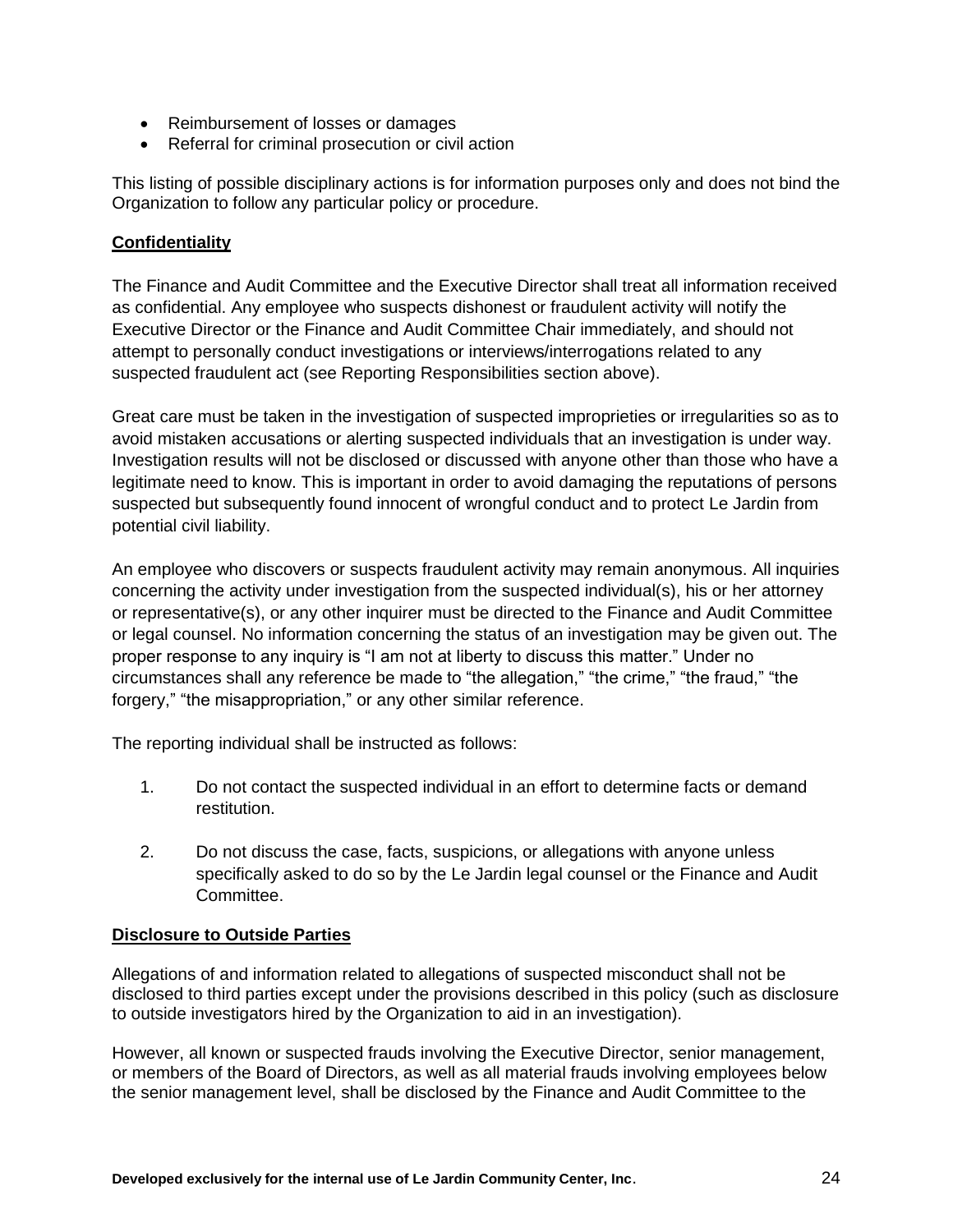- Reimbursement of losses or damages
- Referral for criminal prosecution or civil action

This listing of possible disciplinary actions is for information purposes only and does not bind the Organization to follow any particular policy or procedure.

#### **Confidentiality**

The Finance and Audit Committee and the Executive Director shall treat all information received as confidential. Any employee who suspects dishonest or fraudulent activity will notify the Executive Director or the Finance and Audit Committee Chair immediately, and should not attempt to personally conduct investigations or interviews/interrogations related to any suspected fraudulent act (see Reporting Responsibilities section above).

Great care must be taken in the investigation of suspected improprieties or irregularities so as to avoid mistaken accusations or alerting suspected individuals that an investigation is under way. Investigation results will not be disclosed or discussed with anyone other than those who have a legitimate need to know. This is important in order to avoid damaging the reputations of persons suspected but subsequently found innocent of wrongful conduct and to protect Le Jardin from potential civil liability.

An employee who discovers or suspects fraudulent activity may remain anonymous. All inquiries concerning the activity under investigation from the suspected individual(s), his or her attorney or representative(s), or any other inquirer must be directed to the Finance and Audit Committee or legal counsel. No information concerning the status of an investigation may be given out. The proper response to any inquiry is "I am not at liberty to discuss this matter." Under no circumstances shall any reference be made to "the allegation," "the crime," "the fraud," "the forgery," "the misappropriation," or any other similar reference.

The reporting individual shall be instructed as follows:

- 1. Do not contact the suspected individual in an effort to determine facts or demand restitution.
- 2. Do not discuss the case, facts, suspicions, or allegations with anyone unless specifically asked to do so by the Le Jardin legal counsel or the Finance and Audit Committee.

#### **Disclosure to Outside Parties**

Allegations of and information related to allegations of suspected misconduct shall not be disclosed to third parties except under the provisions described in this policy (such as disclosure to outside investigators hired by the Organization to aid in an investigation).

However, all known or suspected frauds involving the Executive Director, senior management, or members of the Board of Directors, as well as all material frauds involving employees below the senior management level, shall be disclosed by the Finance and Audit Committee to the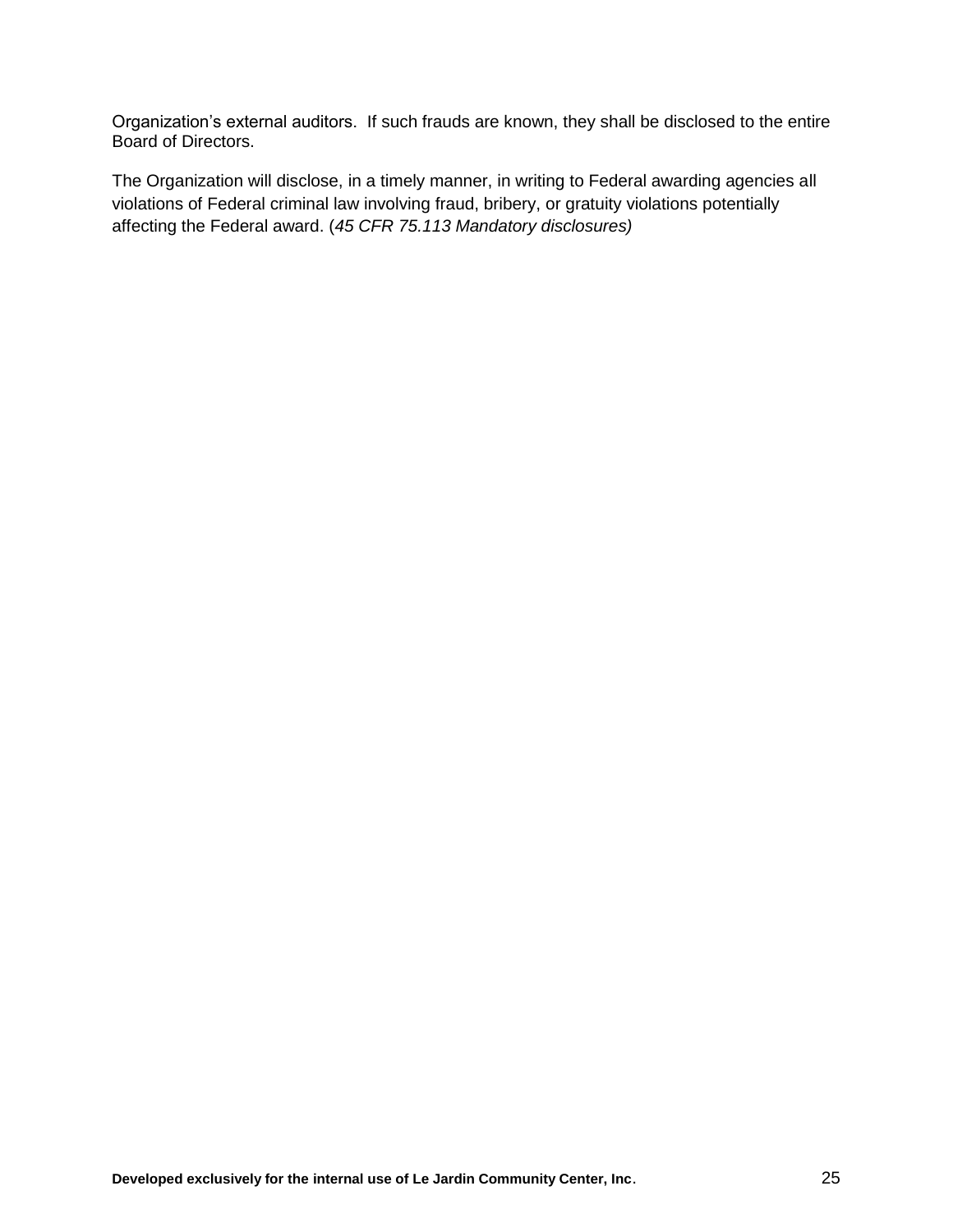Organization's external auditors. If such frauds are known, they shall be disclosed to the entire Board of Directors.

The Organization will disclose, in a timely manner, in writing to Federal awarding agencies all violations of Federal criminal law involving fraud, bribery, or gratuity violations potentially affecting the Federal award. (*45 CFR 75.113 Mandatory disclosures)*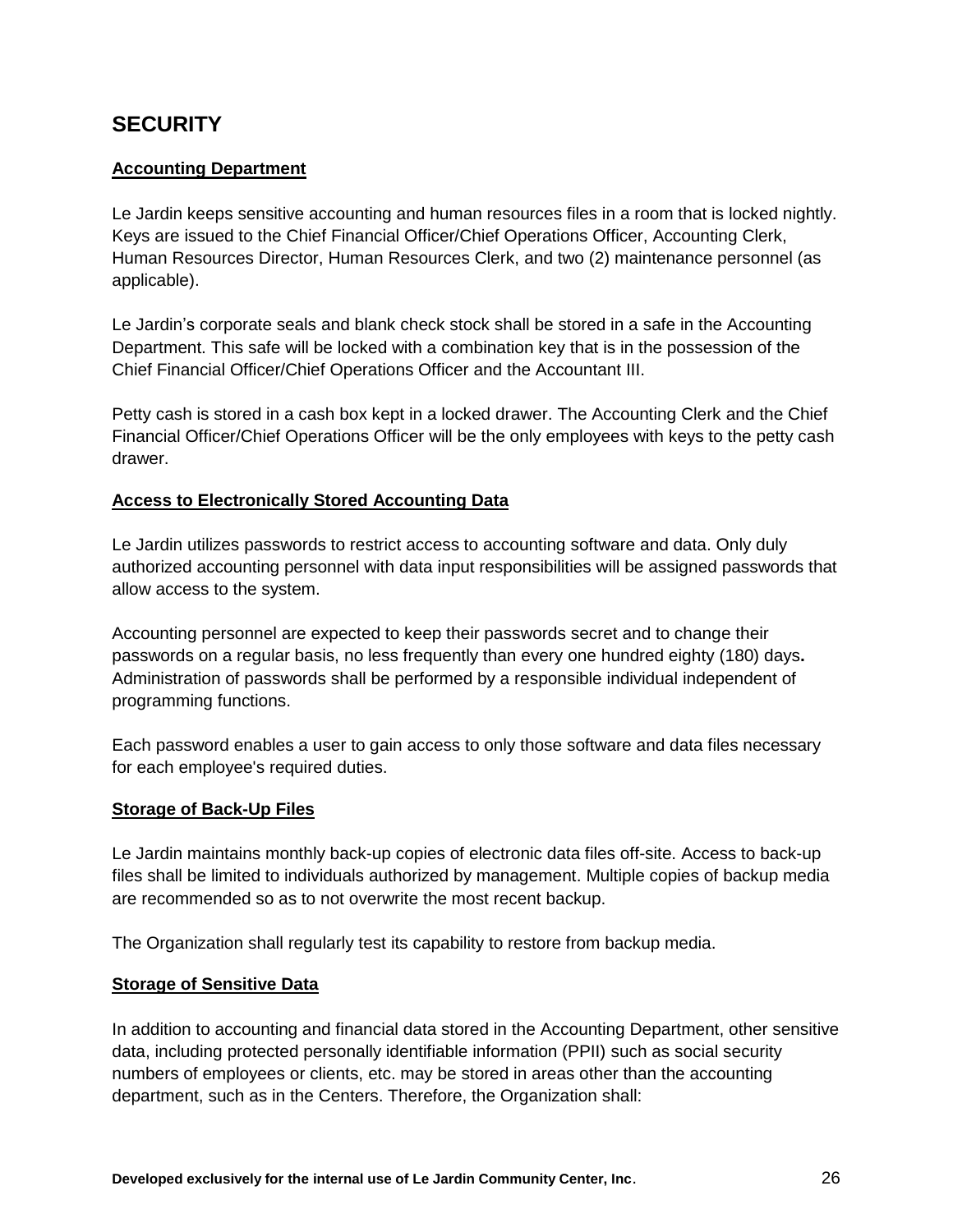## <span id="page-25-0"></span>**SECURITY**

## **Accounting Department**

Le Jardin keeps sensitive accounting and human resources files in a room that is locked nightly. Keys are issued to the Chief Financial Officer/Chief Operations Officer, Accounting Clerk, Human Resources Director, Human Resources Clerk, and two (2) maintenance personnel (as applicable).

Le Jardin's corporate seals and blank check stock shall be stored in a safe in the Accounting Department. This safe will be locked with a combination key that is in the possession of the Chief Financial Officer/Chief Operations Officer and the Accountant III.

Petty cash is stored in a cash box kept in a locked drawer. The Accounting Clerk and the Chief Financial Officer/Chief Operations Officer will be the only employees with keys to the petty cash drawer.

#### **Access to Electronically Stored Accounting Data**

Le Jardin utilizes passwords to restrict access to accounting software and data. Only duly authorized accounting personnel with data input responsibilities will be assigned passwords that allow access to the system.

Accounting personnel are expected to keep their passwords secret and to change their passwords on a regular basis, no less frequently than every one hundred eighty (180) days**.** Administration of passwords shall be performed by a responsible individual independent of programming functions.

Each password enables a user to gain access to only those software and data files necessary for each employee's required duties.

#### **Storage of Back-Up Files**

Le Jardin maintains monthly back-up copies of electronic data files off-site. Access to back-up files shall be limited to individuals authorized by management. Multiple copies of backup media are recommended so as to not overwrite the most recent backup.

The Organization shall regularly test its capability to restore from backup media.

#### **Storage of Sensitive Data**

In addition to accounting and financial data stored in the Accounting Department, other sensitive data, including protected personally identifiable information (PPII) such as social security numbers of employees or clients, etc. may be stored in areas other than the accounting department, such as in the Centers. Therefore, the Organization shall: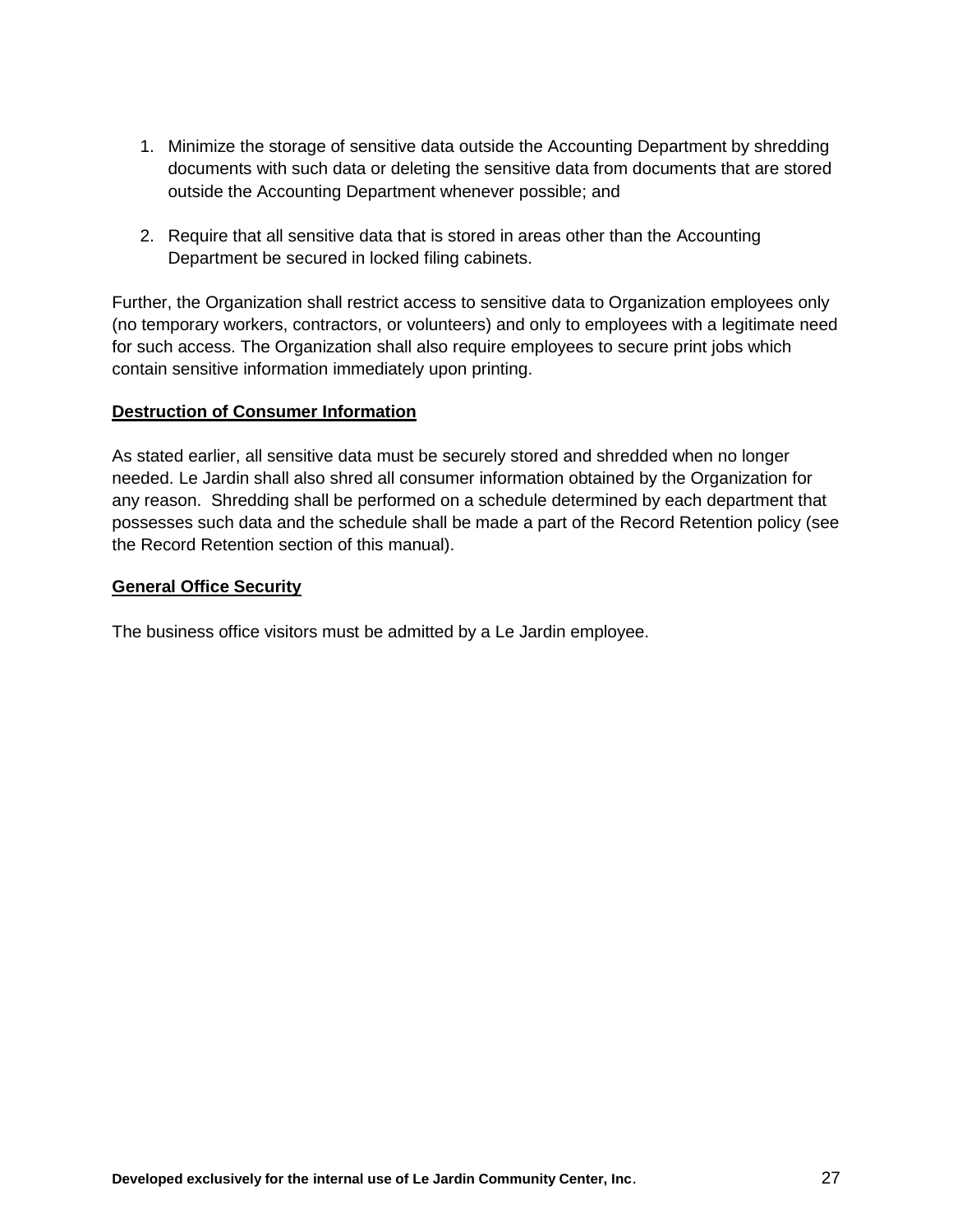- 1. Minimize the storage of sensitive data outside the Accounting Department by shredding documents with such data or deleting the sensitive data from documents that are stored outside the Accounting Department whenever possible; and
- 2. Require that all sensitive data that is stored in areas other than the Accounting Department be secured in locked filing cabinets.

Further, the Organization shall restrict access to sensitive data to Organization employees only (no temporary workers, contractors, or volunteers) and only to employees with a legitimate need for such access. The Organization shall also require employees to secure print jobs which contain sensitive information immediately upon printing.

#### **Destruction of Consumer Information**

As stated earlier, all sensitive data must be securely stored and shredded when no longer needed. Le Jardin shall also shred all consumer information obtained by the Organization for any reason. Shredding shall be performed on a schedule determined by each department that possesses such data and the schedule shall be made a part of the Record Retention policy (see the Record Retention section of this manual).

#### **General Office Security**

The business office visitors must be admitted by a Le Jardin employee.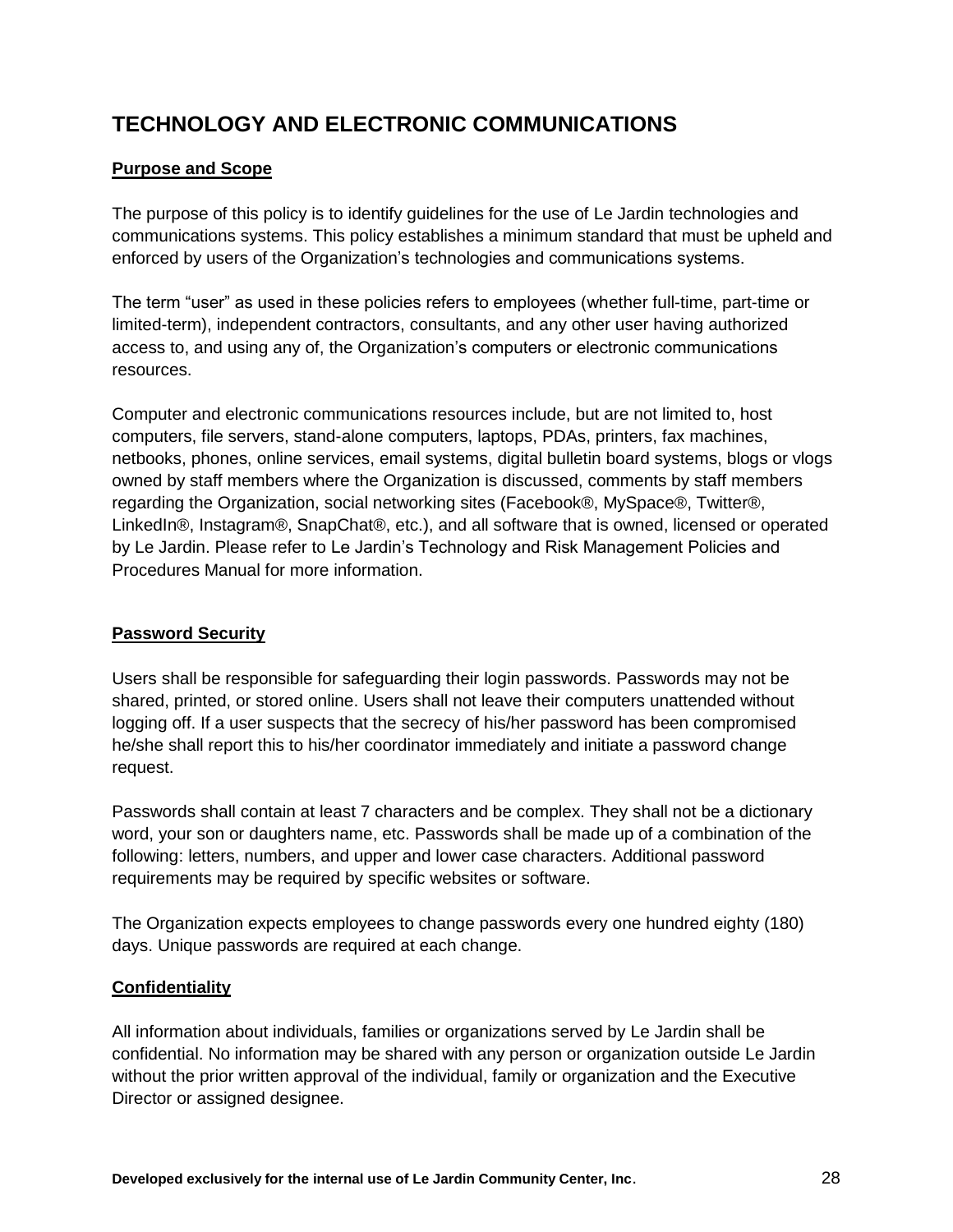# <span id="page-27-0"></span>**TECHNOLOGY AND ELECTRONIC COMMUNICATIONS**

#### **Purpose and Scope**

The purpose of this policy is to identify guidelines for the use of Le Jardin technologies and communications systems. This policy establishes a minimum standard that must be upheld and enforced by users of the Organization's technologies and communications systems.

The term "user" as used in these policies refers to employees (whether full-time, part-time or limited-term), independent contractors, consultants, and any other user having authorized access to, and using any of, the Organization's computers or electronic communications resources.

Computer and electronic communications resources include, but are not limited to, host computers, file servers, stand-alone computers, laptops, PDAs, printers, fax machines, netbooks, phones, online services, email systems, digital bulletin board systems, blogs or vlogs owned by staff members where the Organization is discussed, comments by staff members regarding the Organization, social networking sites (Facebook®, MySpace®, Twitter®, LinkedIn®, Instagram®, SnapChat®, etc.), and all software that is owned, licensed or operated by Le Jardin. Please refer to Le Jardin's Technology and Risk Management Policies and Procedures Manual for more information.

## **Password Security**

Users shall be responsible for safeguarding their login passwords. Passwords may not be shared, printed, or stored online. Users shall not leave their computers unattended without logging off. If a user suspects that the secrecy of his/her password has been compromised he/she shall report this to his/her coordinator immediately and initiate a password change request.

Passwords shall contain at least 7 characters and be complex. They shall not be a dictionary word, your son or daughters name, etc. Passwords shall be made up of a combination of the following: letters, numbers, and upper and lower case characters. Additional password requirements may be required by specific websites or software.

The Organization expects employees to change passwords every one hundred eighty (180) days. Unique passwords are required at each change.

#### **Confidentiality**

All information about individuals, families or organizations served by Le Jardin shall be confidential. No information may be shared with any person or organization outside Le Jardin without the prior written approval of the individual, family or organization and the Executive Director or assigned designee.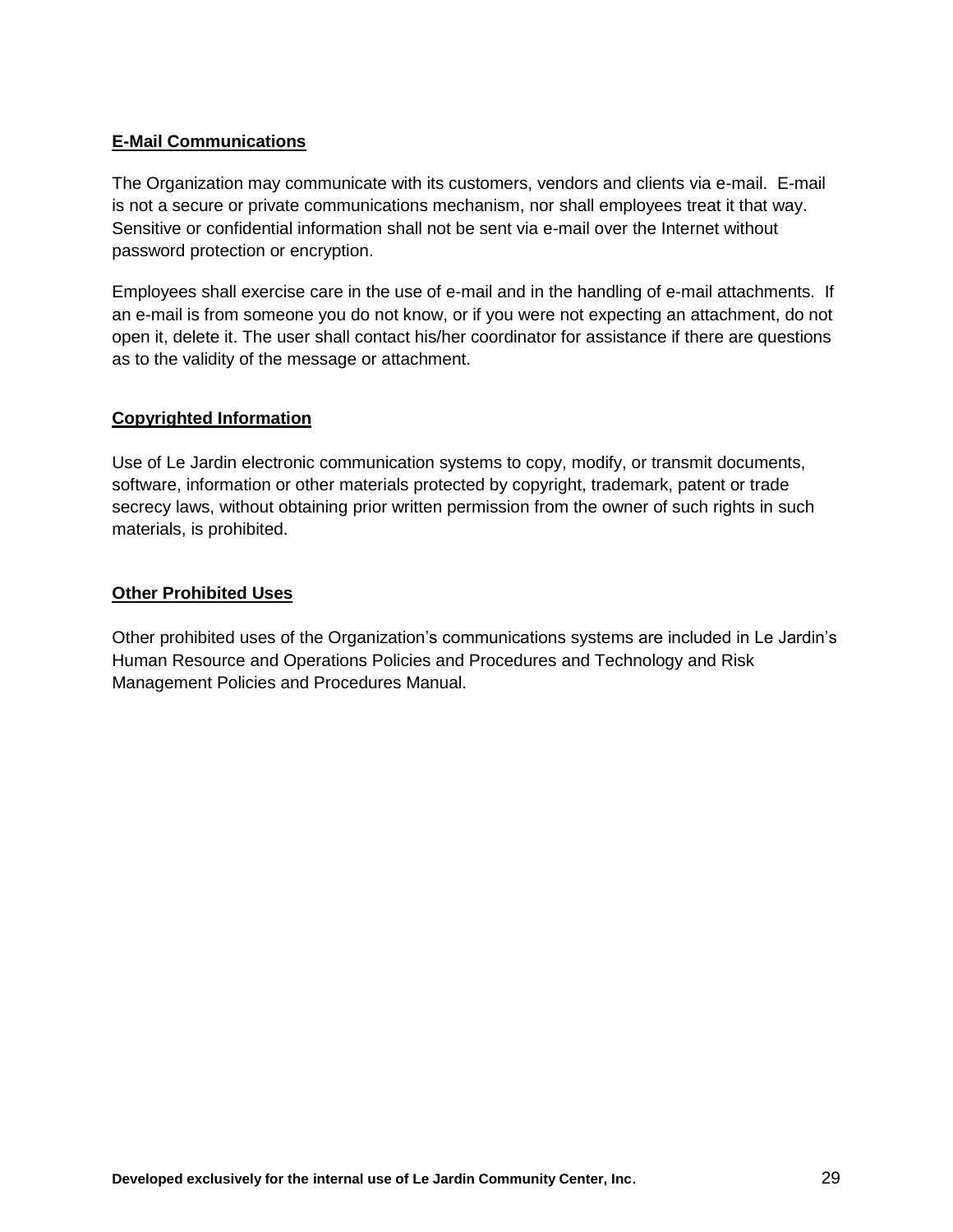#### **E-Mail Communications**

The Organization may communicate with its customers, vendors and clients via e-mail. E-mail is not a secure or private communications mechanism, nor shall employees treat it that way. Sensitive or confidential information shall not be sent via e-mail over the Internet without password protection or encryption.

Employees shall exercise care in the use of e-mail and in the handling of e-mail attachments. If an e-mail is from someone you do not know, or if you were not expecting an attachment, do not open it, delete it. The user shall contact his/her coordinator for assistance if there are questions as to the validity of the message or attachment.

#### **Copyrighted Information**

Use of Le Jardin electronic communication systems to copy, modify, or transmit documents, software, information or other materials protected by copyright, trademark, patent or trade secrecy laws, without obtaining prior written permission from the owner of such rights in such materials, is prohibited.

#### **Other Prohibited Uses**

Other prohibited uses of the Organization's communications systems are included in Le Jardin's Human Resource and Operations Policies and Procedures and Technology and Risk Management Policies and Procedures Manual.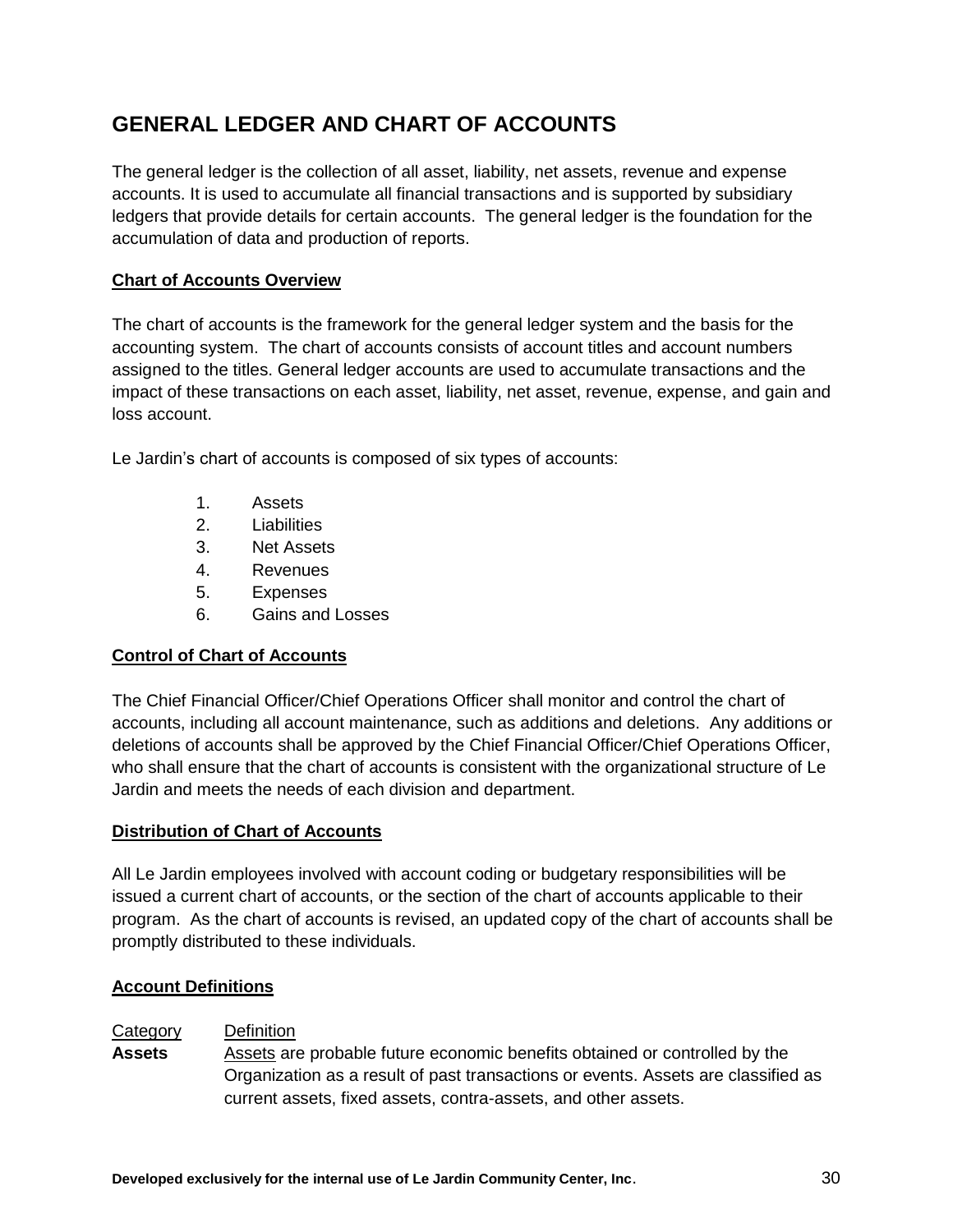# <span id="page-29-0"></span>**GENERAL LEDGER AND CHART OF ACCOUNTS**

The general ledger is the collection of all asset, liability, net assets, revenue and expense accounts. It is used to accumulate all financial transactions and is supported by subsidiary ledgers that provide details for certain accounts. The general ledger is the foundation for the accumulation of data and production of reports.

## **Chart of Accounts Overview**

The chart of accounts is the framework for the general ledger system and the basis for the accounting system. The chart of accounts consists of account titles and account numbers assigned to the titles. General ledger accounts are used to accumulate transactions and the impact of these transactions on each asset, liability, net asset, revenue, expense, and gain and loss account.

Le Jardin's chart of accounts is composed of six types of accounts:

- 1. Assets
- 2. Liabilities
- 3. Net Assets
- 4. Revenues
- 5. Expenses
- 6. Gains and Losses

#### **Control of Chart of Accounts**

The Chief Financial Officer/Chief Operations Officer shall monitor and control the chart of accounts, including all account maintenance, such as additions and deletions. Any additions or deletions of accounts shall be approved by the Chief Financial Officer/Chief Operations Officer, who shall ensure that the chart of accounts is consistent with the organizational structure of Le Jardin and meets the needs of each division and department.

#### **Distribution of Chart of Accounts**

All Le Jardin employees involved with account coding or budgetary responsibilities will be issued a current chart of accounts, or the section of the chart of accounts applicable to their program. As the chart of accounts is revised, an updated copy of the chart of accounts shall be promptly distributed to these individuals.

#### **Account Definitions**

#### Category Definition

**Assets** Assets are probable future economic benefits obtained or controlled by the Organization as a result of past transactions or events. Assets are classified as current assets, fixed assets, contra-assets, and other assets.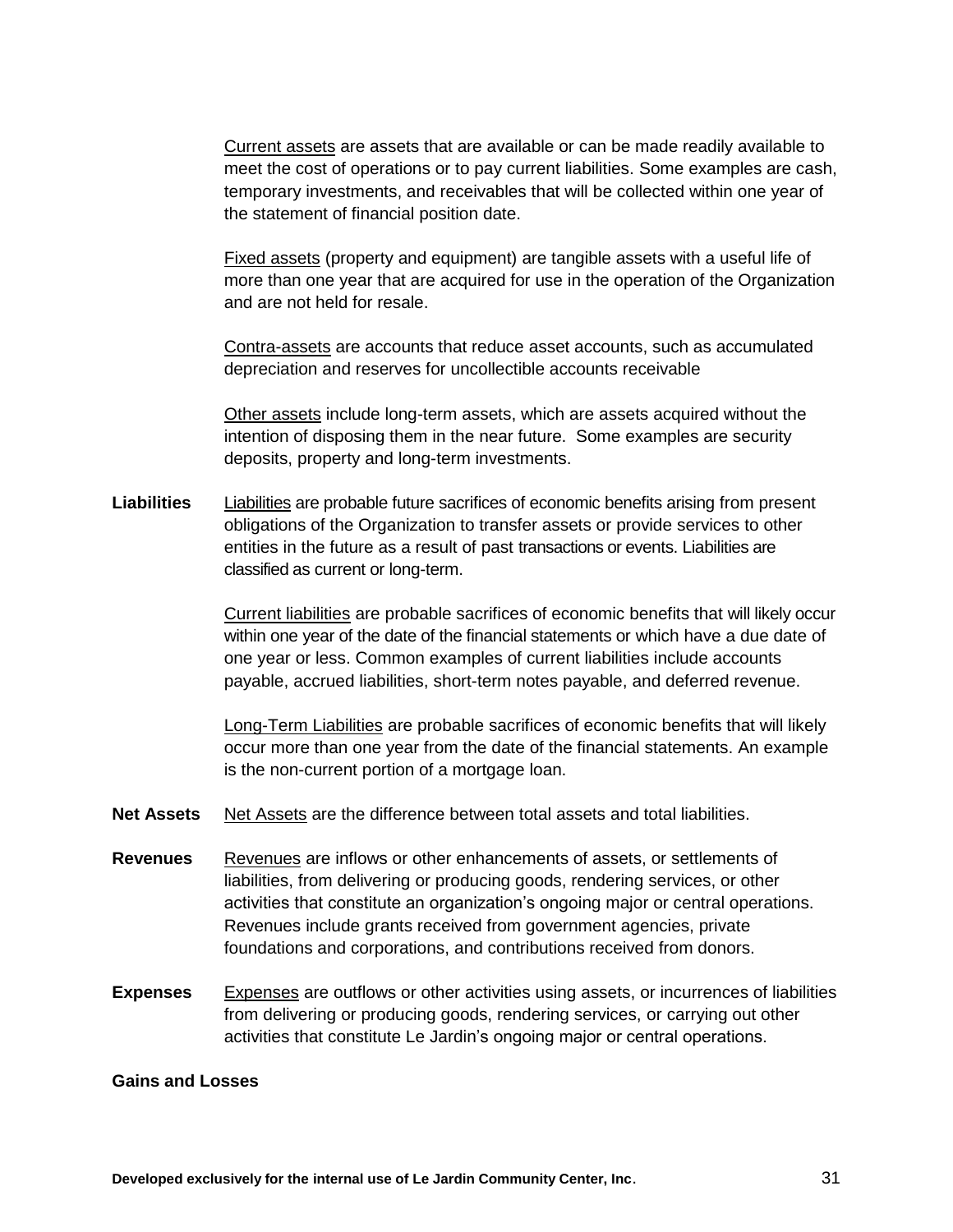Current assets are assets that are available or can be made readily available to meet the cost of operations or to pay current liabilities. Some examples are cash, temporary investments, and receivables that will be collected within one year of the statement of financial position date.

Fixed assets (property and equipment) are tangible assets with a useful life of more than one year that are acquired for use in the operation of the Organization and are not held for resale.

Contra-assets are accounts that reduce asset accounts, such as accumulated depreciation and reserves for uncollectible accounts receivable

Other assets include long-term assets, which are assets acquired without the intention of disposing them in the near future. Some examples are security deposits, property and long-term investments.

**Liabilities** Liabilities are probable future sacrifices of economic benefits arising from present obligations of the Organization to transfer assets or provide services to other entities in the future as a result of past transactions or events. Liabilities are classified as current or long-term.

> Current liabilities are probable sacrifices of economic benefits that will likely occur within one year of the date of the financial statements or which have a due date of one year or less. Common examples of current liabilities include accounts payable, accrued liabilities, short-term notes payable, and deferred revenue.

Long-Term Liabilities are probable sacrifices of economic benefits that will likely occur more than one year from the date of the financial statements. An example is the non-current portion of a mortgage loan.

- **Net Assets** Net Assets are the difference between total assets and total liabilities.
- **Revenues** Revenues are inflows or other enhancements of assets, or settlements of liabilities, from delivering or producing goods, rendering services, or other activities that constitute an organization's ongoing major or central operations. Revenues include grants received from government agencies, private foundations and corporations, and contributions received from donors.
- **Expenses** Expenses are outflows or other activities using assets, or incurrences of liabilities from delivering or producing goods, rendering services, or carrying out other activities that constitute Le Jardin's ongoing major or central operations.

#### **Gains and Losses**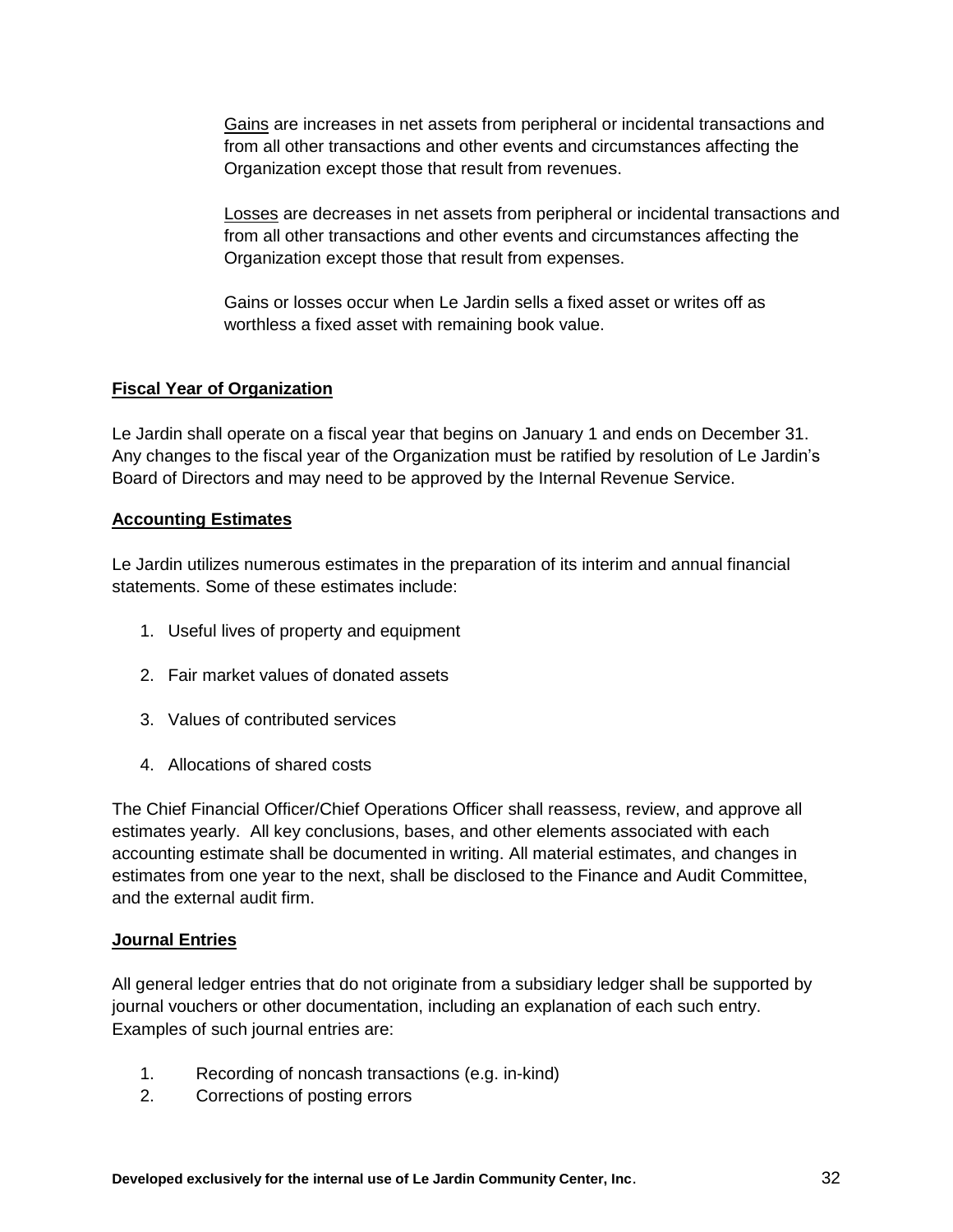Gains are increases in net assets from peripheral or incidental transactions and from all other transactions and other events and circumstances affecting the Organization except those that result from revenues.

Losses are decreases in net assets from peripheral or incidental transactions and from all other transactions and other events and circumstances affecting the Organization except those that result from expenses.

Gains or losses occur when Le Jardin sells a fixed asset or writes off as worthless a fixed asset with remaining book value.

## **Fiscal Year of Organization**

Le Jardin shall operate on a fiscal year that begins on January 1 and ends on December 31. Any changes to the fiscal year of the Organization must be ratified by resolution of Le Jardin's Board of Directors and may need to be approved by the Internal Revenue Service.

#### **Accounting Estimates**

Le Jardin utilizes numerous estimates in the preparation of its interim and annual financial statements. Some of these estimates include:

- 1. Useful lives of property and equipment
- 2. Fair market values of donated assets
- 3. Values of contributed services
- 4. Allocations of shared costs

The Chief Financial Officer/Chief Operations Officer shall reassess, review, and approve all estimates yearly. All key conclusions, bases, and other elements associated with each accounting estimate shall be documented in writing. All material estimates, and changes in estimates from one year to the next, shall be disclosed to the Finance and Audit Committee, and the external audit firm.

#### **Journal Entries**

All general ledger entries that do not originate from a subsidiary ledger shall be supported by journal vouchers or other documentation, including an explanation of each such entry. Examples of such journal entries are:

- 1. Recording of noncash transactions (e.g. in-kind)
- 2. Corrections of posting errors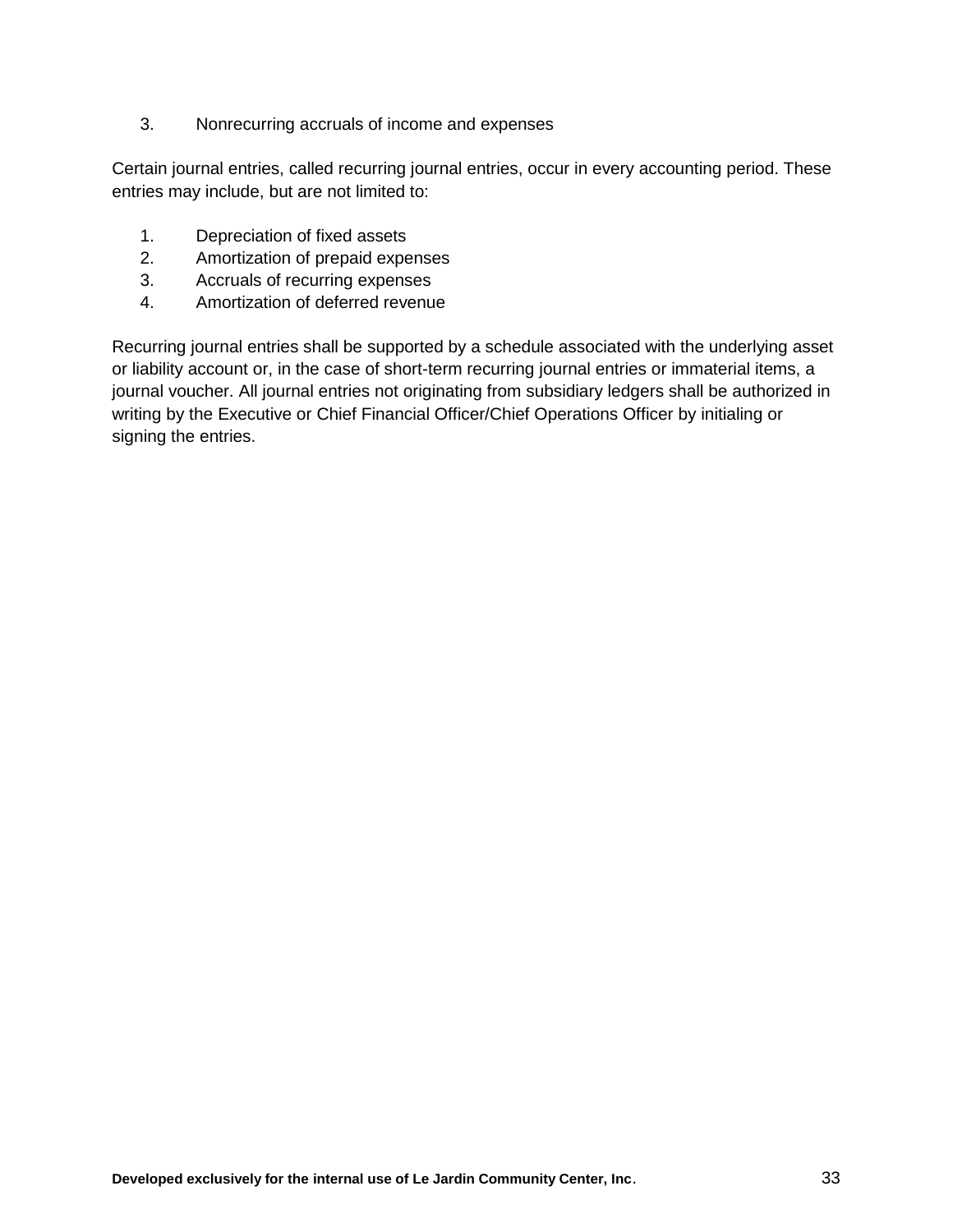3. Nonrecurring accruals of income and expenses

Certain journal entries, called recurring journal entries, occur in every accounting period. These entries may include, but are not limited to:

- 1. Depreciation of fixed assets
- 2. Amortization of prepaid expenses
- 3. Accruals of recurring expenses
- 4. Amortization of deferred revenue

Recurring journal entries shall be supported by a schedule associated with the underlying asset or liability account or, in the case of short-term recurring journal entries or immaterial items, a journal voucher. All journal entries not originating from subsidiary ledgers shall be authorized in writing by the Executive or Chief Financial Officer/Chief Operations Officer by initialing or signing the entries.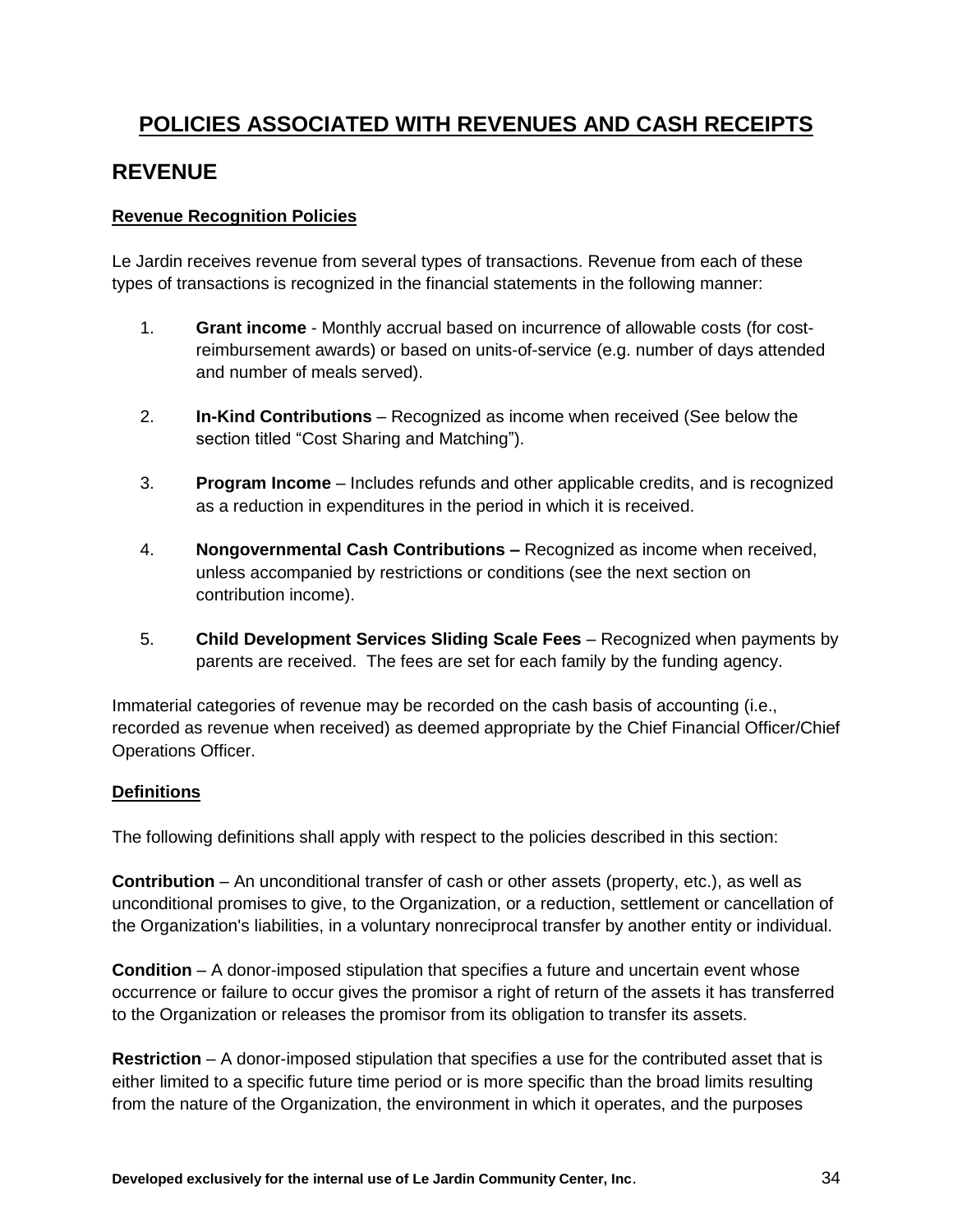# **POLICIES ASSOCIATED WITH REVENUES AND CASH RECEIPTS**

## <span id="page-33-0"></span>**REVENUE**

#### **Revenue Recognition Policies**

Le Jardin receives revenue from several types of transactions. Revenue from each of these types of transactions is recognized in the financial statements in the following manner:

- 1. **Grant income** Monthly accrual based on incurrence of allowable costs (for costreimbursement awards) or based on units-of-service (e.g. number of days attended and number of meals served).
- 2. **In-Kind Contributions** Recognized as income when received (See below the section titled "Cost Sharing and Matching").
- 3. **Program Income**  Includes refunds and other applicable credits, and is recognized as a reduction in expenditures in the period in which it is received.
- 4. **Nongovernmental Cash Contributions –** Recognized as income when received, unless accompanied by restrictions or conditions (see the next section on contribution income).
- 5. **Child Development Services Sliding Scale Fees** Recognized when payments by parents are received. The fees are set for each family by the funding agency.

Immaterial categories of revenue may be recorded on the cash basis of accounting (i.e., recorded as revenue when received) as deemed appropriate by the Chief Financial Officer/Chief Operations Officer.

#### **Definitions**

The following definitions shall apply with respect to the policies described in this section:

**Contribution** – An unconditional transfer of cash or other assets (property, etc.), as well as unconditional promises to give, to the Organization, or a reduction, settlement or cancellation of the Organization's liabilities, in a voluntary nonreciprocal transfer by another entity or individual.

**Condition** – A donor-imposed stipulation that specifies a future and uncertain event whose occurrence or failure to occur gives the promisor a right of return of the assets it has transferred to the Organization or releases the promisor from its obligation to transfer its assets.

**Restriction** – A donor-imposed stipulation that specifies a use for the contributed asset that is either limited to a specific future time period or is more specific than the broad limits resulting from the nature of the Organization, the environment in which it operates, and the purposes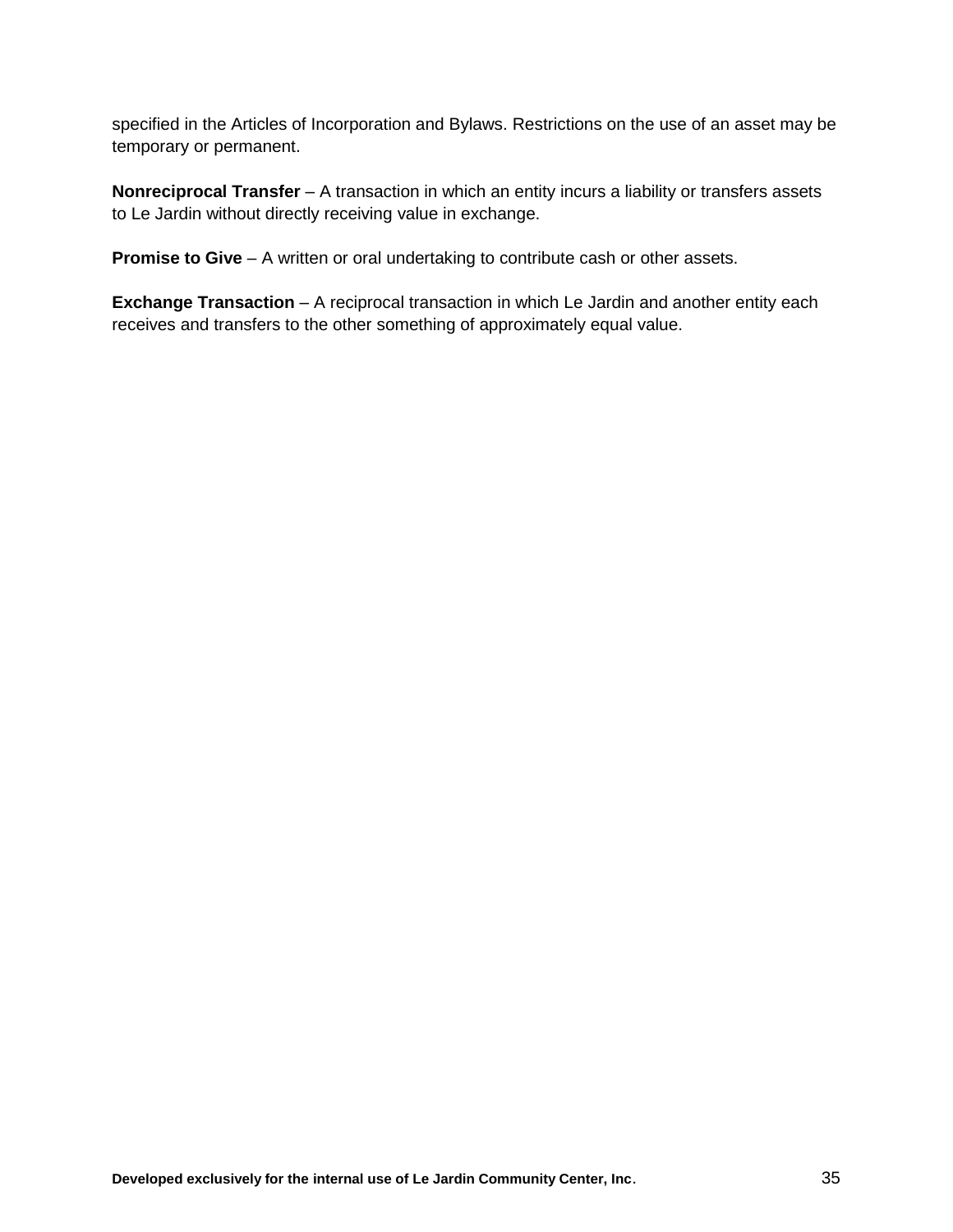specified in the Articles of Incorporation and Bylaws. Restrictions on the use of an asset may be temporary or permanent.

**Nonreciprocal Transfer** – A transaction in which an entity incurs a liability or transfers assets to Le Jardin without directly receiving value in exchange.

**Promise to Give** – A written or oral undertaking to contribute cash or other assets.

**Exchange Transaction** – A reciprocal transaction in which Le Jardin and another entity each receives and transfers to the other something of approximately equal value.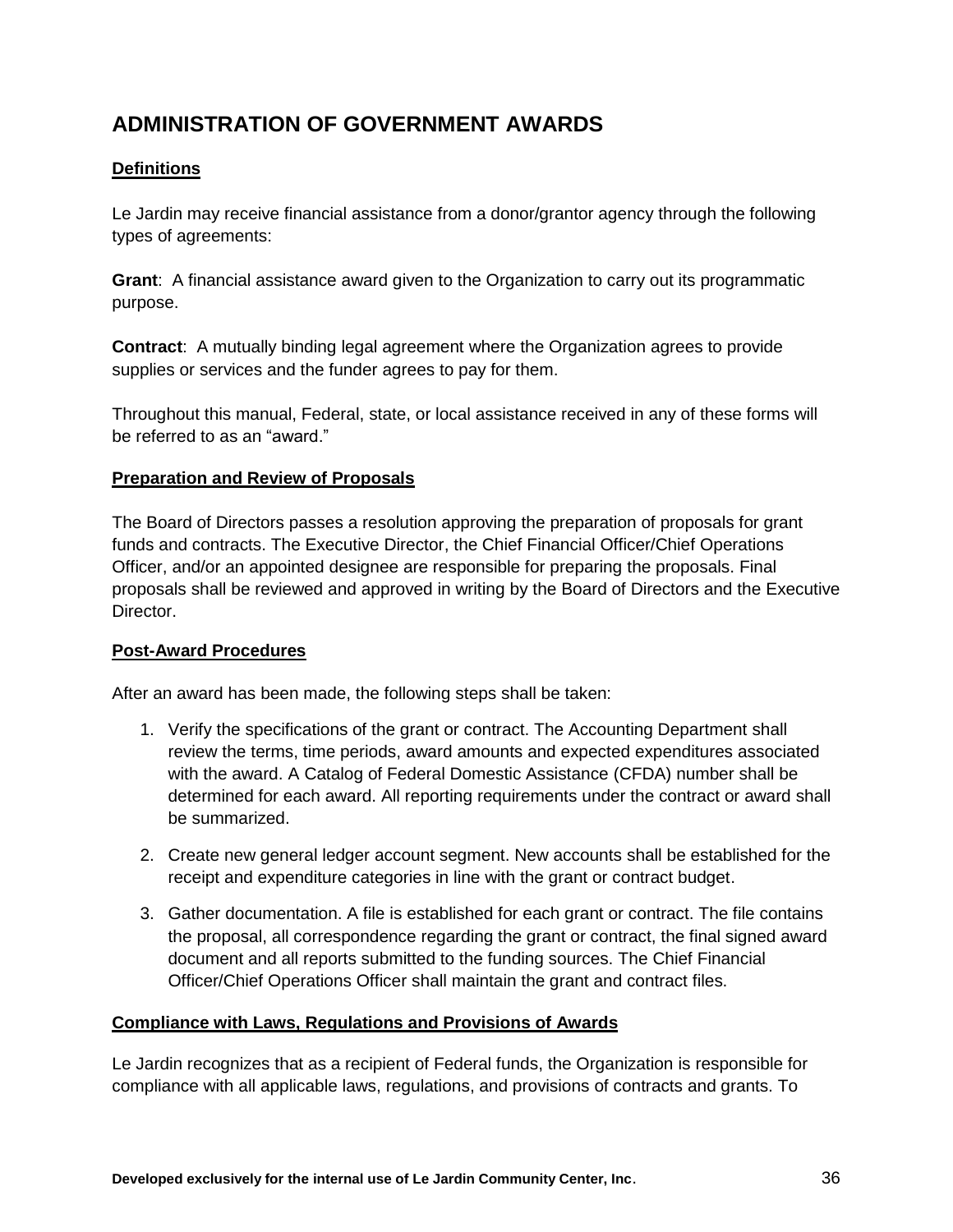# <span id="page-35-0"></span>**ADMINISTRATION OF GOVERNMENT AWARDS**

## **Definitions**

Le Jardin may receive financial assistance from a donor/grantor agency through the following types of agreements:

**Grant**: A financial assistance award given to the Organization to carry out its programmatic purpose.

**Contract**: A mutually binding legal agreement where the Organization agrees to provide supplies or services and the funder agrees to pay for them.

Throughout this manual, Federal, state, or local assistance received in any of these forms will be referred to as an "award."

#### **Preparation and Review of Proposals**

The Board of Directors passes a resolution approving the preparation of proposals for grant funds and contracts. The Executive Director, the Chief Financial Officer/Chief Operations Officer, and/or an appointed designee are responsible for preparing the proposals. Final proposals shall be reviewed and approved in writing by the Board of Directors and the Executive Director.

#### **Post-Award Procedures**

After an award has been made, the following steps shall be taken:

- 1. Verify the specifications of the grant or contract. The Accounting Department shall review the terms, time periods, award amounts and expected expenditures associated with the award. A Catalog of Federal Domestic Assistance (CFDA) number shall be determined for each award. All reporting requirements under the contract or award shall be summarized.
- 2. Create new general ledger account segment. New accounts shall be established for the receipt and expenditure categories in line with the grant or contract budget.
- 3. Gather documentation. A file is established for each grant or contract. The file contains the proposal, all correspondence regarding the grant or contract, the final signed award document and all reports submitted to the funding sources. The Chief Financial Officer/Chief Operations Officer shall maintain the grant and contract files.

#### **Compliance with Laws, Regulations and Provisions of Awards**

Le Jardin recognizes that as a recipient of Federal funds, the Organization is responsible for compliance with all applicable laws, regulations, and provisions of contracts and grants. To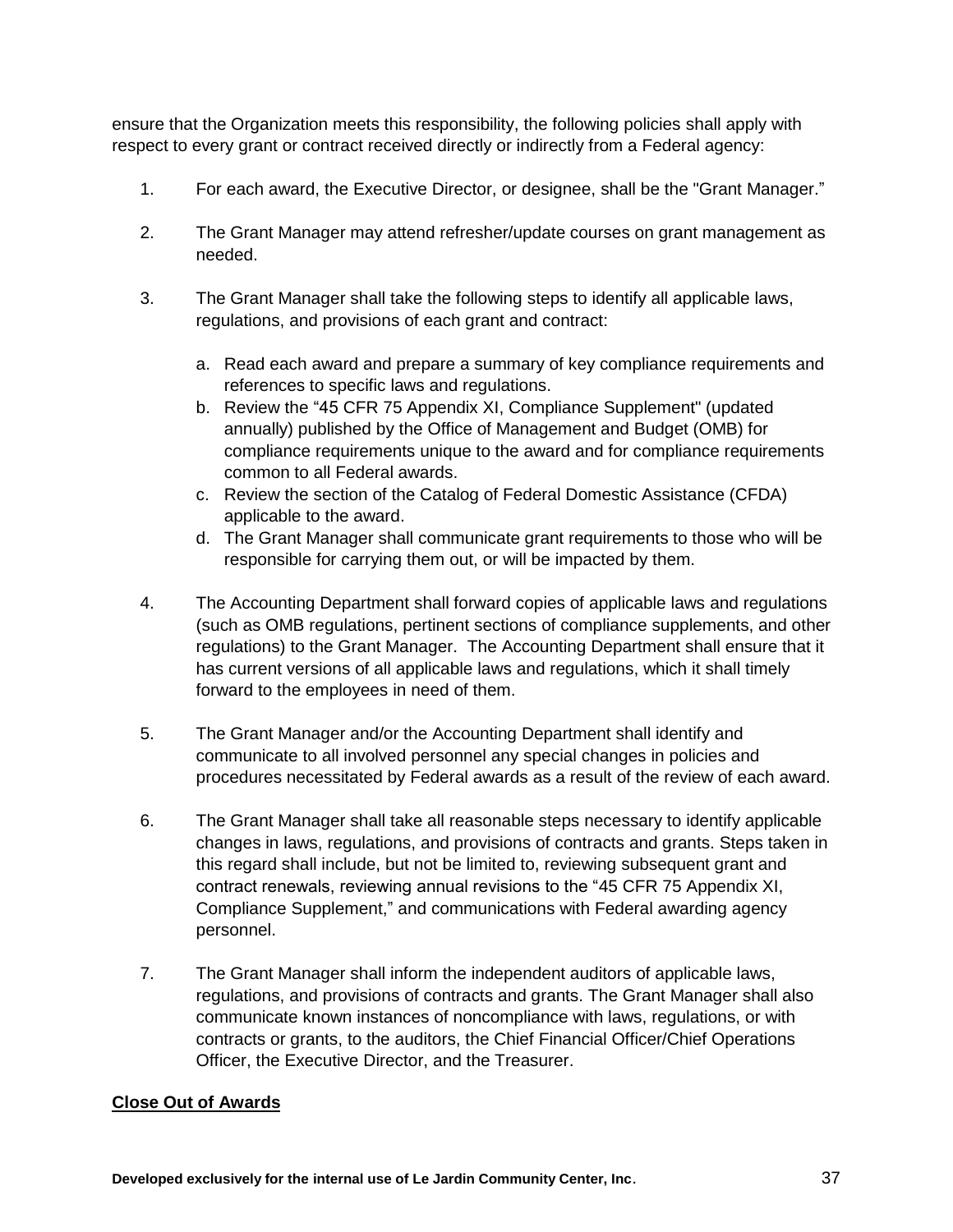ensure that the Organization meets this responsibility, the following policies shall apply with respect to every grant or contract received directly or indirectly from a Federal agency:

- 1. For each award, the Executive Director, or designee, shall be the "Grant Manager."
- 2. The Grant Manager may attend refresher/update courses on grant management as needed.
- 3. The Grant Manager shall take the following steps to identify all applicable laws, regulations, and provisions of each grant and contract:
	- a. Read each award and prepare a summary of key compliance requirements and references to specific laws and regulations.
	- b. Review the "45 CFR 75 Appendix XI, Compliance Supplement" (updated annually) published by the Office of Management and Budget (OMB) for compliance requirements unique to the award and for compliance requirements common to all Federal awards.
	- c. Review the section of the Catalog of Federal Domestic Assistance (CFDA) applicable to the award.
	- d. The Grant Manager shall communicate grant requirements to those who will be responsible for carrying them out, or will be impacted by them.
- 4. The Accounting Department shall forward copies of applicable laws and regulations (such as OMB regulations, pertinent sections of compliance supplements, and other regulations) to the Grant Manager. The Accounting Department shall ensure that it has current versions of all applicable laws and regulations, which it shall timely forward to the employees in need of them.
- 5. The Grant Manager and/or the Accounting Department shall identify and communicate to all involved personnel any special changes in policies and procedures necessitated by Federal awards as a result of the review of each award.
- 6. The Grant Manager shall take all reasonable steps necessary to identify applicable changes in laws, regulations, and provisions of contracts and grants. Steps taken in this regard shall include, but not be limited to, reviewing subsequent grant and contract renewals, reviewing annual revisions to the "45 CFR 75 Appendix XI, Compliance Supplement," and communications with Federal awarding agency personnel.
- 7. The Grant Manager shall inform the independent auditors of applicable laws, regulations, and provisions of contracts and grants. The Grant Manager shall also communicate known instances of noncompliance with laws, regulations, or with contracts or grants, to the auditors, the Chief Financial Officer/Chief Operations Officer, the Executive Director, and the Treasurer.

#### **Close Out of Awards**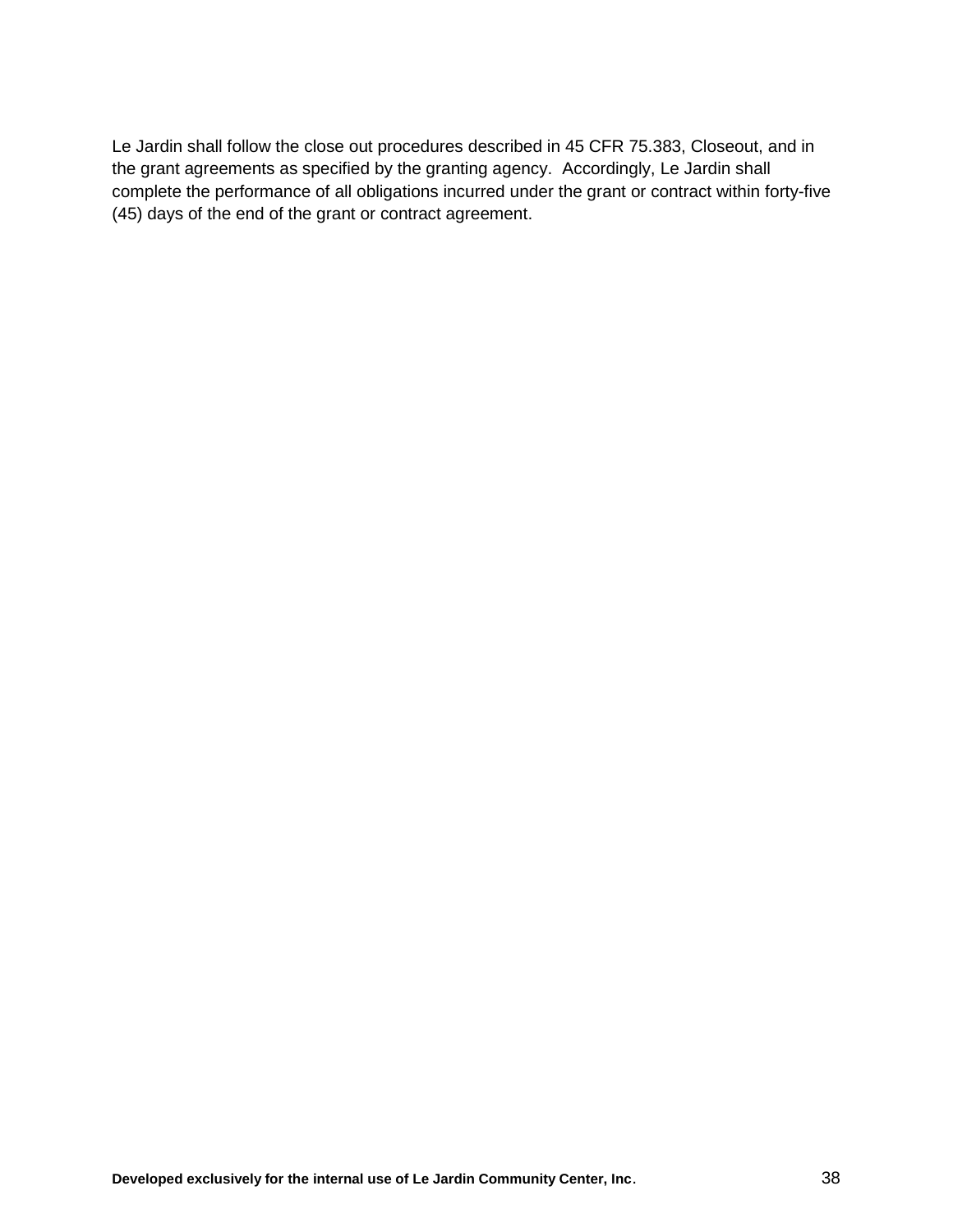Le Jardin shall follow the close out procedures described in 45 CFR 75.383, Closeout, and in the grant agreements as specified by the granting agency. Accordingly, Le Jardin shall complete the performance of all obligations incurred under the grant or contract within forty-five (45) days of the end of the grant or contract agreement.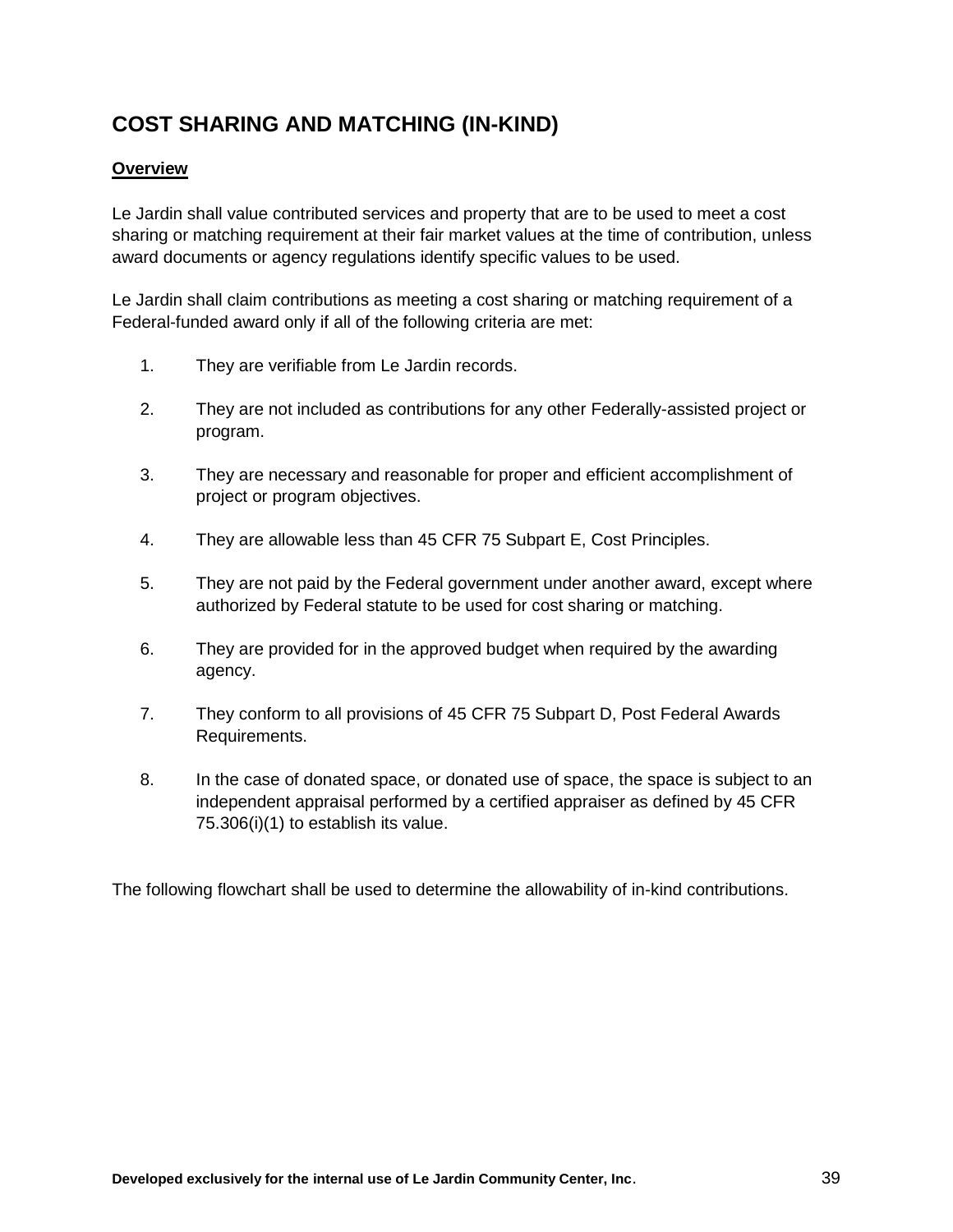# **COST SHARING AND MATCHING (IN-KIND)**

#### **Overview**

Le Jardin shall value contributed services and property that are to be used to meet a cost sharing or matching requirement at their fair market values at the time of contribution, unless award documents or agency regulations identify specific values to be used.

Le Jardin shall claim contributions as meeting a cost sharing or matching requirement of a Federal-funded award only if all of the following criteria are met:

- 1. They are verifiable from Le Jardin records.
- 2. They are not included as contributions for any other Federally-assisted project or program.
- 3. They are necessary and reasonable for proper and efficient accomplishment of project or program objectives.
- 4. They are allowable less than 45 CFR 75 Subpart E, Cost Principles.
- 5. They are not paid by the Federal government under another award, except where authorized by Federal statute to be used for cost sharing or matching.
- 6. They are provided for in the approved budget when required by the awarding agency.
- 7. They conform to all provisions of 45 CFR 75 Subpart D, Post Federal Awards Requirements.
- 8. In the case of donated space, or donated use of space, the space is subject to an independent appraisal performed by a certified appraiser as defined by 45 CFR 75.306(i)(1) to establish its value.

The following flowchart shall be used to determine the allowability of in-kind contributions.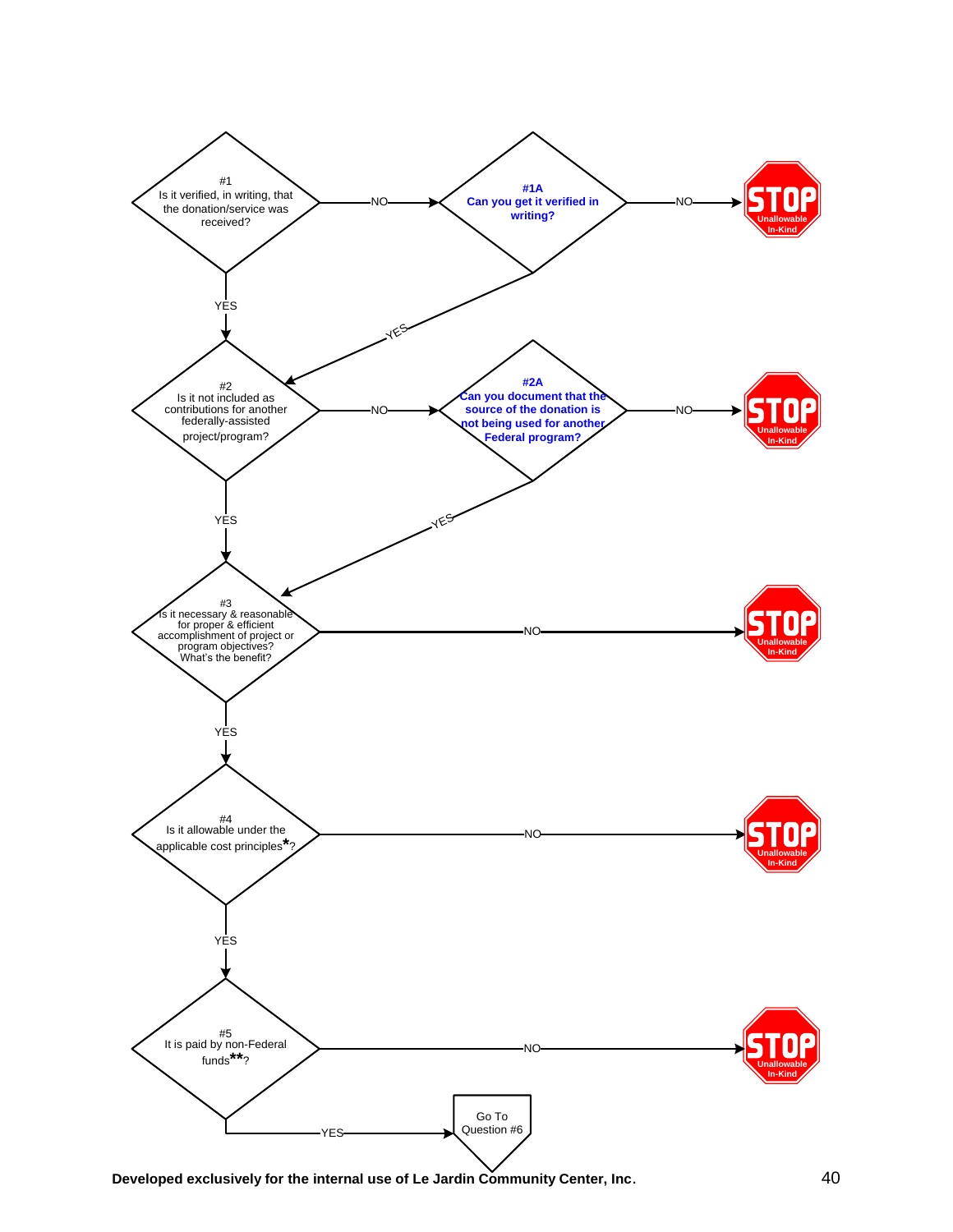

**Developed exclusively for the internal use of Le Jardin Community Center, Inc**. 40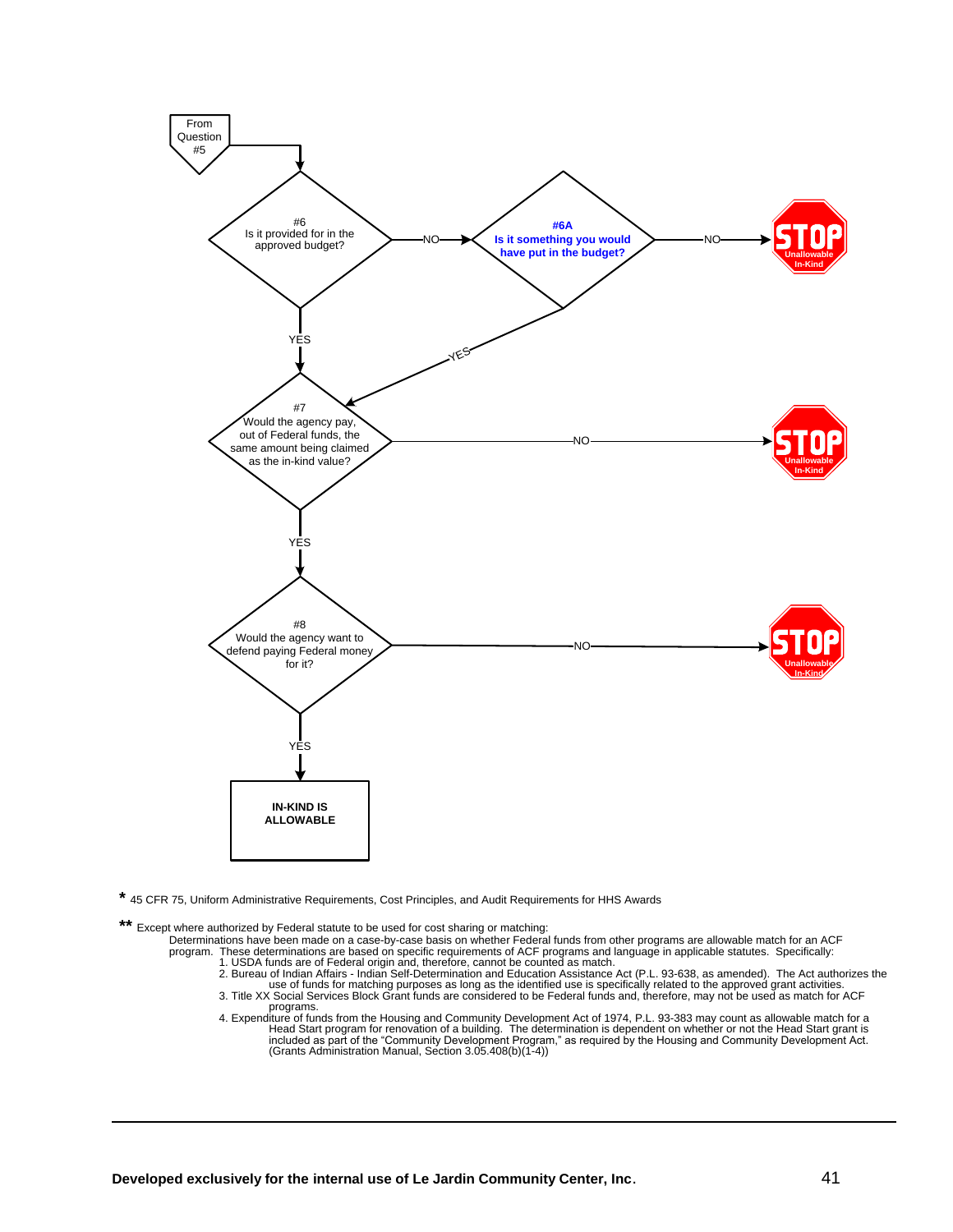

**\*** <sup>45</sup> CFR 75, Uniform Administrative Requirements, Cost Principles, and Audit Requirements for HHS Awards

Except where authorized by Federal statute to be used for cost sharing or matching:

- Determinations have been made on a case-by-case basis on whether Federal funds from other programs are allowable match for an ACF
	-
- program. These determinations are based on specific requirements of ACF programs and language in applicable statutes. Specifically:<br>1. USDA funds are of Federal origin and, therefore, cannot be counted as match.<br>2. Bureau programs.
	- 4. Expenditure of funds from the Housing and Community Development Act of 1974, P.L. 93-383 may count as allowable match for a Head Start program for renovation of a building. The determination is dependent on whether or not the Head Start grant is<br>included as part of the "Community Development Program," as required by the Housing and Community D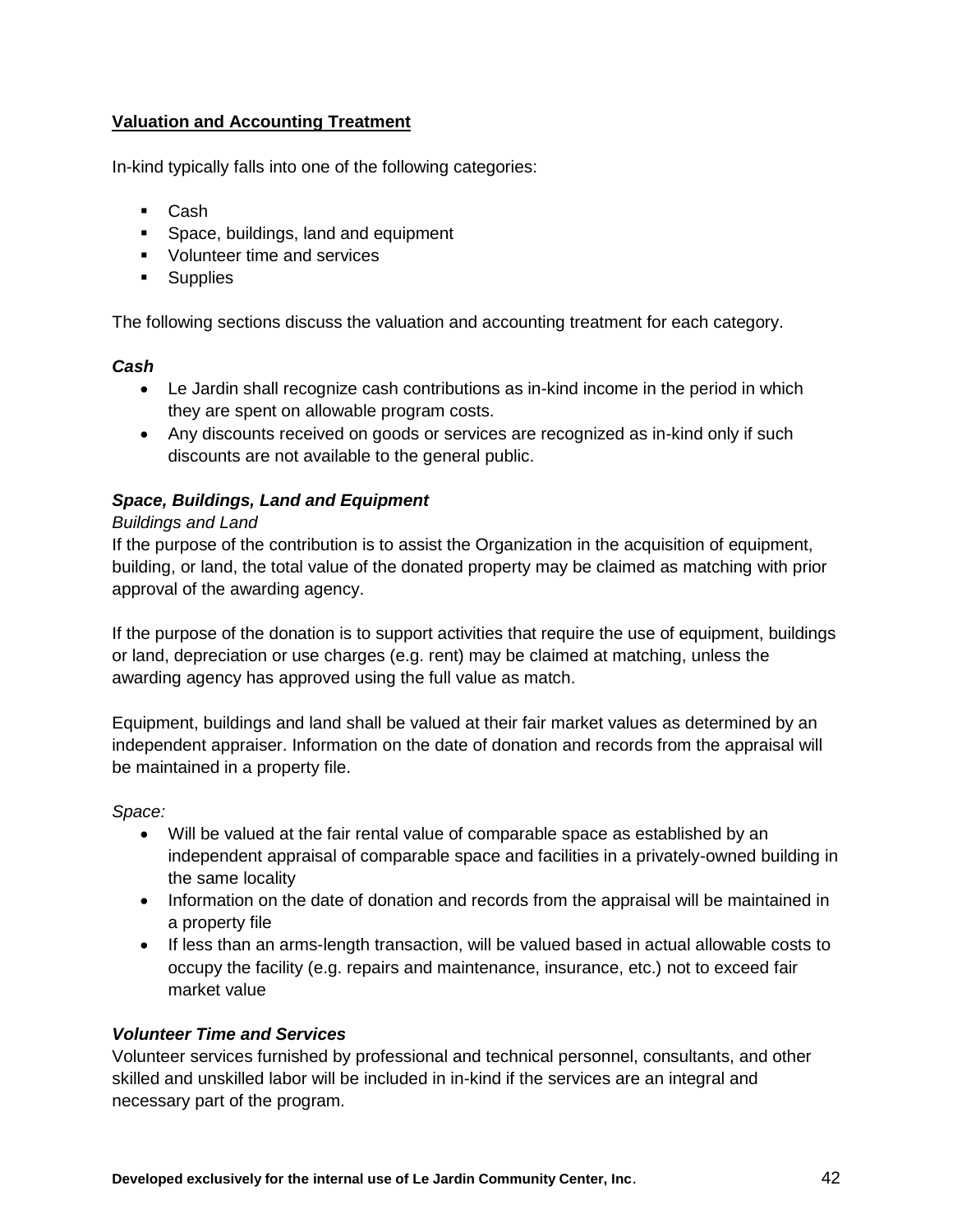## **Valuation and Accounting Treatment**

In-kind typically falls into one of the following categories:

- Cash
- **Space, buildings, land and equipment**
- **Volunteer time and services**
- **Supplies**

The following sections discuss the valuation and accounting treatment for each category.

#### *Cash*

- Le Jardin shall recognize cash contributions as in-kind income in the period in which they are spent on allowable program costs.
- Any discounts received on goods or services are recognized as in-kind only if such discounts are not available to the general public.

## *Space, Buildings, Land and Equipment*

#### *Buildings and Land*

If the purpose of the contribution is to assist the Organization in the acquisition of equipment, building, or land, the total value of the donated property may be claimed as matching with prior approval of the awarding agency.

If the purpose of the donation is to support activities that require the use of equipment, buildings or land, depreciation or use charges (e.g. rent) may be claimed at matching, unless the awarding agency has approved using the full value as match.

Equipment, buildings and land shall be valued at their fair market values as determined by an independent appraiser. Information on the date of donation and records from the appraisal will be maintained in a property file.

*Space:*

- Will be valued at the fair rental value of comparable space as established by an independent appraisal of comparable space and facilities in a privately-owned building in the same locality
- Information on the date of donation and records from the appraisal will be maintained in a property file
- If less than an arms-length transaction, will be valued based in actual allowable costs to occupy the facility (e.g. repairs and maintenance, insurance, etc.) not to exceed fair market value

#### *Volunteer Time and Services*

Volunteer services furnished by professional and technical personnel, consultants, and other skilled and unskilled labor will be included in in-kind if the services are an integral and necessary part of the program.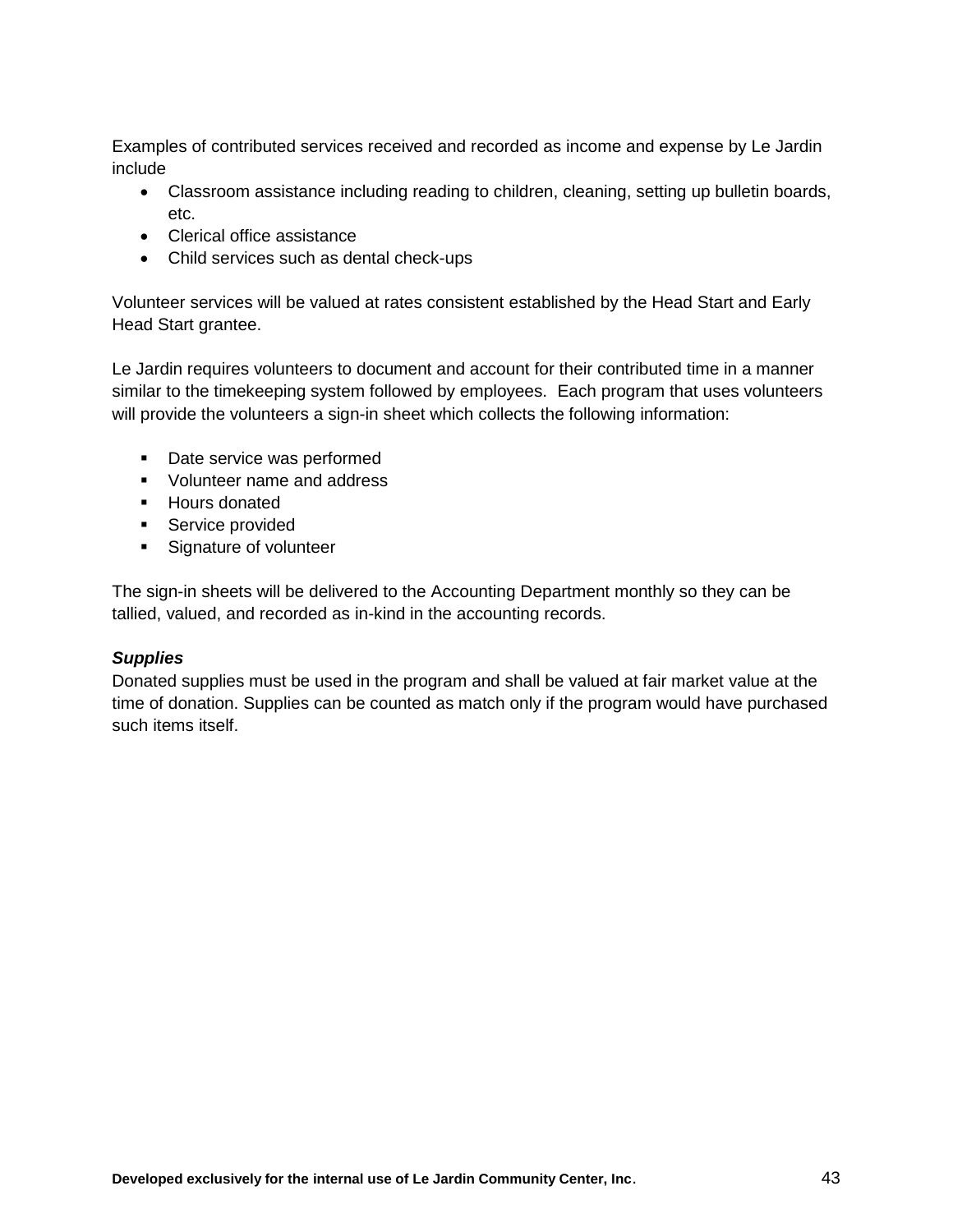Examples of contributed services received and recorded as income and expense by Le Jardin include

- Classroom assistance including reading to children, cleaning, setting up bulletin boards, etc.
- Clerical office assistance
- Child services such as dental check-ups

Volunteer services will be valued at rates consistent established by the Head Start and Early Head Start grantee.

Le Jardin requires volunteers to document and account for their contributed time in a manner similar to the timekeeping system followed by employees. Each program that uses volunteers will provide the volunteers a sign-in sheet which collects the following information:

- Date service was performed
- **Volunteer name and address**
- Hours donated
- **Service provided**
- **Signature of volunteer**

The sign-in sheets will be delivered to the Accounting Department monthly so they can be tallied, valued, and recorded as in-kind in the accounting records.

## *Supplies*

Donated supplies must be used in the program and shall be valued at fair market value at the time of donation. Supplies can be counted as match only if the program would have purchased such items itself.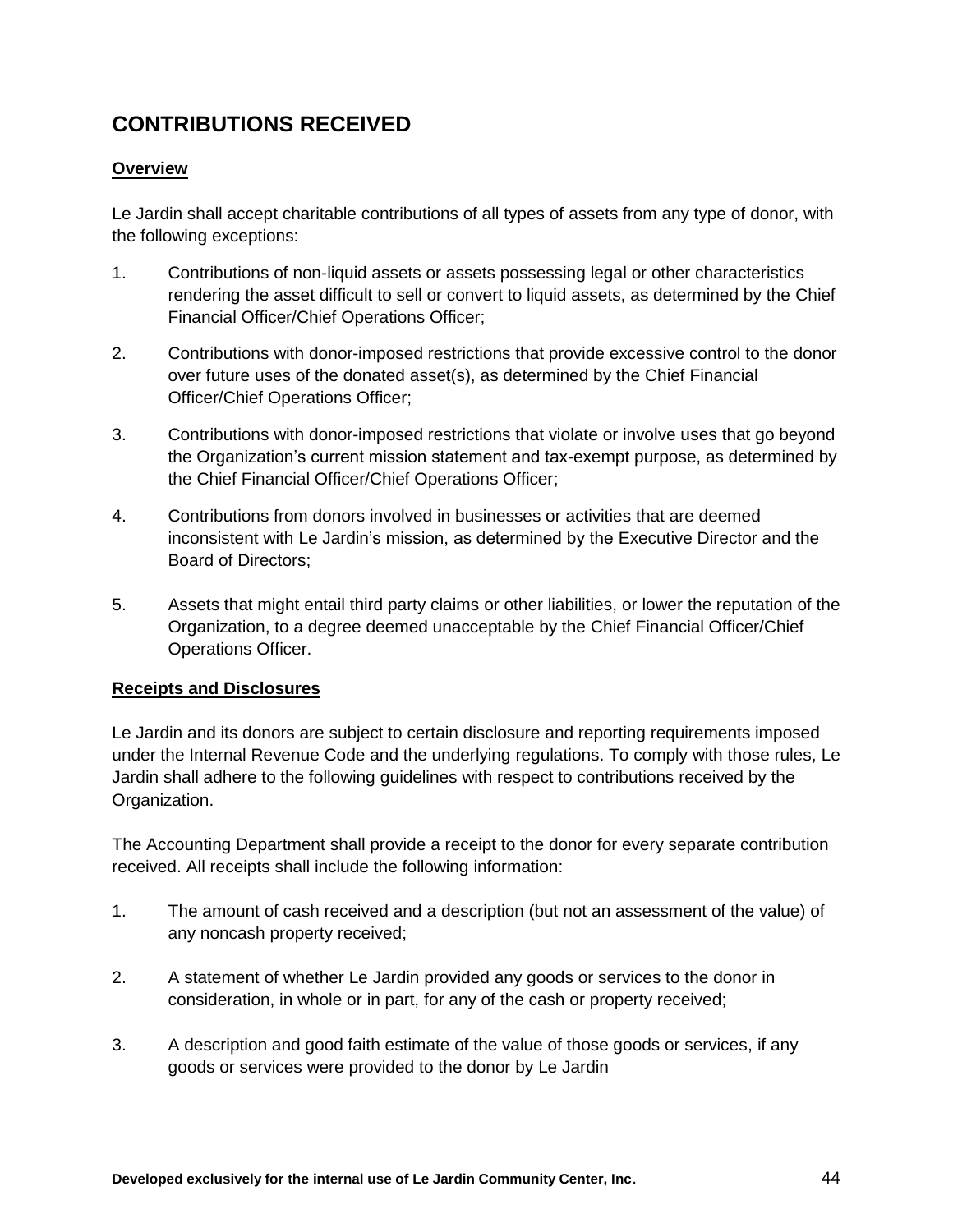# **CONTRIBUTIONS RECEIVED**

#### **Overview**

Le Jardin shall accept charitable contributions of all types of assets from any type of donor, with the following exceptions:

- 1. Contributions of non-liquid assets or assets possessing legal or other characteristics rendering the asset difficult to sell or convert to liquid assets, as determined by the Chief Financial Officer/Chief Operations Officer;
- 2. Contributions with donor-imposed restrictions that provide excessive control to the donor over future uses of the donated asset(s), as determined by the Chief Financial Officer/Chief Operations Officer;
- 3. Contributions with donor-imposed restrictions that violate or involve uses that go beyond the Organization's current mission statement and tax-exempt purpose, as determined by the Chief Financial Officer/Chief Operations Officer;
- 4. Contributions from donors involved in businesses or activities that are deemed inconsistent with Le Jardin's mission, as determined by the Executive Director and the Board of Directors;
- 5. Assets that might entail third party claims or other liabilities, or lower the reputation of the Organization, to a degree deemed unacceptable by the Chief Financial Officer/Chief Operations Officer.

#### **Receipts and Disclosures**

Le Jardin and its donors are subject to certain disclosure and reporting requirements imposed under the Internal Revenue Code and the underlying regulations. To comply with those rules, Le Jardin shall adhere to the following guidelines with respect to contributions received by the Organization.

The Accounting Department shall provide a receipt to the donor for every separate contribution received. All receipts shall include the following information:

- 1. The amount of cash received and a description (but not an assessment of the value) of any noncash property received;
- 2. A statement of whether Le Jardin provided any goods or services to the donor in consideration, in whole or in part, for any of the cash or property received;
- 3. A description and good faith estimate of the value of those goods or services, if any goods or services were provided to the donor by Le Jardin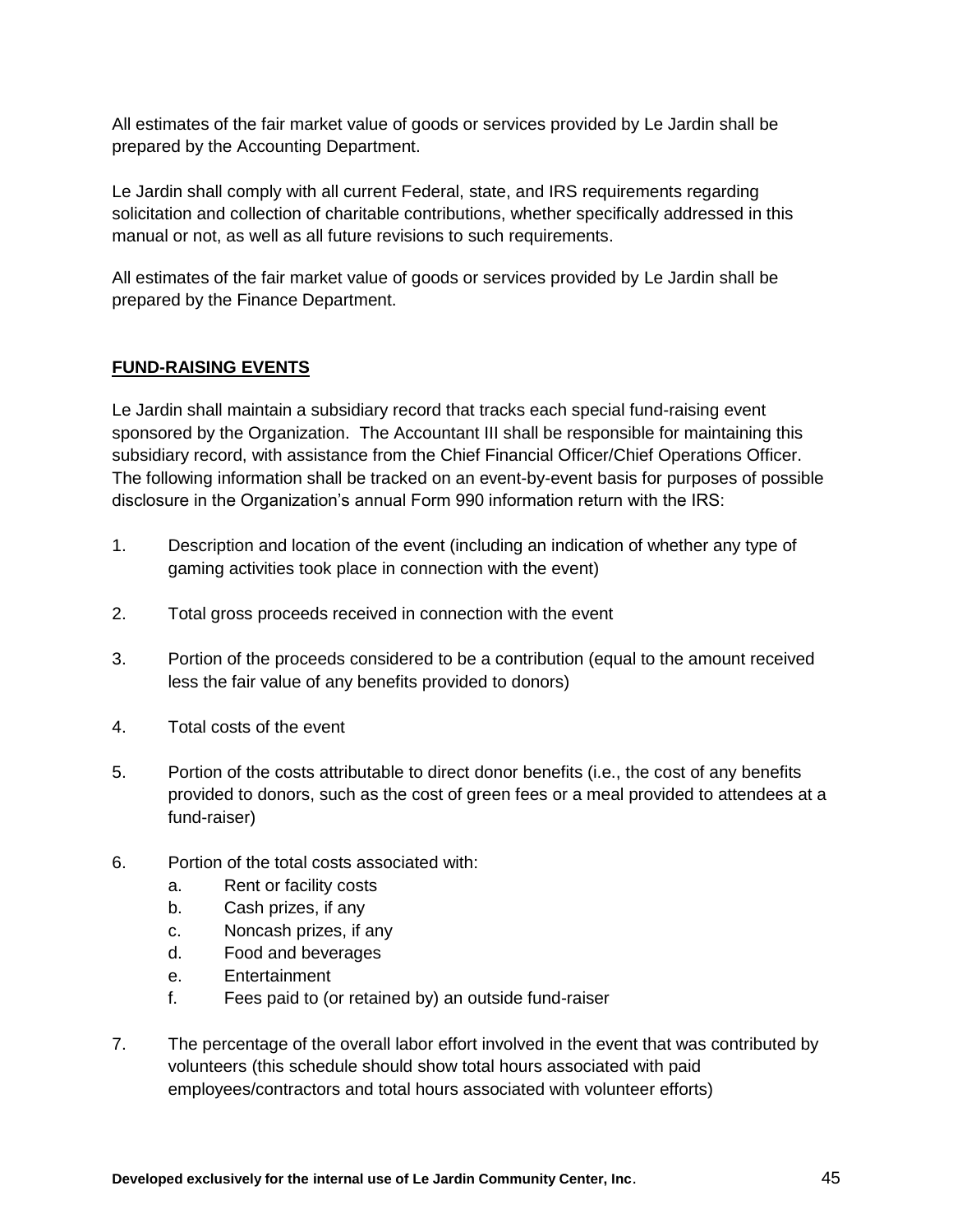All estimates of the fair market value of goods or services provided by Le Jardin shall be prepared by the Accounting Department.

Le Jardin shall comply with all current Federal, state, and IRS requirements regarding solicitation and collection of charitable contributions, whether specifically addressed in this manual or not, as well as all future revisions to such requirements.

All estimates of the fair market value of goods or services provided by Le Jardin shall be prepared by the Finance Department.

## **FUND-RAISING EVENTS**

Le Jardin shall maintain a subsidiary record that tracks each special fund-raising event sponsored by the Organization. The Accountant III shall be responsible for maintaining this subsidiary record, with assistance from the Chief Financial Officer/Chief Operations Officer. The following information shall be tracked on an event-by-event basis for purposes of possible disclosure in the Organization's annual Form 990 information return with the IRS:

- 1. Description and location of the event (including an indication of whether any type of gaming activities took place in connection with the event)
- 2. Total gross proceeds received in connection with the event
- 3. Portion of the proceeds considered to be a contribution (equal to the amount received less the fair value of any benefits provided to donors)
- 4. Total costs of the event
- 5. Portion of the costs attributable to direct donor benefits (i.e., the cost of any benefits provided to donors, such as the cost of green fees or a meal provided to attendees at a fund-raiser)
- 6. Portion of the total costs associated with:
	- a. Rent or facility costs
	- b. Cash prizes, if any
	- c. Noncash prizes, if any
	- d. Food and beverages
	- e. Entertainment
	- f. Fees paid to (or retained by) an outside fund-raiser
- 7. The percentage of the overall labor effort involved in the event that was contributed by volunteers (this schedule should show total hours associated with paid employees/contractors and total hours associated with volunteer efforts)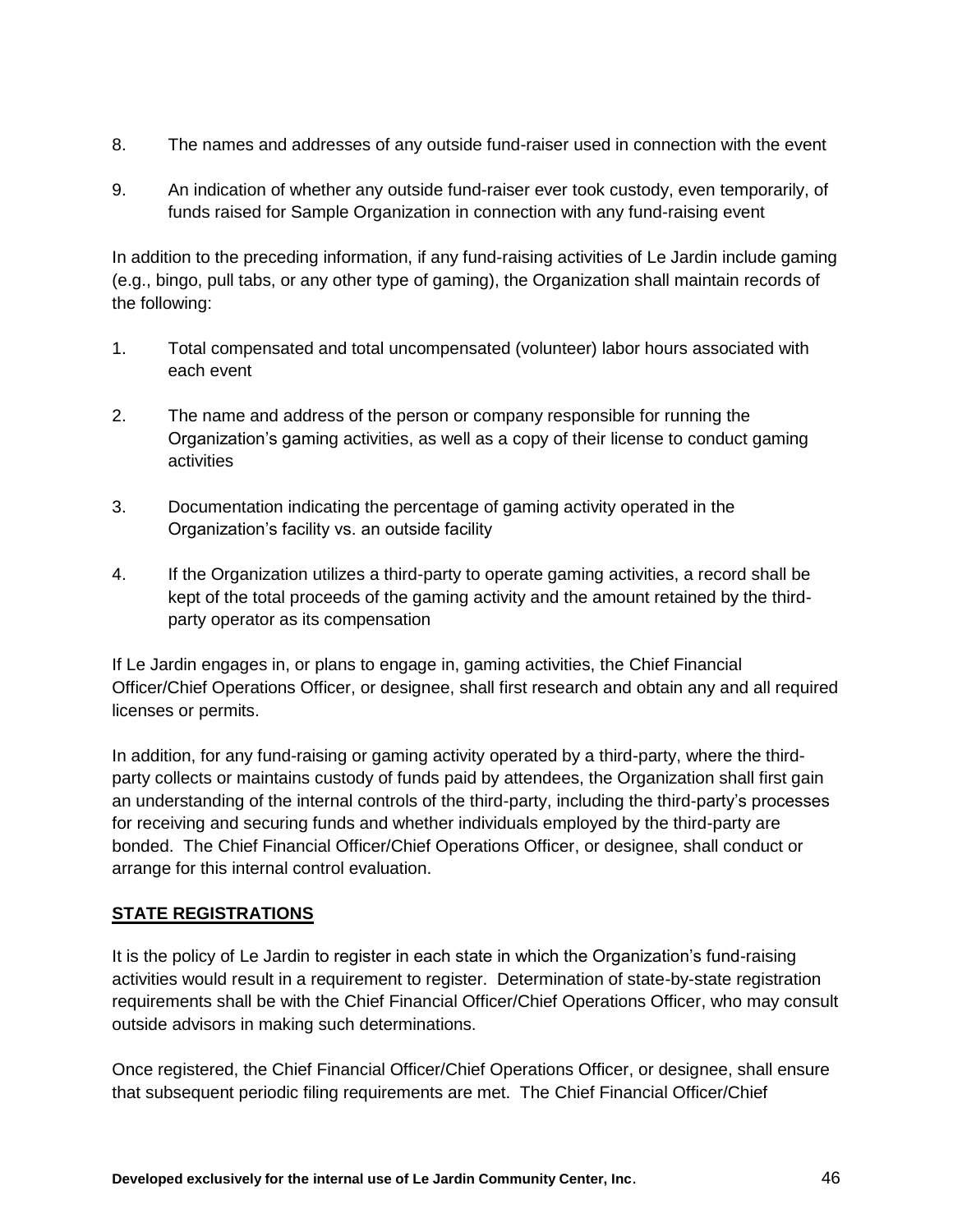- 8. The names and addresses of any outside fund-raiser used in connection with the event
- 9. An indication of whether any outside fund-raiser ever took custody, even temporarily, of funds raised for Sample Organization in connection with any fund-raising event

In addition to the preceding information, if any fund-raising activities of Le Jardin include gaming (e.g., bingo, pull tabs, or any other type of gaming), the Organization shall maintain records of the following:

- 1. Total compensated and total uncompensated (volunteer) labor hours associated with each event
- 2. The name and address of the person or company responsible for running the Organization's gaming activities, as well as a copy of their license to conduct gaming activities
- 3. Documentation indicating the percentage of gaming activity operated in the Organization's facility vs. an outside facility
- 4. If the Organization utilizes a third-party to operate gaming activities, a record shall be kept of the total proceeds of the gaming activity and the amount retained by the thirdparty operator as its compensation

If Le Jardin engages in, or plans to engage in, gaming activities, the Chief Financial Officer/Chief Operations Officer, or designee, shall first research and obtain any and all required licenses or permits.

In addition, for any fund-raising or gaming activity operated by a third-party, where the thirdparty collects or maintains custody of funds paid by attendees, the Organization shall first gain an understanding of the internal controls of the third-party, including the third-party's processes for receiving and securing funds and whether individuals employed by the third-party are bonded. The Chief Financial Officer/Chief Operations Officer, or designee, shall conduct or arrange for this internal control evaluation.

## **STATE REGISTRATIONS**

It is the policy of Le Jardin to register in each state in which the Organization's fund-raising activities would result in a requirement to register. Determination of state-by-state registration requirements shall be with the Chief Financial Officer/Chief Operations Officer, who may consult outside advisors in making such determinations.

Once registered, the Chief Financial Officer/Chief Operations Officer, or designee, shall ensure that subsequent periodic filing requirements are met. The Chief Financial Officer/Chief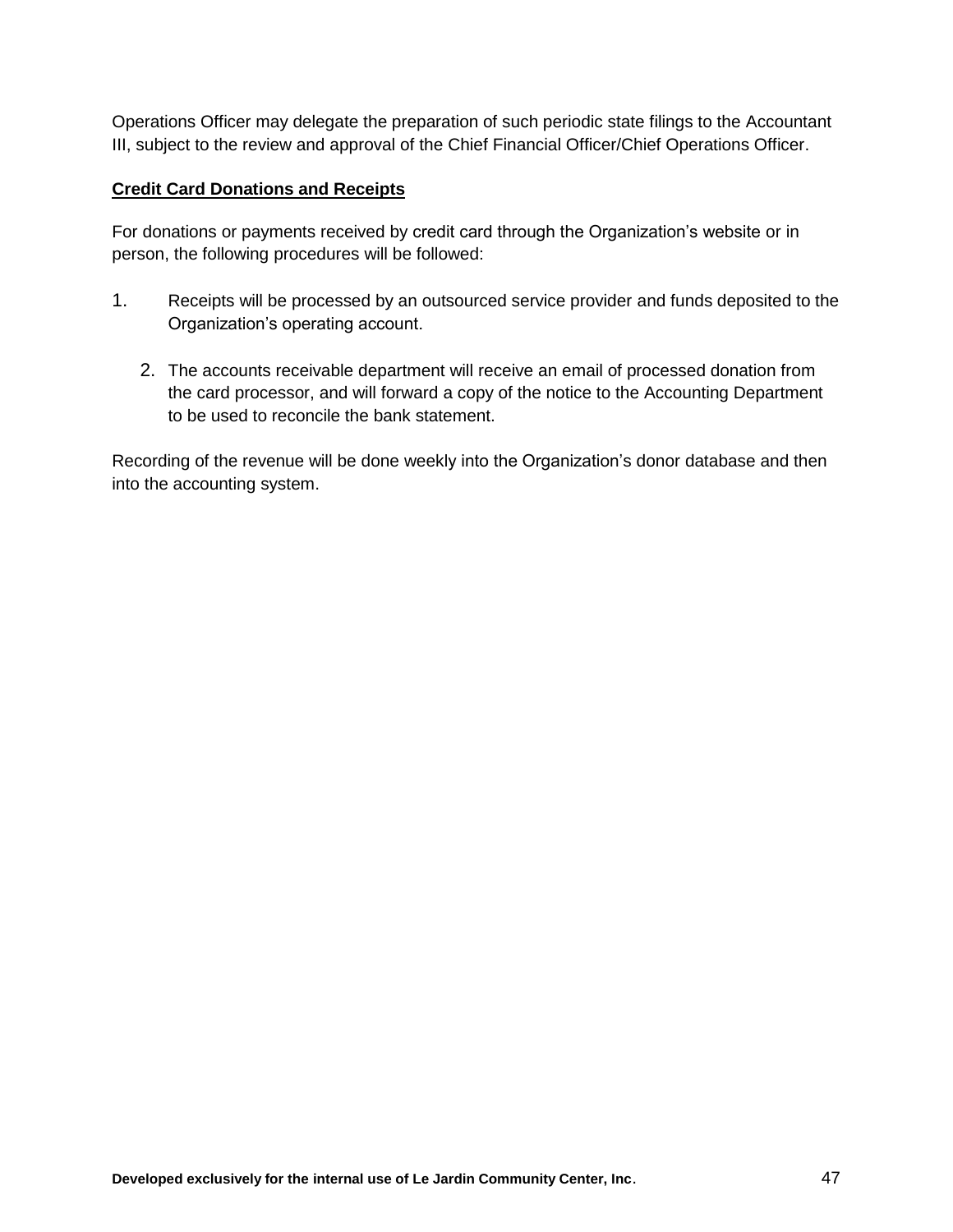Operations Officer may delegate the preparation of such periodic state filings to the Accountant III, subject to the review and approval of the Chief Financial Officer/Chief Operations Officer.

#### **Credit Card Donations and Receipts**

For donations or payments received by credit card through the Organization's website or in person, the following procedures will be followed:

- 1. Receipts will be processed by an outsourced service provider and funds deposited to the Organization's operating account.
	- 2. The accounts receivable department will receive an email of processed donation from the card processor, and will forward a copy of the notice to the Accounting Department to be used to reconcile the bank statement.

Recording of the revenue will be done weekly into the Organization's donor database and then into the accounting system.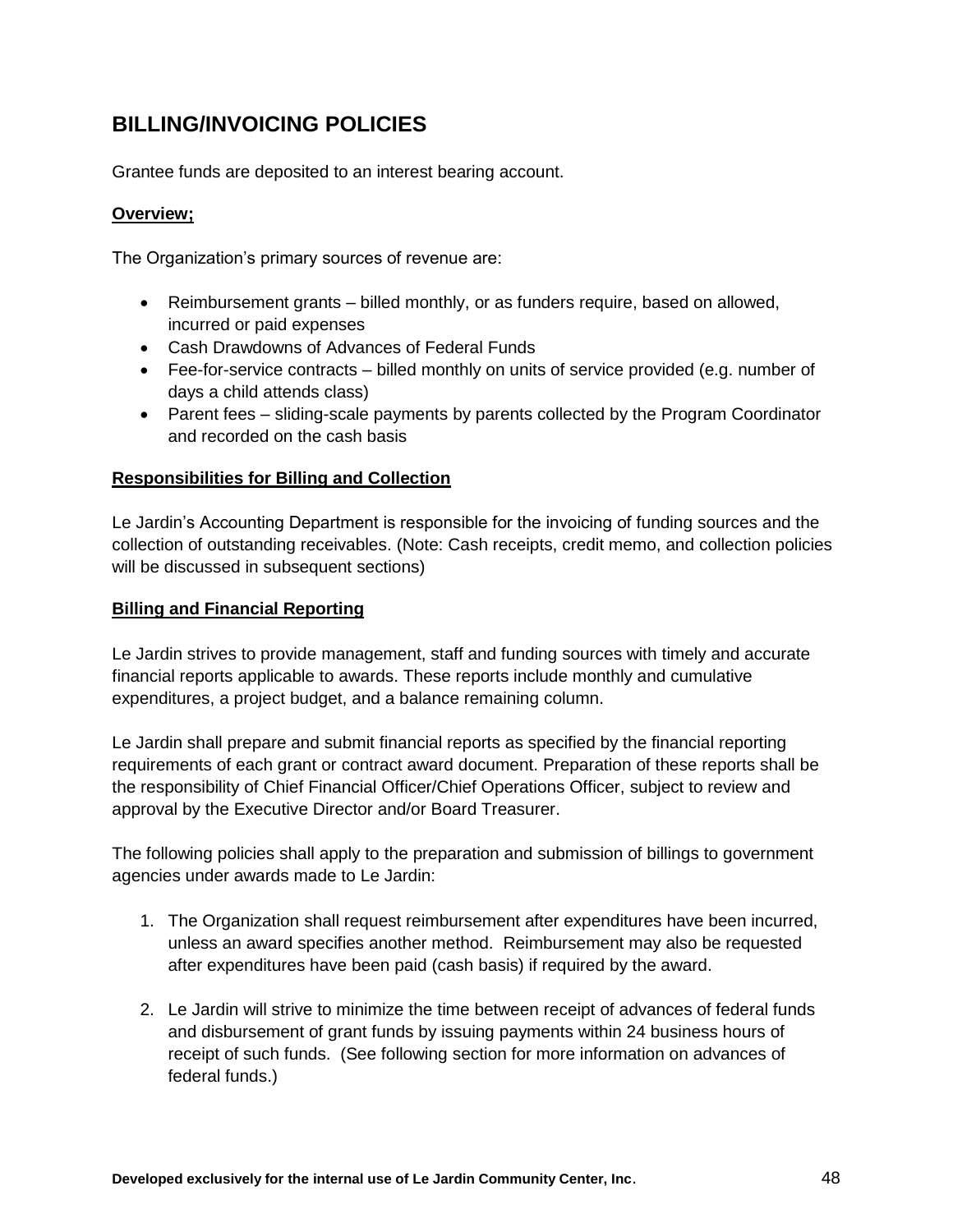## **BILLING/INVOICING POLICIES**

Grantee funds are deposited to an interest bearing account.

## **Overview;**

The Organization's primary sources of revenue are:

- Reimbursement grants billed monthly, or as funders require, based on allowed, incurred or paid expenses
- Cash Drawdowns of Advances of Federal Funds
- Fee-for-service contracts billed monthly on units of service provided (e.g. number of days a child attends class)
- Parent fees sliding-scale payments by parents collected by the Program Coordinator and recorded on the cash basis

## **Responsibilities for Billing and Collection**

Le Jardin's Accounting Department is responsible for the invoicing of funding sources and the collection of outstanding receivables. (Note: Cash receipts, credit memo, and collection policies will be discussed in subsequent sections)

#### **Billing and Financial Reporting**

Le Jardin strives to provide management, staff and funding sources with timely and accurate financial reports applicable to awards. These reports include monthly and cumulative expenditures, a project budget, and a balance remaining column.

Le Jardin shall prepare and submit financial reports as specified by the financial reporting requirements of each grant or contract award document. Preparation of these reports shall be the responsibility of Chief Financial Officer/Chief Operations Officer, subject to review and approval by the Executive Director and/or Board Treasurer.

The following policies shall apply to the preparation and submission of billings to government agencies under awards made to Le Jardin:

- 1. The Organization shall request reimbursement after expenditures have been incurred, unless an award specifies another method. Reimbursement may also be requested after expenditures have been paid (cash basis) if required by the award.
- 2. Le Jardin will strive to minimize the time between receipt of advances of federal funds and disbursement of grant funds by issuing payments within 24 business hours of receipt of such funds. (See following section for more information on advances of federal funds.)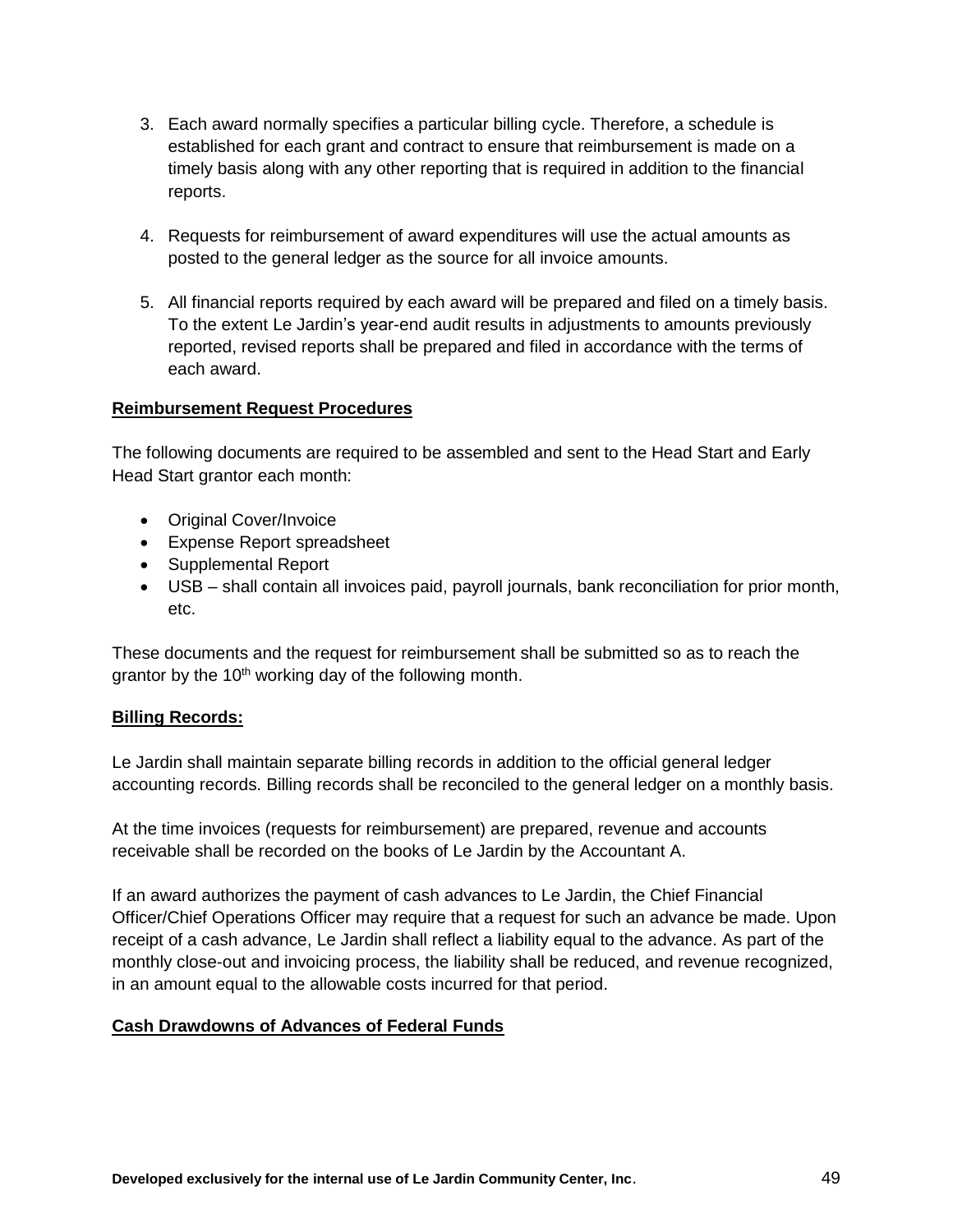- 3. Each award normally specifies a particular billing cycle. Therefore, a schedule is established for each grant and contract to ensure that reimbursement is made on a timely basis along with any other reporting that is required in addition to the financial reports.
- 4. Requests for reimbursement of award expenditures will use the actual amounts as posted to the general ledger as the source for all invoice amounts.
- 5. All financial reports required by each award will be prepared and filed on a timely basis. To the extent Le Jardin's year-end audit results in adjustments to amounts previously reported, revised reports shall be prepared and filed in accordance with the terms of each award.

#### **Reimbursement Request Procedures**

The following documents are required to be assembled and sent to the Head Start and Early Head Start grantor each month:

- Original Cover/Invoice
- Expense Report spreadsheet
- Supplemental Report
- USB shall contain all invoices paid, payroll journals, bank reconciliation for prior month, etc.

These documents and the request for reimbursement shall be submitted so as to reach the grantor by the  $10<sup>th</sup>$  working day of the following month.

#### **Billing Records:**

Le Jardin shall maintain separate billing records in addition to the official general ledger accounting records. Billing records shall be reconciled to the general ledger on a monthly basis.

At the time invoices (requests for reimbursement) are prepared, revenue and accounts receivable shall be recorded on the books of Le Jardin by the Accountant A.

If an award authorizes the payment of cash advances to Le Jardin, the Chief Financial Officer/Chief Operations Officer may require that a request for such an advance be made. Upon receipt of a cash advance, Le Jardin shall reflect a liability equal to the advance. As part of the monthly close-out and invoicing process, the liability shall be reduced, and revenue recognized, in an amount equal to the allowable costs incurred for that period.

#### **Cash Drawdowns of Advances of Federal Funds**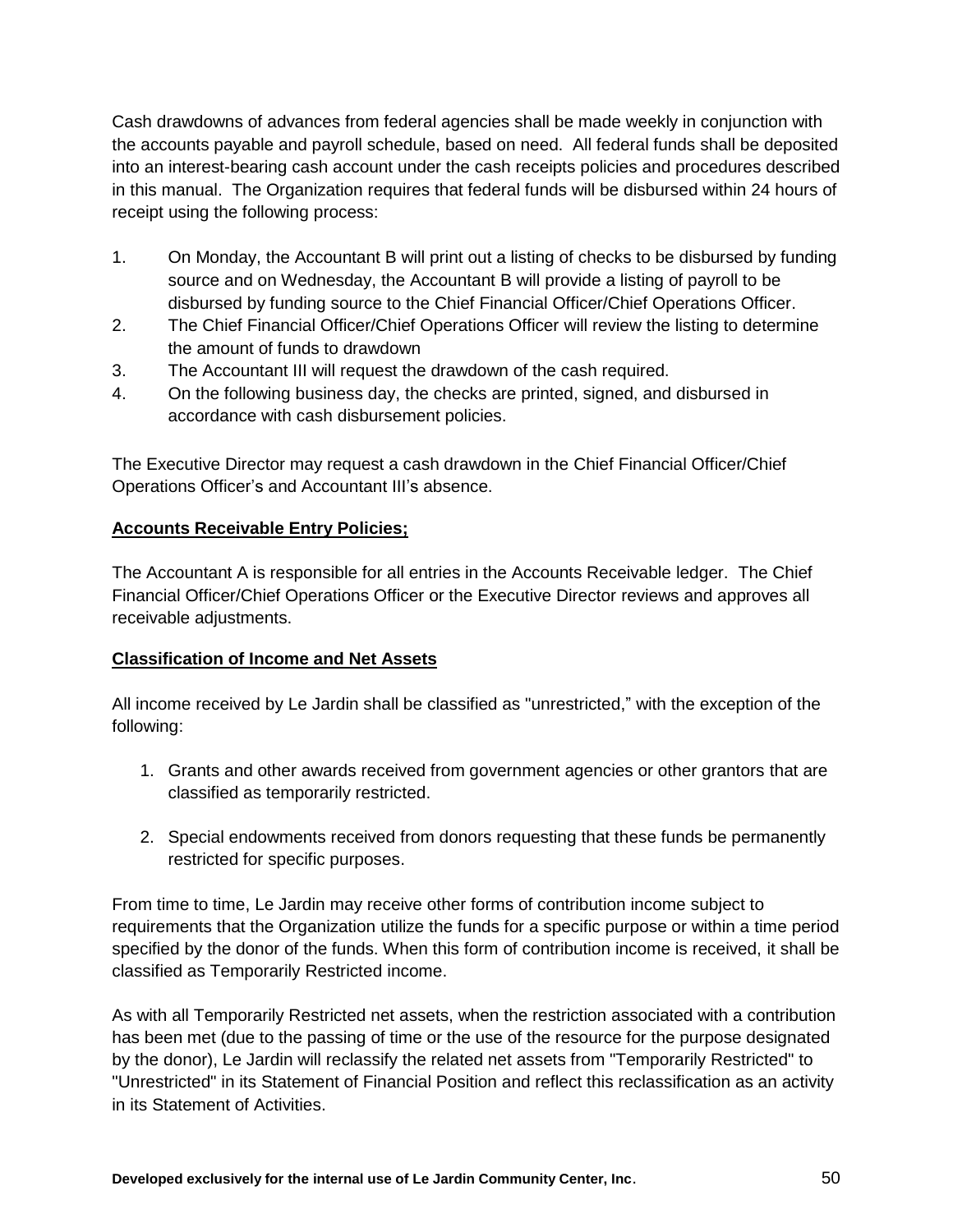Cash drawdowns of advances from federal agencies shall be made weekly in conjunction with the accounts payable and payroll schedule, based on need. All federal funds shall be deposited into an interest-bearing cash account under the cash receipts policies and procedures described in this manual. The Organization requires that federal funds will be disbursed within 24 hours of receipt using the following process:

- 1. On Monday, the Accountant B will print out a listing of checks to be disbursed by funding source and on Wednesday, the Accountant B will provide a listing of payroll to be disbursed by funding source to the Chief Financial Officer/Chief Operations Officer.
- 2. The Chief Financial Officer/Chief Operations Officer will review the listing to determine the amount of funds to drawdown
- 3. The Accountant III will request the drawdown of the cash required.
- 4. On the following business day, the checks are printed, signed, and disbursed in accordance with cash disbursement policies.

The Executive Director may request a cash drawdown in the Chief Financial Officer/Chief Operations Officer's and Accountant III's absence.

## **Accounts Receivable Entry Policies;**

The Accountant A is responsible for all entries in the Accounts Receivable ledger. The Chief Financial Officer/Chief Operations Officer or the Executive Director reviews and approves all receivable adjustments.

## **Classification of Income and Net Assets**

All income received by Le Jardin shall be classified as "unrestricted," with the exception of the following:

- 1. Grants and other awards received from government agencies or other grantors that are classified as temporarily restricted.
- 2. Special endowments received from donors requesting that these funds be permanently restricted for specific purposes.

From time to time, Le Jardin may receive other forms of contribution income subject to requirements that the Organization utilize the funds for a specific purpose or within a time period specified by the donor of the funds. When this form of contribution income is received, it shall be classified as Temporarily Restricted income.

As with all Temporarily Restricted net assets, when the restriction associated with a contribution has been met (due to the passing of time or the use of the resource for the purpose designated by the donor), Le Jardin will reclassify the related net assets from "Temporarily Restricted" to "Unrestricted" in its Statement of Financial Position and reflect this reclassification as an activity in its Statement of Activities.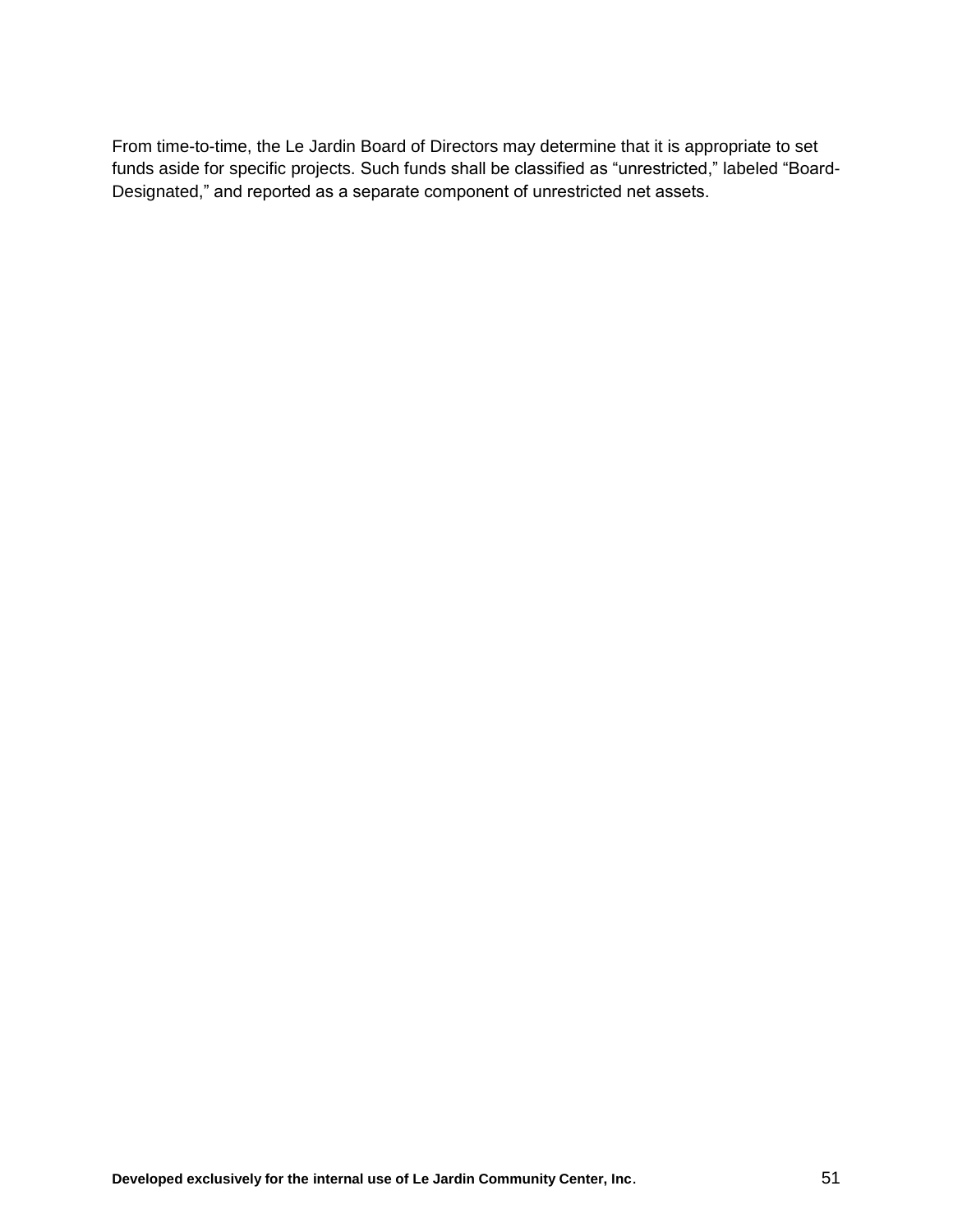From time-to-time, the Le Jardin Board of Directors may determine that it is appropriate to set funds aside for specific projects. Such funds shall be classified as "unrestricted," labeled "Board-Designated," and reported as a separate component of unrestricted net assets.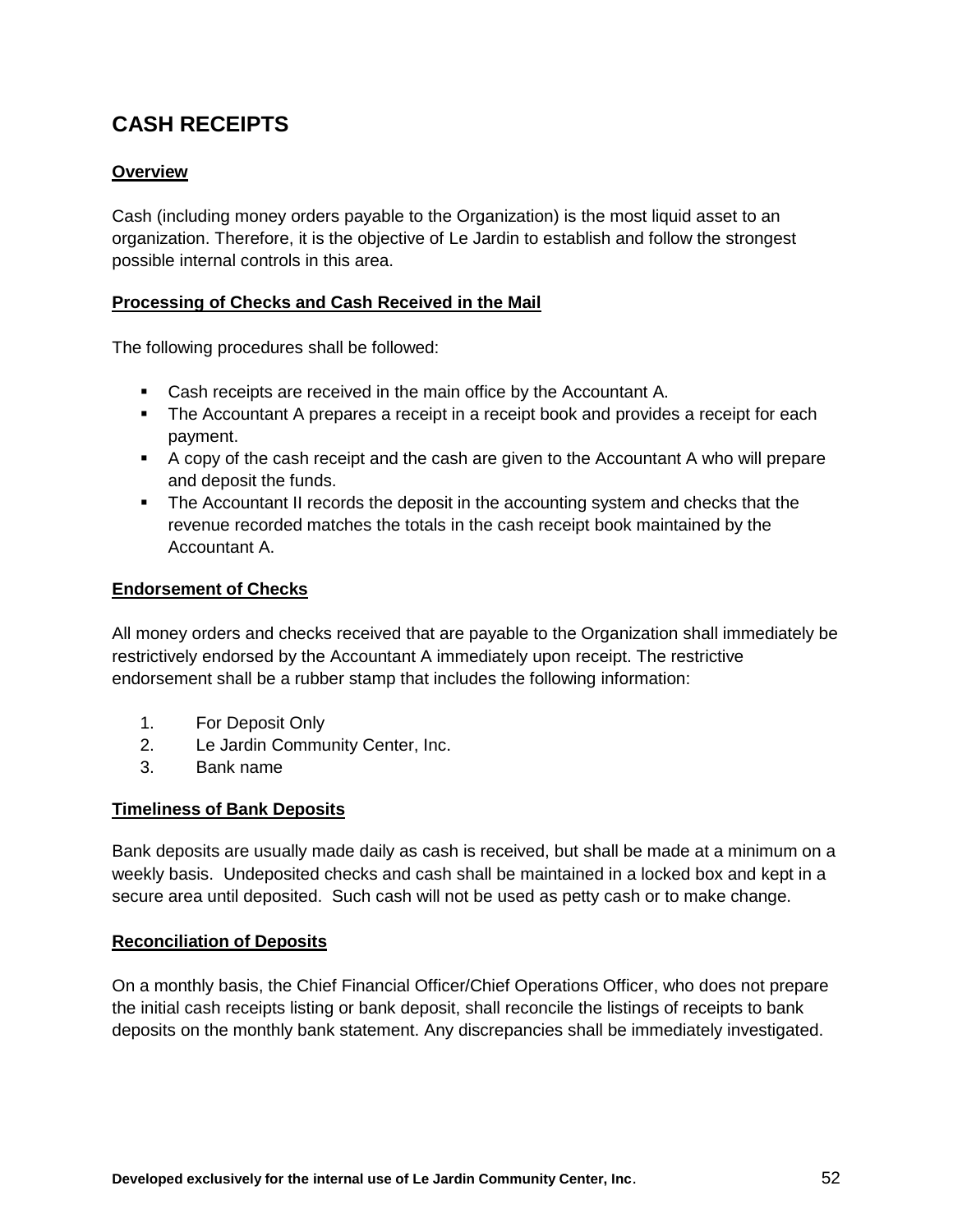# **CASH RECEIPTS**

## **Overview**

Cash (including money orders payable to the Organization) is the most liquid asset to an organization. Therefore, it is the objective of Le Jardin to establish and follow the strongest possible internal controls in this area.

#### **Processing of Checks and Cash Received in the Mail**

The following procedures shall be followed:

- Cash receipts are received in the main office by the Accountant A.
- The Accountant A prepares a receipt in a receipt book and provides a receipt for each payment.
- A copy of the cash receipt and the cash are given to the Accountant A who will prepare and deposit the funds.
- The Accountant II records the deposit in the accounting system and checks that the revenue recorded matches the totals in the cash receipt book maintained by the Accountant A.

#### **Endorsement of Checks**

All money orders and checks received that are payable to the Organization shall immediately be restrictively endorsed by the Accountant A immediately upon receipt. The restrictive endorsement shall be a rubber stamp that includes the following information:

- 1. For Deposit Only
- 2. Le Jardin Community Center, Inc.
- 3. Bank name

#### **Timeliness of Bank Deposits**

Bank deposits are usually made daily as cash is received, but shall be made at a minimum on a weekly basis. Undeposited checks and cash shall be maintained in a locked box and kept in a secure area until deposited. Such cash will not be used as petty cash or to make change.

#### **Reconciliation of Deposits**

On a monthly basis, the Chief Financial Officer/Chief Operations Officer, who does not prepare the initial cash receipts listing or bank deposit, shall reconcile the listings of receipts to bank deposits on the monthly bank statement. Any discrepancies shall be immediately investigated.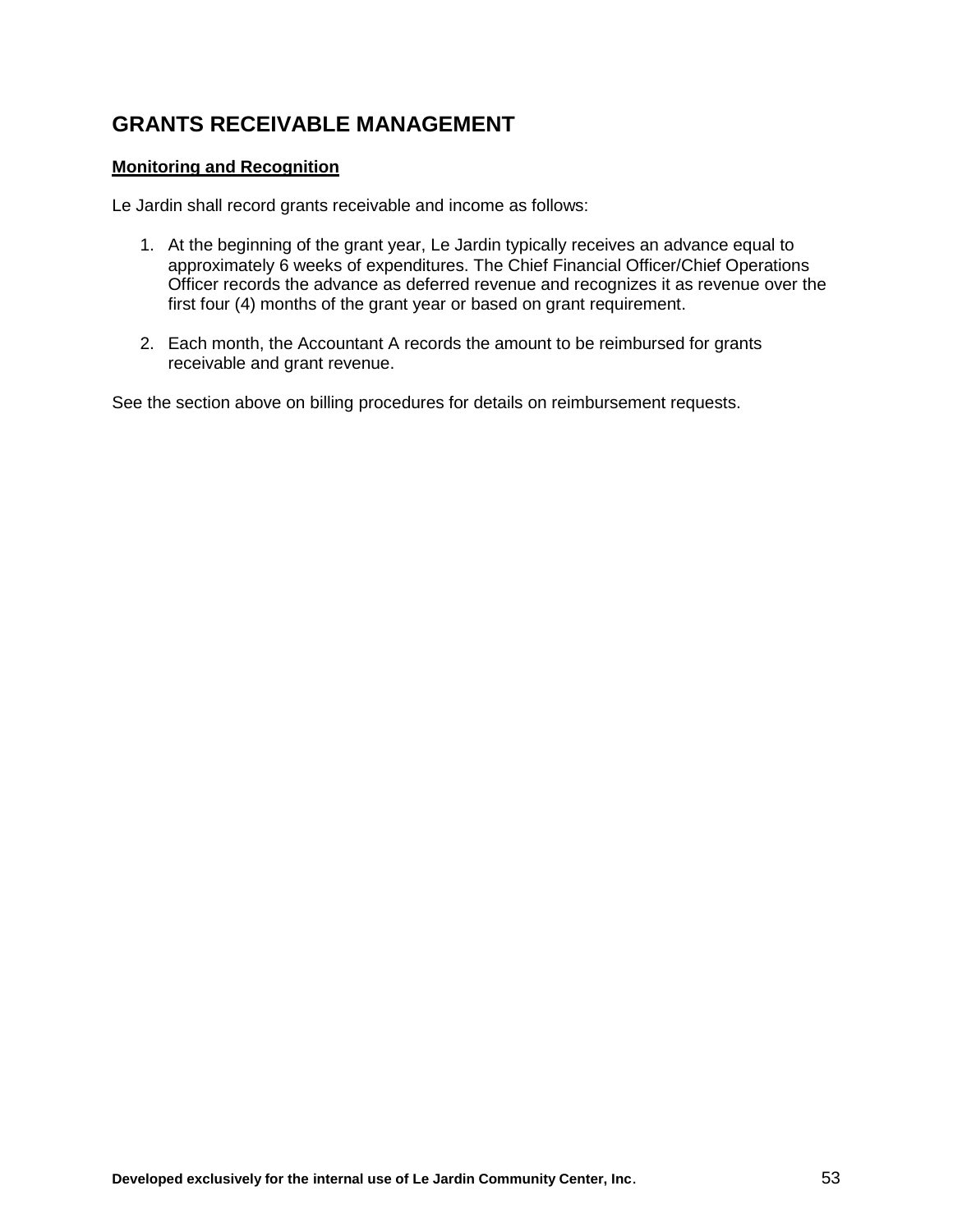## **GRANTS RECEIVABLE MANAGEMENT**

#### **Monitoring and Recognition**

Le Jardin shall record grants receivable and income as follows:

- 1. At the beginning of the grant year, Le Jardin typically receives an advance equal to approximately 6 weeks of expenditures. The Chief Financial Officer/Chief Operations Officer records the advance as deferred revenue and recognizes it as revenue over the first four (4) months of the grant year or based on grant requirement.
- 2. Each month, the Accountant A records the amount to be reimbursed for grants receivable and grant revenue.

See the section above on billing procedures for details on reimbursement requests.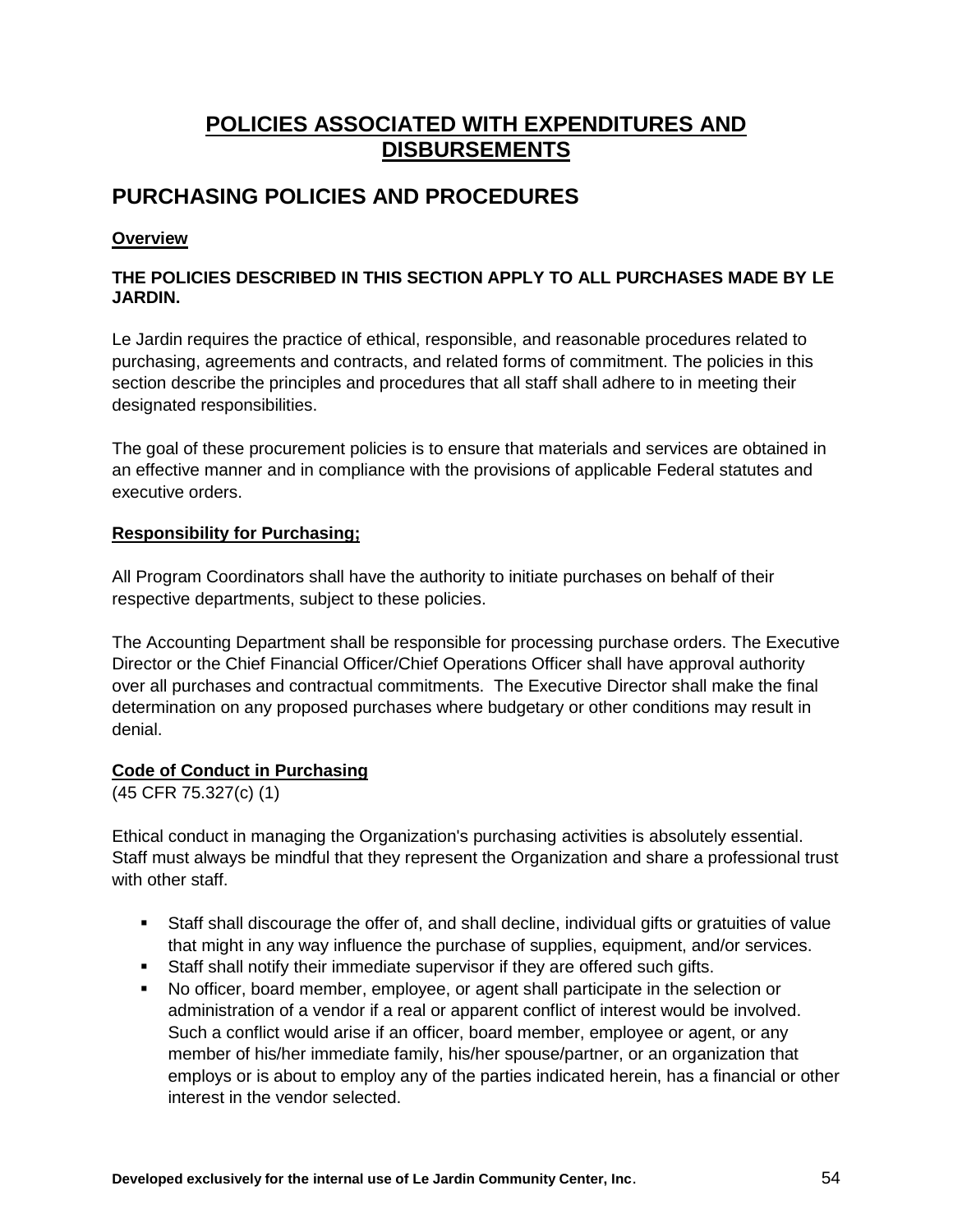## **POLICIES ASSOCIATED WITH EXPENDITURES AND DISBURSEMENTS**

## **PURCHASING POLICIES AND PROCEDURES**

## **Overview**

#### **THE POLICIES DESCRIBED IN THIS SECTION APPLY TO ALL PURCHASES MADE BY LE JARDIN.**

Le Jardin requires the practice of ethical, responsible, and reasonable procedures related to purchasing, agreements and contracts, and related forms of commitment. The policies in this section describe the principles and procedures that all staff shall adhere to in meeting their designated responsibilities.

The goal of these procurement policies is to ensure that materials and services are obtained in an effective manner and in compliance with the provisions of applicable Federal statutes and executive orders.

#### **Responsibility for Purchasing;**

All Program Coordinators shall have the authority to initiate purchases on behalf of their respective departments, subject to these policies.

The Accounting Department shall be responsible for processing purchase orders. The Executive Director or the Chief Financial Officer/Chief Operations Officer shall have approval authority over all purchases and contractual commitments. The Executive Director shall make the final determination on any proposed purchases where budgetary or other conditions may result in denial.

## **Code of Conduct in Purchasing**

(45 CFR 75.327(c) (1)

Ethical conduct in managing the Organization's purchasing activities is absolutely essential. Staff must always be mindful that they represent the Organization and share a professional trust with other staff.

- Staff shall discourage the offer of, and shall decline, individual gifts or gratuities of value that might in any way influence the purchase of supplies, equipment, and/or services.
- Staff shall notify their immediate supervisor if they are offered such gifts.
- No officer, board member, employee, or agent shall participate in the selection or administration of a vendor if a real or apparent conflict of interest would be involved. Such a conflict would arise if an officer, board member, employee or agent, or any member of his/her immediate family, his/her spouse/partner, or an organization that employs or is about to employ any of the parties indicated herein, has a financial or other interest in the vendor selected.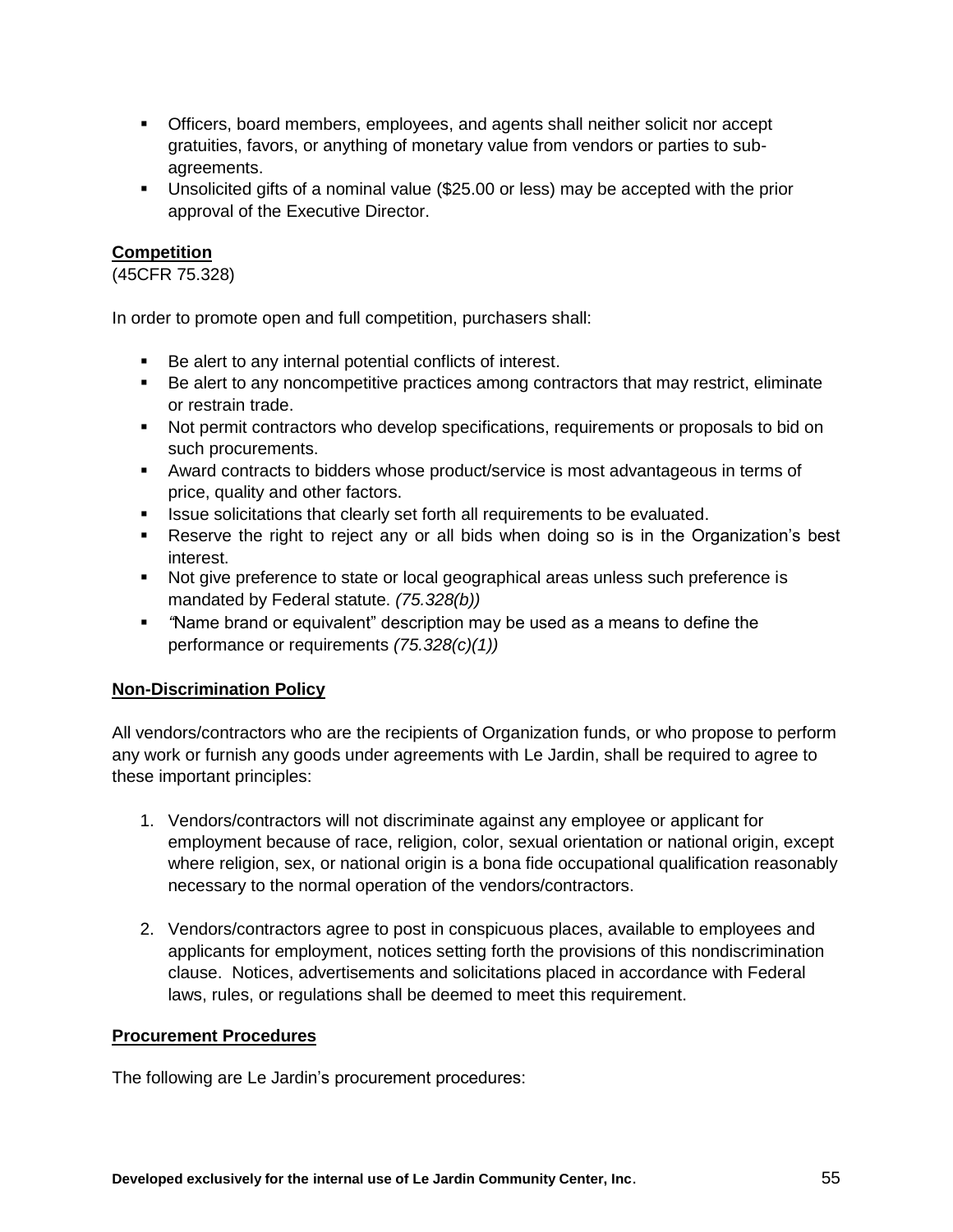- Officers, board members, employees, and agents shall neither solicit nor accept gratuities, favors, or anything of monetary value from vendors or parties to subagreements.
- Unsolicited gifts of a nominal value (\$25.00 or less) may be accepted with the prior approval of the Executive Director.

## **Competition**

(45CFR 75.328)

In order to promote open and full competition, purchasers shall:

- Be alert to any internal potential conflicts of interest.
- Be alert to any noncompetitive practices among contractors that may restrict, eliminate or restrain trade.
- Not permit contractors who develop specifications, requirements or proposals to bid on such procurements.
- Award contracts to bidders whose product/service is most advantageous in terms of price, quality and other factors.
- **ISSUE Solicitations that clearly set forth all requirements to be evaluated.**
- Reserve the right to reject any or all bids when doing so is in the Organization's best interest.
- Not give preference to state or local geographical areas unless such preference is mandated by Federal statute. *(75.328(b))*
- *"*Name brand or equivalent" description may be used as a means to define the performance or requirements *(75.328(c)(1))*

#### **Non-Discrimination Policy**

All vendors/contractors who are the recipients of Organization funds, or who propose to perform any work or furnish any goods under agreements with Le Jardin, shall be required to agree to these important principles:

- 1. Vendors/contractors will not discriminate against any employee or applicant for employment because of race, religion, color, sexual orientation or national origin, except where religion, sex, or national origin is a bona fide occupational qualification reasonably necessary to the normal operation of the vendors/contractors.
- 2. Vendors/contractors agree to post in conspicuous places, available to employees and applicants for employment, notices setting forth the provisions of this nondiscrimination clause. Notices, advertisements and solicitations placed in accordance with Federal laws, rules, or regulations shall be deemed to meet this requirement.

#### **Procurement Procedures**

The following are Le Jardin's procurement procedures: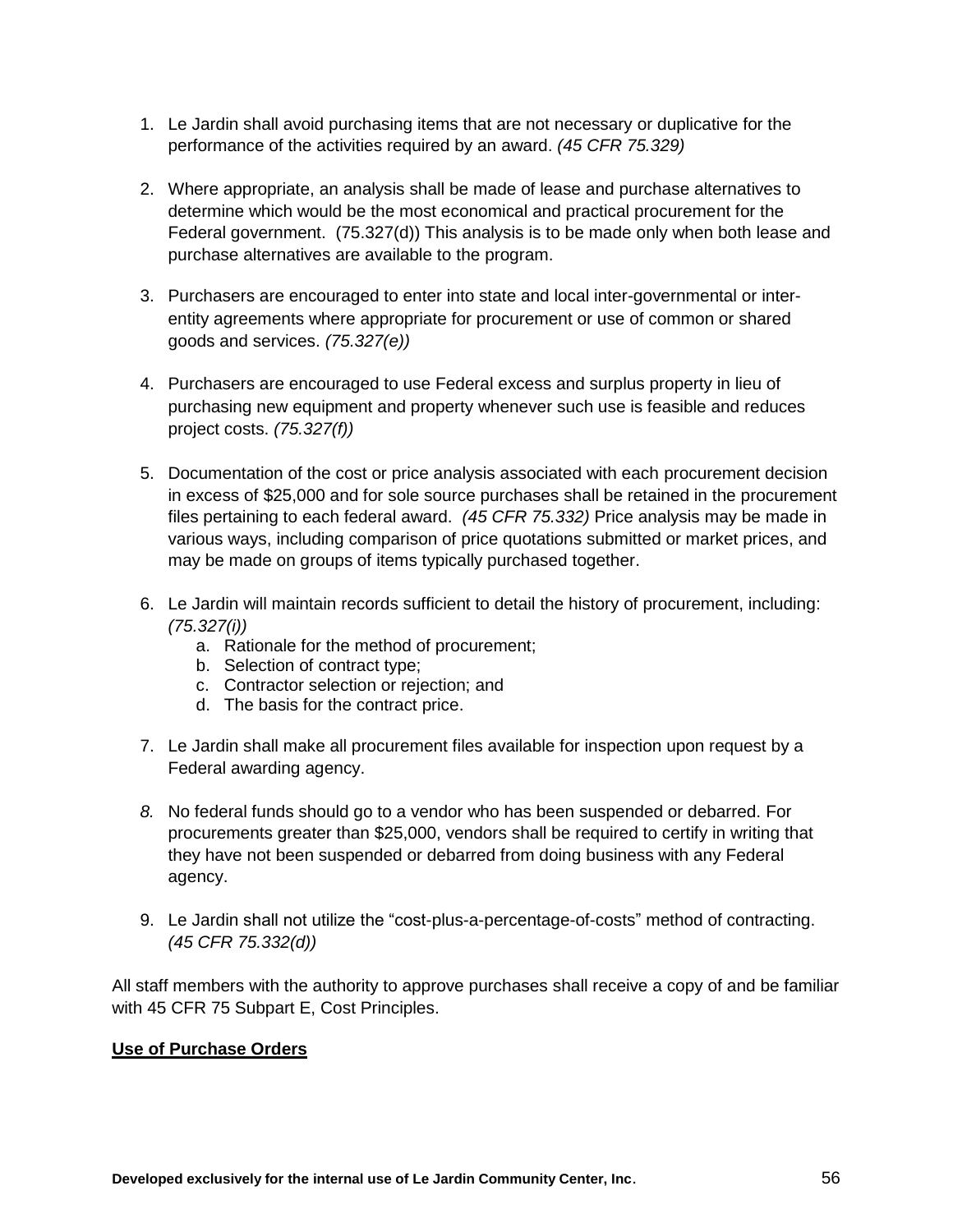- 1. Le Jardin shall avoid purchasing items that are not necessary or duplicative for the performance of the activities required by an award. *(45 CFR 75.329)*
- 2. Where appropriate, an analysis shall be made of lease and purchase alternatives to determine which would be the most economical and practical procurement for the Federal government. (75.327(d)) This analysis is to be made only when both lease and purchase alternatives are available to the program.
- 3. Purchasers are encouraged to enter into state and local inter-governmental or interentity agreements where appropriate for procurement or use of common or shared goods and services. *(75.327(e))*
- 4. Purchasers are encouraged to use Federal excess and surplus property in lieu of purchasing new equipment and property whenever such use is feasible and reduces project costs. *(75.327(f))*
- 5. Documentation of the cost or price analysis associated with each procurement decision in excess of \$25,000 and for sole source purchases shall be retained in the procurement files pertaining to each federal award. *(45 CFR 75.332)* Price analysis may be made in various ways, including comparison of price quotations submitted or market prices, and may be made on groups of items typically purchased together.
- 6. Le Jardin will maintain records sufficient to detail the history of procurement, including: *(75.327(i))*
	- a. Rationale for the method of procurement;
	- b. Selection of contract type;
	- c. Contractor selection or rejection; and
	- d. The basis for the contract price.
- 7. Le Jardin shall make all procurement files available for inspection upon request by a Federal awarding agency.
- *8.* No federal funds should go to a vendor who has been suspended or debarred. For procurements greater than \$25,000, vendors shall be required to certify in writing that they have not been suspended or debarred from doing business with any Federal agency.
- 9. Le Jardin shall not utilize the "cost-plus-a-percentage-of-costs" method of contracting. *(45 CFR 75.332(d))*

All staff members with the authority to approve purchases shall receive a copy of and be familiar with 45 CFR 75 Subpart E, Cost Principles.

#### **Use of Purchase Orders**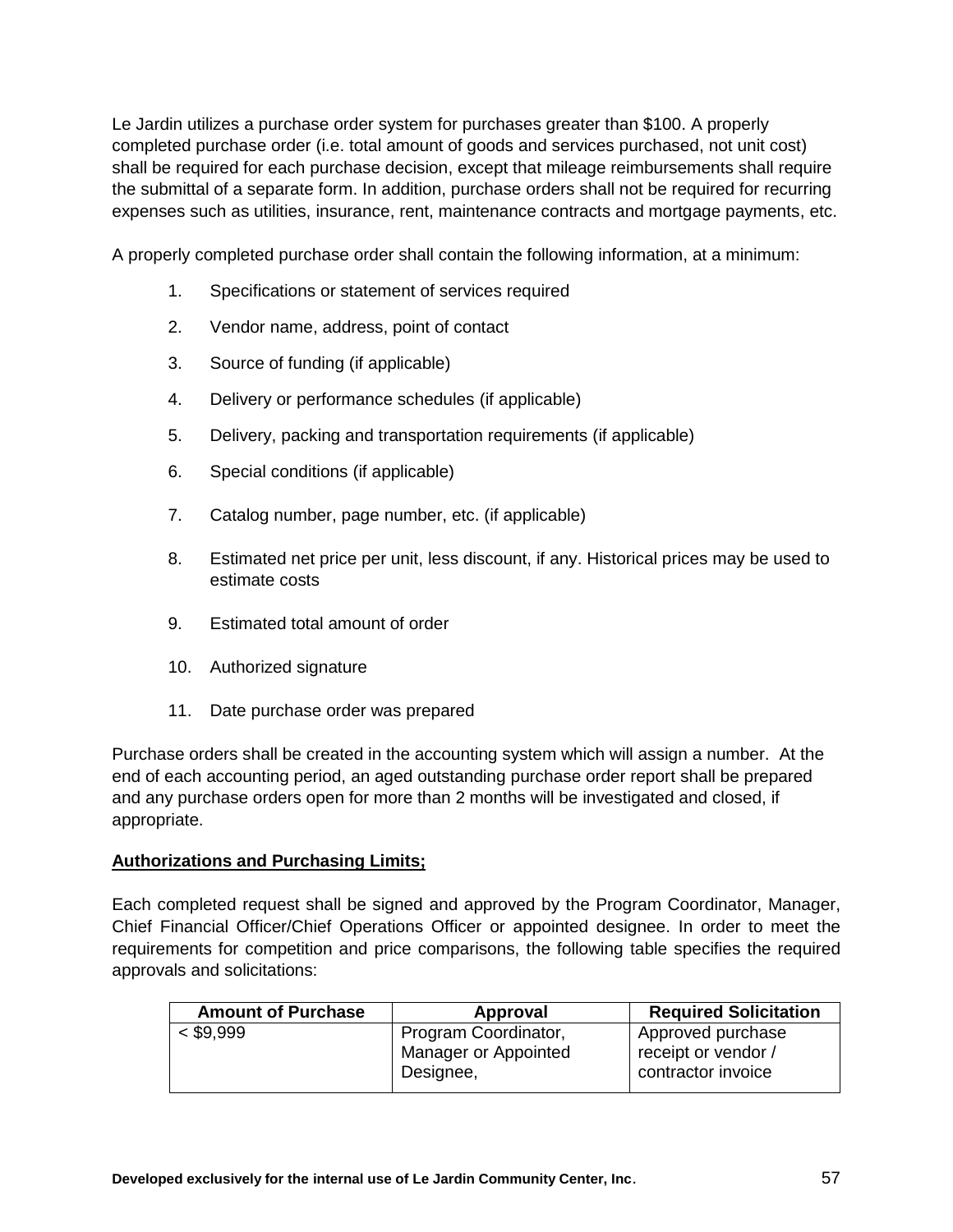Le Jardin utilizes a purchase order system for purchases greater than \$100. A properly completed purchase order (i.e. total amount of goods and services purchased, not unit cost) shall be required for each purchase decision, except that mileage reimbursements shall require the submittal of a separate form. In addition, purchase orders shall not be required for recurring expenses such as utilities, insurance, rent, maintenance contracts and mortgage payments, etc.

A properly completed purchase order shall contain the following information, at a minimum:

- 1. Specifications or statement of services required
- 2. Vendor name, address, point of contact
- 3. Source of funding (if applicable)
- 4. Delivery or performance schedules (if applicable)
- 5. Delivery, packing and transportation requirements (if applicable)
- 6. Special conditions (if applicable)
- 7. Catalog number, page number, etc. (if applicable)
- 8. Estimated net price per unit, less discount, if any. Historical prices may be used to estimate costs
- 9. Estimated total amount of order
- 10. Authorized signature
- 11. Date purchase order was prepared

Purchase orders shall be created in the accounting system which will assign a number. At the end of each accounting period, an aged outstanding purchase order report shall be prepared and any purchase orders open for more than 2 months will be investigated and closed, if appropriate.

#### **Authorizations and Purchasing Limits;**

Each completed request shall be signed and approved by the Program Coordinator, Manager, Chief Financial Officer/Chief Operations Officer or appointed designee. In order to meet the requirements for competition and price comparisons, the following table specifies the required approvals and solicitations:

| Approval             | <b>Required Solicitation</b> |
|----------------------|------------------------------|
| Program Coordinator, | Approved purchase            |
| Manager or Appointed | receipt or vendor /          |
| Designee,            | contractor invoice           |
|                      |                              |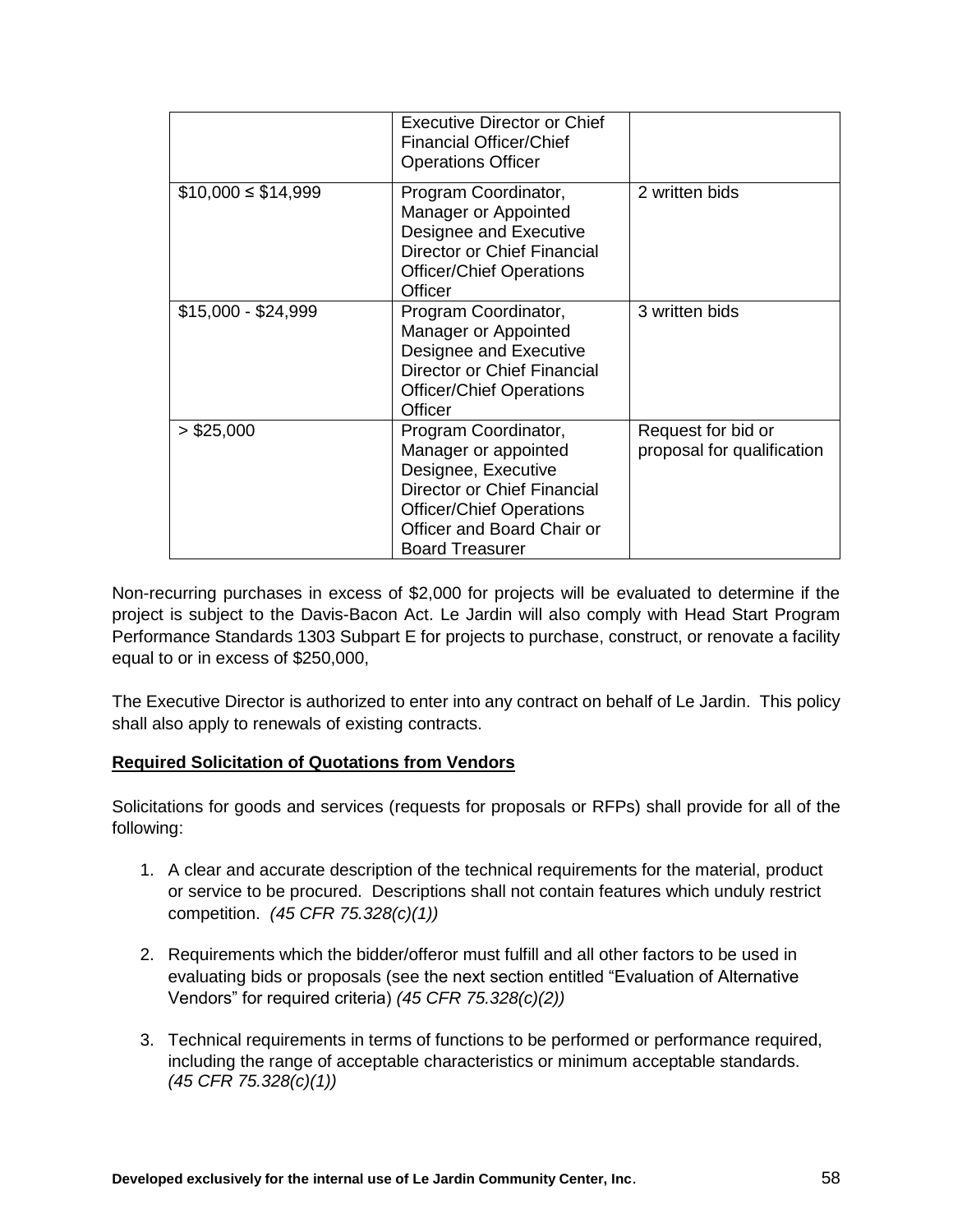|                       | <b>Executive Director or Chief</b><br><b>Financial Officer/Chief</b><br><b>Operations Officer</b>                                                                                             |                                                  |
|-----------------------|-----------------------------------------------------------------------------------------------------------------------------------------------------------------------------------------------|--------------------------------------------------|
| $$10,000 \le $14,999$ | Program Coordinator,<br>Manager or Appointed<br>Designee and Executive<br>Director or Chief Financial<br><b>Officer/Chief Operations</b><br>Officer                                           | 2 written bids                                   |
| $$15,000 - $24,999$   | Program Coordinator,<br>Manager or Appointed<br>Designee and Executive<br>Director or Chief Financial<br><b>Officer/Chief Operations</b><br><b>Officer</b>                                    | 3 written bids                                   |
| $>$ \$25,000          | Program Coordinator,<br>Manager or appointed<br>Designee, Executive<br>Director or Chief Financial<br><b>Officer/Chief Operations</b><br>Officer and Board Chair or<br><b>Board Treasurer</b> | Request for bid or<br>proposal for qualification |

Non-recurring purchases in excess of \$2,000 for projects will be evaluated to determine if the project is subject to the Davis-Bacon Act. Le Jardin will also comply with Head Start Program Performance Standards 1303 Subpart E for projects to purchase, construct, or renovate a facility equal to or in excess of \$250,000,

The Executive Director is authorized to enter into any contract on behalf of Le Jardin. This policy shall also apply to renewals of existing contracts.

#### **Required Solicitation of Quotations from Vendors**

Solicitations for goods and services (requests for proposals or RFPs) shall provide for all of the following:

- 1. A clear and accurate description of the technical requirements for the material, product or service to be procured. Descriptions shall not contain features which unduly restrict competition. *(45 CFR 75.328(c)(1))*
- 2. Requirements which the bidder/offeror must fulfill and all other factors to be used in evaluating bids or proposals (see the next section entitled "Evaluation of Alternative Vendors" for required criteria) *(45 CFR 75.328(c)(2))*
- 3. Technical requirements in terms of functions to be performed or performance required, including the range of acceptable characteristics or minimum acceptable standards. *(45 CFR 75.328(c)(1))*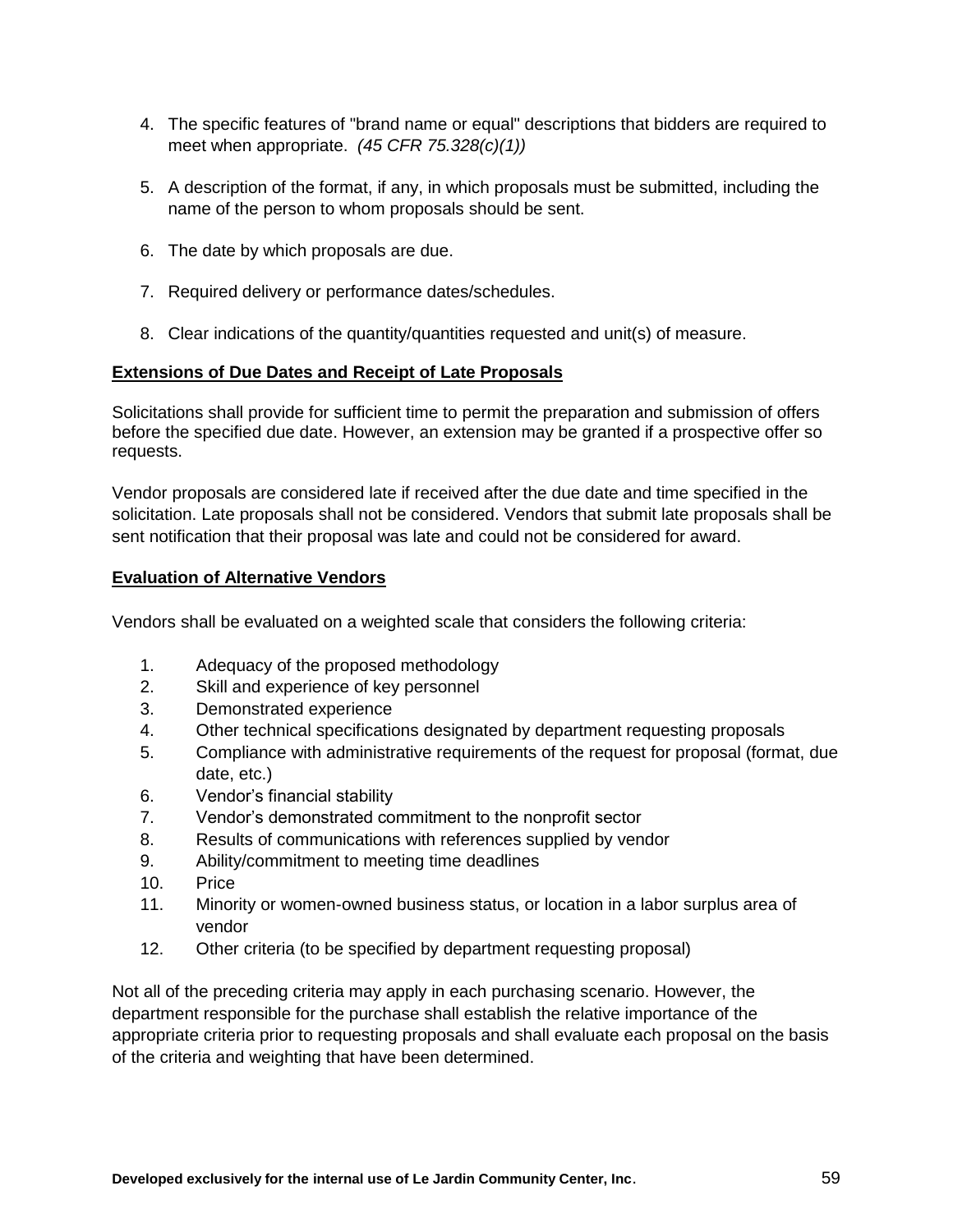- 4. The specific features of "brand name or equal" descriptions that bidders are required to meet when appropriate. *(45 CFR 75.328(c)(1))*
- 5. A description of the format, if any, in which proposals must be submitted, including the name of the person to whom proposals should be sent.
- 6. The date by which proposals are due.
- 7. Required delivery or performance dates/schedules.
- 8. Clear indications of the quantity/quantities requested and unit(s) of measure.

#### **Extensions of Due Dates and Receipt of Late Proposals**

Solicitations shall provide for sufficient time to permit the preparation and submission of offers before the specified due date. However, an extension may be granted if a prospective offer so requests.

Vendor proposals are considered late if received after the due date and time specified in the solicitation. Late proposals shall not be considered. Vendors that submit late proposals shall be sent notification that their proposal was late and could not be considered for award.

#### **Evaluation of Alternative Vendors**

Vendors shall be evaluated on a weighted scale that considers the following criteria:

- 1. Adequacy of the proposed methodology
- 2. Skill and experience of key personnel
- 3. Demonstrated experience
- 4. Other technical specifications designated by department requesting proposals
- 5. Compliance with administrative requirements of the request for proposal (format, due date, etc.)
- 6. Vendor's financial stability
- 7. Vendor's demonstrated commitment to the nonprofit sector
- 8. Results of communications with references supplied by vendor
- 9. Ability/commitment to meeting time deadlines
- 10. Price
- 11. Minority or women-owned business status, or location in a labor surplus area of vendor
- 12. Other criteria (to be specified by department requesting proposal)

Not all of the preceding criteria may apply in each purchasing scenario. However, the department responsible for the purchase shall establish the relative importance of the appropriate criteria prior to requesting proposals and shall evaluate each proposal on the basis of the criteria and weighting that have been determined.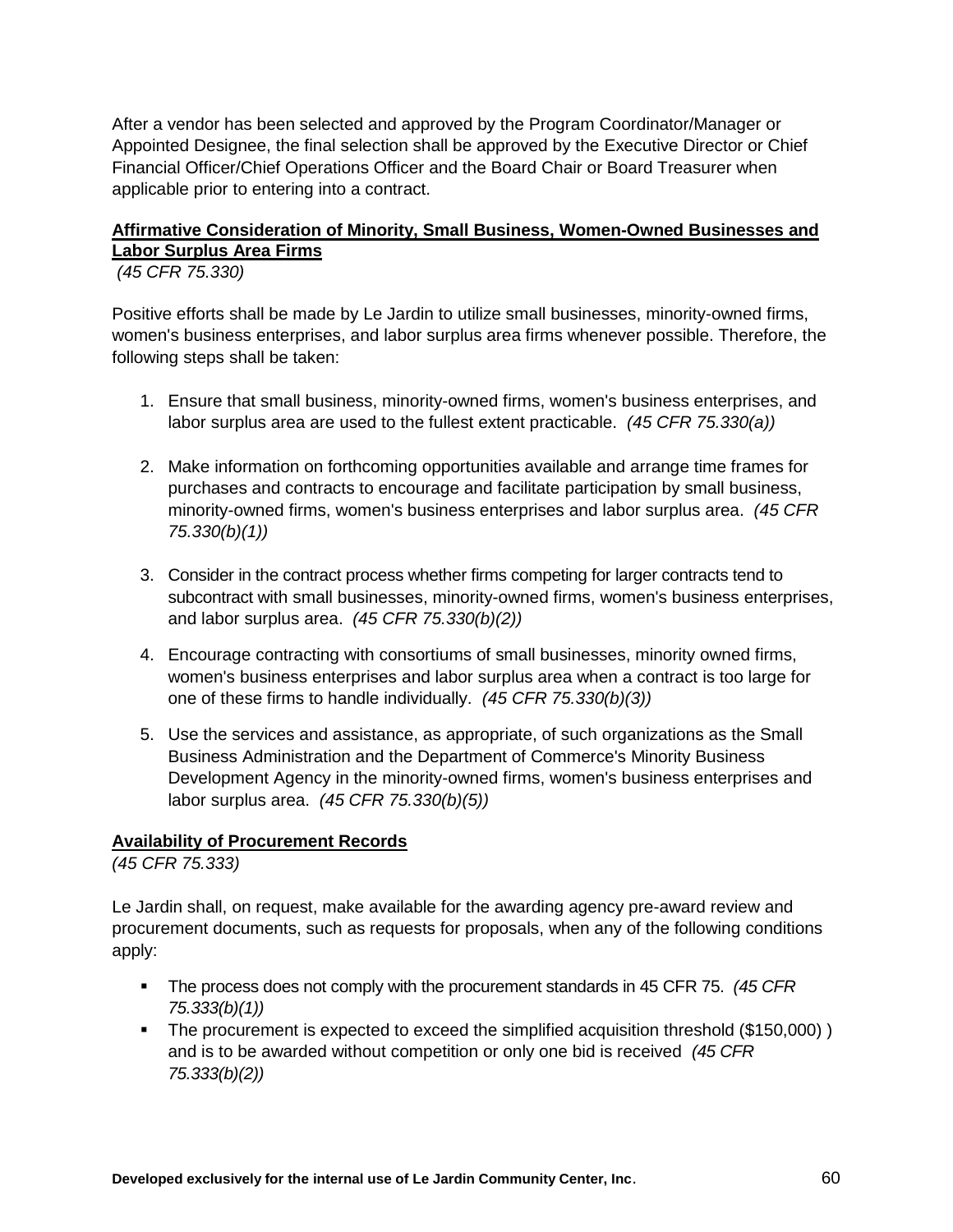After a vendor has been selected and approved by the Program Coordinator/Manager or Appointed Designee, the final selection shall be approved by the Executive Director or Chief Financial Officer/Chief Operations Officer and the Board Chair or Board Treasurer when applicable prior to entering into a contract.

## **Affirmative Consideration of Minority, Small Business, Women-Owned Businesses and Labor Surplus Area Firms**

*(45 CFR 75.330)*

Positive efforts shall be made by Le Jardin to utilize small businesses, minority-owned firms, women's business enterprises, and labor surplus area firms whenever possible. Therefore, the following steps shall be taken:

- 1. Ensure that small business, minority-owned firms, women's business enterprises, and labor surplus area are used to the fullest extent practicable. *(45 CFR 75.330(a))*
- 2. Make information on forthcoming opportunities available and arrange time frames for purchases and contracts to encourage and facilitate participation by small business, minority-owned firms, women's business enterprises and labor surplus area. *(45 CFR 75.330(b)(1))*
- 3. Consider in the contract process whether firms competing for larger contracts tend to subcontract with small businesses, minority-owned firms, women's business enterprises, and labor surplus area. *(45 CFR 75.330(b)(2))*
- 4. Encourage contracting with consortiums of small businesses, minority owned firms, women's business enterprises and labor surplus area when a contract is too large for one of these firms to handle individually. *(45 CFR 75.330(b)(3))*
- 5. Use the services and assistance, as appropriate, of such organizations as the Small Business Administration and the Department of Commerce's Minority Business Development Agency in the minority-owned firms, women's business enterprises and labor surplus area. *(45 CFR 75.330(b)(5))*

## **Availability of Procurement Records**

*(45 CFR 75.333)*

Le Jardin shall, on request, make available for the awarding agency pre-award review and procurement documents, such as requests for proposals, when any of the following conditions apply:

- The process does not comply with the procurement standards in 45 CFR 75. *(45 CFR 75.333(b)(1))*
- The procurement is expected to exceed the simplified acquisition threshold (\$150,000) ) and is to be awarded without competition or only one bid is received *(45 CFR 75.333(b)(2))*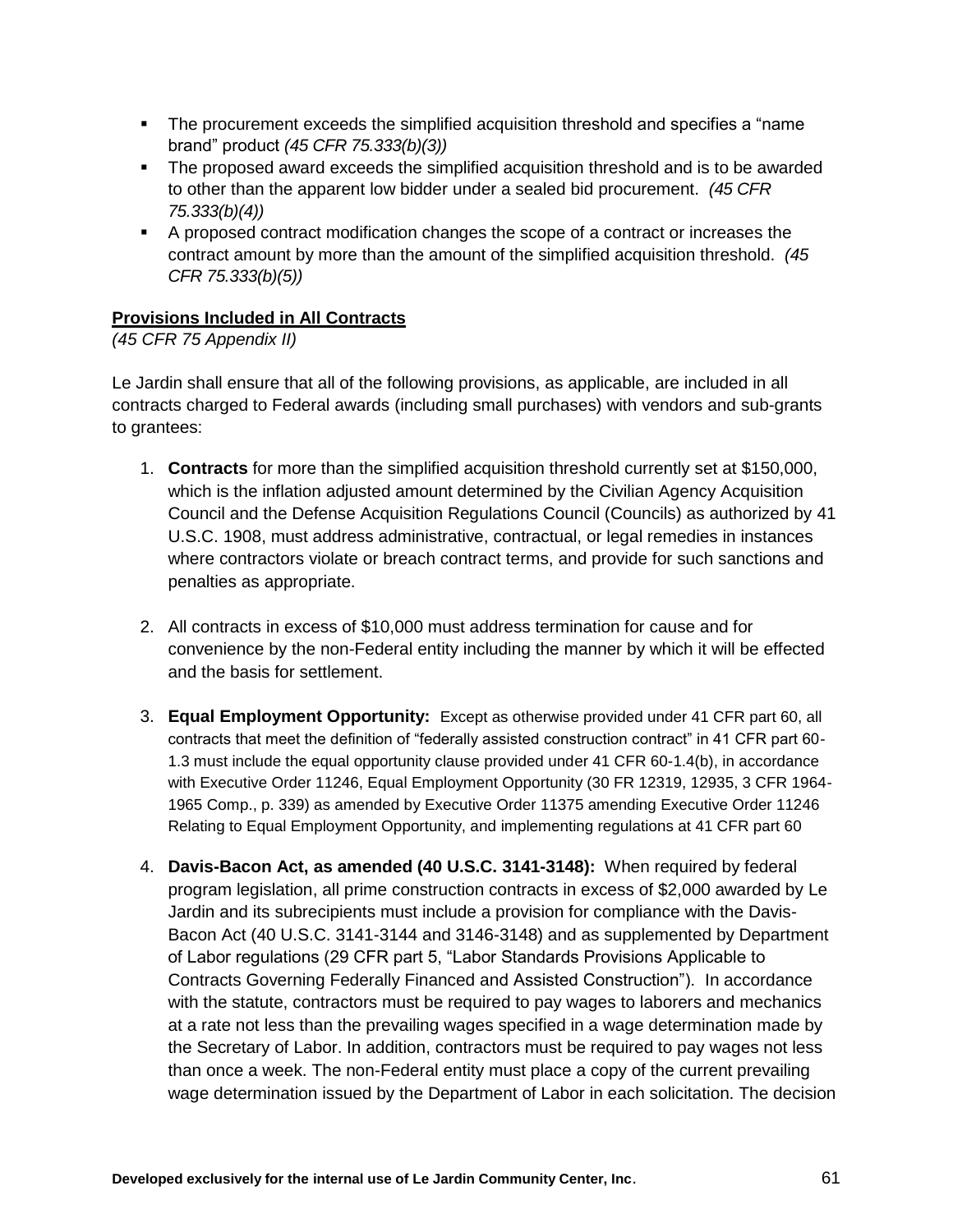- The procurement exceeds the simplified acquisition threshold and specifies a "name brand" product *(45 CFR 75.333(b)(3))*
- The proposed award exceeds the simplified acquisition threshold and is to be awarded to other than the apparent low bidder under a sealed bid procurement. *(45 CFR 75.333(b)(4))*
- A proposed contract modification changes the scope of a contract or increases the contract amount by more than the amount of the simplified acquisition threshold. *(45 CFR 75.333(b)(5))*

## **Provisions Included in All Contracts**

## *(45 CFR 75 Appendix II)*

Le Jardin shall ensure that all of the following provisions, as applicable, are included in all contracts charged to Federal awards (including small purchases) with vendors and sub-grants to grantees:

- 1. **Contracts** for more than the simplified acquisition threshold currently set at \$150,000, which is the inflation adjusted amount determined by the Civilian Agency Acquisition Council and the Defense Acquisition Regulations Council (Councils) as authorized by [41](http://api.fdsys.gov/link?collection=uscode&title=41&year=mostrecent§ion=1908&type=usc&link-type=html)  [U.S.C. 1908,](http://api.fdsys.gov/link?collection=uscode&title=41&year=mostrecent§ion=1908&type=usc&link-type=html) must address administrative, contractual, or legal remedies in instances where contractors violate or breach contract terms, and provide for such sanctions and penalties as appropriate.
- 2. All contracts in excess of \$10,000 must address termination for cause and for convenience by the non-Federal entity including the manner by which it will be effected and the basis for settlement.
- 3. **Equal Employment Opportunity:** Except as otherwise provided under 41 CFR part 60, all contracts that meet the definition of "federally assisted construction contract" in 41 CFR part 60- 1.3 must include the equal opportunity clause provided under 41 CFR 60-1.4(b), in accordance with Executive Order 11246, Equal Employment Opportunity (30 FR 12319, 12935, 3 CFR 1964- 1965 Comp., p. 339) as amended by Executive Order 11375 amending Executive Order 11246 Relating to Equal Employment Opportunity, and implementing regulations at 41 CFR part 60
- 4. **Davis-Bacon Act, as amended (40 U.S.C. 3141-3148):** When required by federal program legislation, all prime construction contracts in excess of \$2,000 awarded by Le Jardin and its subrecipients must include a provision for compliance with the Davis-Bacon Act (40 U.S.C. 3141-3144 and 3146-3148) and as supplemented by Department of Labor regulations (29 CFR part 5, "Labor Standards Provisions Applicable to Contracts Governing Federally Financed and Assisted Construction"). In accordance with the statute, contractors must be required to pay wages to laborers and mechanics at a rate not less than the prevailing wages specified in a wage determination made by the Secretary of Labor. In addition, contractors must be required to pay wages not less than once a week. The non-Federal entity must place a copy of the current prevailing wage determination issued by the Department of Labor in each solicitation. The decision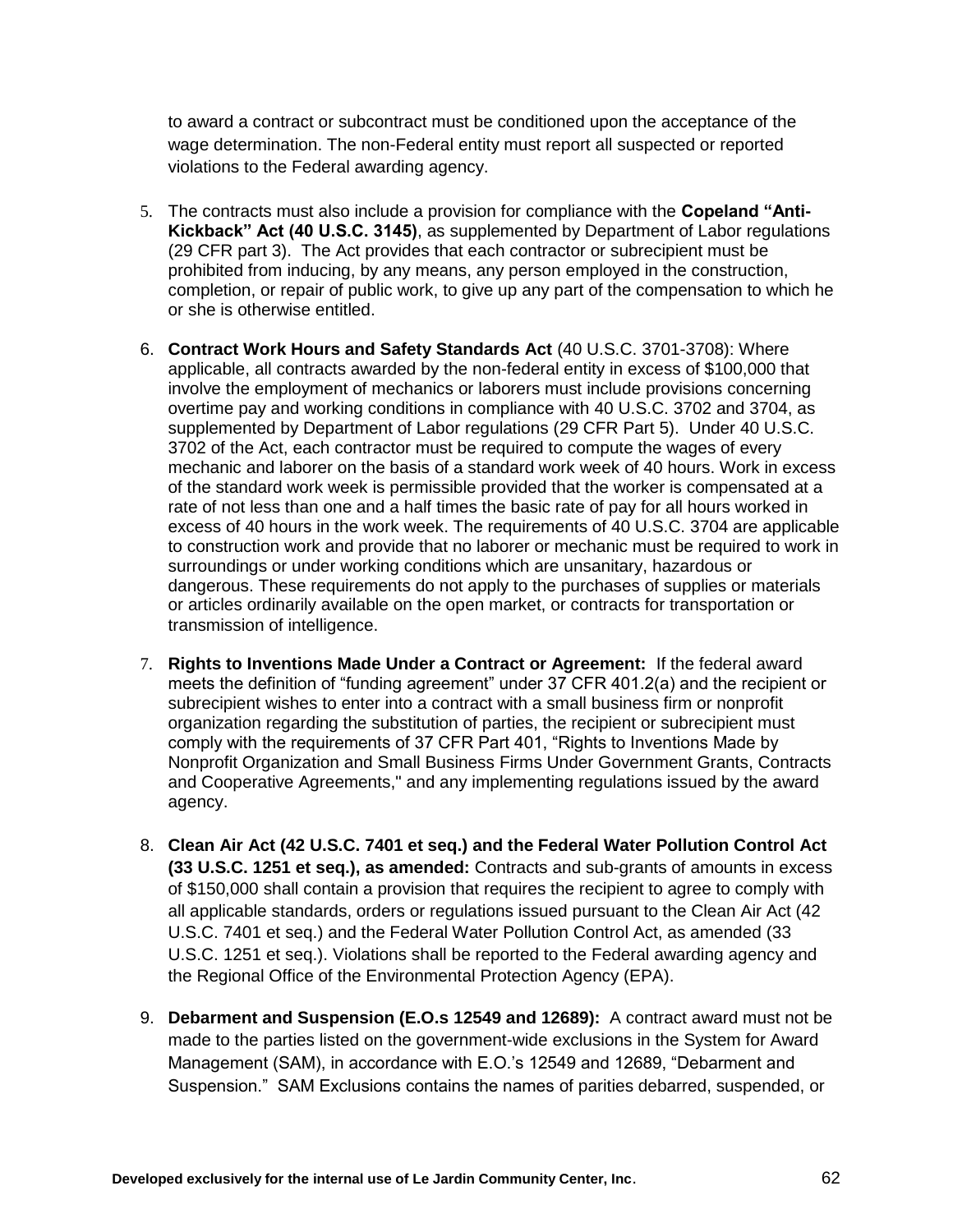to award a contract or subcontract must be conditioned upon the acceptance of the wage determination. The non-Federal entity must report all suspected or reported violations to the Federal awarding agency.

- 5. The contracts must also include a provision for compliance with the **Copeland "Anti-Kickback" Act (40 U.S.C. 3145)**, as supplemented by Department of Labor regulations (29 CFR part 3). The Act provides that each contractor or subrecipient must be prohibited from inducing, by any means, any person employed in the construction, completion, or repair of public work, to give up any part of the compensation to which he or she is otherwise entitled.
- 6. **Contract Work Hours and Safety Standards Act** (40 U.S.C. 3701-3708): Where applicable, all contracts awarded by the non-federal entity in excess of \$100,000 that involve the employment of mechanics or laborers must include provisions concerning overtime pay and working conditions in compliance with [40 U.S.C. 3702](http://api.fdsys.gov/link?collection=uscode&title=40&year=mostrecent§ion=3702&type=usc&link-type=html) and 3704, as supplemented by Department of Labor regulations [\(29 CFR Part 5\)](https://www.federalregister.gov/select-citation/2013/12/26/29-CFR-5). Under 40 U.S.C. 3702 of the Act, each contractor must be required to compute the wages of every mechanic and laborer on the basis of a standard work week of 40 hours. Work in excess of the standard work week is permissible provided that the worker is compensated at a rate of not less than one and a half times the basic rate of pay for all hours worked in excess of 40 hours in the work week. The requirements of 40 U.S.C. 3704 are applicable to construction work and provide that no laborer or mechanic must be required to work in surroundings or under working conditions which are unsanitary, hazardous or dangerous. These requirements do not apply to the purchases of supplies or materials or articles ordinarily available on the open market, or contracts for transportation or transmission of intelligence.
- 7. **Rights to Inventions Made Under a Contract or Agreement:** If the federal award meets the definition of "funding agreement" under 37 CFR 401.2(a) and the recipient or subrecipient wishes to enter into a contract with a small business firm or nonprofit organization regarding the substitution of parties, the recipient or subrecipient must comply with the requirements of 37 CFR Part 401, "Rights to Inventions Made by Nonprofit Organization and Small Business Firms Under Government Grants, Contracts and Cooperative Agreements," and any implementing regulations issued by the award agency.
- 8. **Clean Air Act (42 U.S.C. 7401 et seq.) and the Federal Water Pollution Control Act (33 U.S.C. 1251 et seq.), as amended:** Contracts and sub-grants of amounts in excess of \$150,000 shall contain a provision that requires the recipient to agree to comply with all applicable standards, orders or regulations issued pursuant to the Clean Air Act (42 U.S.C. 7401 et seq.) and the Federal Water Pollution Control Act, as amended (33 U.S.C. 1251 et seq.). Violations shall be reported to the Federal awarding agency and the Regional Office of the Environmental Protection Agency (EPA).
- 9. **Debarment and Suspension (E.O.s 12549 and 12689):** A contract award must not be made to the parties listed on the government-wide exclusions in the System for Award Management (SAM), in accordance with E.O.'s 12549 and 12689, "Debarment and Suspension." SAM Exclusions contains the names of parities debarred, suspended, or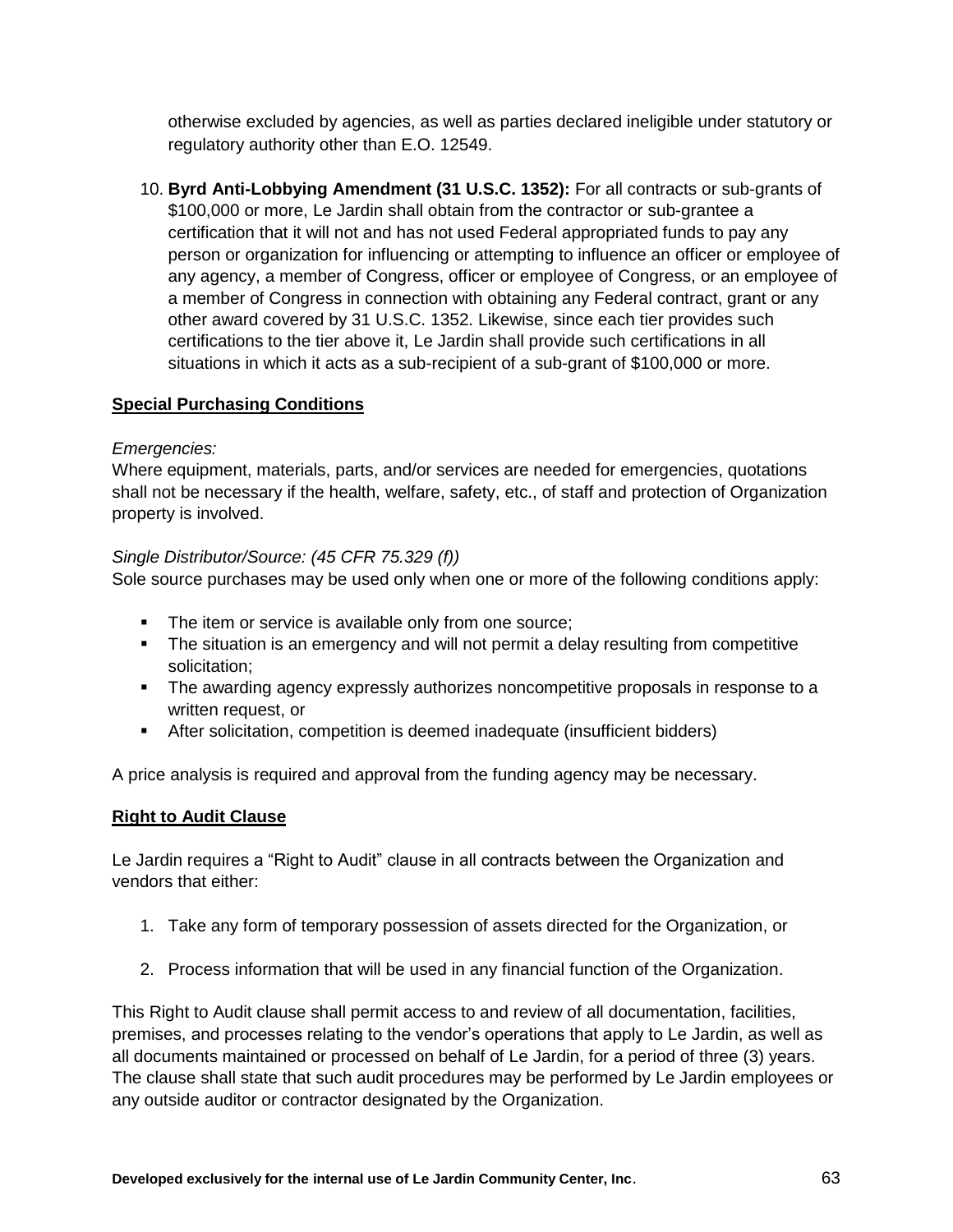otherwise excluded by agencies, as well as parties declared ineligible under statutory or regulatory authority other than E.O. 12549.

10. **Byrd Anti-Lobbying Amendment (31 U.S.C. 1352):** For all contracts or sub-grants of \$100,000 or more, Le Jardin shall obtain from the contractor or sub-grantee a certification that it will not and has not used Federal appropriated funds to pay any person or organization for influencing or attempting to influence an officer or employee of any agency, a member of Congress, officer or employee of Congress, or an employee of a member of Congress in connection with obtaining any Federal contract, grant or any other award covered by 31 U.S.C. 1352. Likewise, since each tier provides such certifications to the tier above it, Le Jardin shall provide such certifications in all situations in which it acts as a sub-recipient of a sub-grant of \$100,000 or more.

## **Special Purchasing Conditions**

#### *Emergencies:*

Where equipment, materials, parts, and/or services are needed for emergencies, quotations shall not be necessary if the health, welfare, safety, etc., of staff and protection of Organization property is involved.

#### *Single Distributor/Source: (45 CFR 75.329 (f))*

Sole source purchases may be used only when one or more of the following conditions apply:

- **The item or service is available only from one source;**
- The situation is an emergency and will not permit a delay resulting from competitive solicitation;
- The awarding agency expressly authorizes noncompetitive proposals in response to a written request, or
- After solicitation, competition is deemed inadequate (insufficient bidders)

A price analysis is required and approval from the funding agency may be necessary.

## **Right to Audit Clause**

Le Jardin requires a "Right to Audit" clause in all contracts between the Organization and vendors that either:

- 1. Take any form of temporary possession of assets directed for the Organization, or
- 2. Process information that will be used in any financial function of the Organization.

This Right to Audit clause shall permit access to and review of all documentation, facilities, premises, and processes relating to the vendor's operations that apply to Le Jardin, as well as all documents maintained or processed on behalf of Le Jardin, for a period of three (3) years. The clause shall state that such audit procedures may be performed by Le Jardin employees or any outside auditor or contractor designated by the Organization.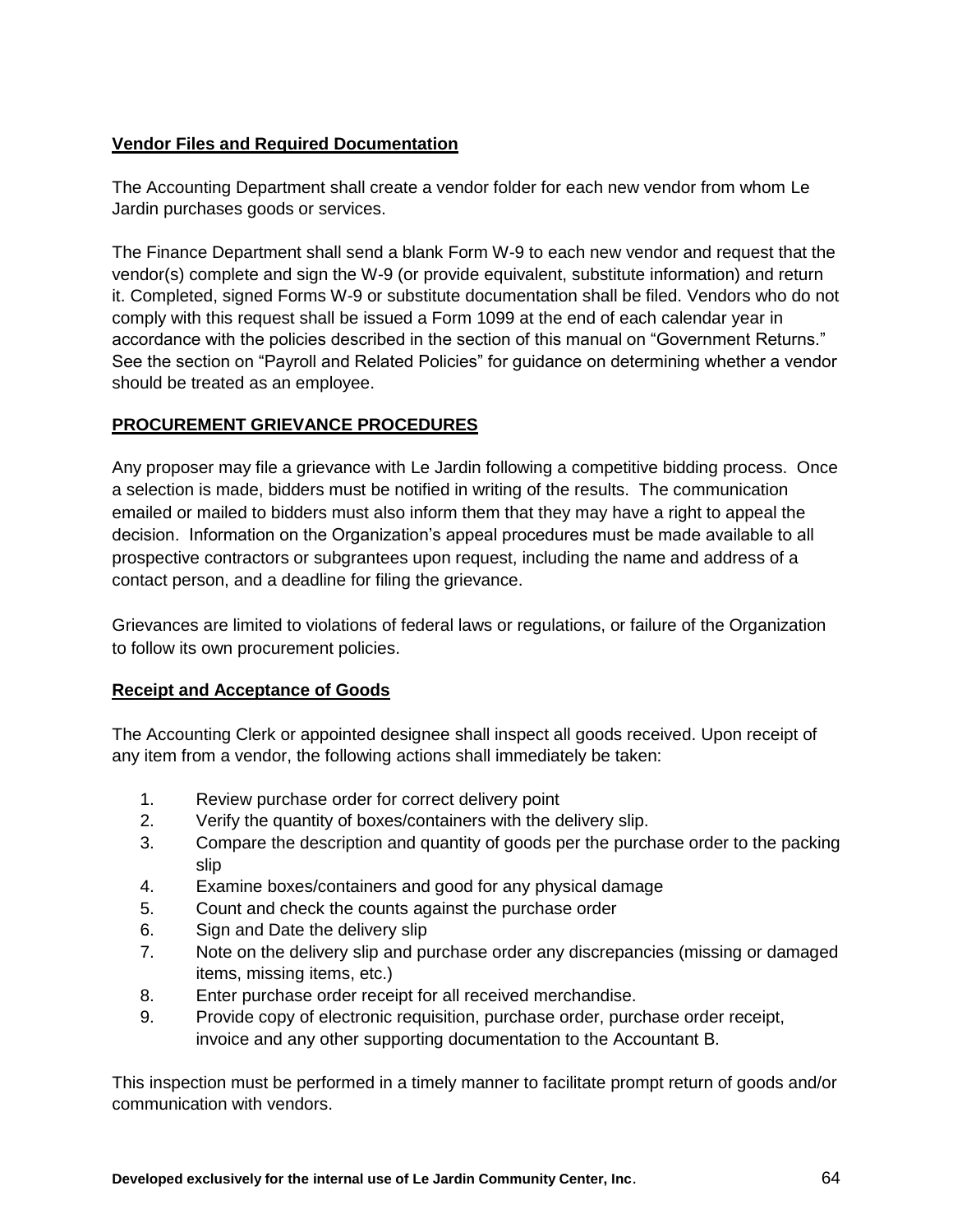## **Vendor Files and Required Documentation**

The Accounting Department shall create a vendor folder for each new vendor from whom Le Jardin purchases goods or services.

The Finance Department shall send a blank Form W-9 to each new vendor and request that the vendor(s) complete and sign the W-9 (or provide equivalent, substitute information) and return it. Completed, signed Forms W-9 or substitute documentation shall be filed. Vendors who do not comply with this request shall be issued a Form 1099 at the end of each calendar year in accordance with the policies described in the section of this manual on "Government Returns." See the section on "Payroll and Related Policies" for guidance on determining whether a vendor should be treated as an employee.

## **PROCUREMENT GRIEVANCE PROCEDURES**

Any proposer may file a grievance with Le Jardin following a competitive bidding process. Once a selection is made, bidders must be notified in writing of the results. The communication emailed or mailed to bidders must also inform them that they may have a right to appeal the decision. Information on the Organization's appeal procedures must be made available to all prospective contractors or subgrantees upon request, including the name and address of a contact person, and a deadline for filing the grievance.

Grievances are limited to violations of federal laws or regulations, or failure of the Organization to follow its own procurement policies.

#### **Receipt and Acceptance of Goods**

The Accounting Clerk or appointed designee shall inspect all goods received. Upon receipt of any item from a vendor, the following actions shall immediately be taken:

- 1. Review purchase order for correct delivery point
- 2. Verify the quantity of boxes/containers with the delivery slip.
- 3. Compare the description and quantity of goods per the purchase order to the packing slip
- 4. Examine boxes/containers and good for any physical damage
- 5. Count and check the counts against the purchase order
- 6. Sign and Date the delivery slip
- 7. Note on the delivery slip and purchase order any discrepancies (missing or damaged items, missing items, etc.)
- 8. Enter purchase order receipt for all received merchandise.
- 9. Provide copy of electronic requisition, purchase order, purchase order receipt, invoice and any other supporting documentation to the Accountant B.

This inspection must be performed in a timely manner to facilitate prompt return of goods and/or communication with vendors.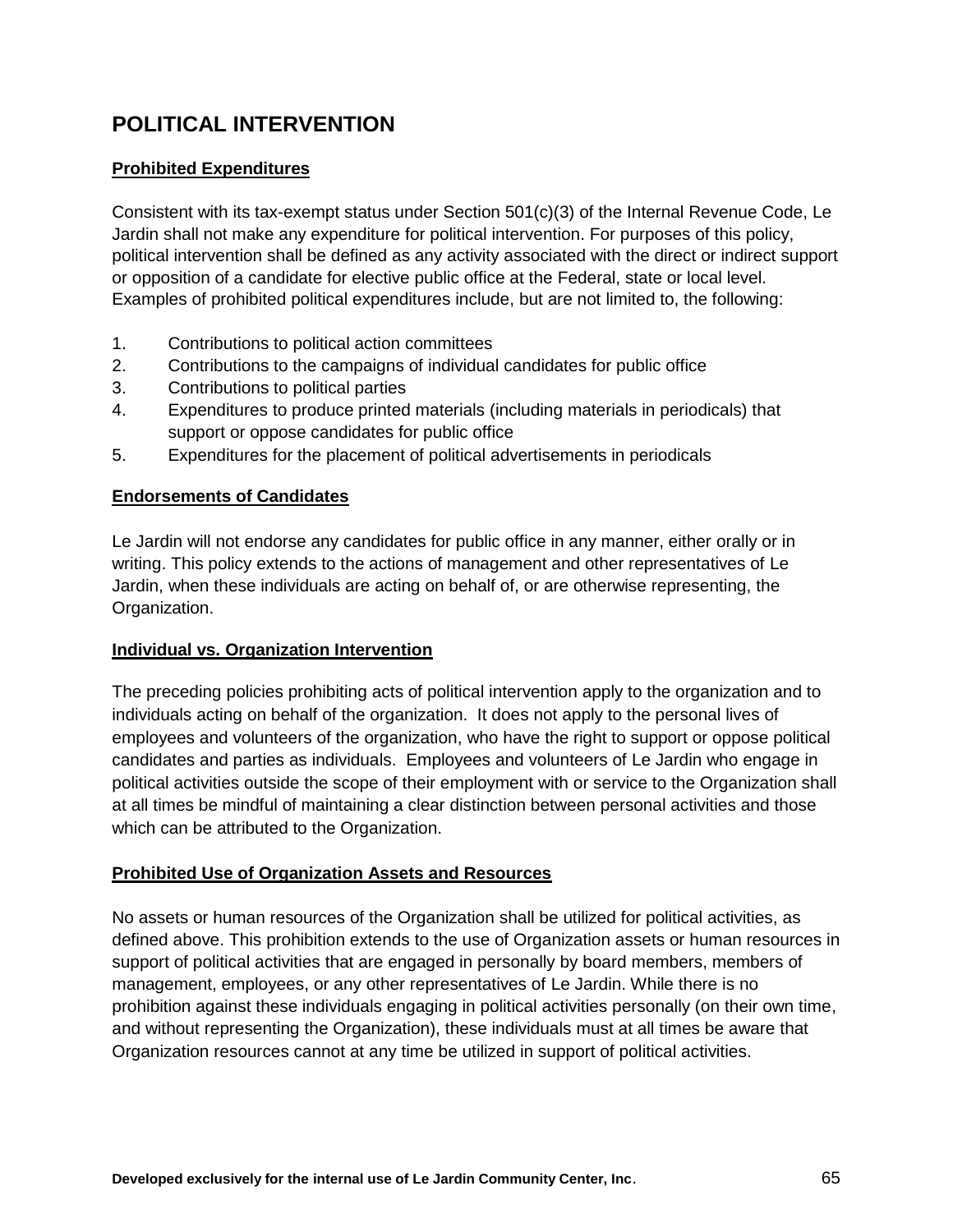# **POLITICAL INTERVENTION**

## **Prohibited Expenditures**

Consistent with its tax-exempt status under Section 501(c)(3) of the Internal Revenue Code, Le Jardin shall not make any expenditure for political intervention. For purposes of this policy, political intervention shall be defined as any activity associated with the direct or indirect support or opposition of a candidate for elective public office at the Federal, state or local level. Examples of prohibited political expenditures include, but are not limited to, the following:

- 1. Contributions to political action committees
- 2. Contributions to the campaigns of individual candidates for public office
- 3. Contributions to political parties
- 4. Expenditures to produce printed materials (including materials in periodicals) that support or oppose candidates for public office
- 5. Expenditures for the placement of political advertisements in periodicals

#### **Endorsements of Candidates**

Le Jardin will not endorse any candidates for public office in any manner, either orally or in writing. This policy extends to the actions of management and other representatives of Le Jardin, when these individuals are acting on behalf of, or are otherwise representing, the Organization.

#### **Individual vs. Organization Intervention**

The preceding policies prohibiting acts of political intervention apply to the organization and to individuals acting on behalf of the organization. It does not apply to the personal lives of employees and volunteers of the organization, who have the right to support or oppose political candidates and parties as individuals. Employees and volunteers of Le Jardin who engage in political activities outside the scope of their employment with or service to the Organization shall at all times be mindful of maintaining a clear distinction between personal activities and those which can be attributed to the Organization.

#### **Prohibited Use of Organization Assets and Resources**

No assets or human resources of the Organization shall be utilized for political activities, as defined above. This prohibition extends to the use of Organization assets or human resources in support of political activities that are engaged in personally by board members, members of management, employees, or any other representatives of Le Jardin. While there is no prohibition against these individuals engaging in political activities personally (on their own time, and without representing the Organization), these individuals must at all times be aware that Organization resources cannot at any time be utilized in support of political activities.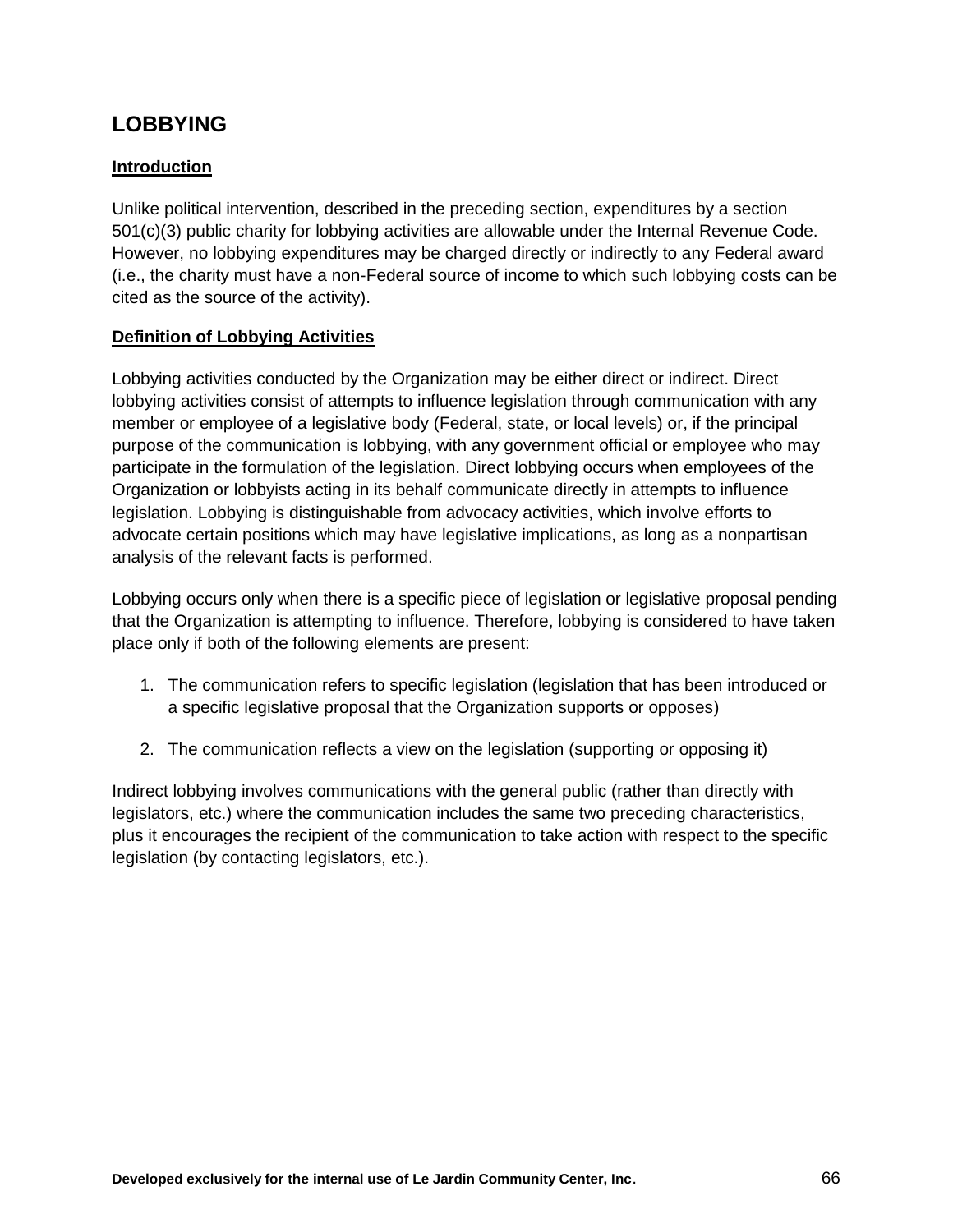## **LOBBYING**

## **Introduction**

Unlike political intervention, described in the preceding section, expenditures by a section 501(c)(3) public charity for lobbying activities are allowable under the Internal Revenue Code. However, no lobbying expenditures may be charged directly or indirectly to any Federal award (i.e., the charity must have a non-Federal source of income to which such lobbying costs can be cited as the source of the activity).

## **Definition of Lobbying Activities**

Lobbying activities conducted by the Organization may be either direct or indirect. Direct lobbying activities consist of attempts to influence legislation through communication with any member or employee of a legislative body (Federal, state, or local levels) or, if the principal purpose of the communication is lobbying, with any government official or employee who may participate in the formulation of the legislation. Direct lobbying occurs when employees of the Organization or lobbyists acting in its behalf communicate directly in attempts to influence legislation. Lobbying is distinguishable from advocacy activities, which involve efforts to advocate certain positions which may have legislative implications, as long as a nonpartisan analysis of the relevant facts is performed.

Lobbying occurs only when there is a specific piece of legislation or legislative proposal pending that the Organization is attempting to influence. Therefore, lobbying is considered to have taken place only if both of the following elements are present:

- 1. The communication refers to specific legislation (legislation that has been introduced or a specific legislative proposal that the Organization supports or opposes)
- 2. The communication reflects a view on the legislation (supporting or opposing it)

Indirect lobbying involves communications with the general public (rather than directly with legislators, etc.) where the communication includes the same two preceding characteristics, plus it encourages the recipient of the communication to take action with respect to the specific legislation (by contacting legislators, etc.).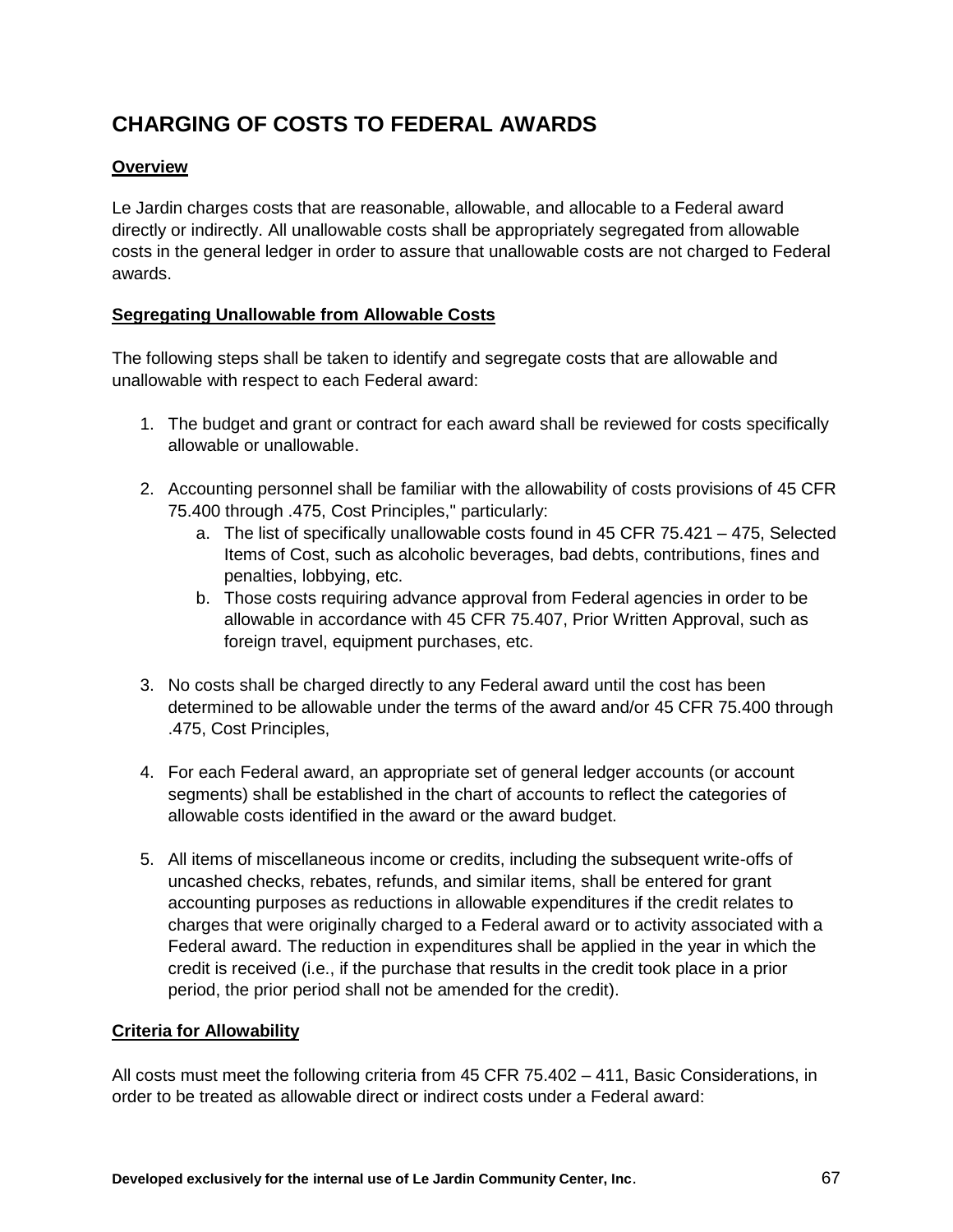# **CHARGING OF COSTS TO FEDERAL AWARDS**

## **Overview**

Le Jardin charges costs that are reasonable, allowable, and allocable to a Federal award directly or indirectly. All unallowable costs shall be appropriately segregated from allowable costs in the general ledger in order to assure that unallowable costs are not charged to Federal awards.

## **Segregating Unallowable from Allowable Costs**

The following steps shall be taken to identify and segregate costs that are allowable and unallowable with respect to each Federal award:

- 1. The budget and grant or contract for each award shall be reviewed for costs specifically allowable or unallowable.
- 2. Accounting personnel shall be familiar with the allowability of costs provisions of 45 CFR 75.400 through .475, Cost Principles," particularly:
	- a. The list of specifically unallowable costs found in 45 CFR 75.421 475, Selected Items of Cost, such as alcoholic beverages, bad debts, contributions, fines and penalties, lobbying, etc.
	- b. Those costs requiring advance approval from Federal agencies in order to be allowable in accordance with 45 CFR 75.407, Prior Written Approval, such as foreign travel, equipment purchases, etc.
- 3. No costs shall be charged directly to any Federal award until the cost has been determined to be allowable under the terms of the award and/or 45 CFR 75.400 through .475, Cost Principles,
- 4. For each Federal award, an appropriate set of general ledger accounts (or account segments) shall be established in the chart of accounts to reflect the categories of allowable costs identified in the award or the award budget.
- 5. All items of miscellaneous income or credits, including the subsequent write-offs of uncashed checks, rebates, refunds, and similar items, shall be entered for grant accounting purposes as reductions in allowable expenditures if the credit relates to charges that were originally charged to a Federal award or to activity associated with a Federal award. The reduction in expenditures shall be applied in the year in which the credit is received (i.e., if the purchase that results in the credit took place in a prior period, the prior period shall not be amended for the credit).

#### **Criteria for Allowability**

All costs must meet the following criteria from 45 CFR 75.402 – 411, Basic Considerations, in order to be treated as allowable direct or indirect costs under a Federal award: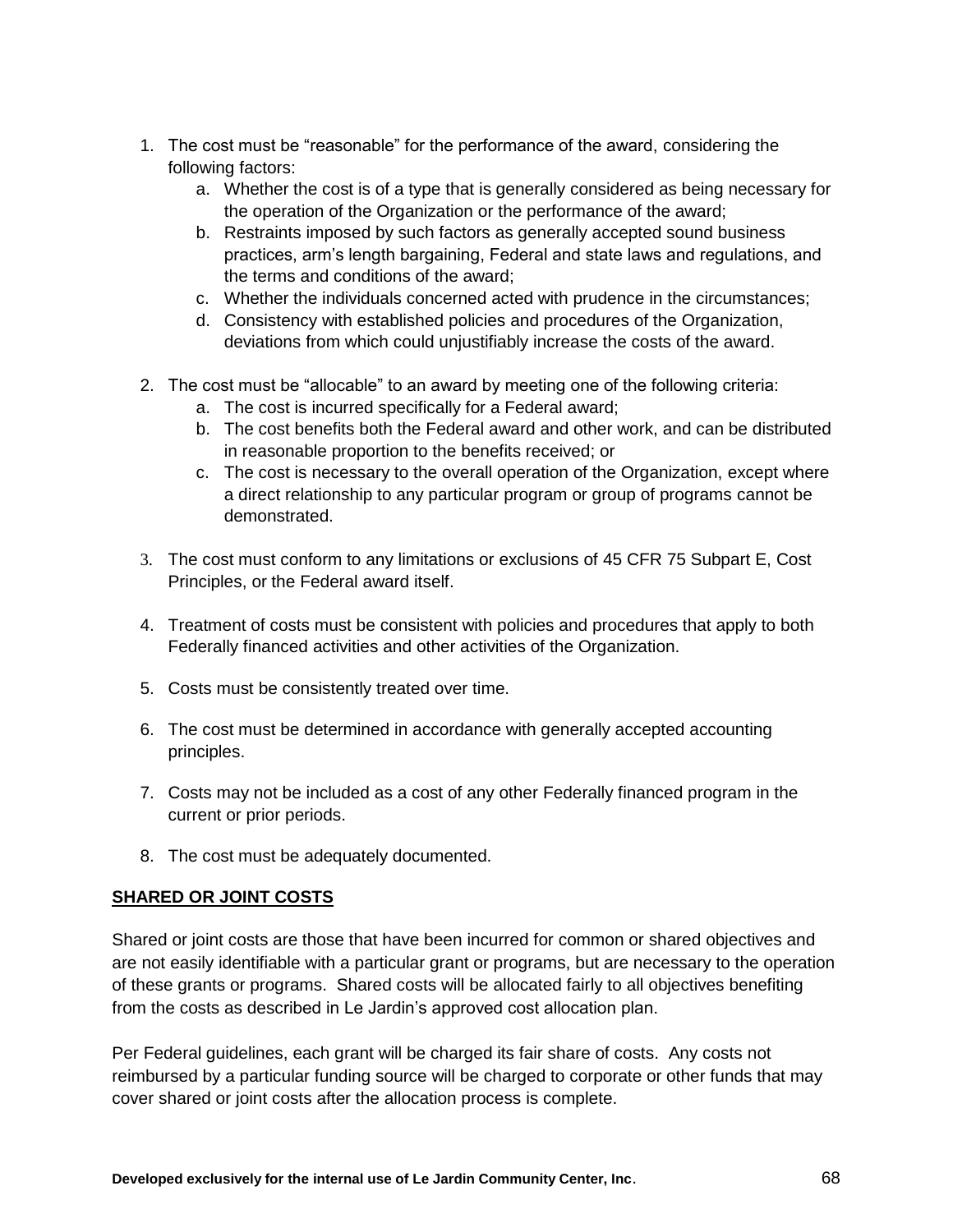- 1. The cost must be "reasonable" for the performance of the award, considering the following factors:
	- a. Whether the cost is of a type that is generally considered as being necessary for the operation of the Organization or the performance of the award;
	- b. Restraints imposed by such factors as generally accepted sound business practices, arm's length bargaining, Federal and state laws and regulations, and the terms and conditions of the award;
	- c. Whether the individuals concerned acted with prudence in the circumstances;
	- d. Consistency with established policies and procedures of the Organization, deviations from which could unjustifiably increase the costs of the award.
- 2. The cost must be "allocable" to an award by meeting one of the following criteria:
	- a. The cost is incurred specifically for a Federal award;
	- b. The cost benefits both the Federal award and other work, and can be distributed in reasonable proportion to the benefits received; or
	- c. The cost is necessary to the overall operation of the Organization, except where a direct relationship to any particular program or group of programs cannot be demonstrated.
- 3. The cost must conform to any limitations or exclusions of 45 CFR 75 Subpart E, Cost Principles, or the Federal award itself.
- 4. Treatment of costs must be consistent with policies and procedures that apply to both Federally financed activities and other activities of the Organization.
- 5. Costs must be consistently treated over time.
- 6. The cost must be determined in accordance with generally accepted accounting principles.
- 7. Costs may not be included as a cost of any other Federally financed program in the current or prior periods.
- 8. The cost must be adequately documented.

#### **SHARED OR JOINT COSTS**

Shared or joint costs are those that have been incurred for common or shared objectives and are not easily identifiable with a particular grant or programs, but are necessary to the operation of these grants or programs. Shared costs will be allocated fairly to all objectives benefiting from the costs as described in Le Jardin's approved cost allocation plan.

Per Federal guidelines, each grant will be charged its fair share of costs. Any costs not reimbursed by a particular funding source will be charged to corporate or other funds that may cover shared or joint costs after the allocation process is complete.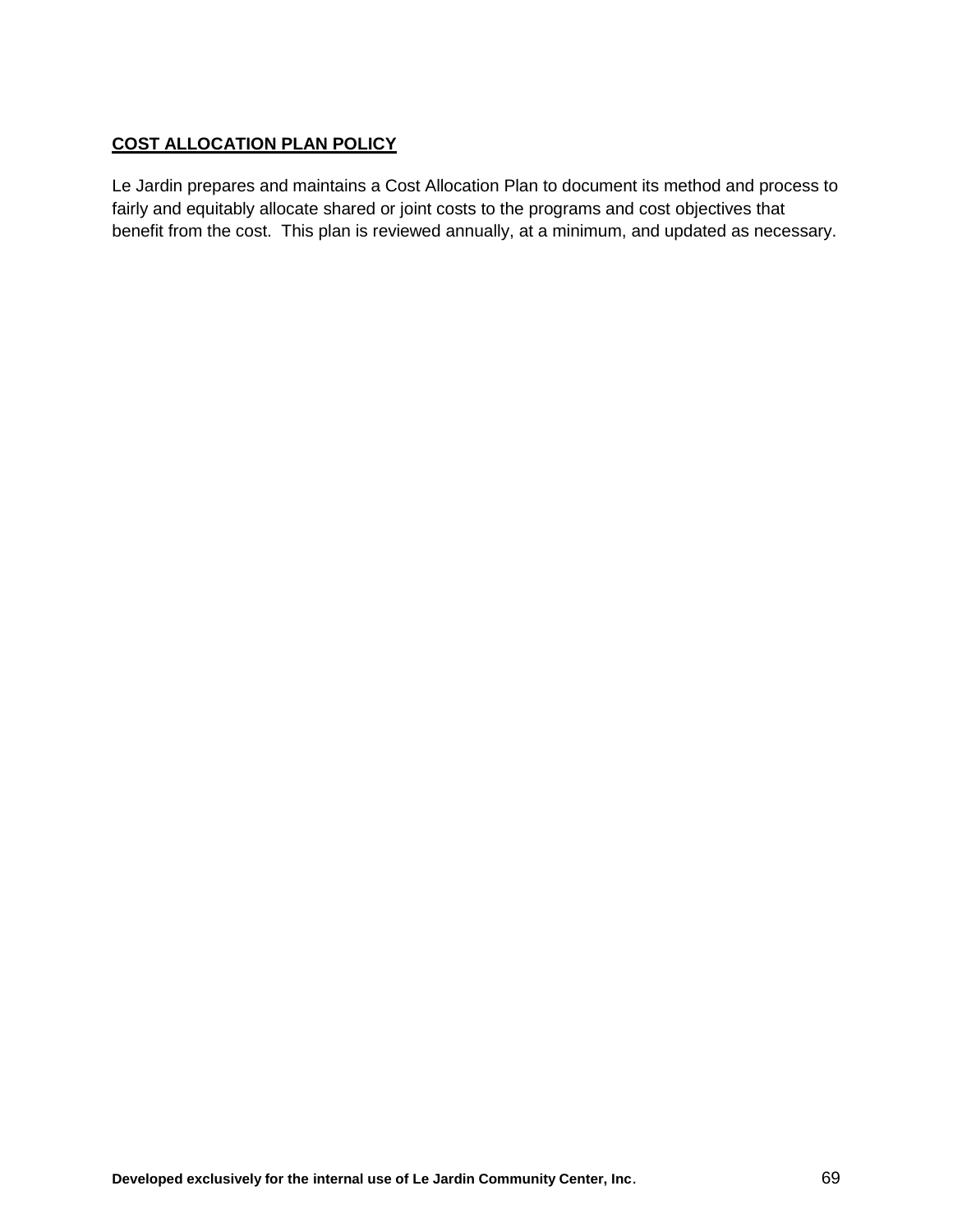## **COST ALLOCATION PLAN POLICY**

Le Jardin prepares and maintains a Cost Allocation Plan to document its method and process to fairly and equitably allocate shared or joint costs to the programs and cost objectives that benefit from the cost. This plan is reviewed annually, at a minimum, and updated as necessary.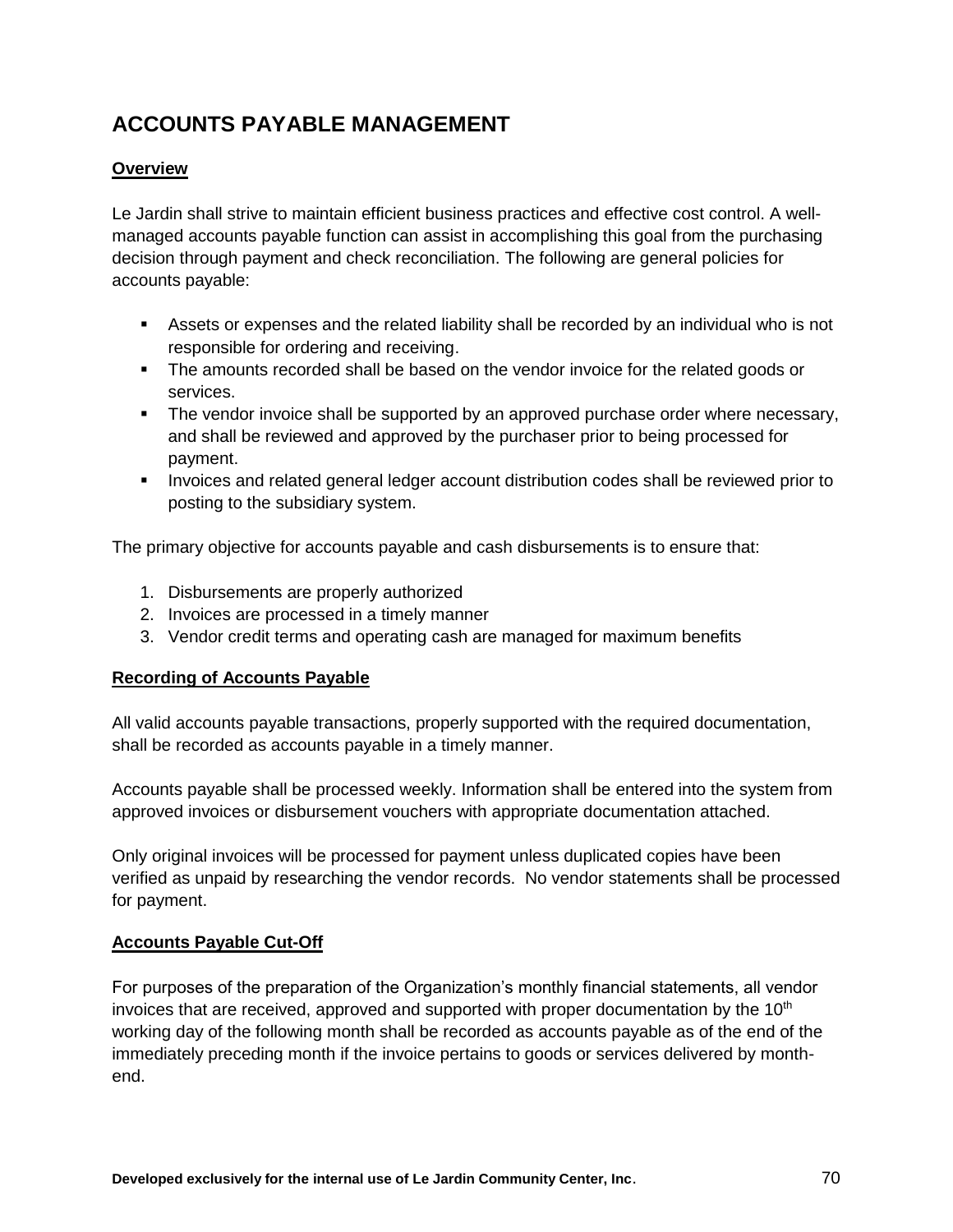# **ACCOUNTS PAYABLE MANAGEMENT**

## **Overview**

Le Jardin shall strive to maintain efficient business practices and effective cost control. A wellmanaged accounts payable function can assist in accomplishing this goal from the purchasing decision through payment and check reconciliation. The following are general policies for accounts payable:

- Assets or expenses and the related liability shall be recorded by an individual who is not responsible for ordering and receiving.
- The amounts recorded shall be based on the vendor invoice for the related goods or services.
- The vendor invoice shall be supported by an approved purchase order where necessary, and shall be reviewed and approved by the purchaser prior to being processed for payment.
- **Invoices and related general ledger account distribution codes shall be reviewed prior to** posting to the subsidiary system.

The primary objective for accounts payable and cash disbursements is to ensure that:

- 1. Disbursements are properly authorized
- 2. Invoices are processed in a timely manner
- 3. Vendor credit terms and operating cash are managed for maximum benefits

#### **Recording of Accounts Payable**

All valid accounts payable transactions, properly supported with the required documentation, shall be recorded as accounts payable in a timely manner.

Accounts payable shall be processed weekly. Information shall be entered into the system from approved invoices or disbursement vouchers with appropriate documentation attached.

Only original invoices will be processed for payment unless duplicated copies have been verified as unpaid by researching the vendor records. No vendor statements shall be processed for payment.

#### **Accounts Payable Cut-Off**

For purposes of the preparation of the Organization's monthly financial statements, all vendor invoices that are received, approved and supported with proper documentation by the  $10<sup>th</sup>$ working day of the following month shall be recorded as accounts payable as of the end of the immediately preceding month if the invoice pertains to goods or services delivered by monthend.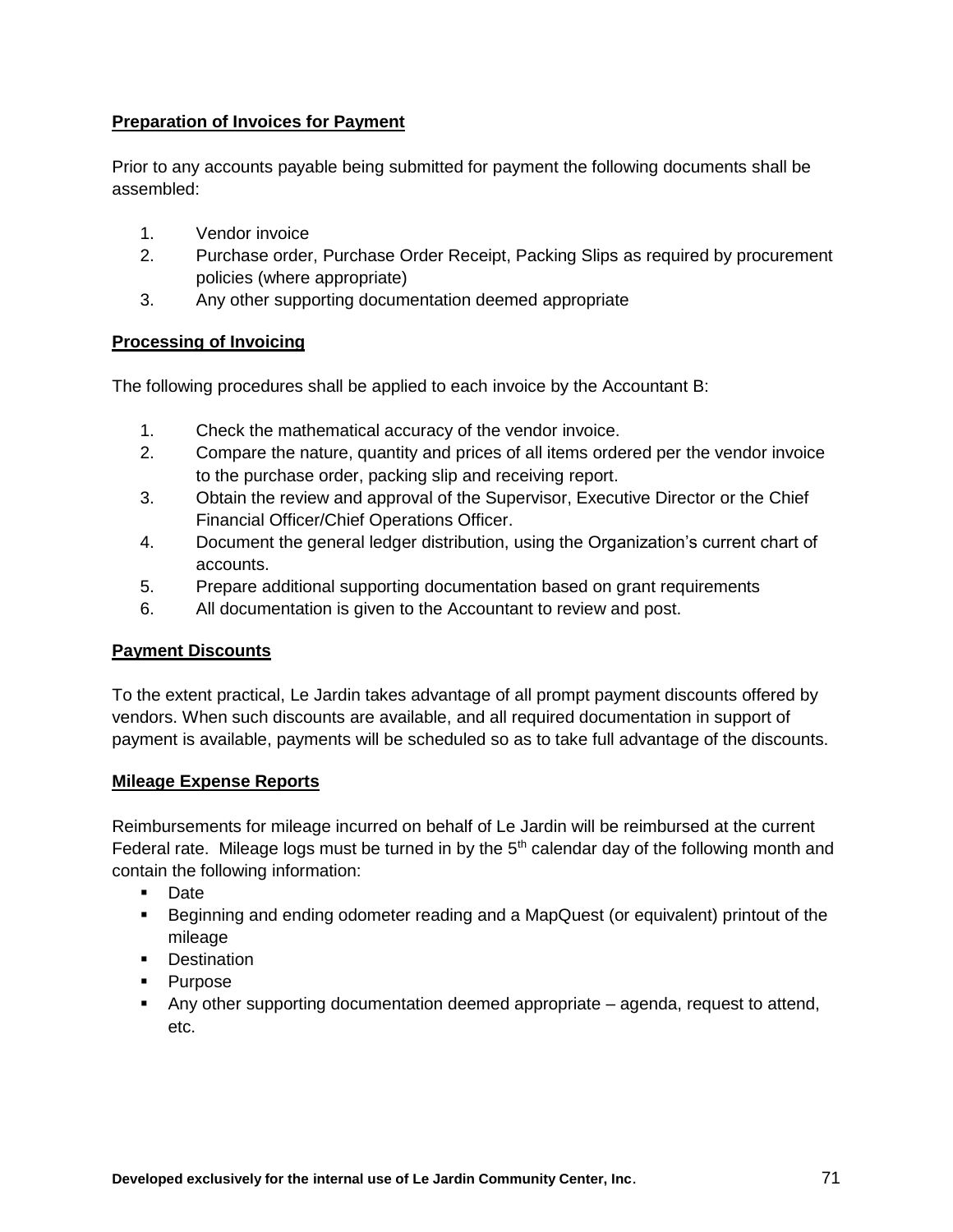## **Preparation of Invoices for Payment**

Prior to any accounts payable being submitted for payment the following documents shall be assembled:

- 1. Vendor invoice
- 2. Purchase order, Purchase Order Receipt, Packing Slips as required by procurement policies (where appropriate)
- 3. Any other supporting documentation deemed appropriate

## **Processing of Invoicing**

The following procedures shall be applied to each invoice by the Accountant B:

- 1. Check the mathematical accuracy of the vendor invoice.
- 2. Compare the nature, quantity and prices of all items ordered per the vendor invoice to the purchase order, packing slip and receiving report.
- 3. Obtain the review and approval of the Supervisor, Executive Director or the Chief Financial Officer/Chief Operations Officer.
- 4. Document the general ledger distribution, using the Organization's current chart of accounts.
- 5. Prepare additional supporting documentation based on grant requirements
- 6. All documentation is given to the Accountant to review and post.

#### **Payment Discounts**

To the extent practical, Le Jardin takes advantage of all prompt payment discounts offered by vendors. When such discounts are available, and all required documentation in support of payment is available, payments will be scheduled so as to take full advantage of the discounts.

#### **Mileage Expense Reports**

Reimbursements for mileage incurred on behalf of Le Jardin will be reimbursed at the current Federal rate. Mileage logs must be turned in by the  $5<sup>th</sup>$  calendar day of the following month and contain the following information:

- **Date**
- Beginning and ending odometer reading and a MapQuest (or equivalent) printout of the mileage
- **Destination**
- Purpose
- Any other supporting documentation deemed appropriate agenda, request to attend, etc.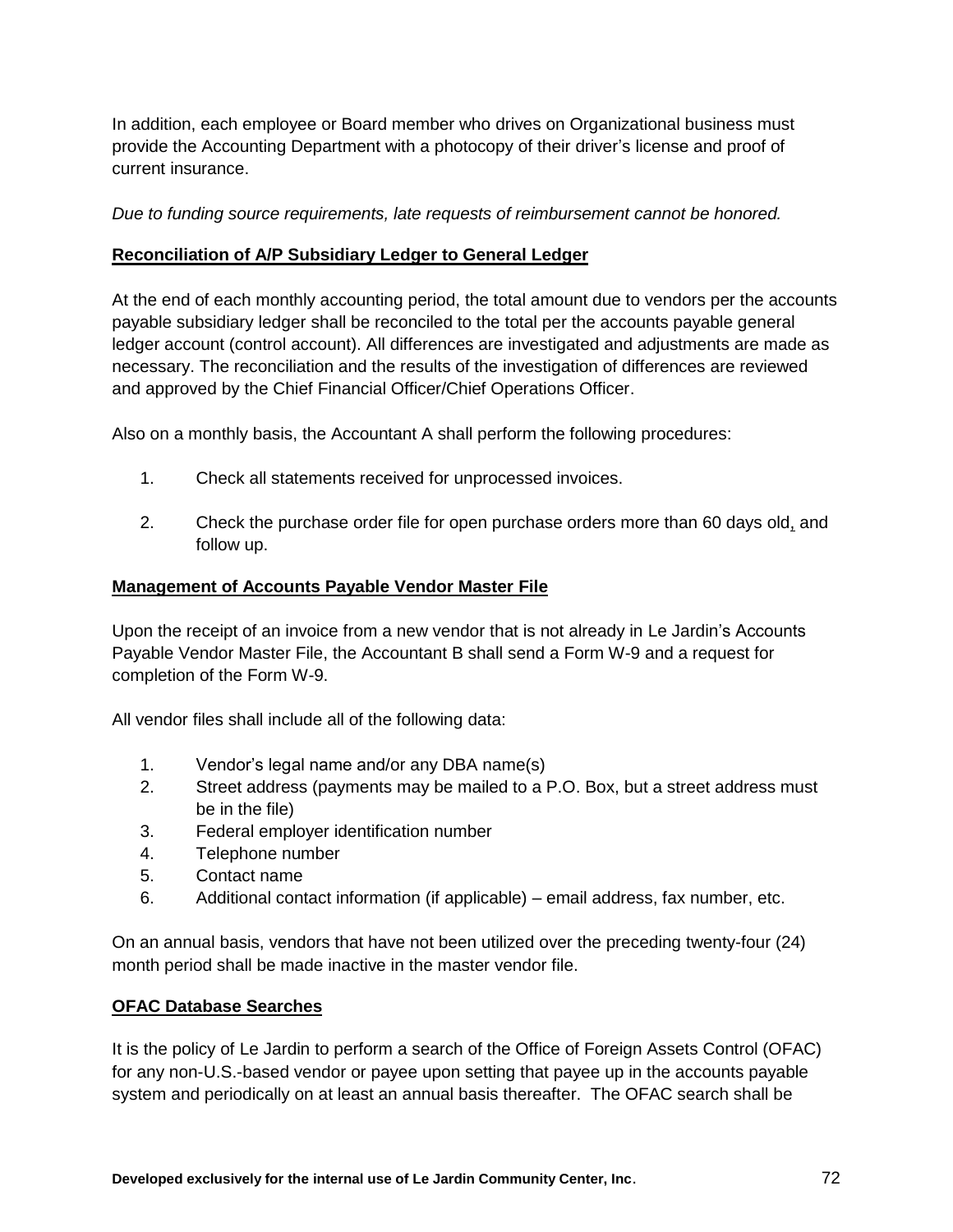In addition, each employee or Board member who drives on Organizational business must provide the Accounting Department with a photocopy of their driver's license and proof of current insurance.

*Due to funding source requirements, late requests of reimbursement cannot be honored.*

#### **Reconciliation of A/P Subsidiary Ledger to General Ledger**

At the end of each monthly accounting period, the total amount due to vendors per the accounts payable subsidiary ledger shall be reconciled to the total per the accounts payable general ledger account (control account). All differences are investigated and adjustments are made as necessary. The reconciliation and the results of the investigation of differences are reviewed and approved by the Chief Financial Officer/Chief Operations Officer.

Also on a monthly basis, the Accountant A shall perform the following procedures:

- 1. Check all statements received for unprocessed invoices.
- 2. Check the purchase order file for open purchase orders more than 60 days old, and follow up.

#### **Management of Accounts Payable Vendor Master File**

Upon the receipt of an invoice from a new vendor that is not already in Le Jardin's Accounts Payable Vendor Master File, the Accountant B shall send a Form W-9 and a request for completion of the Form W-9.

All vendor files shall include all of the following data:

- 1. Vendor's legal name and/or any DBA name(s)
- 2. Street address (payments may be mailed to a P.O. Box, but a street address must be in the file)
- 3. Federal employer identification number
- 4. Telephone number
- 5. Contact name
- 6. Additional contact information (if applicable) email address, fax number, etc.

On an annual basis, vendors that have not been utilized over the preceding twenty-four (24) month period shall be made inactive in the master vendor file.

## **OFAC Database Searches**

It is the policy of Le Jardin to perform a search of the Office of Foreign Assets Control (OFAC) for any non-U.S.-based vendor or payee upon setting that payee up in the accounts payable system and periodically on at least an annual basis thereafter. The OFAC search shall be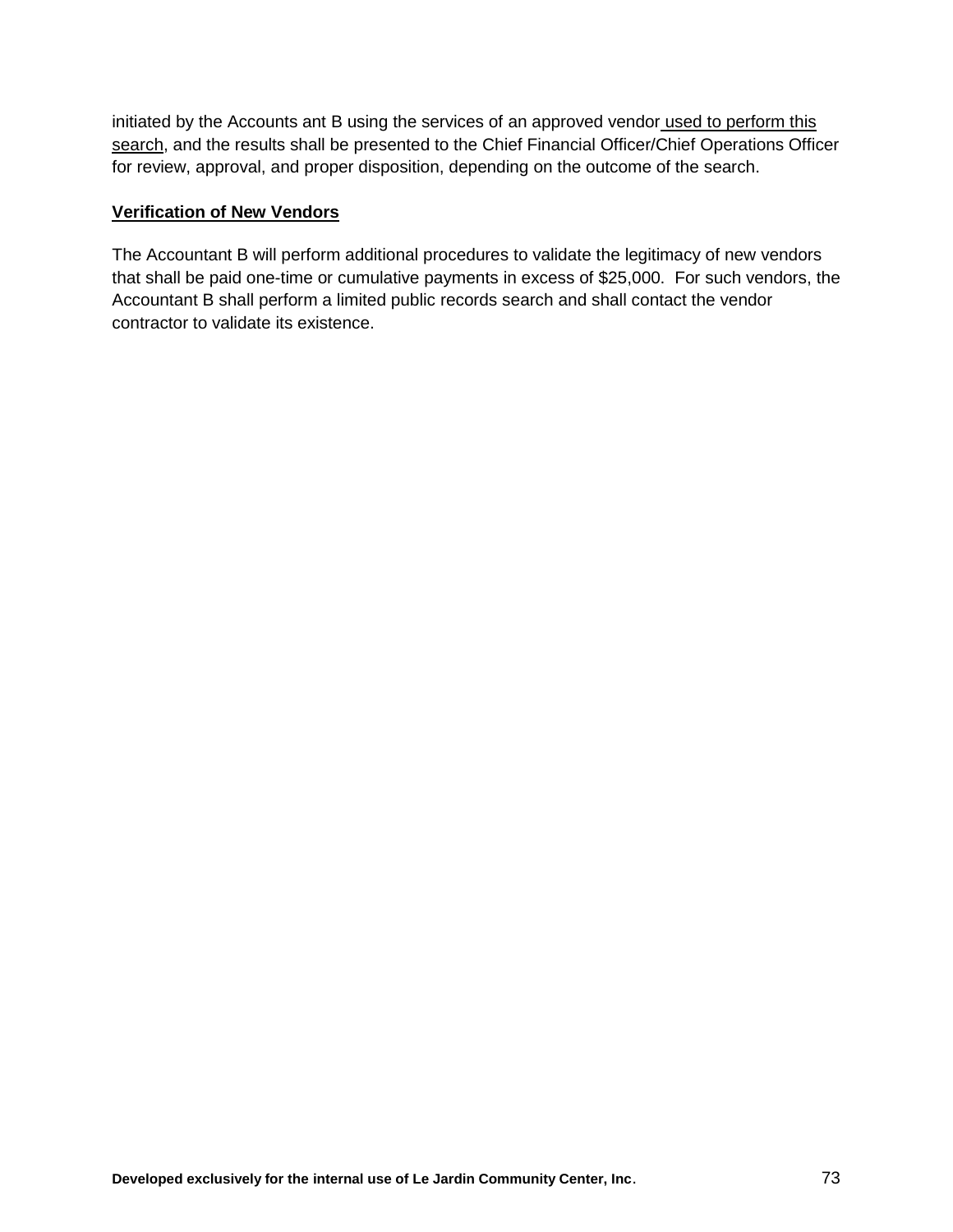initiated by the Accounts ant B using the services of an approved vendor used to perform this search, and the results shall be presented to the Chief Financial Officer/Chief Operations Officer for review, approval, and proper disposition, depending on the outcome of the search.

## **Verification of New Vendors**

The Accountant B will perform additional procedures to validate the legitimacy of new vendors that shall be paid one-time or cumulative payments in excess of \$25,000. For such vendors, the Accountant B shall perform a limited public records search and shall contact the vendor contractor to validate its existence.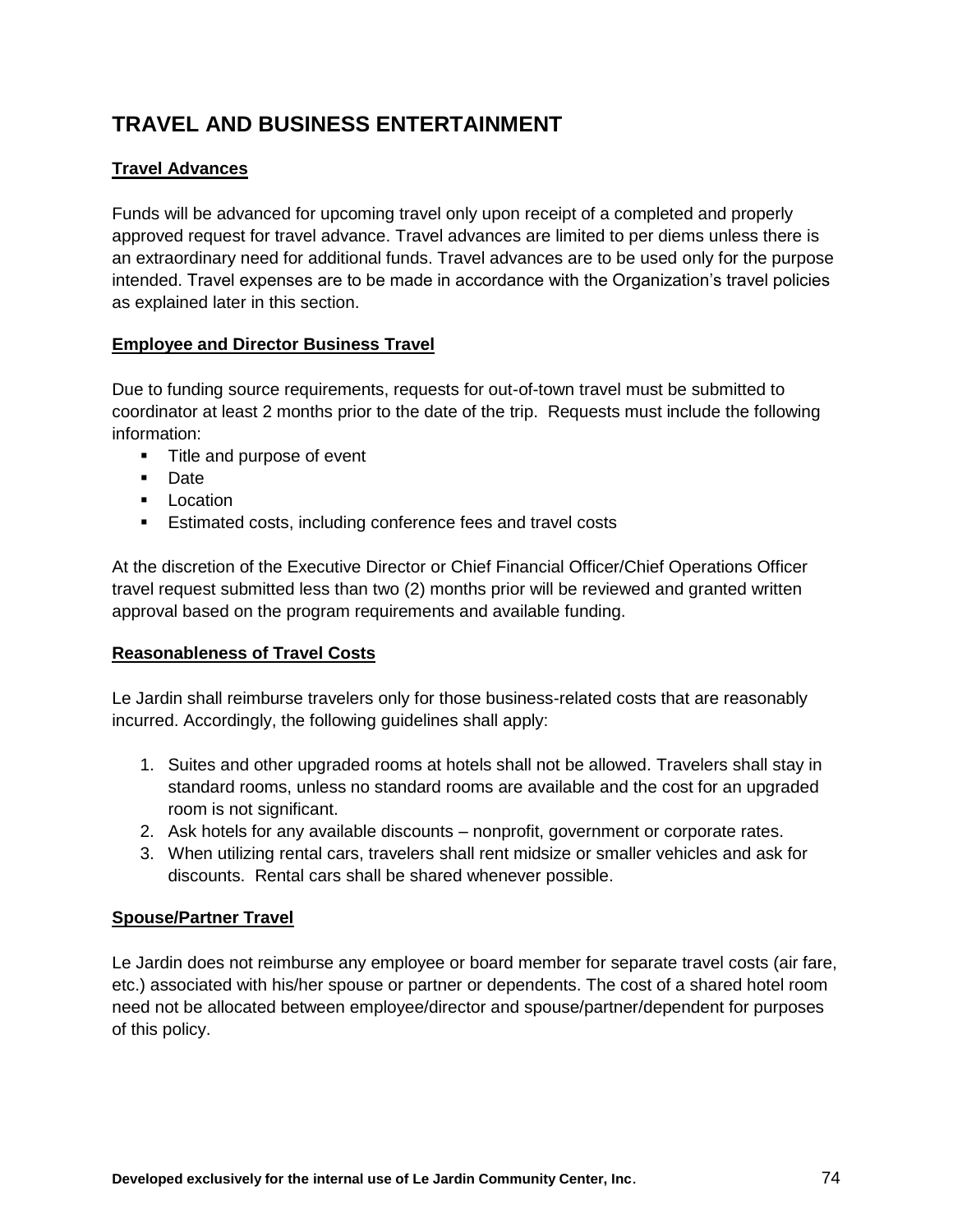# **TRAVEL AND BUSINESS ENTERTAINMENT**

# **Travel Advances**

Funds will be advanced for upcoming travel only upon receipt of a completed and properly approved request for travel advance. Travel advances are limited to per diems unless there is an extraordinary need for additional funds. Travel advances are to be used only for the purpose intended. Travel expenses are to be made in accordance with the Organization's travel policies as explained later in this section.

# **Employee and Director Business Travel**

Due to funding source requirements, requests for out-of-town travel must be submitted to coordinator at least 2 months prior to the date of the trip. Requests must include the following information:

- Title and purpose of event
- **Date**
- **Location**
- **Estimated costs, including conference fees and travel costs**

At the discretion of the Executive Director or Chief Financial Officer/Chief Operations Officer travel request submitted less than two (2) months prior will be reviewed and granted written approval based on the program requirements and available funding.

## **Reasonableness of Travel Costs**

Le Jardin shall reimburse travelers only for those business-related costs that are reasonably incurred. Accordingly, the following guidelines shall apply:

- 1. Suites and other upgraded rooms at hotels shall not be allowed. Travelers shall stay in standard rooms, unless no standard rooms are available and the cost for an upgraded room is not significant.
- 2. Ask hotels for any available discounts nonprofit, government or corporate rates.
- 3. When utilizing rental cars, travelers shall rent midsize or smaller vehicles and ask for discounts. Rental cars shall be shared whenever possible.

## **Spouse/Partner Travel**

Le Jardin does not reimburse any employee or board member for separate travel costs (air fare, etc.) associated with his/her spouse or partner or dependents. The cost of a shared hotel room need not be allocated between employee/director and spouse/partner/dependent for purposes of this policy.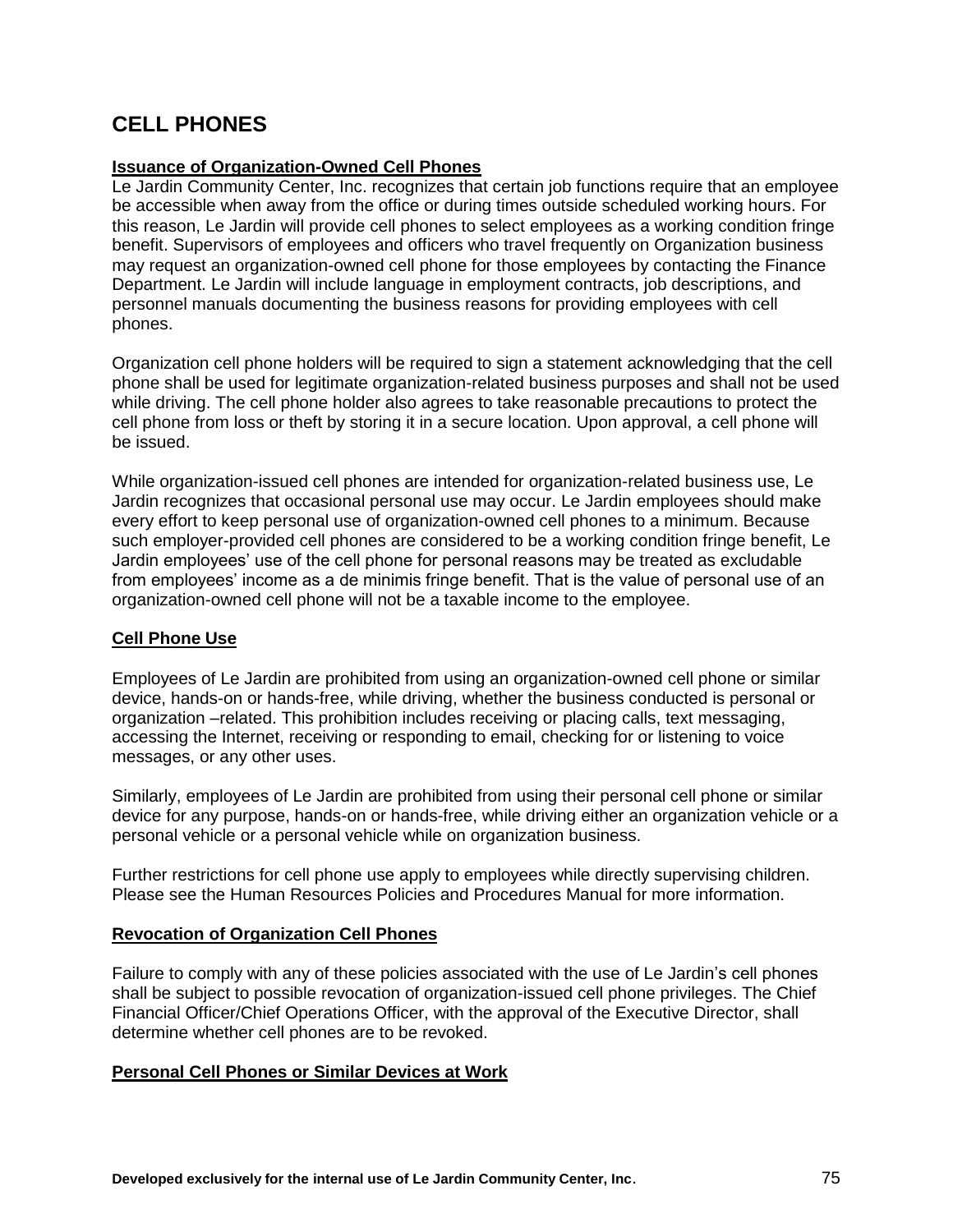# **CELL PHONES**

## **Issuance of Organization-Owned Cell Phones**

Le Jardin Community Center, Inc. recognizes that certain job functions require that an employee be accessible when away from the office or during times outside scheduled working hours. For this reason, Le Jardin will provide cell phones to select employees as a working condition fringe benefit. Supervisors of employees and officers who travel frequently on Organization business may request an organization-owned cell phone for those employees by contacting the Finance Department. Le Jardin will include language in employment contracts, job descriptions, and personnel manuals documenting the business reasons for providing employees with cell phones.

Organization cell phone holders will be required to sign a statement acknowledging that the cell phone shall be used for legitimate organization-related business purposes and shall not be used while driving. The cell phone holder also agrees to take reasonable precautions to protect the cell phone from loss or theft by storing it in a secure location. Upon approval, a cell phone will be issued.

While organization-issued cell phones are intended for organization-related business use, Le Jardin recognizes that occasional personal use may occur. Le Jardin employees should make every effort to keep personal use of organization-owned cell phones to a minimum. Because such employer-provided cell phones are considered to be a working condition fringe benefit, Le Jardin employees' use of the cell phone for personal reasons may be treated as excludable from employees' income as a de minimis fringe benefit. That is the value of personal use of an organization-owned cell phone will not be a taxable income to the employee.

## **Cell Phone Use**

Employees of Le Jardin are prohibited from using an organization-owned cell phone or similar device, hands-on or hands-free, while driving, whether the business conducted is personal or organization –related. This prohibition includes receiving or placing calls, text messaging, accessing the Internet, receiving or responding to email, checking for or listening to voice messages, or any other uses.

Similarly, employees of Le Jardin are prohibited from using their personal cell phone or similar device for any purpose, hands-on or hands-free, while driving either an organization vehicle or a personal vehicle or a personal vehicle while on organization business.

Further restrictions for cell phone use apply to employees while directly supervising children. Please see the Human Resources Policies and Procedures Manual for more information.

#### **Revocation of Organization Cell Phones**

Failure to comply with any of these policies associated with the use of Le Jardin's cell phones shall be subject to possible revocation of organization-issued cell phone privileges. The Chief Financial Officer/Chief Operations Officer, with the approval of the Executive Director, shall determine whether cell phones are to be revoked.

## **Personal Cell Phones or Similar Devices at Work**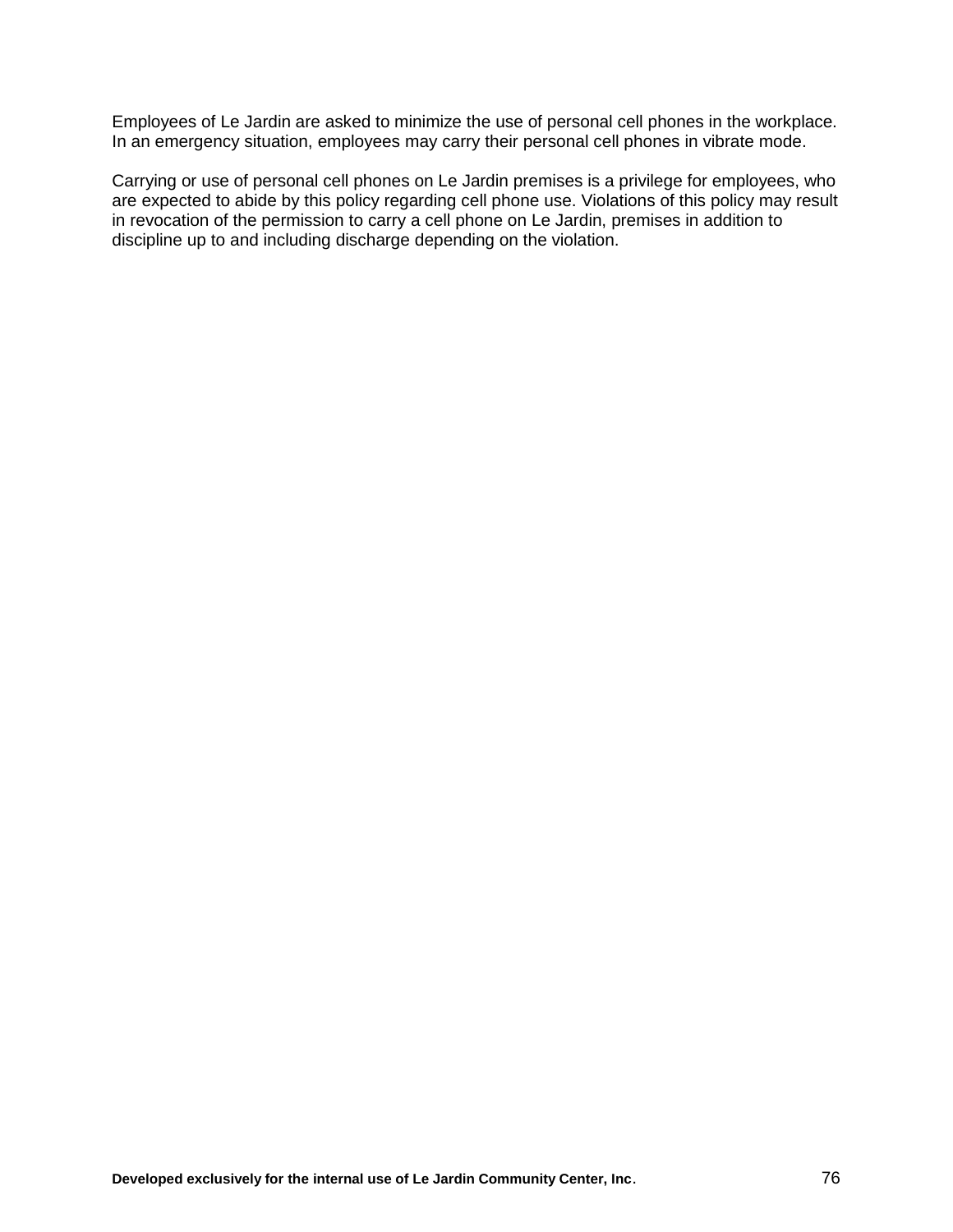Employees of Le Jardin are asked to minimize the use of personal cell phones in the workplace. In an emergency situation, employees may carry their personal cell phones in vibrate mode.

Carrying or use of personal cell phones on Le Jardin premises is a privilege for employees, who are expected to abide by this policy regarding cell phone use. Violations of this policy may result in revocation of the permission to carry a cell phone on Le Jardin, premises in addition to discipline up to and including discharge depending on the violation.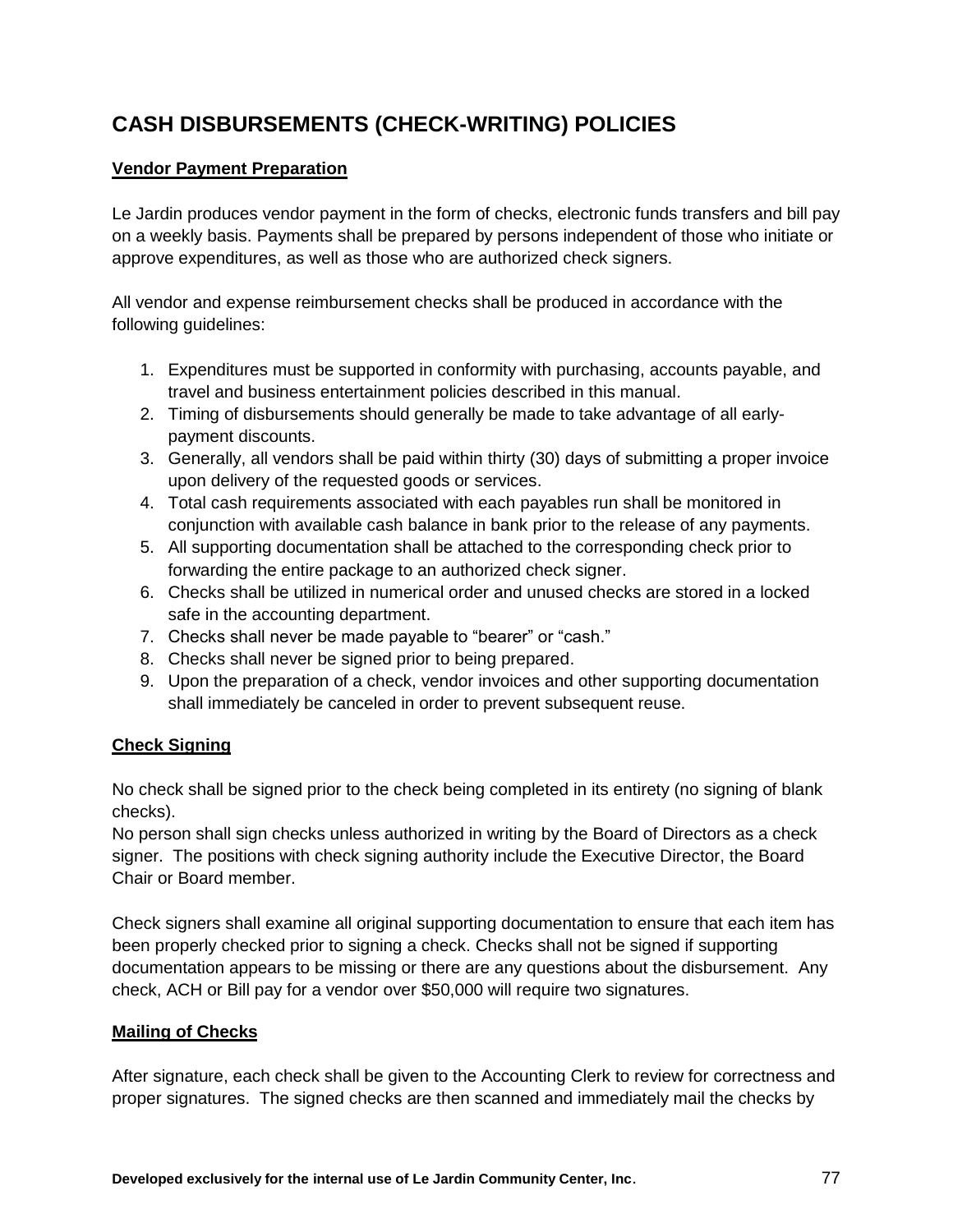# **CASH DISBURSEMENTS (CHECK-WRITING) POLICIES**

# **Vendor Payment Preparation**

Le Jardin produces vendor payment in the form of checks, electronic funds transfers and bill pay on a weekly basis. Payments shall be prepared by persons independent of those who initiate or approve expenditures, as well as those who are authorized check signers.

All vendor and expense reimbursement checks shall be produced in accordance with the following guidelines:

- 1. Expenditures must be supported in conformity with purchasing, accounts payable, and travel and business entertainment policies described in this manual.
- 2. Timing of disbursements should generally be made to take advantage of all earlypayment discounts.
- 3. Generally, all vendors shall be paid within thirty (30) days of submitting a proper invoice upon delivery of the requested goods or services.
- 4. Total cash requirements associated with each payables run shall be monitored in conjunction with available cash balance in bank prior to the release of any payments.
- 5. All supporting documentation shall be attached to the corresponding check prior to forwarding the entire package to an authorized check signer.
- 6. Checks shall be utilized in numerical order and unused checks are stored in a locked safe in the accounting department.
- 7. Checks shall never be made payable to "bearer" or "cash."
- 8. Checks shall never be signed prior to being prepared.
- 9. Upon the preparation of a check, vendor invoices and other supporting documentation shall immediately be canceled in order to prevent subsequent reuse.

# **Check Signing**

No check shall be signed prior to the check being completed in its entirety (no signing of blank checks).

No person shall sign checks unless authorized in writing by the Board of Directors as a check signer. The positions with check signing authority include the Executive Director, the Board Chair or Board member.

Check signers shall examine all original supporting documentation to ensure that each item has been properly checked prior to signing a check. Checks shall not be signed if supporting documentation appears to be missing or there are any questions about the disbursement. Any check, ACH or Bill pay for a vendor over \$50,000 will require two signatures.

# **Mailing of Checks**

After signature, each check shall be given to the Accounting Clerk to review for correctness and proper signatures. The signed checks are then scanned and immediately mail the checks by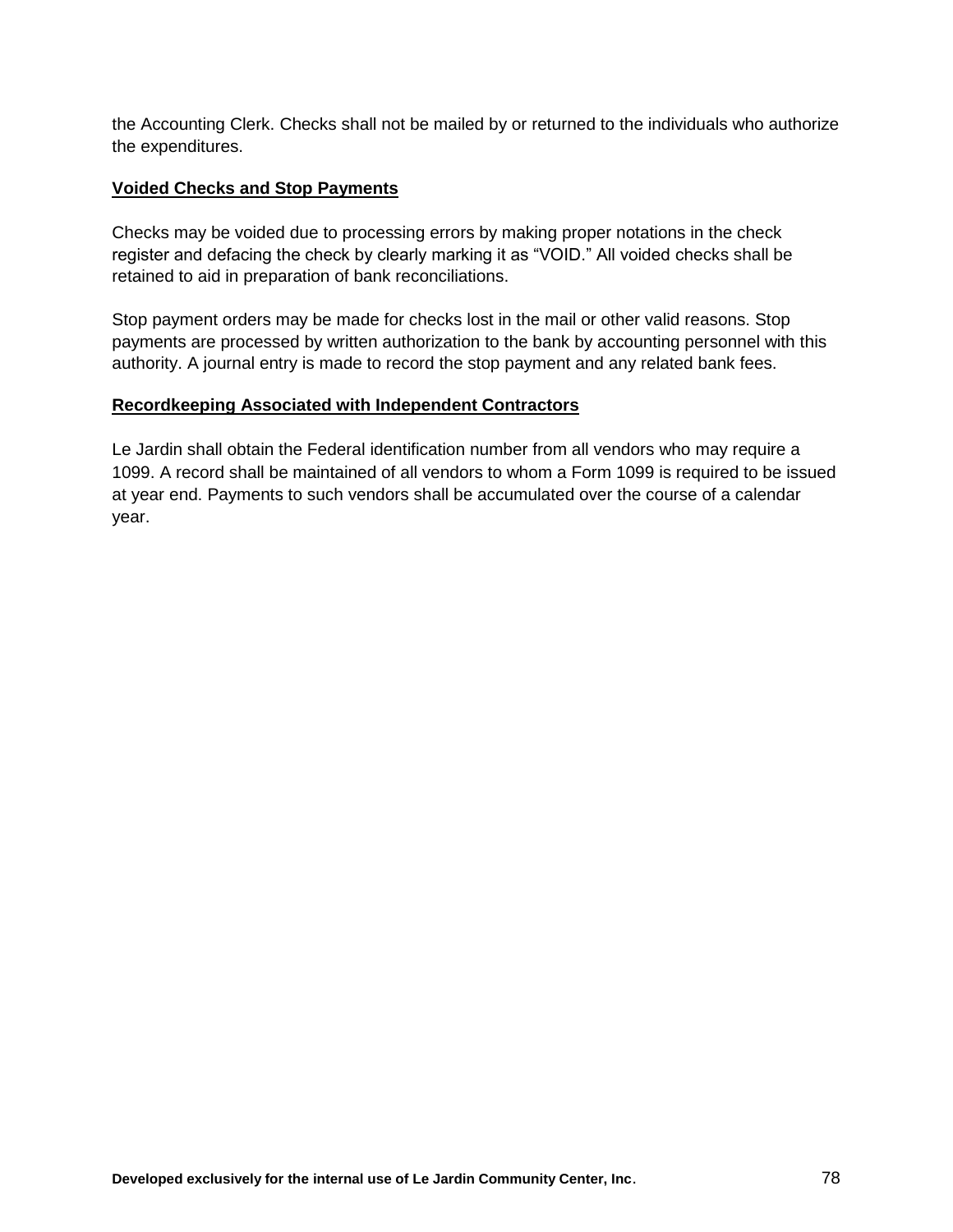the Accounting Clerk. Checks shall not be mailed by or returned to the individuals who authorize the expenditures.

#### **Voided Checks and Stop Payments**

Checks may be voided due to processing errors by making proper notations in the check register and defacing the check by clearly marking it as "VOID." All voided checks shall be retained to aid in preparation of bank reconciliations.

Stop payment orders may be made for checks lost in the mail or other valid reasons. Stop payments are processed by written authorization to the bank by accounting personnel with this authority. A journal entry is made to record the stop payment and any related bank fees.

## **Recordkeeping Associated with Independent Contractors**

Le Jardin shall obtain the Federal identification number from all vendors who may require a 1099. A record shall be maintained of all vendors to whom a Form 1099 is required to be issued at year end. Payments to such vendors shall be accumulated over the course of a calendar year.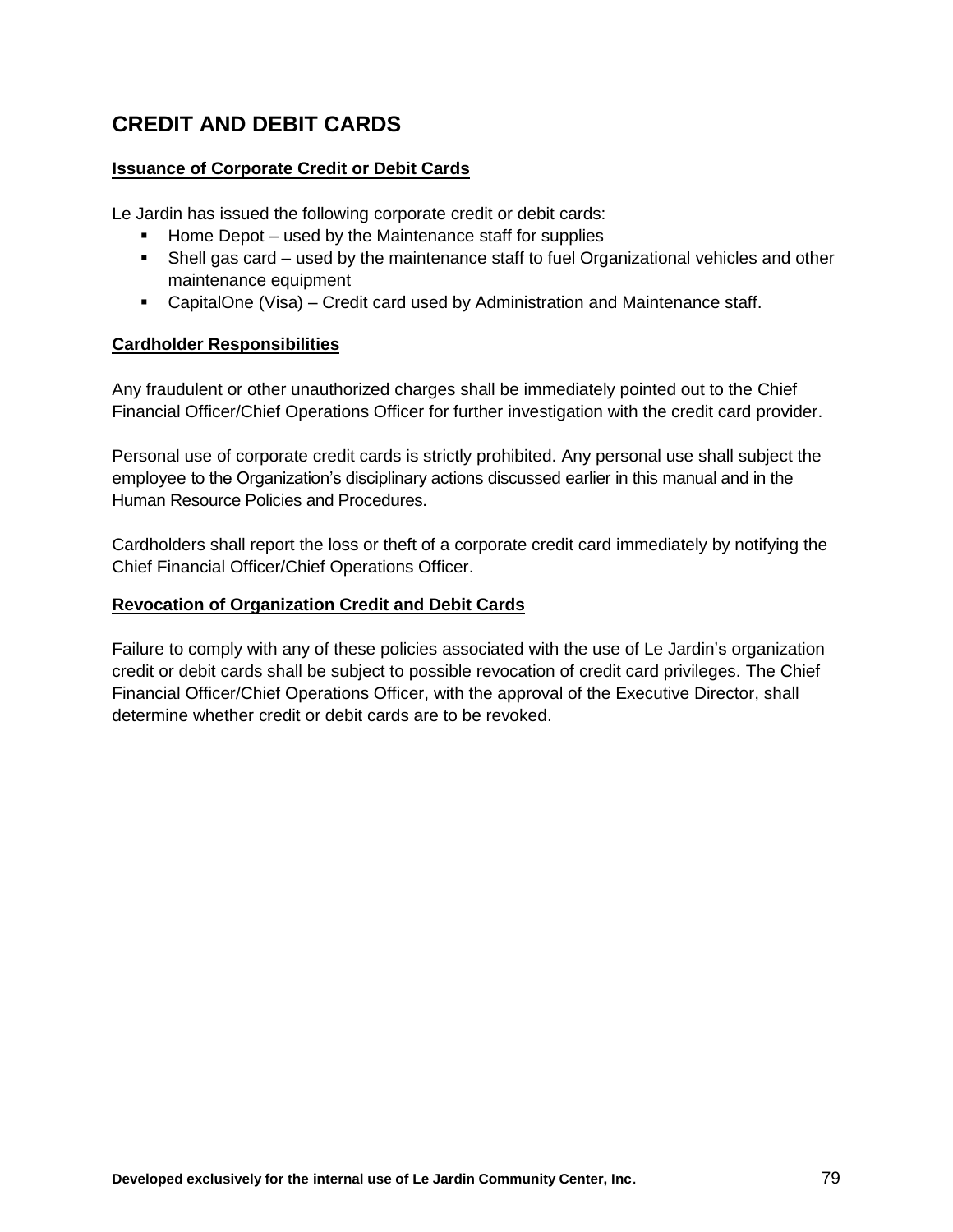# **CREDIT AND DEBIT CARDS**

## **Issuance of Corporate Credit or Debit Cards**

Le Jardin has issued the following corporate credit or debit cards:

- Home Depot used by the Maintenance staff for supplies
- Shell gas card used by the maintenance staff to fuel Organizational vehicles and other maintenance equipment
- CapitalOne (Visa) Credit card used by Administration and Maintenance staff.

## **Cardholder Responsibilities**

Any fraudulent or other unauthorized charges shall be immediately pointed out to the Chief Financial Officer/Chief Operations Officer for further investigation with the credit card provider.

Personal use of corporate credit cards is strictly prohibited. Any personal use shall subject the employee to the Organization's disciplinary actions discussed earlier in this manual and in the Human Resource Policies and Procedures.

Cardholders shall report the loss or theft of a corporate credit card immediately by notifying the Chief Financial Officer/Chief Operations Officer.

#### **Revocation of Organization Credit and Debit Cards**

Failure to comply with any of these policies associated with the use of Le Jardin's organization credit or debit cards shall be subject to possible revocation of credit card privileges. The Chief Financial Officer/Chief Operations Officer, with the approval of the Executive Director, shall determine whether credit or debit cards are to be revoked.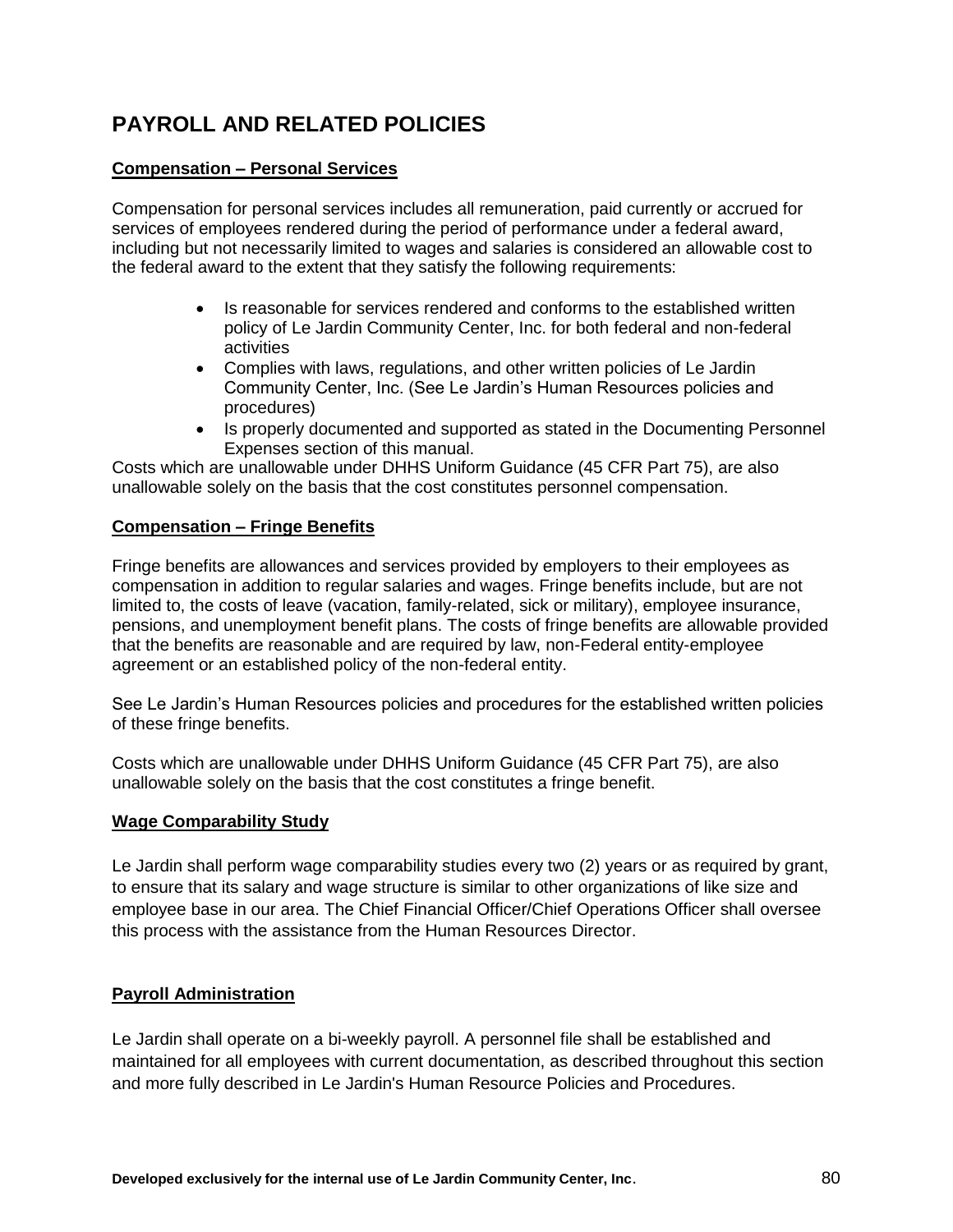# **PAYROLL AND RELATED POLICIES**

## **Compensation – Personal Services**

Compensation for personal services includes all remuneration, paid currently or accrued for services of employees rendered during the period of performance under a federal award, including but not necessarily limited to wages and salaries is considered an allowable cost to the federal award to the extent that they satisfy the following requirements:

- Is reasonable for services rendered and conforms to the established written policy of Le Jardin Community Center, Inc. for both federal and non-federal activities
- Complies with laws, regulations, and other written policies of Le Jardin Community Center, Inc. (See Le Jardin's Human Resources policies and procedures)
- Is properly documented and supported as stated in the Documenting Personnel Expenses section of this manual.

Costs which are unallowable under DHHS Uniform Guidance (45 CFR Part 75), are also unallowable solely on the basis that the cost constitutes personnel compensation.

# **Compensation – Fringe Benefits**

Fringe benefits are allowances and services provided by employers to their employees as compensation in addition to regular salaries and wages. Fringe benefits include, but are not limited to, the costs of leave (vacation, family-related, sick or military), employee insurance, pensions, and unemployment benefit plans. The costs of fringe benefits are allowable provided that the benefits are reasonable and are required by law, non-Federal entity-employee agreement or an established policy of the non-federal entity.

See Le Jardin's Human Resources policies and procedures for the established written policies of these fringe benefits.

Costs which are unallowable under DHHS Uniform Guidance (45 CFR Part 75), are also unallowable solely on the basis that the cost constitutes a fringe benefit.

## **Wage Comparability Study**

Le Jardin shall perform wage comparability studies every two (2) years or as required by grant, to ensure that its salary and wage structure is similar to other organizations of like size and employee base in our area. The Chief Financial Officer/Chief Operations Officer shall oversee this process with the assistance from the Human Resources Director.

# **Payroll Administration**

Le Jardin shall operate on a bi-weekly payroll. A personnel file shall be established and maintained for all employees with current documentation, as described throughout this section and more fully described in Le Jardin's Human Resource Policies and Procedures.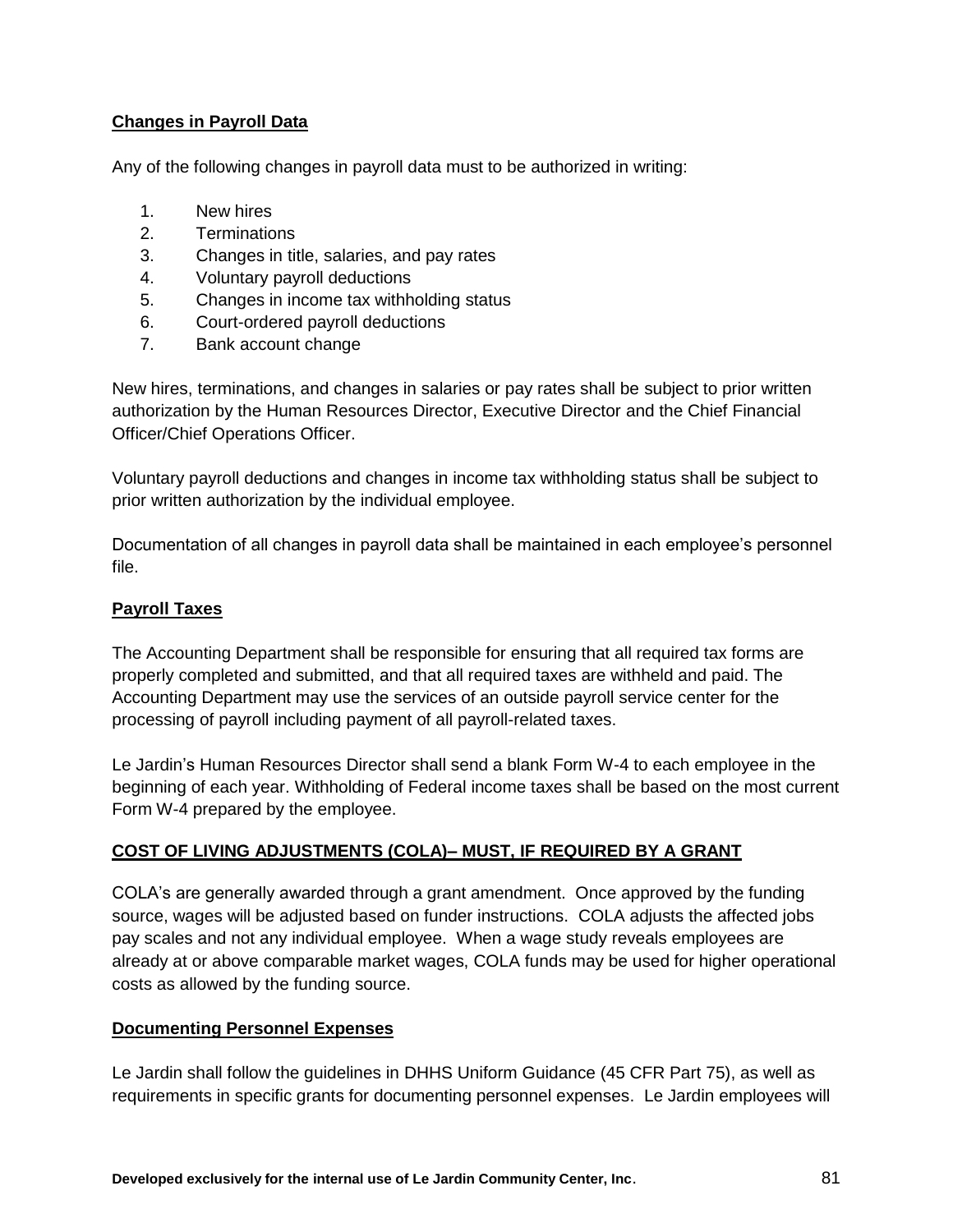# **Changes in Payroll Data**

Any of the following changes in payroll data must to be authorized in writing:

- 1. New hires
- 2. Terminations
- 3. Changes in title, salaries, and pay rates
- 4. Voluntary payroll deductions
- 5. Changes in income tax withholding status
- 6. Court-ordered payroll deductions
- 7. Bank account change

New hires, terminations, and changes in salaries or pay rates shall be subject to prior written authorization by the Human Resources Director, Executive Director and the Chief Financial Officer/Chief Operations Officer.

Voluntary payroll deductions and changes in income tax withholding status shall be subject to prior written authorization by the individual employee.

Documentation of all changes in payroll data shall be maintained in each employee's personnel file.

# **Payroll Taxes**

The Accounting Department shall be responsible for ensuring that all required tax forms are properly completed and submitted, and that all required taxes are withheld and paid. The Accounting Department may use the services of an outside payroll service center for the processing of payroll including payment of all payroll-related taxes.

Le Jardin's Human Resources Director shall send a blank Form W-4 to each employee in the beginning of each year. Withholding of Federal income taxes shall be based on the most current Form W-4 prepared by the employee.

# **COST OF LIVING ADJUSTMENTS (COLA)– MUST, IF REQUIRED BY A GRANT**

COLA's are generally awarded through a grant amendment. Once approved by the funding source, wages will be adjusted based on funder instructions. COLA adjusts the affected jobs pay scales and not any individual employee. When a wage study reveals employees are already at or above comparable market wages, COLA funds may be used for higher operational costs as allowed by the funding source.

## **Documenting Personnel Expenses**

Le Jardin shall follow the guidelines in DHHS Uniform Guidance (45 CFR Part 75), as well as requirements in specific grants for documenting personnel expenses. Le Jardin employees will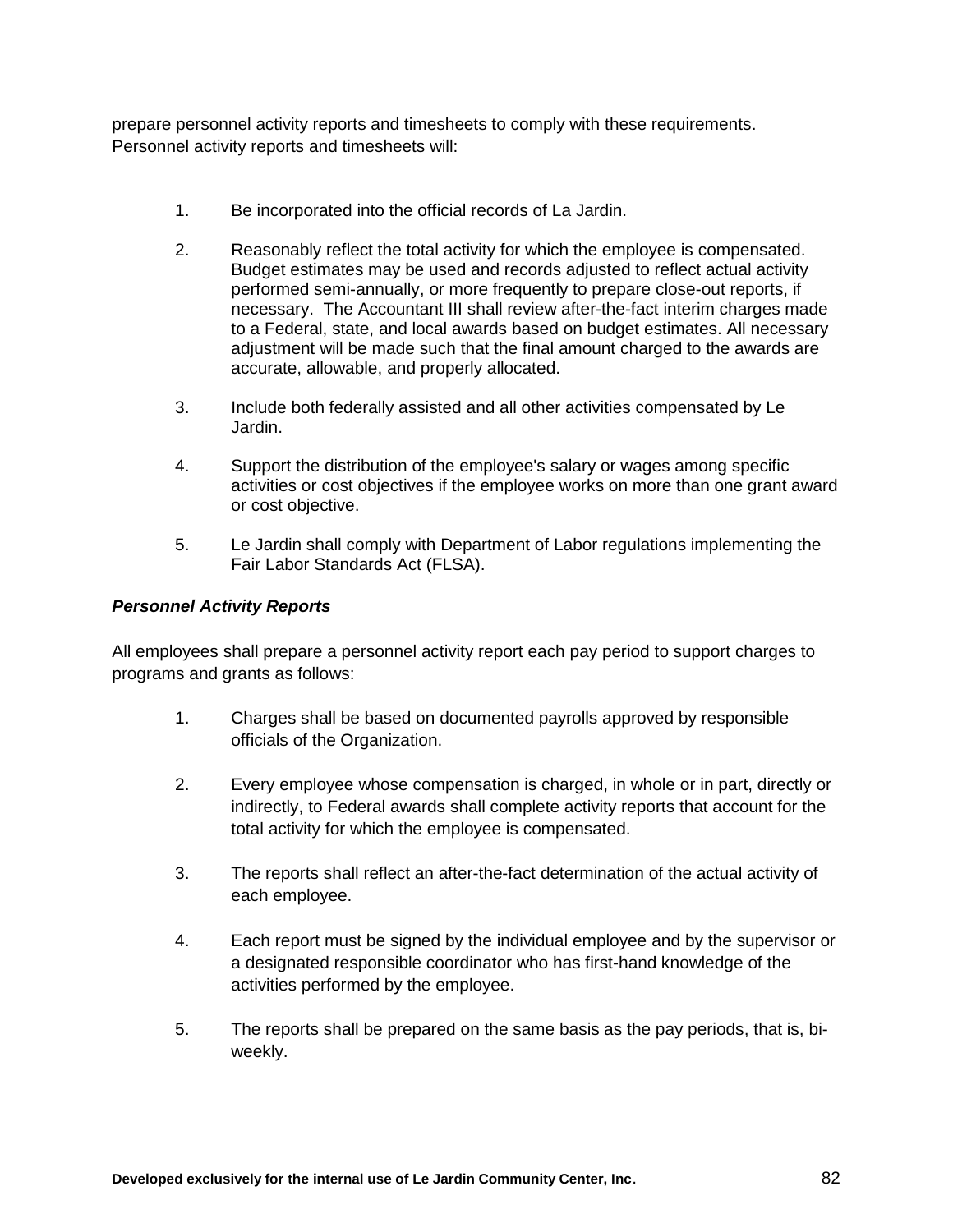prepare personnel activity reports and timesheets to comply with these requirements. Personnel activity reports and timesheets will:

- 1. Be incorporated into the official records of La Jardin.
- 2. Reasonably reflect the total activity for which the employee is compensated. Budget estimates may be used and records adjusted to reflect actual activity performed semi-annually, or more frequently to prepare close-out reports, if necessary. The Accountant III shall review after-the-fact interim charges made to a Federal, state, and local awards based on budget estimates. All necessary adjustment will be made such that the final amount charged to the awards are accurate, allowable, and properly allocated.
- 3. Include both federally assisted and all other activities compensated by Le Jardin.
- 4. Support the distribution of the employee's salary or wages among specific activities or cost objectives if the employee works on more than one grant award or cost objective.
- 5. Le Jardin shall comply with Department of Labor regulations implementing the Fair Labor Standards Act (FLSA).

## *Personnel Activity Reports*

All employees shall prepare a personnel activity report each pay period to support charges to programs and grants as follows:

- 1. Charges shall be based on documented payrolls approved by responsible officials of the Organization.
- 2. Every employee whose compensation is charged, in whole or in part, directly or indirectly, to Federal awards shall complete activity reports that account for the total activity for which the employee is compensated.
- 3. The reports shall reflect an after-the-fact determination of the actual activity of each employee.
- 4. Each report must be signed by the individual employee and by the supervisor or a designated responsible coordinator who has first-hand knowledge of the activities performed by the employee.
- 5. The reports shall be prepared on the same basis as the pay periods, that is, biweekly.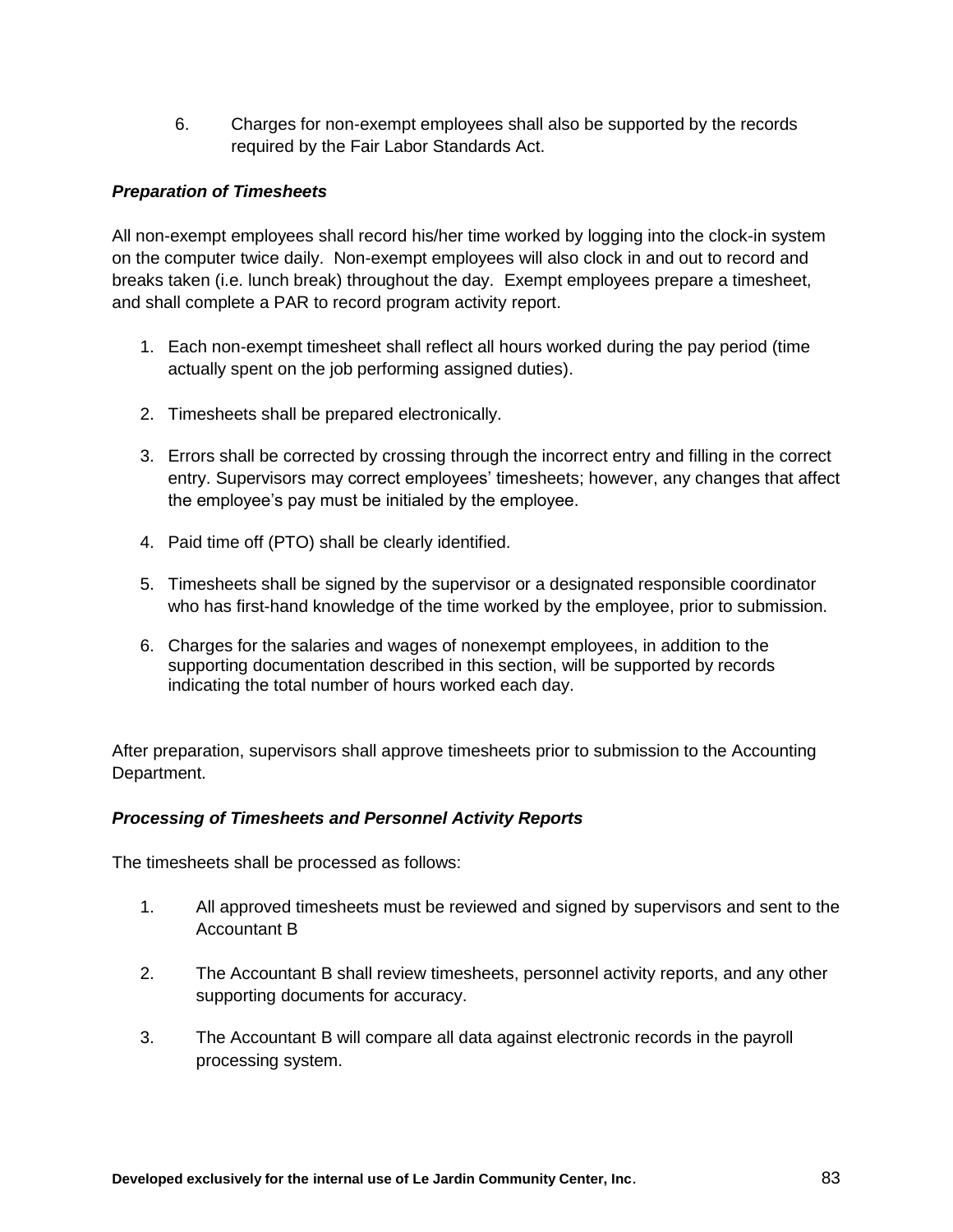6. Charges for non-exempt employees shall also be supported by the records required by the Fair Labor Standards Act.

## *Preparation of Timesheets*

All non-exempt employees shall record his/her time worked by logging into the clock-in system on the computer twice daily. Non-exempt employees will also clock in and out to record and breaks taken (i.e. lunch break) throughout the day. Exempt employees prepare a timesheet, and shall complete a PAR to record program activity report.

- 1. Each non-exempt timesheet shall reflect all hours worked during the pay period (time actually spent on the job performing assigned duties).
- 2. Timesheets shall be prepared electronically.
- 3. Errors shall be corrected by crossing through the incorrect entry and filling in the correct entry. Supervisors may correct employees' timesheets; however, any changes that affect the employee's pay must be initialed by the employee.
- 4. Paid time off (PTO) shall be clearly identified.
- 5. Timesheets shall be signed by the supervisor or a designated responsible coordinator who has first-hand knowledge of the time worked by the employee, prior to submission.
- 6. Charges for the salaries and wages of nonexempt employees, in addition to the supporting documentation described in this section, will be supported by records indicating the total number of hours worked each day.

After preparation, supervisors shall approve timesheets prior to submission to the Accounting Department.

## *Processing of Timesheets and Personnel Activity Reports*

The timesheets shall be processed as follows:

- 1. All approved timesheets must be reviewed and signed by supervisors and sent to the Accountant B
- 2. The Accountant B shall review timesheets, personnel activity reports, and any other supporting documents for accuracy.
- 3. The Accountant B will compare all data against electronic records in the payroll processing system.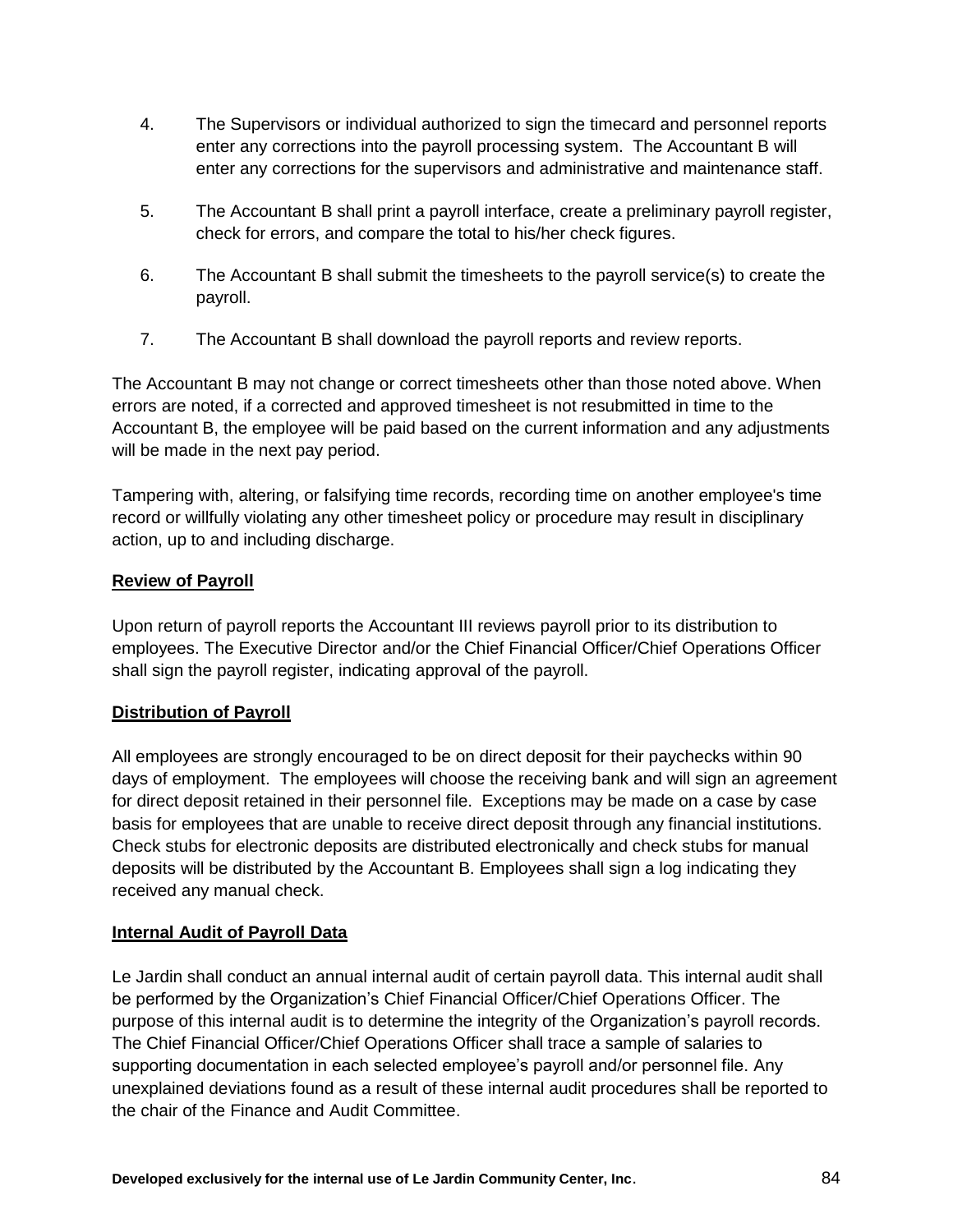- 4. The Supervisors or individual authorized to sign the timecard and personnel reports enter any corrections into the payroll processing system. The Accountant B will enter any corrections for the supervisors and administrative and maintenance staff.
- 5. The Accountant B shall print a payroll interface, create a preliminary payroll register, check for errors, and compare the total to his/her check figures.
- 6. The Accountant B shall submit the timesheets to the payroll service(s) to create the payroll.
- 7. The Accountant B shall download the payroll reports and review reports.

The Accountant B may not change or correct timesheets other than those noted above. When errors are noted, if a corrected and approved timesheet is not resubmitted in time to the Accountant B, the employee will be paid based on the current information and any adjustments will be made in the next pay period.

Tampering with, altering, or falsifying time records, recording time on another employee's time record or willfully violating any other timesheet policy or procedure may result in disciplinary action, up to and including discharge.

# **Review of Payroll**

Upon return of payroll reports the Accountant III reviews payroll prior to its distribution to employees. The Executive Director and/or the Chief Financial Officer/Chief Operations Officer shall sign the payroll register, indicating approval of the payroll.

# **Distribution of Payroll**

All employees are strongly encouraged to be on direct deposit for their paychecks within 90 days of employment. The employees will choose the receiving bank and will sign an agreement for direct deposit retained in their personnel file. Exceptions may be made on a case by case basis for employees that are unable to receive direct deposit through any financial institutions. Check stubs for electronic deposits are distributed electronically and check stubs for manual deposits will be distributed by the Accountant B. Employees shall sign a log indicating they received any manual check.

## **Internal Audit of Payroll Data**

Le Jardin shall conduct an annual internal audit of certain payroll data. This internal audit shall be performed by the Organization's Chief Financial Officer/Chief Operations Officer. The purpose of this internal audit is to determine the integrity of the Organization's payroll records. The Chief Financial Officer/Chief Operations Officer shall trace a sample of salaries to supporting documentation in each selected employee's payroll and/or personnel file. Any unexplained deviations found as a result of these internal audit procedures shall be reported to the chair of the Finance and Audit Committee.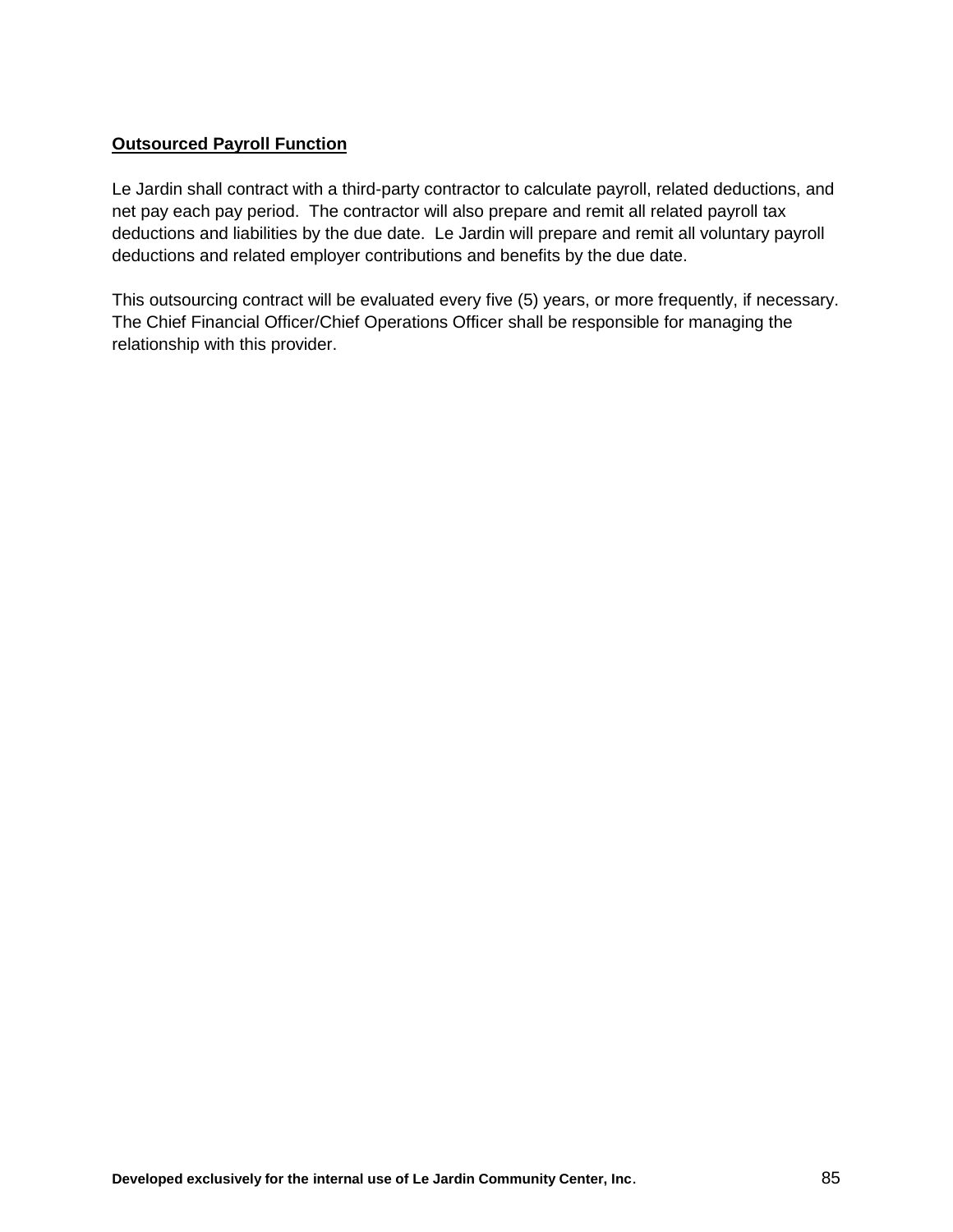# **Outsourced Payroll Function**

Le Jardin shall contract with a third-party contractor to calculate payroll, related deductions, and net pay each pay period. The contractor will also prepare and remit all related payroll tax deductions and liabilities by the due date. Le Jardin will prepare and remit all voluntary payroll deductions and related employer contributions and benefits by the due date.

This outsourcing contract will be evaluated every five (5) years, or more frequently, if necessary. The Chief Financial Officer/Chief Operations Officer shall be responsible for managing the relationship with this provider.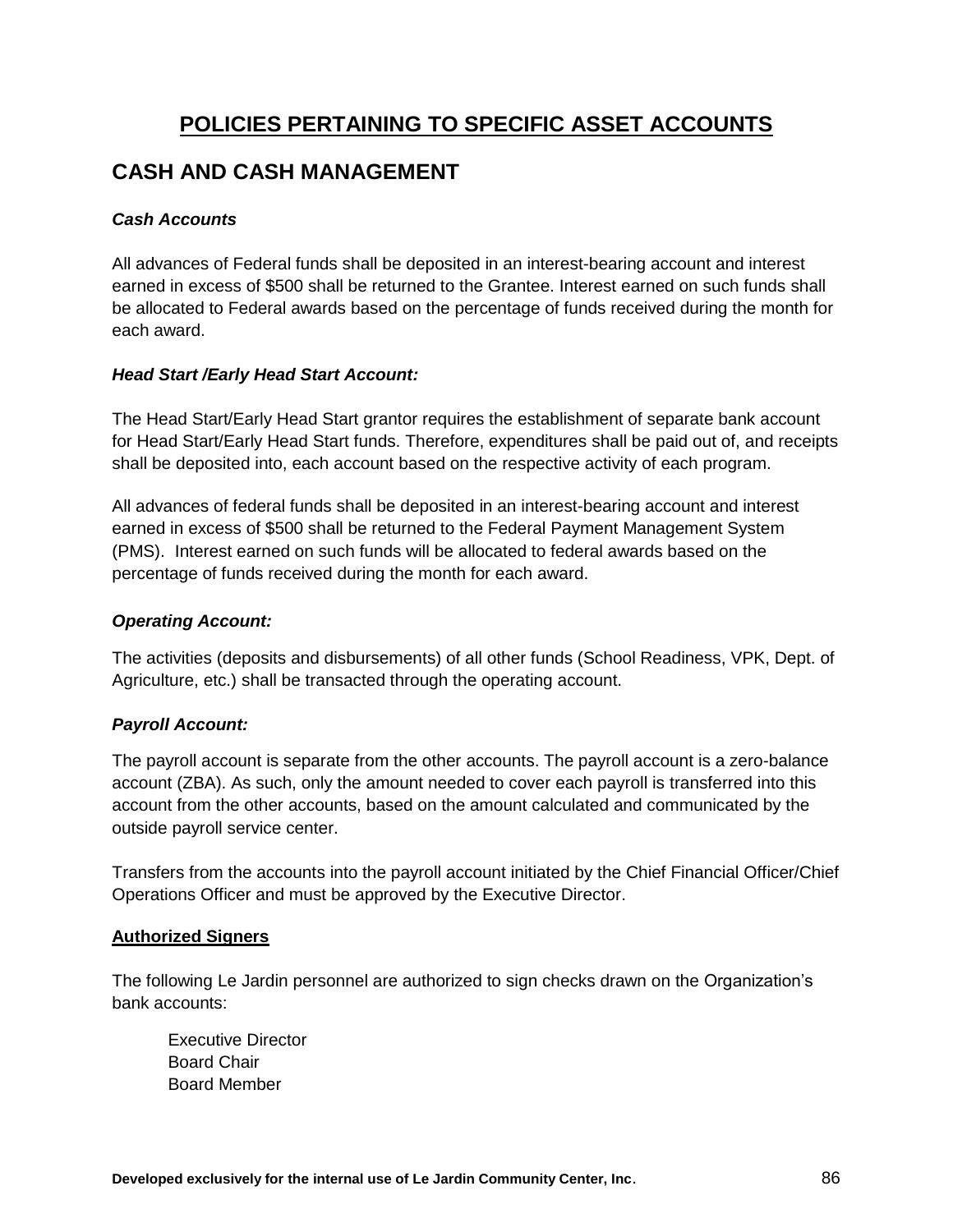# **POLICIES PERTAINING TO SPECIFIC ASSET ACCOUNTS**

# **CASH AND CASH MANAGEMENT**

# *Cash Accounts*

All advances of Federal funds shall be deposited in an interest-bearing account and interest earned in excess of \$500 shall be returned to the Grantee. Interest earned on such funds shall be allocated to Federal awards based on the percentage of funds received during the month for each award.

# *Head Start /Early Head Start Account:*

The Head Start/Early Head Start grantor requires the establishment of separate bank account for Head Start/Early Head Start funds. Therefore, expenditures shall be paid out of, and receipts shall be deposited into, each account based on the respective activity of each program.

All advances of federal funds shall be deposited in an interest-bearing account and interest earned in excess of \$500 shall be returned to the Federal Payment Management System (PMS). Interest earned on such funds will be allocated to federal awards based on the percentage of funds received during the month for each award.

## *Operating Account:*

The activities (deposits and disbursements) of all other funds (School Readiness, VPK, Dept. of Agriculture, etc.) shall be transacted through the operating account.

# *Payroll Account:*

The payroll account is separate from the other accounts. The payroll account is a zero-balance account (ZBA). As such, only the amount needed to cover each payroll is transferred into this account from the other accounts, based on the amount calculated and communicated by the outside payroll service center.

Transfers from the accounts into the payroll account initiated by the Chief Financial Officer/Chief Operations Officer and must be approved by the Executive Director.

## **Authorized Signers**

The following Le Jardin personnel are authorized to sign checks drawn on the Organization's bank accounts:

Executive Director Board Chair Board Member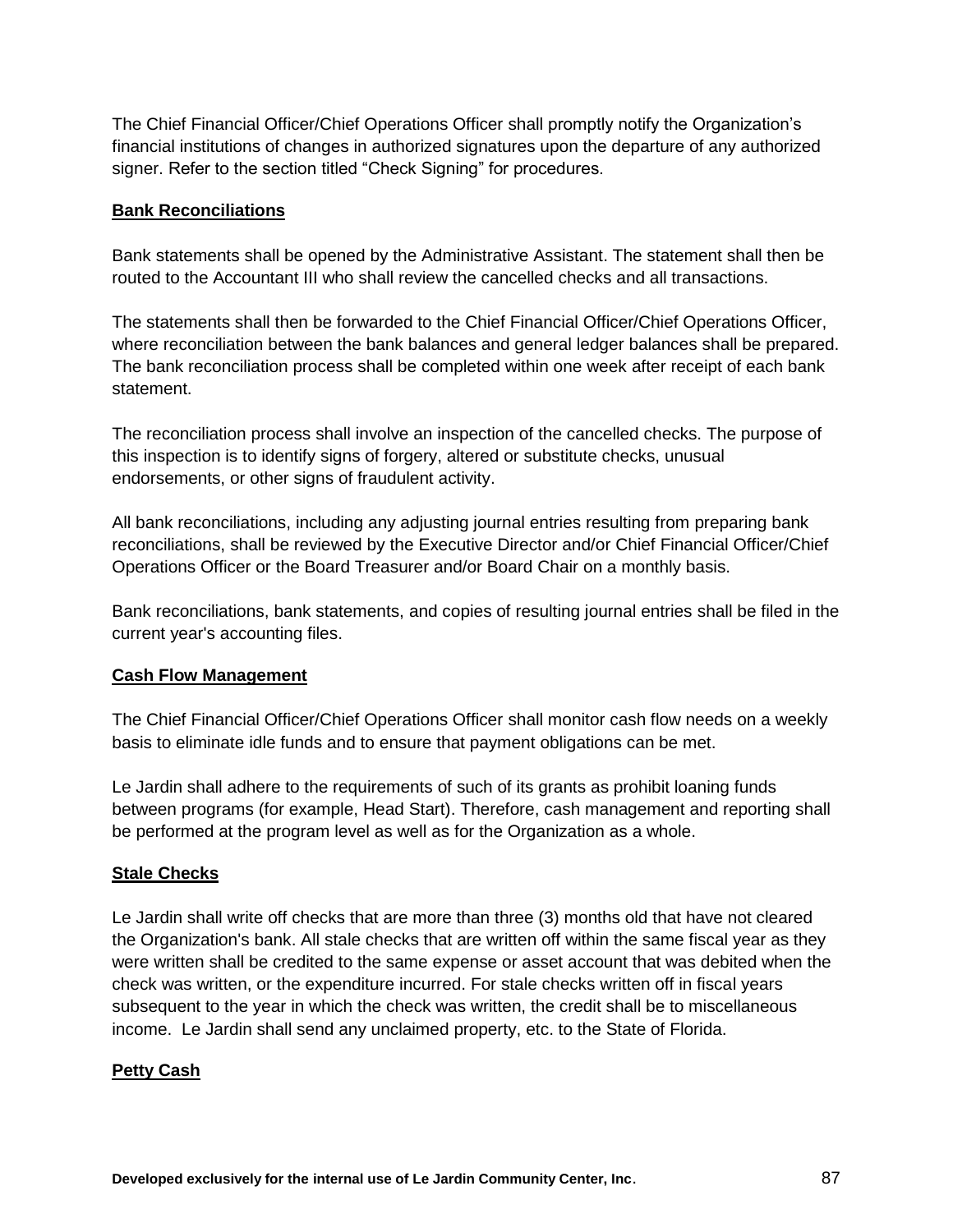The Chief Financial Officer/Chief Operations Officer shall promptly notify the Organization's financial institutions of changes in authorized signatures upon the departure of any authorized signer. Refer to the section titled "Check Signing" for procedures.

#### **Bank Reconciliations**

Bank statements shall be opened by the Administrative Assistant. The statement shall then be routed to the Accountant III who shall review the cancelled checks and all transactions.

The statements shall then be forwarded to the Chief Financial Officer/Chief Operations Officer, where reconciliation between the bank balances and general ledger balances shall be prepared. The bank reconciliation process shall be completed within one week after receipt of each bank statement.

The reconciliation process shall involve an inspection of the cancelled checks. The purpose of this inspection is to identify signs of forgery, altered or substitute checks, unusual endorsements, or other signs of fraudulent activity.

All bank reconciliations, including any adjusting journal entries resulting from preparing bank reconciliations, shall be reviewed by the Executive Director and/or Chief Financial Officer/Chief Operations Officer or the Board Treasurer and/or Board Chair on a monthly basis.

Bank reconciliations, bank statements, and copies of resulting journal entries shall be filed in the current year's accounting files.

## **Cash Flow Management**

The Chief Financial Officer/Chief Operations Officer shall monitor cash flow needs on a weekly basis to eliminate idle funds and to ensure that payment obligations can be met.

Le Jardin shall adhere to the requirements of such of its grants as prohibit loaning funds between programs (for example, Head Start). Therefore, cash management and reporting shall be performed at the program level as well as for the Organization as a whole.

## **Stale Checks**

Le Jardin shall write off checks that are more than three (3) months old that have not cleared the Organization's bank. All stale checks that are written off within the same fiscal year as they were written shall be credited to the same expense or asset account that was debited when the check was written, or the expenditure incurred. For stale checks written off in fiscal years subsequent to the year in which the check was written, the credit shall be to miscellaneous income. Le Jardin shall send any unclaimed property, etc. to the State of Florida.

## **Petty Cash**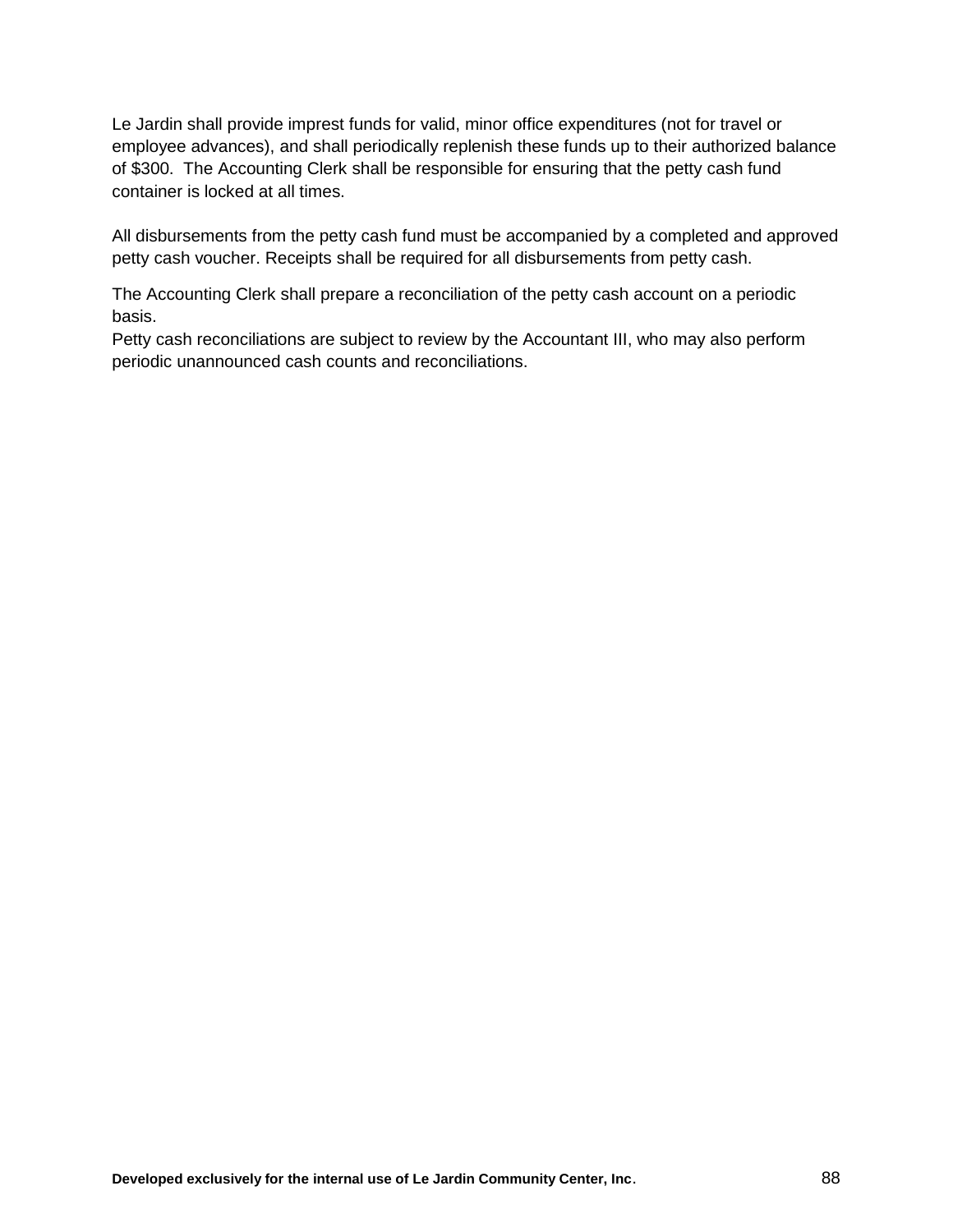Le Jardin shall provide imprest funds for valid, minor office expenditures (not for travel or employee advances), and shall periodically replenish these funds up to their authorized balance of \$300. The Accounting Clerk shall be responsible for ensuring that the petty cash fund container is locked at all times.

All disbursements from the petty cash fund must be accompanied by a completed and approved petty cash voucher. Receipts shall be required for all disbursements from petty cash.

The Accounting Clerk shall prepare a reconciliation of the petty cash account on a periodic basis.

Petty cash reconciliations are subject to review by the Accountant III, who may also perform periodic unannounced cash counts and reconciliations.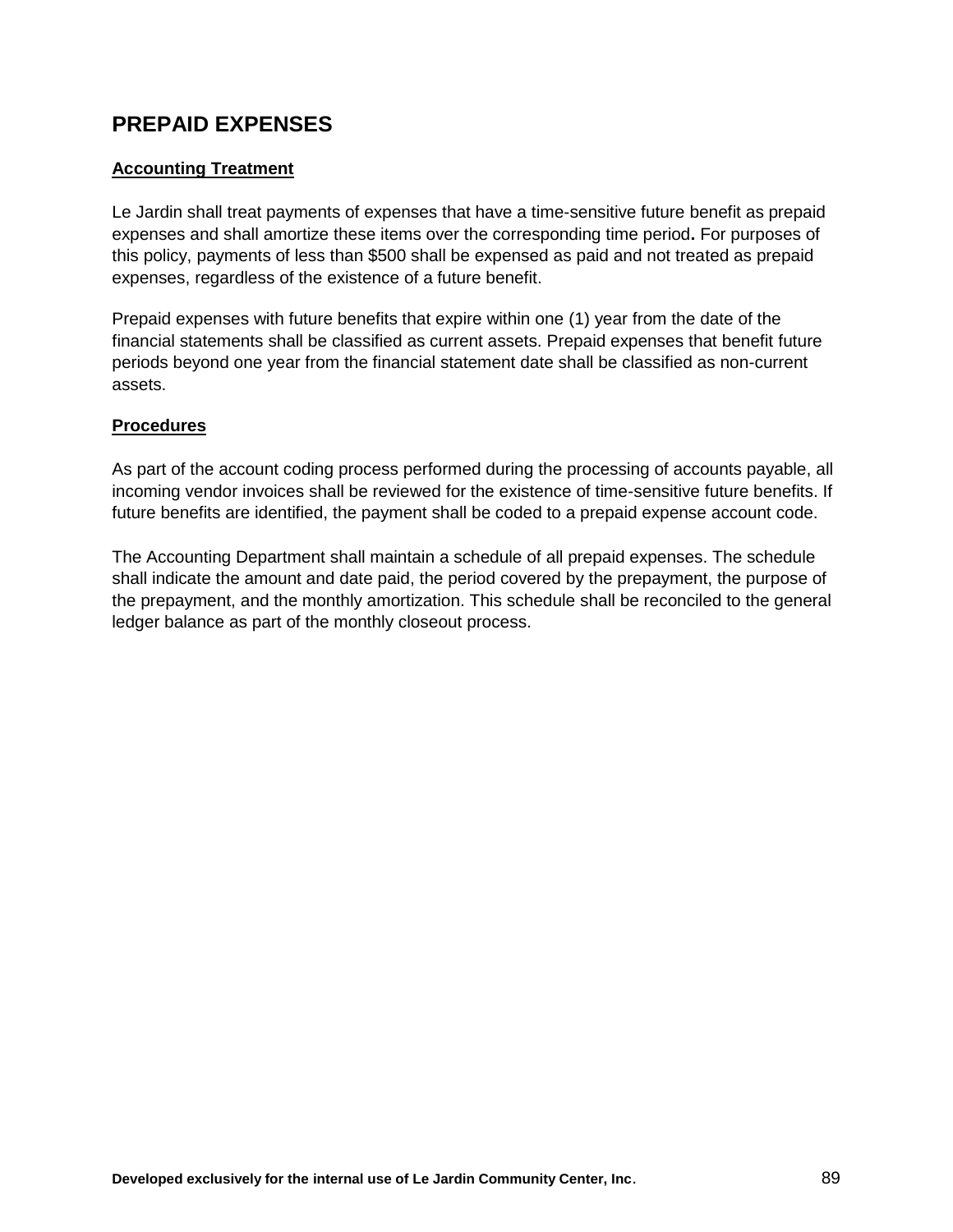# **PREPAID EXPENSES**

## **Accounting Treatment**

Le Jardin shall treat payments of expenses that have a time-sensitive future benefit as prepaid expenses and shall amortize these items over the corresponding time period**.** For purposes of this policy, payments of less than \$500 shall be expensed as paid and not treated as prepaid expenses, regardless of the existence of a future benefit.

Prepaid expenses with future benefits that expire within one (1) year from the date of the financial statements shall be classified as current assets. Prepaid expenses that benefit future periods beyond one year from the financial statement date shall be classified as non-current assets.

## **Procedures**

As part of the account coding process performed during the processing of accounts payable, all incoming vendor invoices shall be reviewed for the existence of time-sensitive future benefits. If future benefits are identified, the payment shall be coded to a prepaid expense account code.

The Accounting Department shall maintain a schedule of all prepaid expenses. The schedule shall indicate the amount and date paid, the period covered by the prepayment, the purpose of the prepayment, and the monthly amortization. This schedule shall be reconciled to the general ledger balance as part of the monthly closeout process.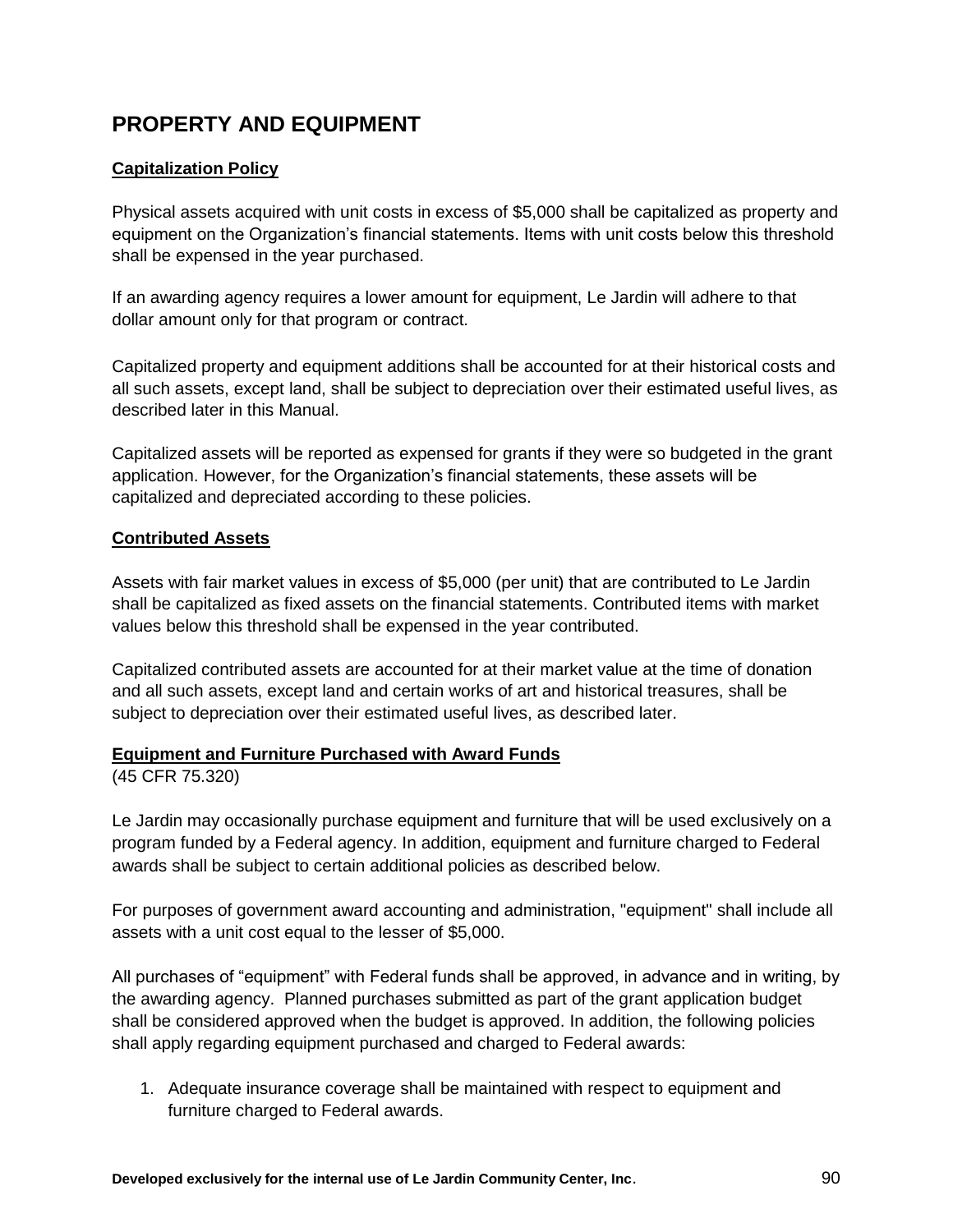# **PROPERTY AND EQUIPMENT**

# **Capitalization Policy**

Physical assets acquired with unit costs in excess of \$5,000 shall be capitalized as property and equipment on the Organization's financial statements. Items with unit costs below this threshold shall be expensed in the year purchased.

If an awarding agency requires a lower amount for equipment, Le Jardin will adhere to that dollar amount only for that program or contract.

Capitalized property and equipment additions shall be accounted for at their historical costs and all such assets, except land, shall be subject to depreciation over their estimated useful lives, as described later in this Manual.

Capitalized assets will be reported as expensed for grants if they were so budgeted in the grant application. However, for the Organization's financial statements, these assets will be capitalized and depreciated according to these policies.

# **Contributed Assets**

Assets with fair market values in excess of \$5,000 (per unit) that are contributed to Le Jardin shall be capitalized as fixed assets on the financial statements. Contributed items with market values below this threshold shall be expensed in the year contributed.

Capitalized contributed assets are accounted for at their market value at the time of donation and all such assets, except land and certain works of art and historical treasures, shall be subject to depreciation over their estimated useful lives, as described later.

## **Equipment and Furniture Purchased with Award Funds**

(45 CFR 75.320)

Le Jardin may occasionally purchase equipment and furniture that will be used exclusively on a program funded by a Federal agency. In addition, equipment and furniture charged to Federal awards shall be subject to certain additional policies as described below.

For purposes of government award accounting and administration, "equipment" shall include all assets with a unit cost equal to the lesser of \$5,000.

All purchases of "equipment" with Federal funds shall be approved, in advance and in writing, by the awarding agency. Planned purchases submitted as part of the grant application budget shall be considered approved when the budget is approved. In addition, the following policies shall apply regarding equipment purchased and charged to Federal awards:

1. Adequate insurance coverage shall be maintained with respect to equipment and furniture charged to Federal awards.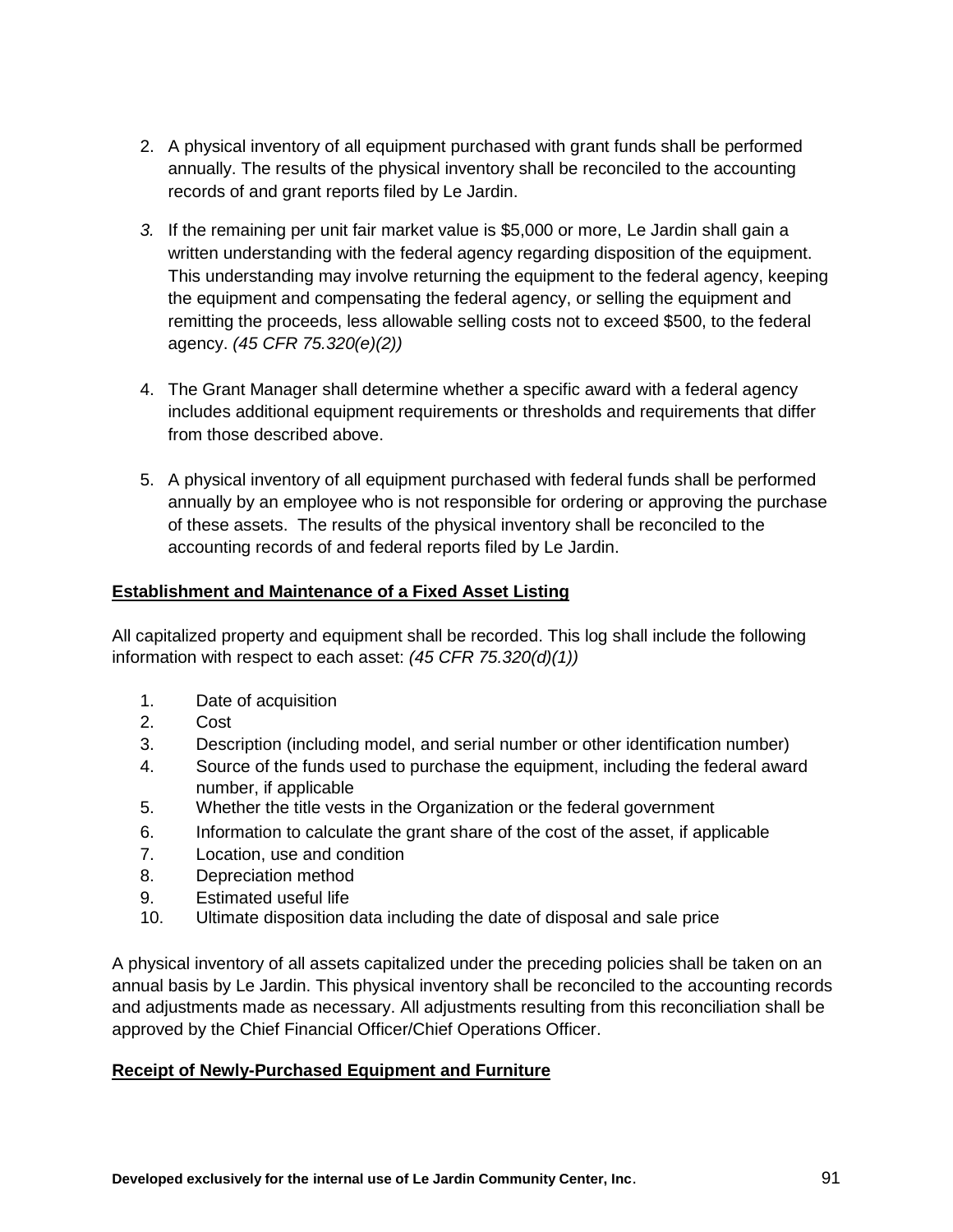- 2. A physical inventory of all equipment purchased with grant funds shall be performed annually. The results of the physical inventory shall be reconciled to the accounting records of and grant reports filed by Le Jardin.
- *3.* If the remaining per unit fair market value is \$5,000 or more, Le Jardin shall gain a written understanding with the federal agency regarding disposition of the equipment. This understanding may involve returning the equipment to the federal agency, keeping the equipment and compensating the federal agency, or selling the equipment and remitting the proceeds, less allowable selling costs not to exceed \$500, to the federal agency. *(45 CFR 75.320(e)(2))*
- 4. The Grant Manager shall determine whether a specific award with a federal agency includes additional equipment requirements or thresholds and requirements that differ from those described above.
- 5. A physical inventory of all equipment purchased with federal funds shall be performed annually by an employee who is not responsible for ordering or approving the purchase of these assets. The results of the physical inventory shall be reconciled to the accounting records of and federal reports filed by Le Jardin.

# **Establishment and Maintenance of a Fixed Asset Listing**

All capitalized property and equipment shall be recorded. This log shall include the following information with respect to each asset: *(45 CFR 75.320(d)(1))*

- 1. Date of acquisition
- 2. Cost
- 3. Description (including model, and serial number or other identification number)
- 4. Source of the funds used to purchase the equipment, including the federal award number, if applicable
- 5. Whether the title vests in the Organization or the federal government
- 6. Information to calculate the grant share of the cost of the asset, if applicable
- 7. Location, use and condition
- 8. Depreciation method
- 9. Estimated useful life
- 10. Ultimate disposition data including the date of disposal and sale price

A physical inventory of all assets capitalized under the preceding policies shall be taken on an annual basis by Le Jardin. This physical inventory shall be reconciled to the accounting records and adjustments made as necessary. All adjustments resulting from this reconciliation shall be approved by the Chief Financial Officer/Chief Operations Officer.

## **Receipt of Newly-Purchased Equipment and Furniture**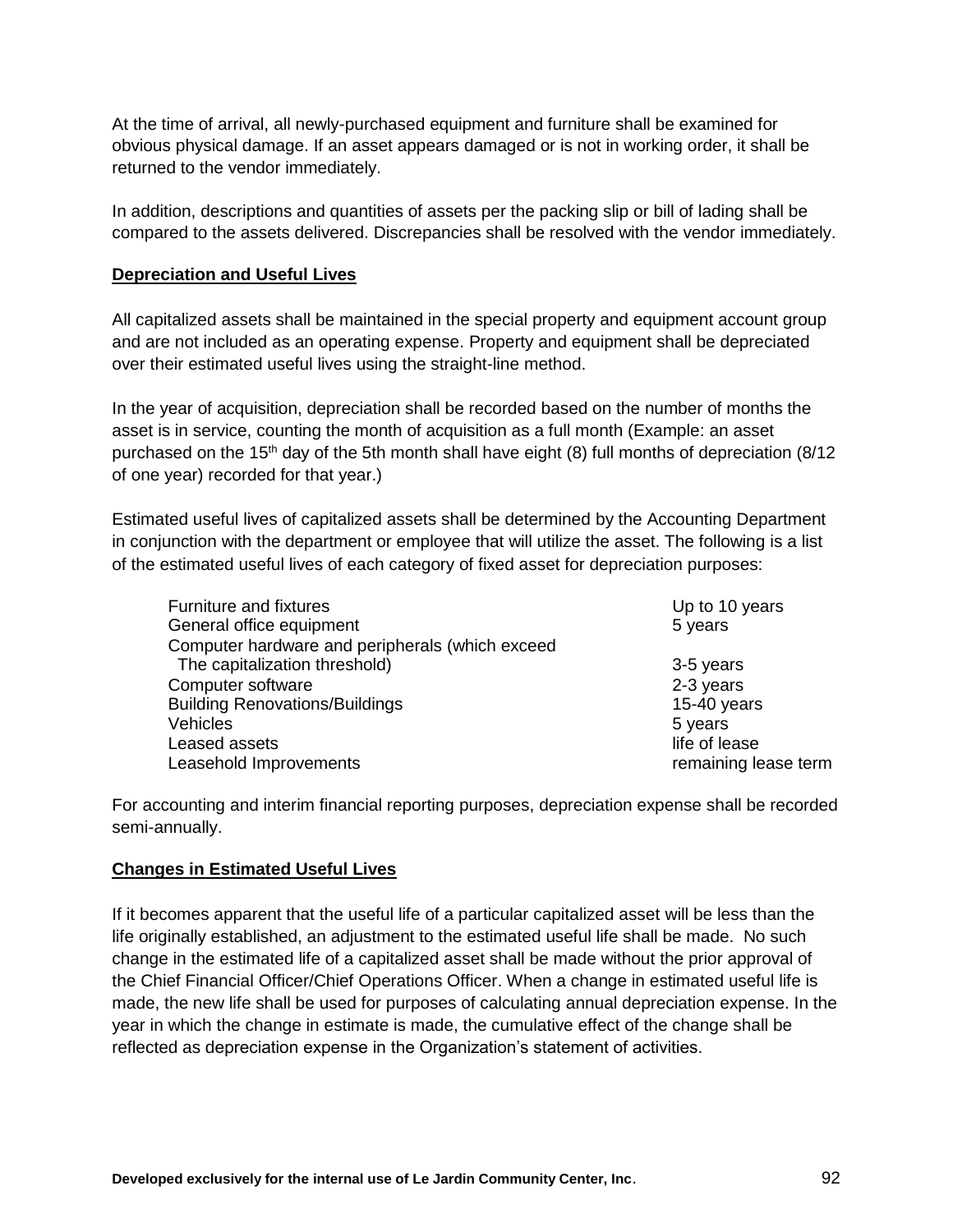At the time of arrival, all newly-purchased equipment and furniture shall be examined for obvious physical damage. If an asset appears damaged or is not in working order, it shall be returned to the vendor immediately.

In addition, descriptions and quantities of assets per the packing slip or bill of lading shall be compared to the assets delivered. Discrepancies shall be resolved with the vendor immediately.

#### **Depreciation and Useful Lives**

All capitalized assets shall be maintained in the special property and equipment account group and are not included as an operating expense. Property and equipment shall be depreciated over their estimated useful lives using the straight-line method.

In the year of acquisition, depreciation shall be recorded based on the number of months the asset is in service, counting the month of acquisition as a full month (Example: an asset purchased on the 15<sup>th</sup> day of the 5th month shall have eight (8) full months of depreciation (8/12 of one year) recorded for that year.)

Estimated useful lives of capitalized assets shall be determined by the Accounting Department in conjunction with the department or employee that will utilize the asset. The following is a list of the estimated useful lives of each category of fixed asset for depreciation purposes:

| Furniture and fixtures                          | Up to 10 years       |
|-------------------------------------------------|----------------------|
| General office equipment                        | 5 years              |
| Computer hardware and peripherals (which exceed |                      |
| The capitalization threshold)                   | 3-5 years            |
| Computer software                               | 2-3 years            |
| <b>Building Renovations/Buildings</b>           | 15-40 years          |
| Vehicles                                        | 5 years              |
| Leased assets                                   | life of lease        |
| Leasehold Improvements                          | remaining lease term |

For accounting and interim financial reporting purposes, depreciation expense shall be recorded semi-annually.

#### **Changes in Estimated Useful Lives**

If it becomes apparent that the useful life of a particular capitalized asset will be less than the life originally established, an adjustment to the estimated useful life shall be made. No such change in the estimated life of a capitalized asset shall be made without the prior approval of the Chief Financial Officer/Chief Operations Officer. When a change in estimated useful life is made, the new life shall be used for purposes of calculating annual depreciation expense. In the year in which the change in estimate is made, the cumulative effect of the change shall be reflected as depreciation expense in the Organization's statement of activities.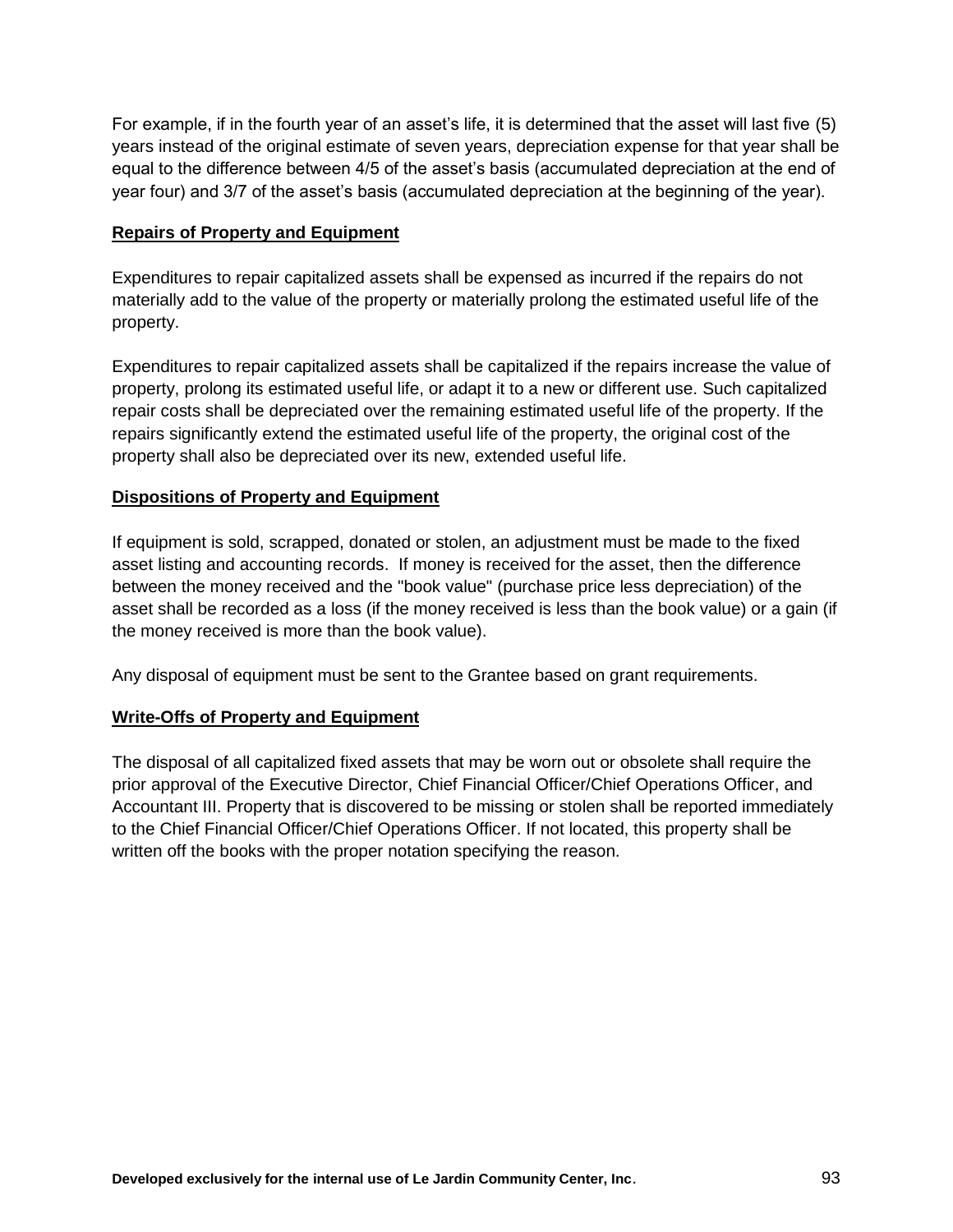For example, if in the fourth year of an asset's life, it is determined that the asset will last five (5) years instead of the original estimate of seven years, depreciation expense for that year shall be equal to the difference between 4/5 of the asset's basis (accumulated depreciation at the end of year four) and 3/7 of the asset's basis (accumulated depreciation at the beginning of the year).

#### **Repairs of Property and Equipment**

Expenditures to repair capitalized assets shall be expensed as incurred if the repairs do not materially add to the value of the property or materially prolong the estimated useful life of the property.

Expenditures to repair capitalized assets shall be capitalized if the repairs increase the value of property, prolong its estimated useful life, or adapt it to a new or different use. Such capitalized repair costs shall be depreciated over the remaining estimated useful life of the property. If the repairs significantly extend the estimated useful life of the property, the original cost of the property shall also be depreciated over its new, extended useful life.

## **Dispositions of Property and Equipment**

If equipment is sold, scrapped, donated or stolen, an adjustment must be made to the fixed asset listing and accounting records. If money is received for the asset, then the difference between the money received and the "book value" (purchase price less depreciation) of the asset shall be recorded as a loss (if the money received is less than the book value) or a gain (if the money received is more than the book value).

Any disposal of equipment must be sent to the Grantee based on grant requirements.

## **Write-Offs of Property and Equipment**

The disposal of all capitalized fixed assets that may be worn out or obsolete shall require the prior approval of the Executive Director, Chief Financial Officer/Chief Operations Officer, and Accountant III. Property that is discovered to be missing or stolen shall be reported immediately to the Chief Financial Officer/Chief Operations Officer. If not located, this property shall be written off the books with the proper notation specifying the reason.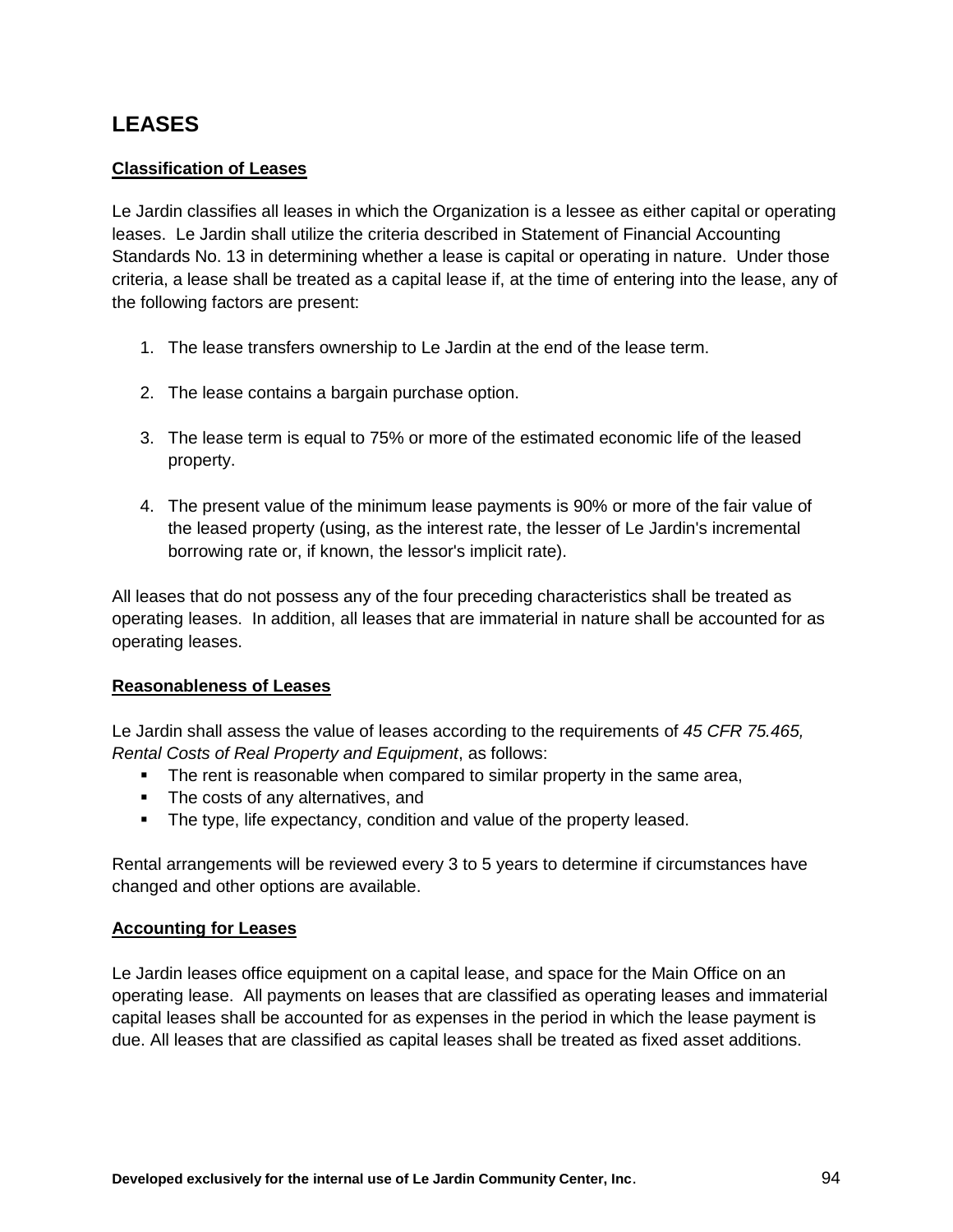# **LEASES**

## **Classification of Leases**

Le Jardin classifies all leases in which the Organization is a lessee as either capital or operating leases. Le Jardin shall utilize the criteria described in Statement of Financial Accounting Standards No. 13 in determining whether a lease is capital or operating in nature. Under those criteria, a lease shall be treated as a capital lease if, at the time of entering into the lease, any of the following factors are present:

- 1. The lease transfers ownership to Le Jardin at the end of the lease term.
- 2. The lease contains a bargain purchase option.
- 3. The lease term is equal to 75% or more of the estimated economic life of the leased property.
- 4. The present value of the minimum lease payments is 90% or more of the fair value of the leased property (using, as the interest rate, the lesser of Le Jardin's incremental borrowing rate or, if known, the lessor's implicit rate).

All leases that do not possess any of the four preceding characteristics shall be treated as operating leases. In addition, all leases that are immaterial in nature shall be accounted for as operating leases.

## **Reasonableness of Leases**

Le Jardin shall assess the value of leases according to the requirements of *45 CFR 75.465, Rental Costs of Real Property and Equipment*, as follows:

- The rent is reasonable when compared to similar property in the same area,
- The costs of any alternatives, and
- The type, life expectancy, condition and value of the property leased.

Rental arrangements will be reviewed every 3 to 5 years to determine if circumstances have changed and other options are available.

## **Accounting for Leases**

Le Jardin leases office equipment on a capital lease, and space for the Main Office on an operating lease. All payments on leases that are classified as operating leases and immaterial capital leases shall be accounted for as expenses in the period in which the lease payment is due. All leases that are classified as capital leases shall be treated as fixed asset additions.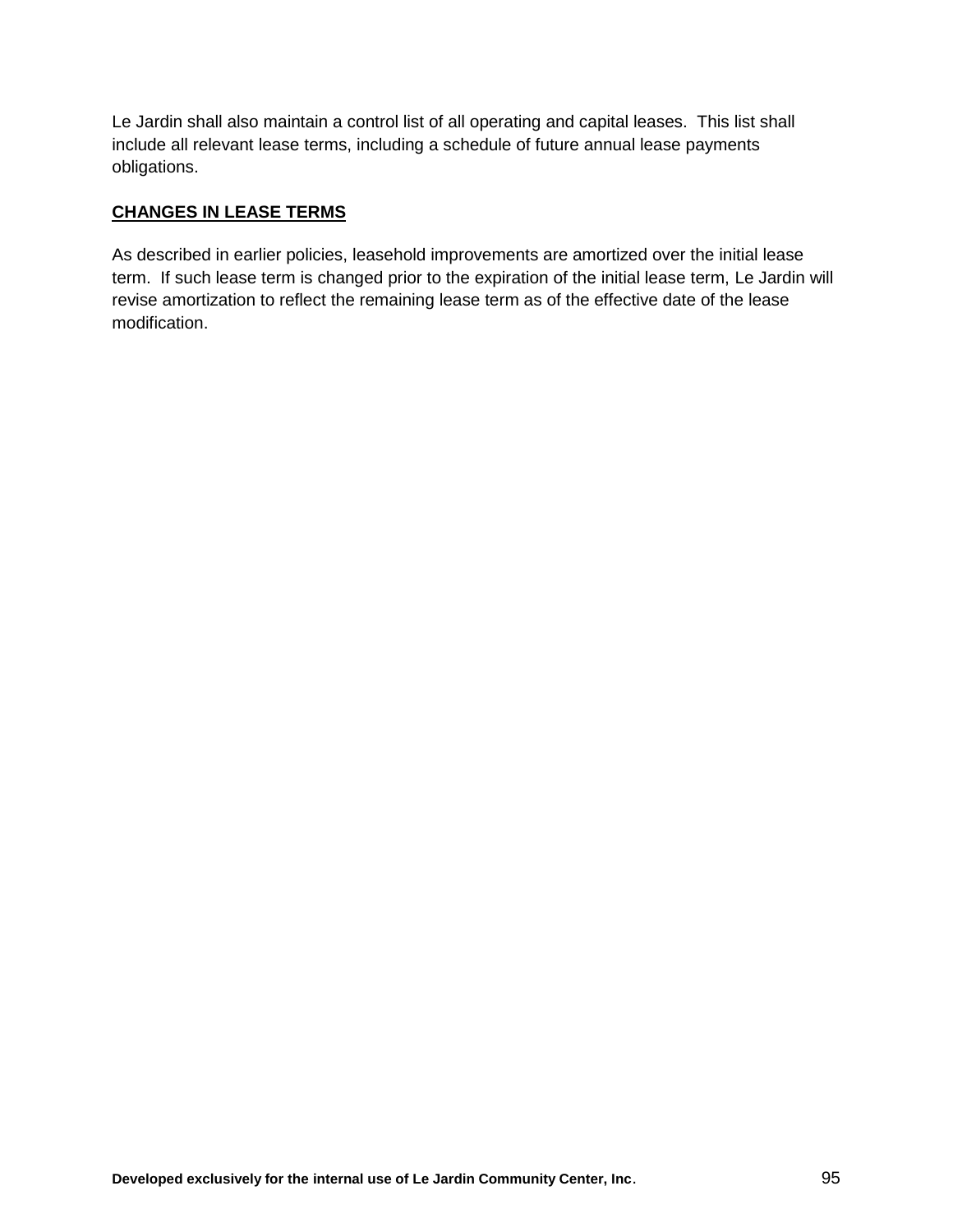Le Jardin shall also maintain a control list of all operating and capital leases. This list shall include all relevant lease terms, including a schedule of future annual lease payments obligations.

# **CHANGES IN LEASE TERMS**

As described in earlier policies, leasehold improvements are amortized over the initial lease term. If such lease term is changed prior to the expiration of the initial lease term, Le Jardin will revise amortization to reflect the remaining lease term as of the effective date of the lease modification.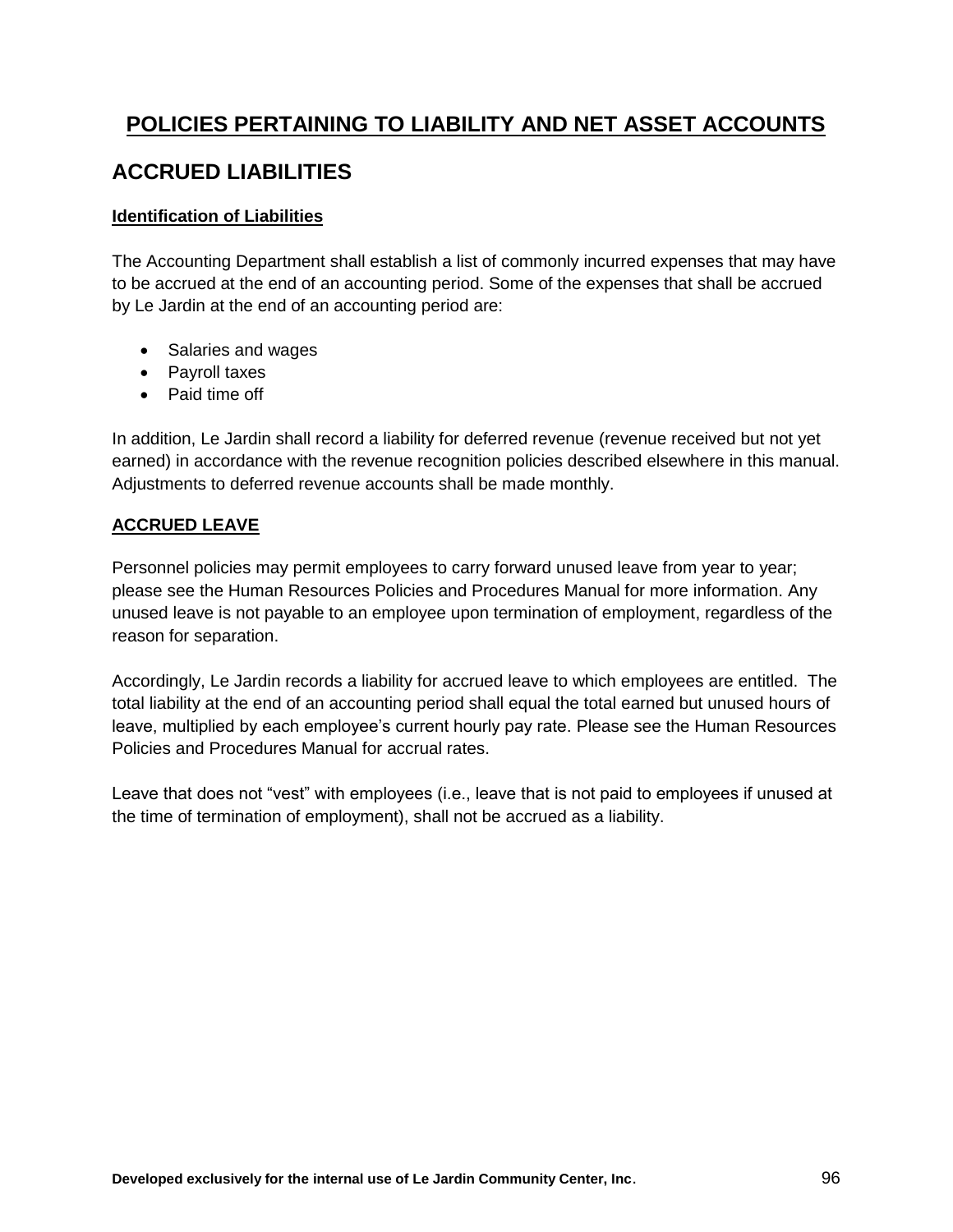# **POLICIES PERTAINING TO LIABILITY AND NET ASSET ACCOUNTS**

# **ACCRUED LIABILITIES**

# **Identification of Liabilities**

The Accounting Department shall establish a list of commonly incurred expenses that may have to be accrued at the end of an accounting period. Some of the expenses that shall be accrued by Le Jardin at the end of an accounting period are:

- Salaries and wages
- Pavroll taxes
- Paid time off

In addition, Le Jardin shall record a liability for deferred revenue (revenue received but not yet earned) in accordance with the revenue recognition policies described elsewhere in this manual. Adjustments to deferred revenue accounts shall be made monthly.

# **ACCRUED LEAVE**

Personnel policies may permit employees to carry forward unused leave from year to year; please see the Human Resources Policies and Procedures Manual for more information. Any unused leave is not payable to an employee upon termination of employment, regardless of the reason for separation.

Accordingly, Le Jardin records a liability for accrued leave to which employees are entitled. The total liability at the end of an accounting period shall equal the total earned but unused hours of leave, multiplied by each employee's current hourly pay rate. Please see the Human Resources Policies and Procedures Manual for accrual rates.

Leave that does not "vest" with employees (i.e., leave that is not paid to employees if unused at the time of termination of employment), shall not be accrued as a liability.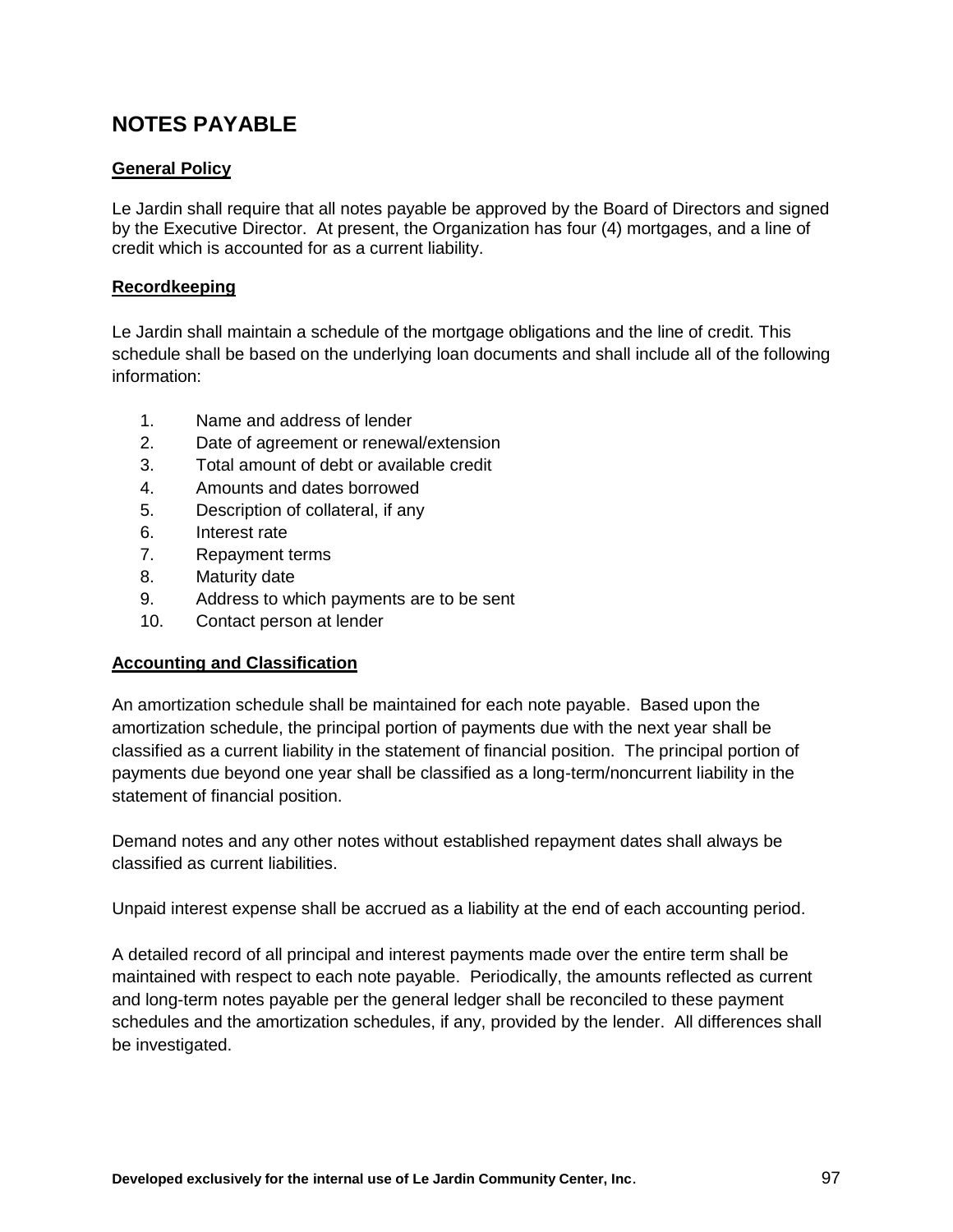# **NOTES PAYABLE**

# **General Policy**

Le Jardin shall require that all notes payable be approved by the Board of Directors and signed by the Executive Director. At present, the Organization has four (4) mortgages, and a line of credit which is accounted for as a current liability.

# **Recordkeeping**

Le Jardin shall maintain a schedule of the mortgage obligations and the line of credit. This schedule shall be based on the underlying loan documents and shall include all of the following information:

- 1. Name and address of lender
- 2. Date of agreement or renewal/extension
- 3. Total amount of debt or available credit
- 4. Amounts and dates borrowed
- 5. Description of collateral, if any
- 6. Interest rate
- 7. Repayment terms
- 8. Maturity date
- 9. Address to which payments are to be sent
- 10. Contact person at lender

## **Accounting and Classification**

An amortization schedule shall be maintained for each note payable. Based upon the amortization schedule, the principal portion of payments due with the next year shall be classified as a current liability in the statement of financial position. The principal portion of payments due beyond one year shall be classified as a long-term/noncurrent liability in the statement of financial position.

Demand notes and any other notes without established repayment dates shall always be classified as current liabilities.

Unpaid interest expense shall be accrued as a liability at the end of each accounting period.

A detailed record of all principal and interest payments made over the entire term shall be maintained with respect to each note payable. Periodically, the amounts reflected as current and long-term notes payable per the general ledger shall be reconciled to these payment schedules and the amortization schedules, if any, provided by the lender. All differences shall be investigated.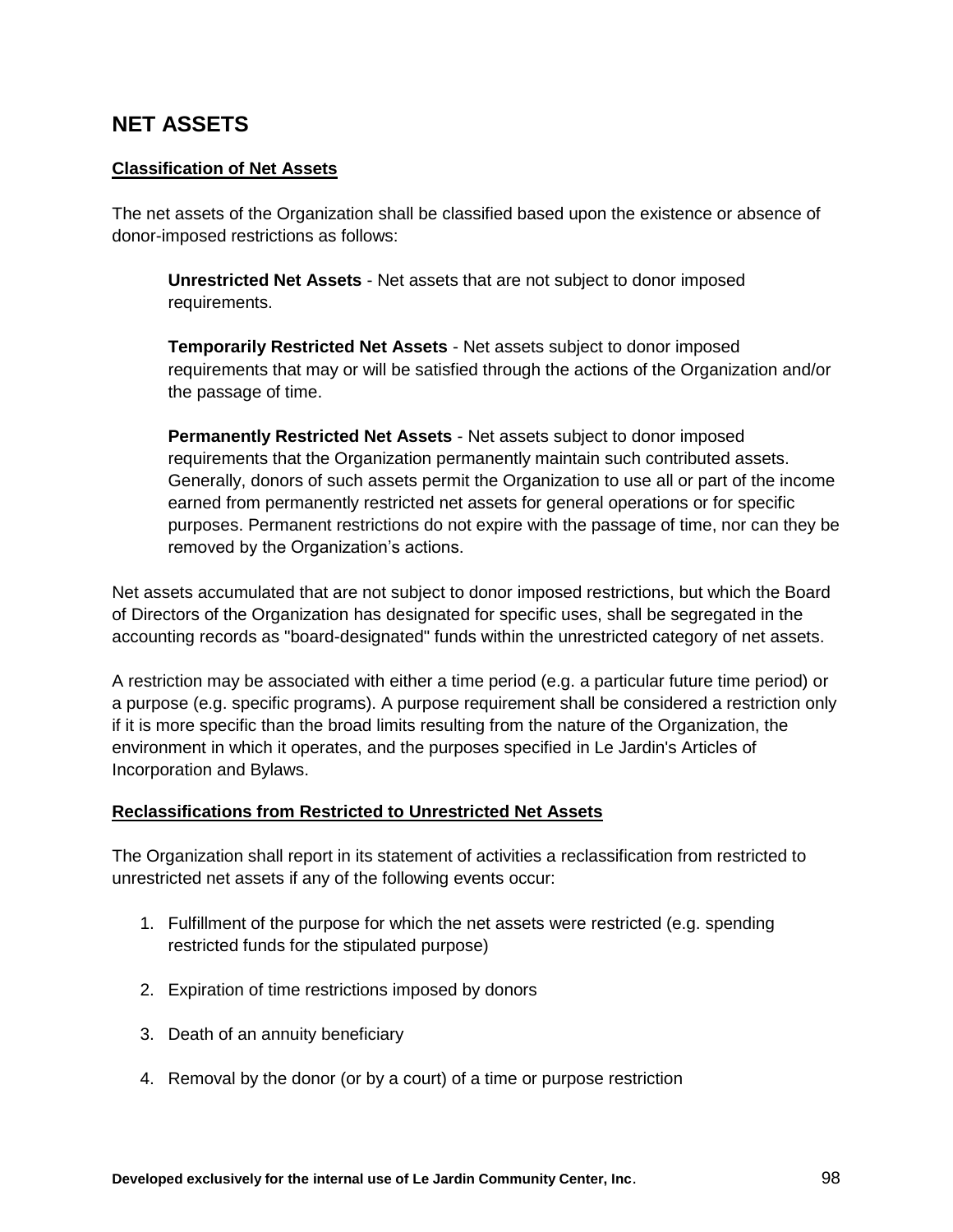# **NET ASSETS**

# **Classification of Net Assets**

The net assets of the Organization shall be classified based upon the existence or absence of donor-imposed restrictions as follows:

**Unrestricted Net Assets** - Net assets that are not subject to donor imposed requirements.

**Temporarily Restricted Net Assets** - Net assets subject to donor imposed requirements that may or will be satisfied through the actions of the Organization and/or the passage of time.

**Permanently Restricted Net Assets** - Net assets subject to donor imposed requirements that the Organization permanently maintain such contributed assets. Generally, donors of such assets permit the Organization to use all or part of the income earned from permanently restricted net assets for general operations or for specific purposes. Permanent restrictions do not expire with the passage of time, nor can they be removed by the Organization's actions.

Net assets accumulated that are not subject to donor imposed restrictions, but which the Board of Directors of the Organization has designated for specific uses, shall be segregated in the accounting records as "board-designated" funds within the unrestricted category of net assets.

A restriction may be associated with either a time period (e.g. a particular future time period) or a purpose (e.g. specific programs). A purpose requirement shall be considered a restriction only if it is more specific than the broad limits resulting from the nature of the Organization, the environment in which it operates, and the purposes specified in Le Jardin's Articles of Incorporation and Bylaws.

## **Reclassifications from Restricted to Unrestricted Net Assets**

The Organization shall report in its statement of activities a reclassification from restricted to unrestricted net assets if any of the following events occur:

- 1. Fulfillment of the purpose for which the net assets were restricted (e.g. spending restricted funds for the stipulated purpose)
- 2. Expiration of time restrictions imposed by donors
- 3. Death of an annuity beneficiary
- 4. Removal by the donor (or by a court) of a time or purpose restriction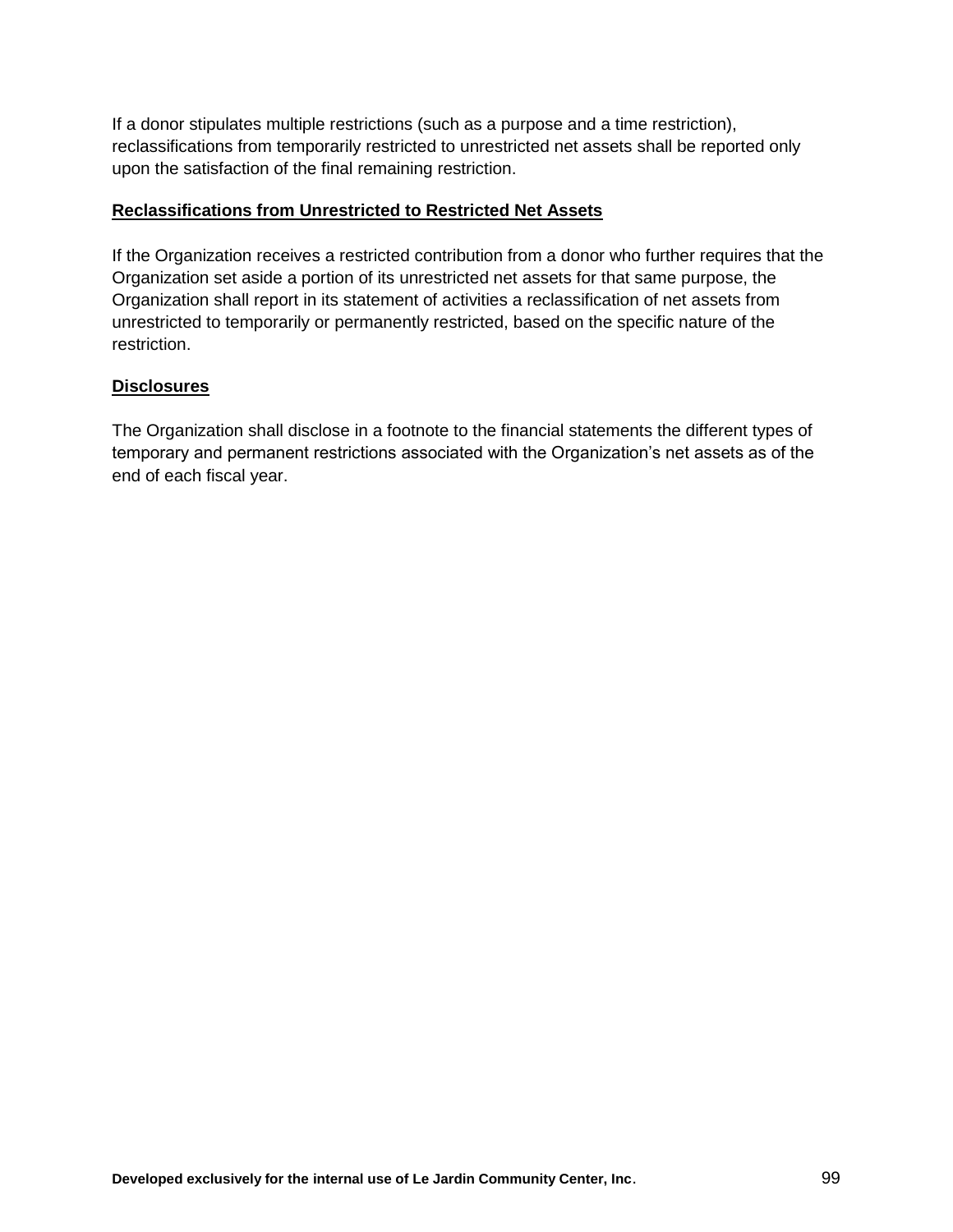If a donor stipulates multiple restrictions (such as a purpose and a time restriction), reclassifications from temporarily restricted to unrestricted net assets shall be reported only upon the satisfaction of the final remaining restriction.

## **Reclassifications from Unrestricted to Restricted Net Assets**

If the Organization receives a restricted contribution from a donor who further requires that the Organization set aside a portion of its unrestricted net assets for that same purpose, the Organization shall report in its statement of activities a reclassification of net assets from unrestricted to temporarily or permanently restricted, based on the specific nature of the restriction.

#### **Disclosures**

The Organization shall disclose in a footnote to the financial statements the different types of temporary and permanent restrictions associated with the Organization's net assets as of the end of each fiscal year.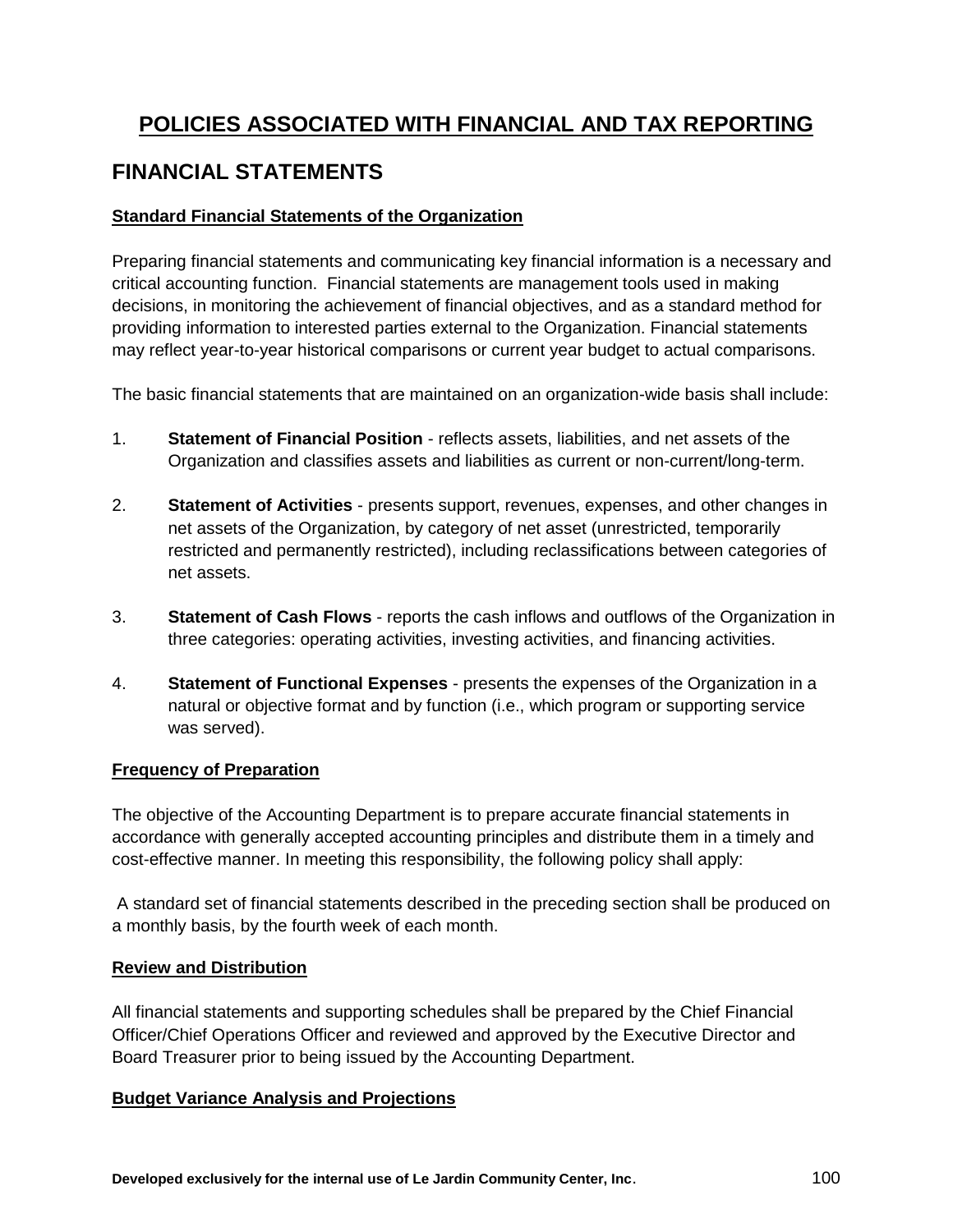# **POLICIES ASSOCIATED WITH FINANCIAL AND TAX REPORTING**

# **FINANCIAL STATEMENTS**

# **Standard Financial Statements of the Organization**

Preparing financial statements and communicating key financial information is a necessary and critical accounting function. Financial statements are management tools used in making decisions, in monitoring the achievement of financial objectives, and as a standard method for providing information to interested parties external to the Organization. Financial statements may reflect year-to-year historical comparisons or current year budget to actual comparisons.

The basic financial statements that are maintained on an organization-wide basis shall include:

- 1. **Statement of Financial Position** reflects assets, liabilities, and net assets of the Organization and classifies assets and liabilities as current or non-current/long-term.
- 2. **Statement of Activities** presents support, revenues, expenses, and other changes in net assets of the Organization, by category of net asset (unrestricted, temporarily restricted and permanently restricted), including reclassifications between categories of net assets.
- 3. **Statement of Cash Flows** reports the cash inflows and outflows of the Organization in three categories: operating activities, investing activities, and financing activities.
- 4. **Statement of Functional Expenses** presents the expenses of the Organization in a natural or objective format and by function (i.e., which program or supporting service was served).

## **Frequency of Preparation**

The objective of the Accounting Department is to prepare accurate financial statements in accordance with generally accepted accounting principles and distribute them in a timely and cost-effective manner. In meeting this responsibility, the following policy shall apply:

A standard set of financial statements described in the preceding section shall be produced on a monthly basis, by the fourth week of each month.

## **Review and Distribution**

All financial statements and supporting schedules shall be prepared by the Chief Financial Officer/Chief Operations Officer and reviewed and approved by the Executive Director and Board Treasurer prior to being issued by the Accounting Department.

## **Budget Variance Analysis and Projections**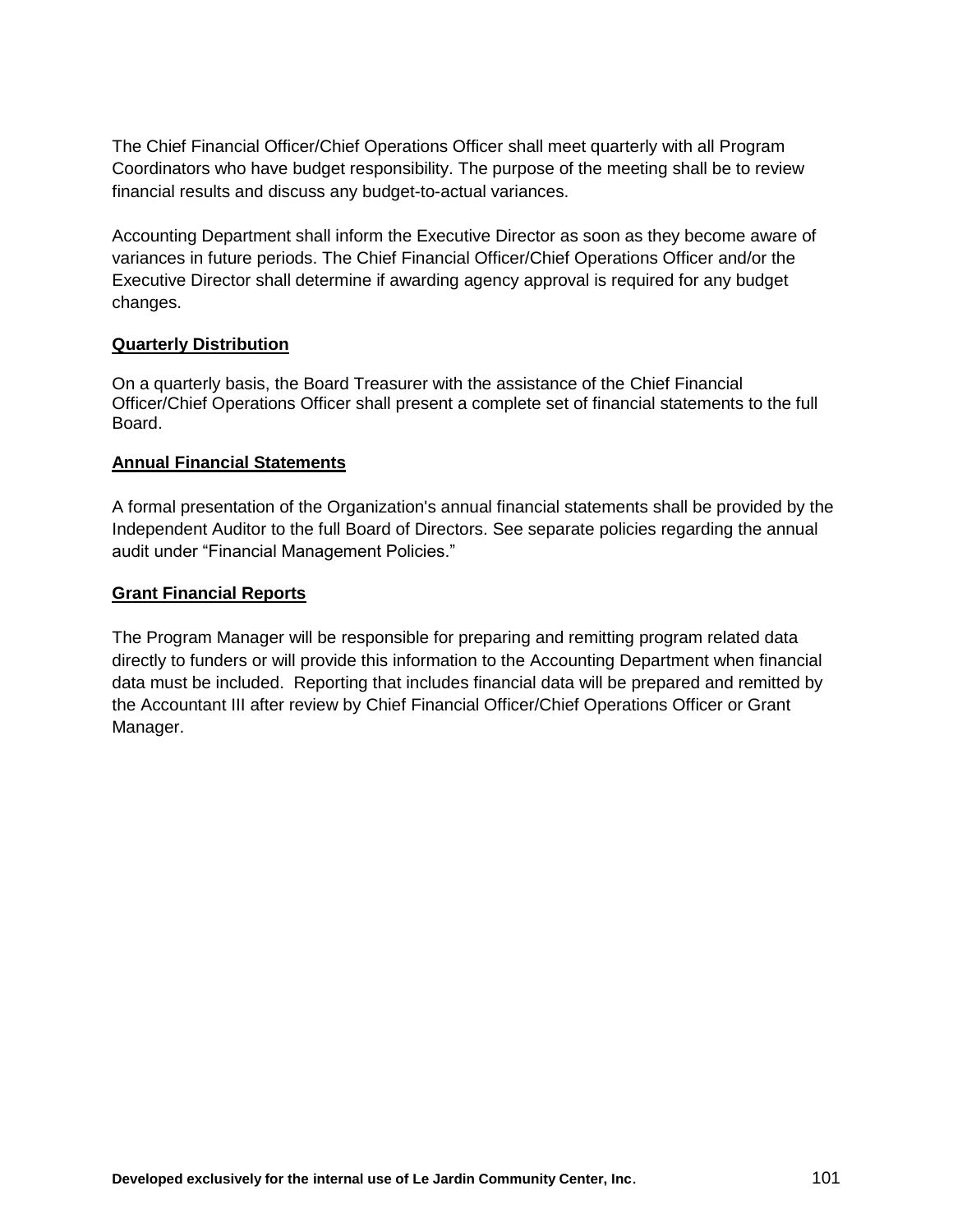The Chief Financial Officer/Chief Operations Officer shall meet quarterly with all Program Coordinators who have budget responsibility. The purpose of the meeting shall be to review financial results and discuss any budget-to-actual variances.

Accounting Department shall inform the Executive Director as soon as they become aware of variances in future periods. The Chief Financial Officer/Chief Operations Officer and/or the Executive Director shall determine if awarding agency approval is required for any budget changes.

## **Quarterly Distribution**

On a quarterly basis, the Board Treasurer with the assistance of the Chief Financial Officer/Chief Operations Officer shall present a complete set of financial statements to the full Board.

## **Annual Financial Statements**

A formal presentation of the Organization's annual financial statements shall be provided by the Independent Auditor to the full Board of Directors. See separate policies regarding the annual audit under "Financial Management Policies."

# **Grant Financial Reports**

The Program Manager will be responsible for preparing and remitting program related data directly to funders or will provide this information to the Accounting Department when financial data must be included. Reporting that includes financial data will be prepared and remitted by the Accountant III after review by Chief Financial Officer/Chief Operations Officer or Grant Manager.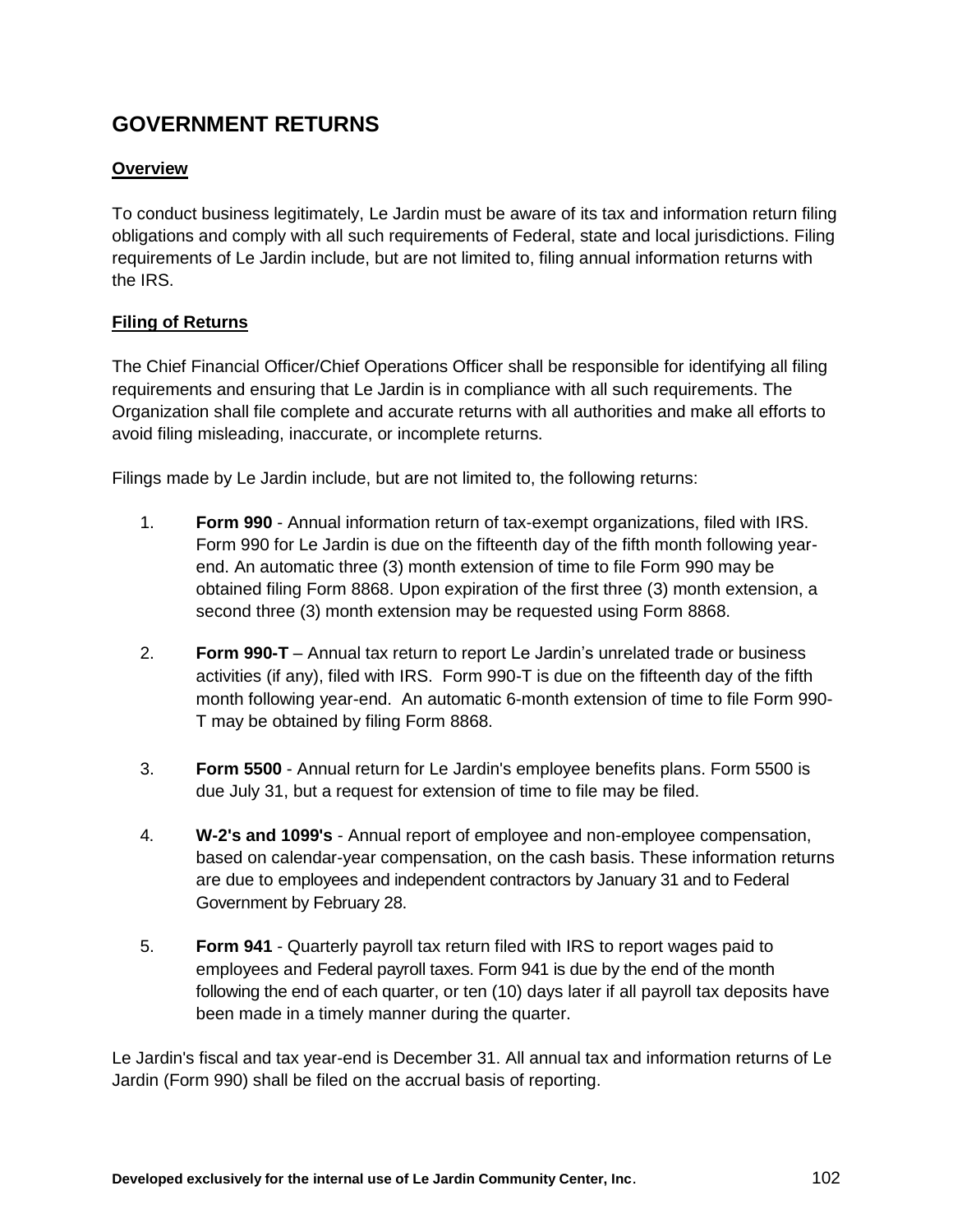# **GOVERNMENT RETURNS**

# **Overview**

To conduct business legitimately, Le Jardin must be aware of its tax and information return filing obligations and comply with all such requirements of Federal, state and local jurisdictions. Filing requirements of Le Jardin include, but are not limited to, filing annual information returns with the IRS.

# **Filing of Returns**

The Chief Financial Officer/Chief Operations Officer shall be responsible for identifying all filing requirements and ensuring that Le Jardin is in compliance with all such requirements. The Organization shall file complete and accurate returns with all authorities and make all efforts to avoid filing misleading, inaccurate, or incomplete returns.

Filings made by Le Jardin include, but are not limited to, the following returns:

- 1. **Form 990** Annual information return of tax-exempt organizations, filed with IRS. Form 990 for Le Jardin is due on the fifteenth day of the fifth month following yearend. An automatic three (3) month extension of time to file Form 990 may be obtained filing Form 8868. Upon expiration of the first three (3) month extension, a second three (3) month extension may be requested using Form 8868.
- 2. **Form 990-T** Annual tax return to report Le Jardin's unrelated trade or business activities (if any), filed with IRS. Form 990-T is due on the fifteenth day of the fifth month following year-end. An automatic 6-month extension of time to file Form 990- T may be obtained by filing Form 8868.
- 3. **Form 5500** Annual return for Le Jardin's employee benefits plans. Form 5500 is due July 31, but a request for extension of time to file may be filed.
- 4. **W-2's and 1099's** Annual report of employee and non-employee compensation, based on calendar-year compensation, on the cash basis. These information returns are due to employees and independent contractors by January 31 and to Federal Government by February 28.
- 5. **Form 941** Quarterly payroll tax return filed with IRS to report wages paid to employees and Federal payroll taxes. Form 941 is due by the end of the month following the end of each quarter, or ten (10) days later if all payroll tax deposits have been made in a timely manner during the quarter.

Le Jardin's fiscal and tax year-end is December 31. All annual tax and information returns of Le Jardin (Form 990) shall be filed on the accrual basis of reporting.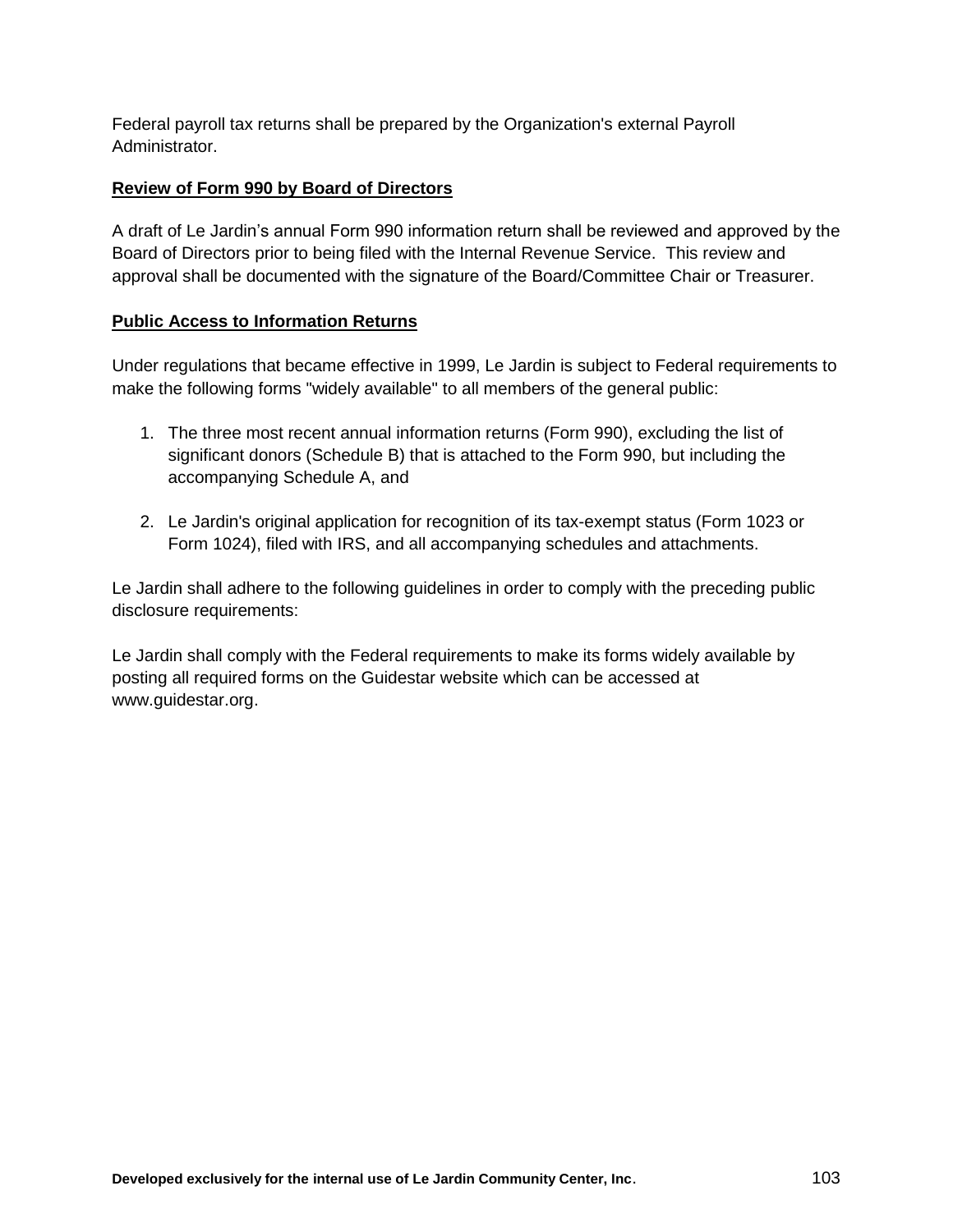Federal payroll tax returns shall be prepared by the Organization's external Payroll Administrator.

## **Review of Form 990 by Board of Directors**

A draft of Le Jardin's annual Form 990 information return shall be reviewed and approved by the Board of Directors prior to being filed with the Internal Revenue Service. This review and approval shall be documented with the signature of the Board/Committee Chair or Treasurer.

# **Public Access to Information Returns**

Under regulations that became effective in 1999, Le Jardin is subject to Federal requirements to make the following forms "widely available" to all members of the general public:

- 1. The three most recent annual information returns (Form 990), excluding the list of significant donors (Schedule B) that is attached to the Form 990, but including the accompanying Schedule A, and
- 2. Le Jardin's original application for recognition of its tax-exempt status (Form 1023 or Form 1024), filed with IRS, and all accompanying schedules and attachments.

Le Jardin shall adhere to the following guidelines in order to comply with the preceding public disclosure requirements:

Le Jardin shall comply with the Federal requirements to make its forms widely available by posting all required forms on the Guidestar website which can be accessed at www.guidestar.org.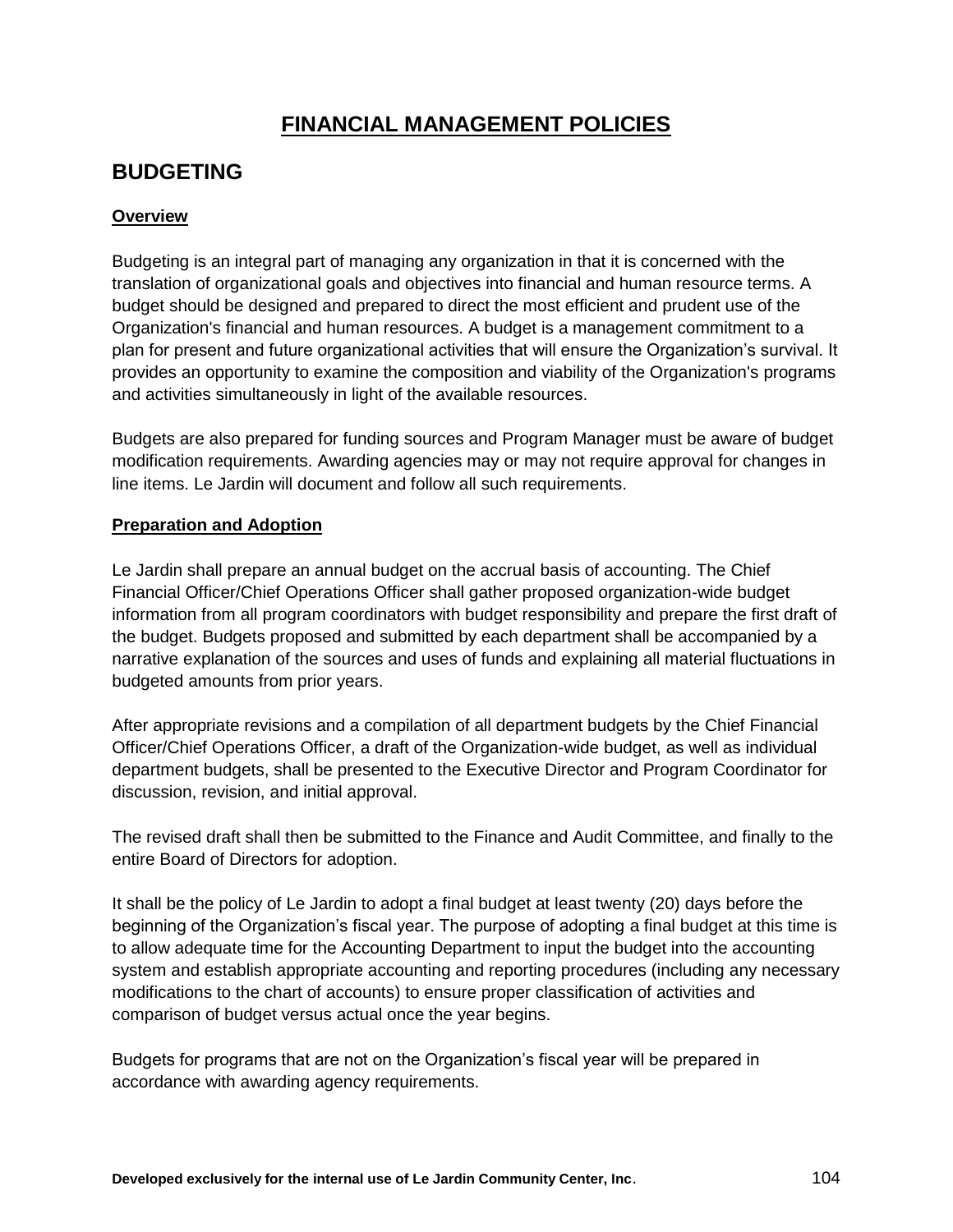# **FINANCIAL MANAGEMENT POLICIES**

# **BUDGETING**

# **Overview**

Budgeting is an integral part of managing any organization in that it is concerned with the translation of organizational goals and objectives into financial and human resource terms. A budget should be designed and prepared to direct the most efficient and prudent use of the Organization's financial and human resources. A budget is a management commitment to a plan for present and future organizational activities that will ensure the Organization's survival. It provides an opportunity to examine the composition and viability of the Organization's programs and activities simultaneously in light of the available resources.

Budgets are also prepared for funding sources and Program Manager must be aware of budget modification requirements. Awarding agencies may or may not require approval for changes in line items. Le Jardin will document and follow all such requirements.

# **Preparation and Adoption**

Le Jardin shall prepare an annual budget on the accrual basis of accounting. The Chief Financial Officer/Chief Operations Officer shall gather proposed organization-wide budget information from all program coordinators with budget responsibility and prepare the first draft of the budget. Budgets proposed and submitted by each department shall be accompanied by a narrative explanation of the sources and uses of funds and explaining all material fluctuations in budgeted amounts from prior years.

After appropriate revisions and a compilation of all department budgets by the Chief Financial Officer/Chief Operations Officer, a draft of the Organization-wide budget, as well as individual department budgets, shall be presented to the Executive Director and Program Coordinator for discussion, revision, and initial approval.

The revised draft shall then be submitted to the Finance and Audit Committee, and finally to the entire Board of Directors for adoption.

It shall be the policy of Le Jardin to adopt a final budget at least twenty (20) days before the beginning of the Organization's fiscal year. The purpose of adopting a final budget at this time is to allow adequate time for the Accounting Department to input the budget into the accounting system and establish appropriate accounting and reporting procedures (including any necessary modifications to the chart of accounts) to ensure proper classification of activities and comparison of budget versus actual once the year begins.

Budgets for programs that are not on the Organization's fiscal year will be prepared in accordance with awarding agency requirements.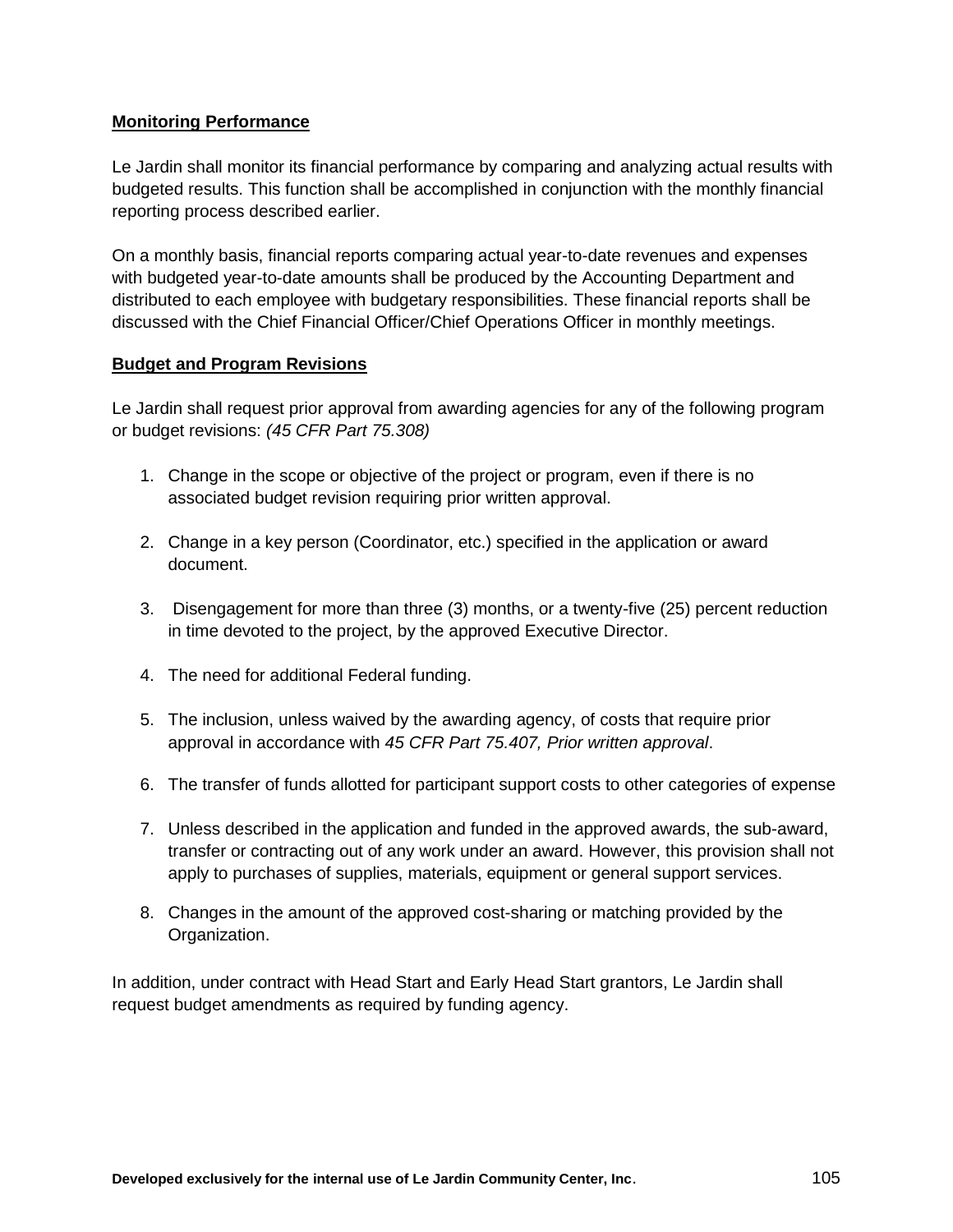# **Monitoring Performance**

Le Jardin shall monitor its financial performance by comparing and analyzing actual results with budgeted results. This function shall be accomplished in conjunction with the monthly financial reporting process described earlier.

On a monthly basis, financial reports comparing actual year-to-date revenues and expenses with budgeted year-to-date amounts shall be produced by the Accounting Department and distributed to each employee with budgetary responsibilities. These financial reports shall be discussed with the Chief Financial Officer/Chief Operations Officer in monthly meetings.

#### **Budget and Program Revisions**

Le Jardin shall request prior approval from awarding agencies for any of the following program or budget revisions: *(45 CFR Part 75.308)*

- 1. Change in the scope or objective of the project or program, even if there is no associated budget revision requiring prior written approval.
- 2. Change in a key person (Coordinator, etc.) specified in the application or award document.
- 3. Disengagement for more than three (3) months, or a twenty-five (25) percent reduction in time devoted to the project, by the approved Executive Director.
- 4. The need for additional Federal funding.
- 5. The inclusion, unless waived by the awarding agency, of costs that require prior approval in accordance with *45 CFR Part 75.407, Prior written approval*.
- 6. The transfer of funds allotted for participant support costs to other categories of expense
- 7. Unless described in the application and funded in the approved awards, the sub-award, transfer or contracting out of any work under an award. However, this provision shall not apply to purchases of supplies, materials, equipment or general support services.
- 8. Changes in the amount of the approved cost-sharing or matching provided by the Organization.

In addition, under contract with Head Start and Early Head Start grantors, Le Jardin shall request budget amendments as required by funding agency.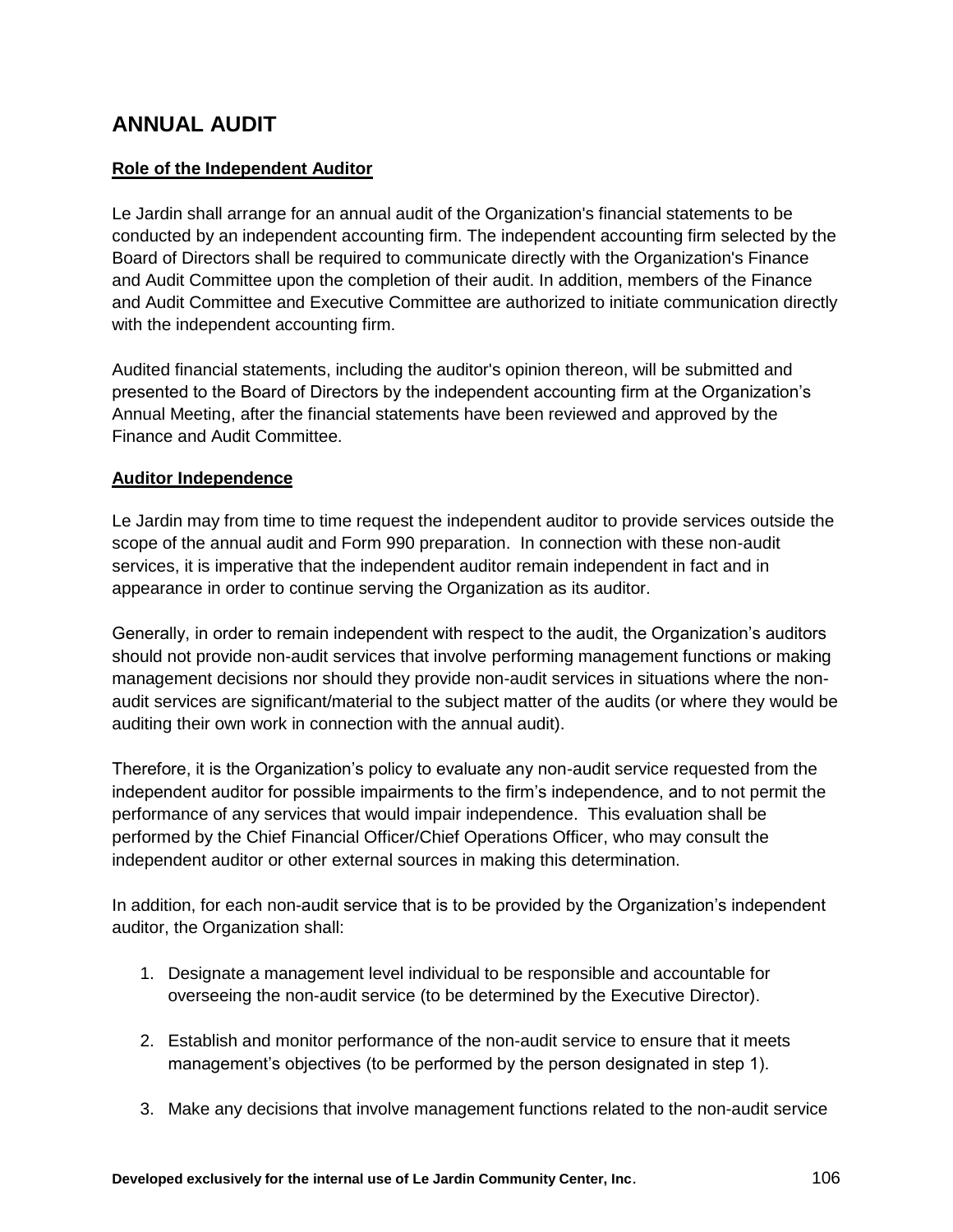# **ANNUAL AUDIT**

# **Role of the Independent Auditor**

Le Jardin shall arrange for an annual audit of the Organization's financial statements to be conducted by an independent accounting firm. The independent accounting firm selected by the Board of Directors shall be required to communicate directly with the Organization's Finance and Audit Committee upon the completion of their audit. In addition, members of the Finance and Audit Committee and Executive Committee are authorized to initiate communication directly with the independent accounting firm.

Audited financial statements, including the auditor's opinion thereon, will be submitted and presented to the Board of Directors by the independent accounting firm at the Organization's Annual Meeting, after the financial statements have been reviewed and approved by the Finance and Audit Committee.

## **Auditor Independence**

Le Jardin may from time to time request the independent auditor to provide services outside the scope of the annual audit and Form 990 preparation. In connection with these non-audit services, it is imperative that the independent auditor remain independent in fact and in appearance in order to continue serving the Organization as its auditor.

Generally, in order to remain independent with respect to the audit, the Organization's auditors should not provide non-audit services that involve performing management functions or making management decisions nor should they provide non-audit services in situations where the nonaudit services are significant/material to the subject matter of the audits (or where they would be auditing their own work in connection with the annual audit).

Therefore, it is the Organization's policy to evaluate any non-audit service requested from the independent auditor for possible impairments to the firm's independence, and to not permit the performance of any services that would impair independence. This evaluation shall be performed by the Chief Financial Officer/Chief Operations Officer, who may consult the independent auditor or other external sources in making this determination.

In addition, for each non-audit service that is to be provided by the Organization's independent auditor, the Organization shall:

- 1. Designate a management level individual to be responsible and accountable for overseeing the non-audit service (to be determined by the Executive Director).
- 2. Establish and monitor performance of the non-audit service to ensure that it meets management's objectives (to be performed by the person designated in step 1).
- 3. Make any decisions that involve management functions related to the non-audit service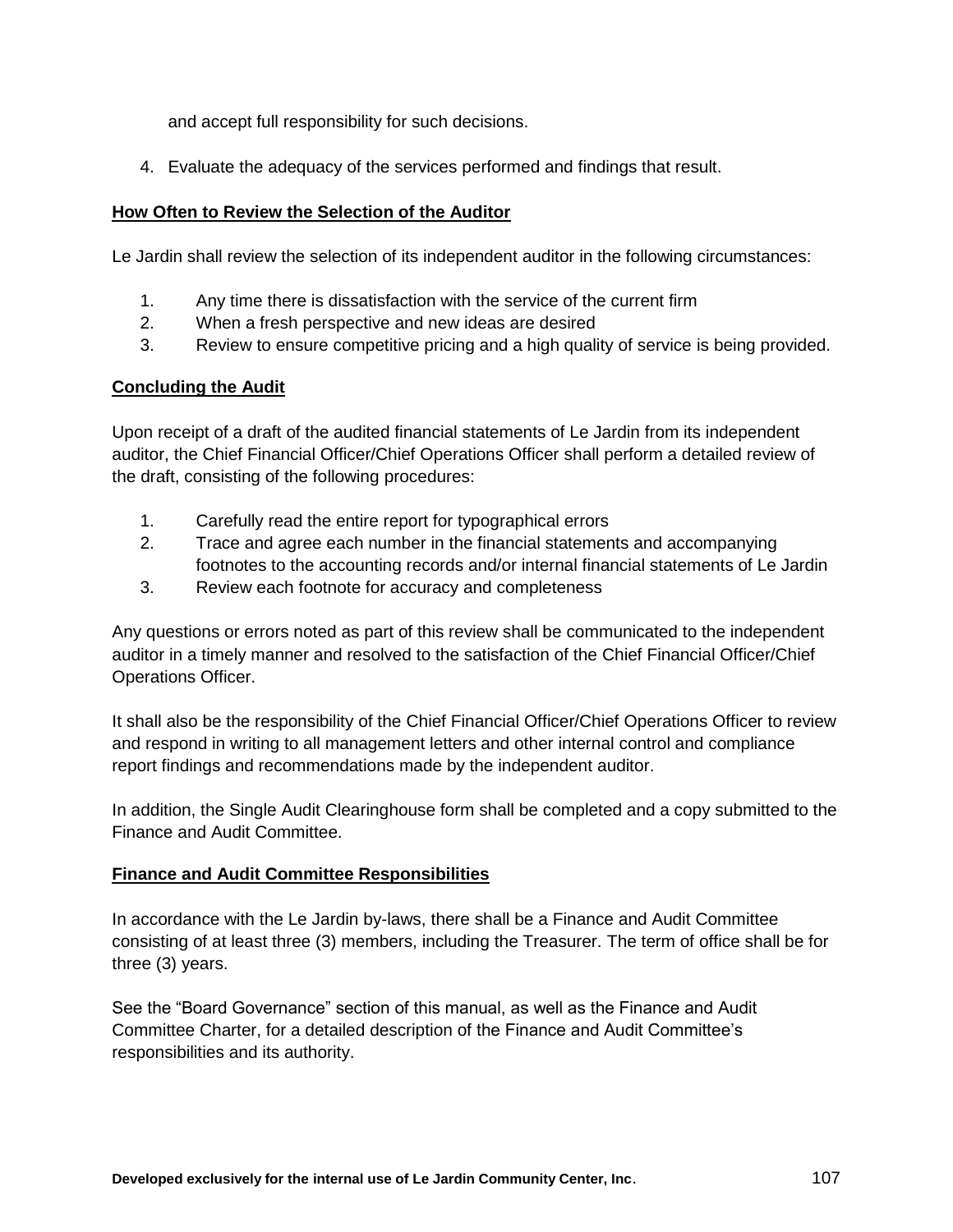and accept full responsibility for such decisions.

4. Evaluate the adequacy of the services performed and findings that result.

# **How Often to Review the Selection of the Auditor**

Le Jardin shall review the selection of its independent auditor in the following circumstances:

- 1. Any time there is dissatisfaction with the service of the current firm
- 2. When a fresh perspective and new ideas are desired
- 3. Review to ensure competitive pricing and a high quality of service is being provided.

# **Concluding the Audit**

Upon receipt of a draft of the audited financial statements of Le Jardin from its independent auditor, the Chief Financial Officer/Chief Operations Officer shall perform a detailed review of the draft, consisting of the following procedures:

- 1. Carefully read the entire report for typographical errors
- 2. Trace and agree each number in the financial statements and accompanying footnotes to the accounting records and/or internal financial statements of Le Jardin
- 3. Review each footnote for accuracy and completeness

Any questions or errors noted as part of this review shall be communicated to the independent auditor in a timely manner and resolved to the satisfaction of the Chief Financial Officer/Chief Operations Officer.

It shall also be the responsibility of the Chief Financial Officer/Chief Operations Officer to review and respond in writing to all management letters and other internal control and compliance report findings and recommendations made by the independent auditor.

In addition, the Single Audit Clearinghouse form shall be completed and a copy submitted to the Finance and Audit Committee.

## **Finance and Audit Committee Responsibilities**

In accordance with the Le Jardin by-laws, there shall be a Finance and Audit Committee consisting of at least three (3) members, including the Treasurer. The term of office shall be for three (3) years.

See the "Board Governance" section of this manual, as well as the Finance and Audit Committee Charter, for a detailed description of the Finance and Audit Committee's responsibilities and its authority.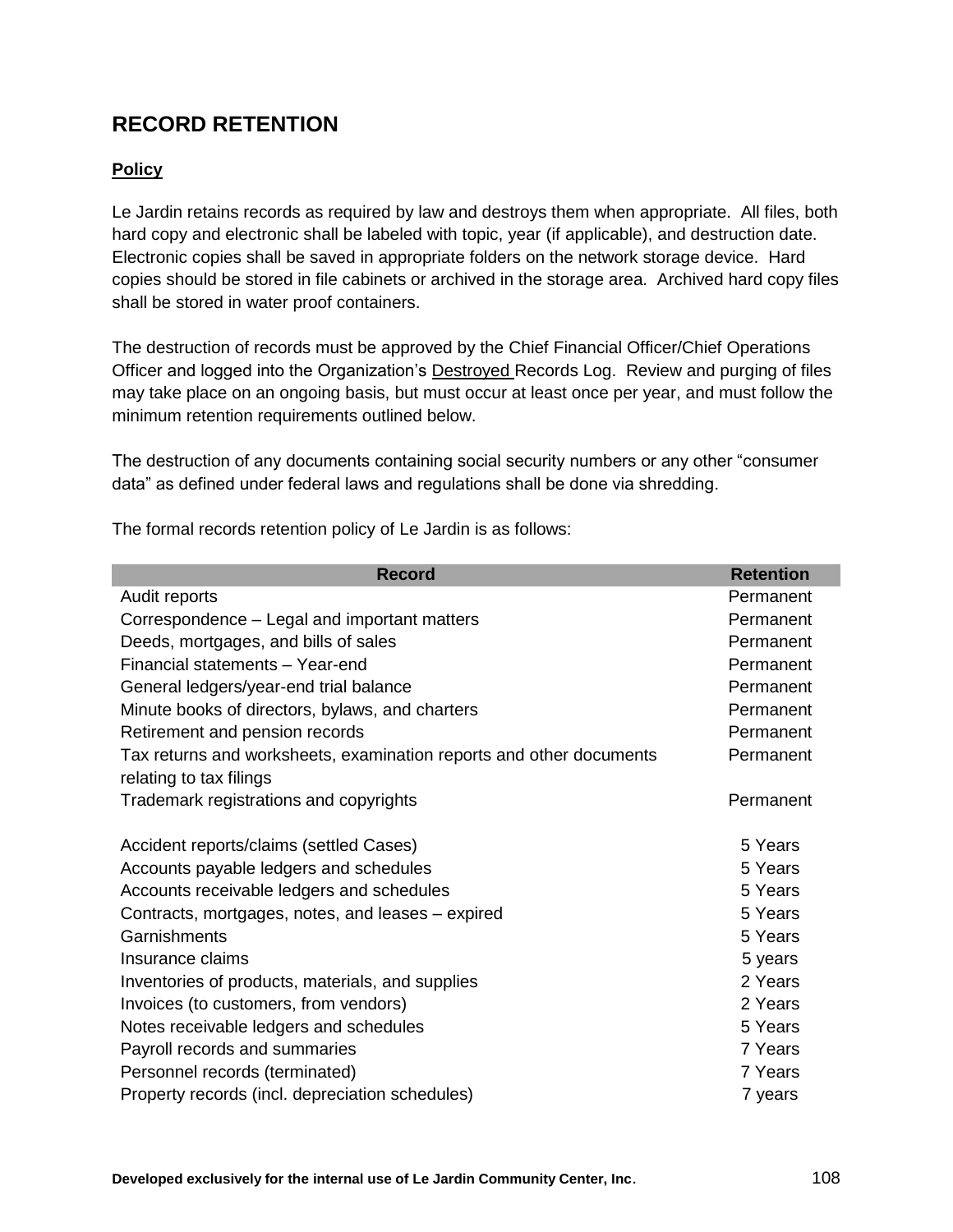# **RECORD RETENTION**

# **Policy**

Le Jardin retains records as required by law and destroys them when appropriate. All files, both hard copy and electronic shall be labeled with topic, year (if applicable), and destruction date. Electronic copies shall be saved in appropriate folders on the network storage device. Hard copies should be stored in file cabinets or archived in the storage area. Archived hard copy files shall be stored in water proof containers.

The destruction of records must be approved by the Chief Financial Officer/Chief Operations Officer and logged into the Organization's Destroyed Records Log. Review and purging of files may take place on an ongoing basis, but must occur at least once per year, and must follow the minimum retention requirements outlined below.

The destruction of any documents containing social security numbers or any other "consumer data" as defined under federal laws and regulations shall be done via shredding.

The formal records retention policy of Le Jardin is as follows:

| <b>Record</b>                                                       | <b>Retention</b> |
|---------------------------------------------------------------------|------------------|
| Audit reports                                                       | Permanent        |
| Correspondence – Legal and important matters                        | Permanent        |
| Deeds, mortgages, and bills of sales                                | Permanent        |
| Financial statements - Year-end                                     | Permanent        |
| General ledgers/year-end trial balance                              | Permanent        |
| Minute books of directors, bylaws, and charters                     | Permanent        |
| Retirement and pension records                                      | Permanent        |
| Tax returns and worksheets, examination reports and other documents | Permanent        |
| relating to tax filings                                             |                  |
| Trademark registrations and copyrights                              | Permanent        |
|                                                                     |                  |
| Accident reports/claims (settled Cases)                             | 5 Years          |
| Accounts payable ledgers and schedules                              | 5 Years          |
| Accounts receivable ledgers and schedules                           | 5 Years          |
| Contracts, mortgages, notes, and leases – expired                   | 5 Years          |
| Garnishments                                                        | 5 Years          |
| Insurance claims                                                    | 5 years          |
| Inventories of products, materials, and supplies                    | 2 Years          |
| Invoices (to customers, from vendors)                               | 2 Years          |
| Notes receivable ledgers and schedules                              | 5 Years          |
| Payroll records and summaries                                       | 7 Years          |
| Personnel records (terminated)                                      | 7 Years          |
| Property records (incl. depreciation schedules)                     | 7 years          |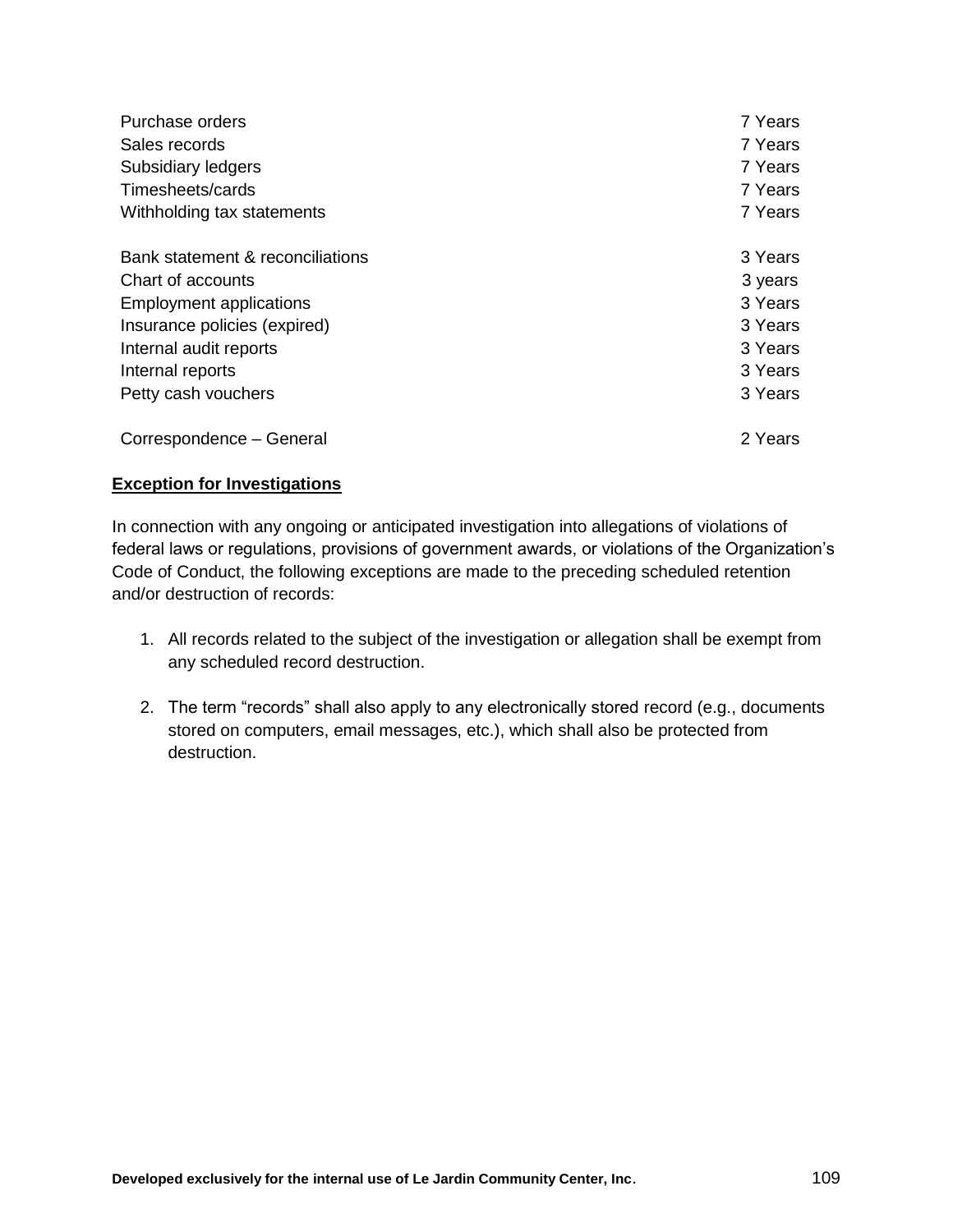| Purchase orders                  | 7 Years |
|----------------------------------|---------|
| Sales records                    | 7 Years |
| Subsidiary ledgers               | 7 Years |
| Timesheets/cards                 | 7 Years |
| Withholding tax statements       | 7 Years |
| Bank statement & reconciliations | 3 Years |
| Chart of accounts                | 3 years |
| <b>Employment applications</b>   | 3 Years |
| Insurance policies (expired)     | 3 Years |
| Internal audit reports           | 3 Years |
| Internal reports                 | 3 Years |
| Petty cash vouchers              | 3 Years |
| Correspondence - General         | 2 Years |

#### **Exception for Investigations**

In connection with any ongoing or anticipated investigation into allegations of violations of federal laws or regulations, provisions of government awards, or violations of the Organization's Code of Conduct, the following exceptions are made to the preceding scheduled retention and/or destruction of records:

- 1. All records related to the subject of the investigation or allegation shall be exempt from any scheduled record destruction.
- 2. The term "records" shall also apply to any electronically stored record (e.g., documents stored on computers, email messages, etc.), which shall also be protected from destruction.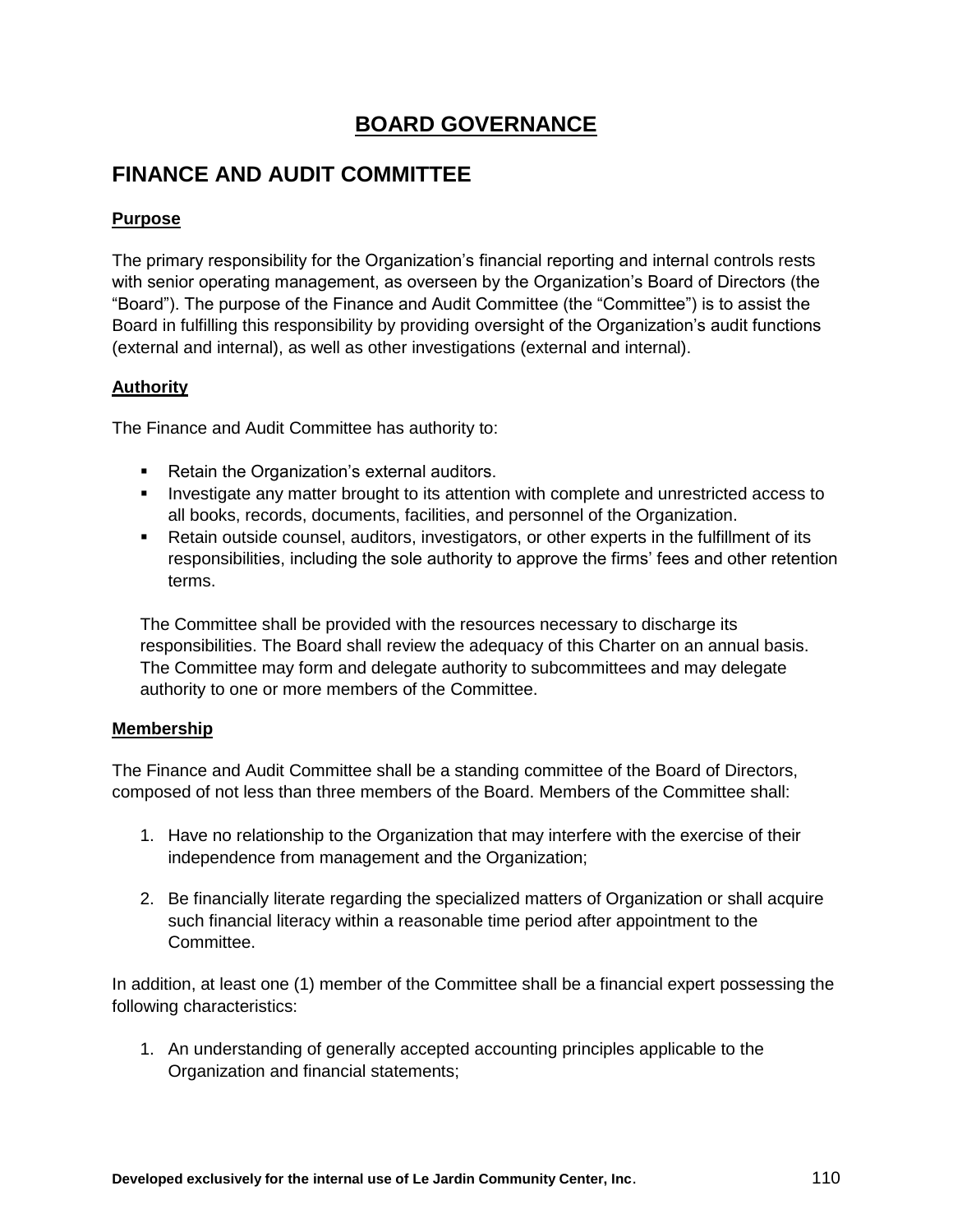## **BOARD GOVERNANCE**

# **FINANCE AND AUDIT COMMITTEE**

## **Purpose**

The primary responsibility for the Organization's financial reporting and internal controls rests with senior operating management, as overseen by the Organization's Board of Directors (the "Board"). The purpose of the Finance and Audit Committee (the "Committee") is to assist the Board in fulfilling this responsibility by providing oversight of the Organization's audit functions (external and internal), as well as other investigations (external and internal).

### **Authority**

The Finance and Audit Committee has authority to:

- **Retain the Organization's external auditors.**
- **Investigate any matter brought to its attention with complete and unrestricted access to** all books, records, documents, facilities, and personnel of the Organization.
- Retain outside counsel, auditors, investigators, or other experts in the fulfillment of its responsibilities, including the sole authority to approve the firms' fees and other retention terms.

The Committee shall be provided with the resources necessary to discharge its responsibilities. The Board shall review the adequacy of this Charter on an annual basis. The Committee may form and delegate authority to subcommittees and may delegate authority to one or more members of the Committee.

### **Membership**

The Finance and Audit Committee shall be a standing committee of the Board of Directors, composed of not less than three members of the Board. Members of the Committee shall:

- 1. Have no relationship to the Organization that may interfere with the exercise of their independence from management and the Organization;
- 2. Be financially literate regarding the specialized matters of Organization or shall acquire such financial literacy within a reasonable time period after appointment to the Committee.

In addition, at least one (1) member of the Committee shall be a financial expert possessing the following characteristics:

1. An understanding of generally accepted accounting principles applicable to the Organization and financial statements;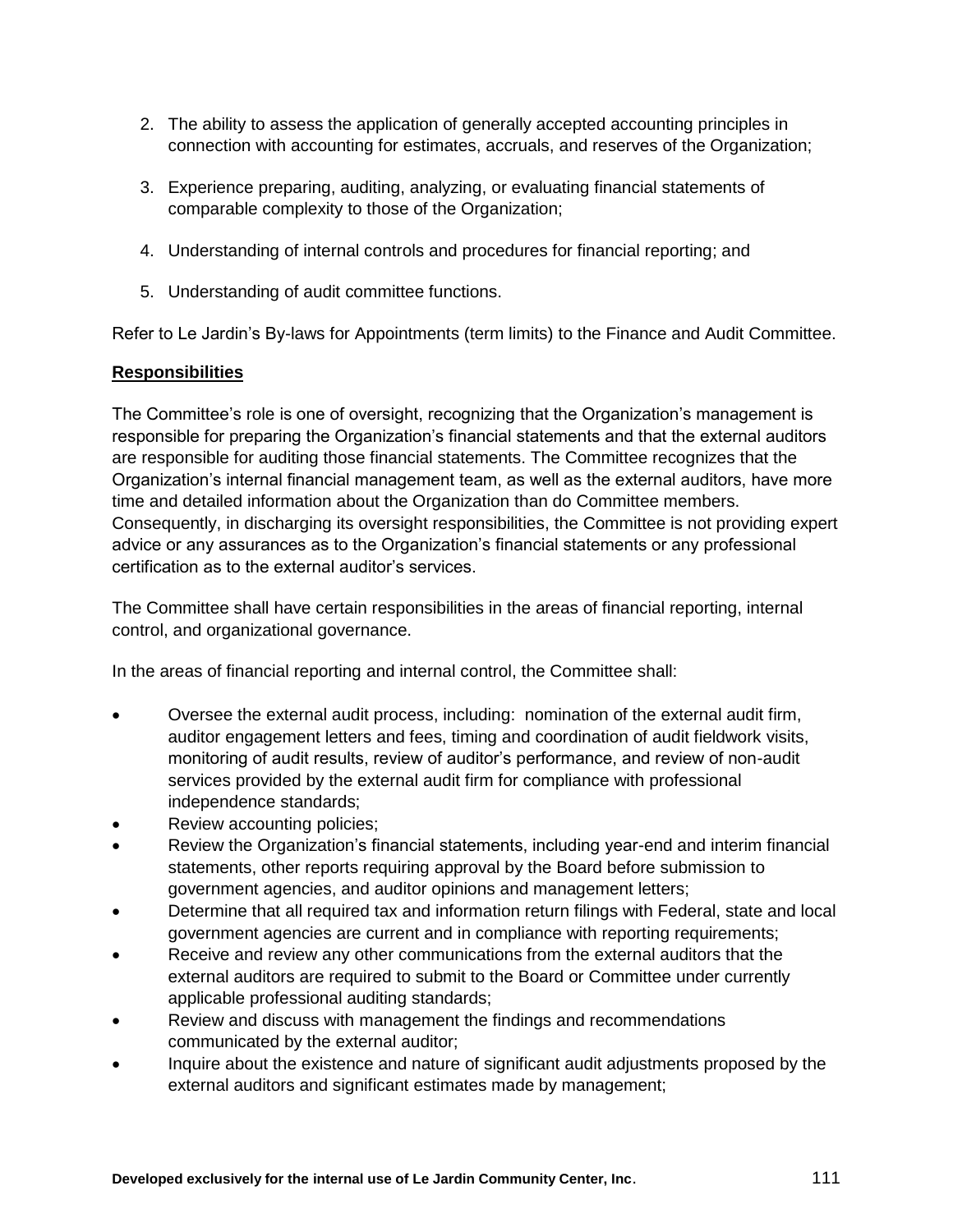- 2. The ability to assess the application of generally accepted accounting principles in connection with accounting for estimates, accruals, and reserves of the Organization;
- 3. Experience preparing, auditing, analyzing, or evaluating financial statements of comparable complexity to those of the Organization;
- 4. Understanding of internal controls and procedures for financial reporting; and
- 5. Understanding of audit committee functions.

Refer to Le Jardin's By-laws for Appointments (term limits) to the Finance and Audit Committee.

#### **Responsibilities**

The Committee's role is one of oversight, recognizing that the Organization's management is responsible for preparing the Organization's financial statements and that the external auditors are responsible for auditing those financial statements. The Committee recognizes that the Organization's internal financial management team, as well as the external auditors, have more time and detailed information about the Organization than do Committee members. Consequently, in discharging its oversight responsibilities, the Committee is not providing expert advice or any assurances as to the Organization's financial statements or any professional certification as to the external auditor's services.

The Committee shall have certain responsibilities in the areas of financial reporting, internal control, and organizational governance.

In the areas of financial reporting and internal control, the Committee shall:

- Oversee the external audit process, including: nomination of the external audit firm, auditor engagement letters and fees, timing and coordination of audit fieldwork visits, monitoring of audit results, review of auditor's performance, and review of non-audit services provided by the external audit firm for compliance with professional independence standards;
- Review accounting policies;
- Review the Organization's financial statements, including year-end and interim financial statements, other reports requiring approval by the Board before submission to government agencies, and auditor opinions and management letters;
- Determine that all required tax and information return filings with Federal, state and local government agencies are current and in compliance with reporting requirements;
- Receive and review any other communications from the external auditors that the external auditors are required to submit to the Board or Committee under currently applicable professional auditing standards;
- Review and discuss with management the findings and recommendations communicated by the external auditor;
- Inquire about the existence and nature of significant audit adjustments proposed by the external auditors and significant estimates made by management;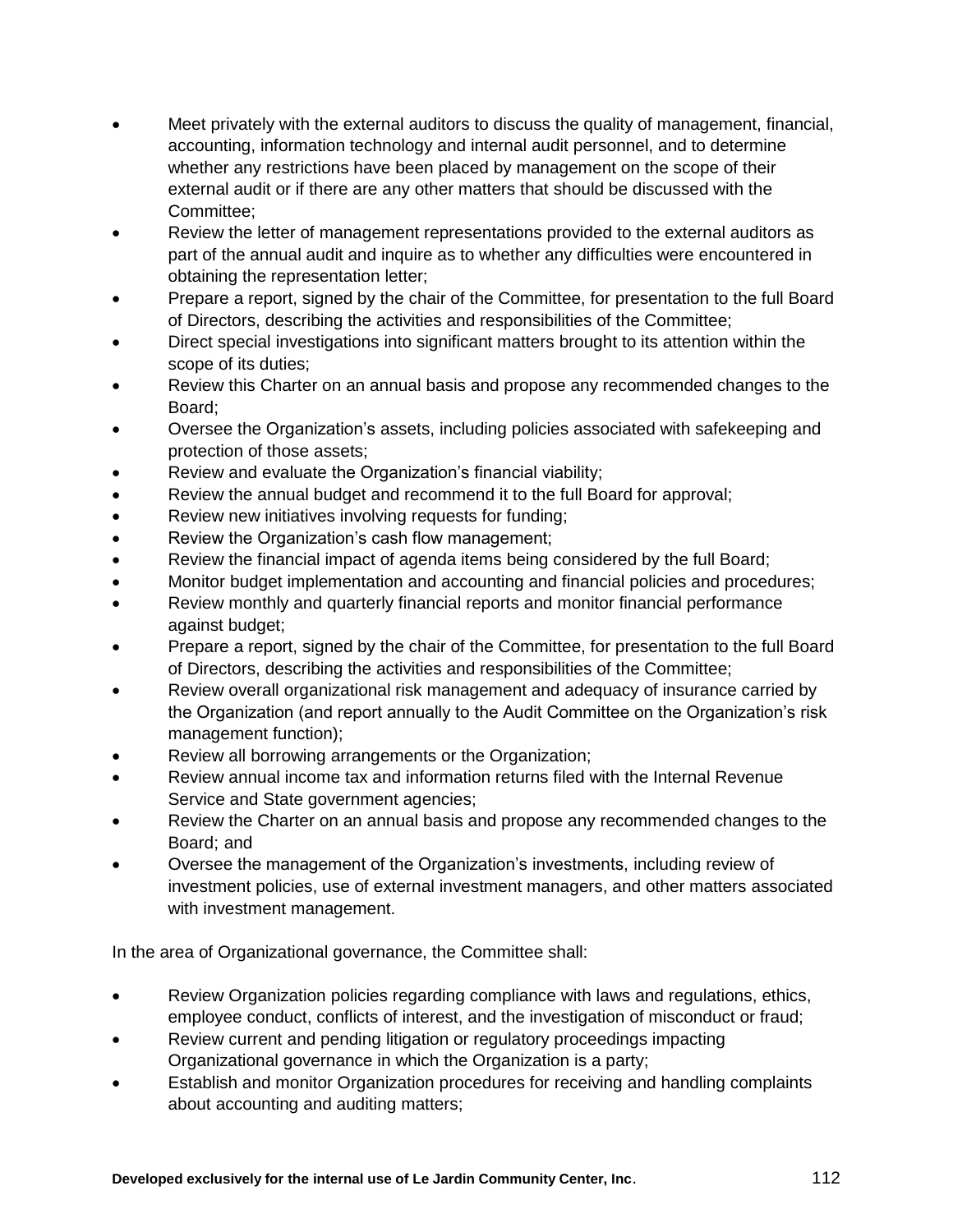- Meet privately with the external auditors to discuss the quality of management, financial, accounting, information technology and internal audit personnel, and to determine whether any restrictions have been placed by management on the scope of their external audit or if there are any other matters that should be discussed with the Committee;
- Review the letter of management representations provided to the external auditors as part of the annual audit and inquire as to whether any difficulties were encountered in obtaining the representation letter;
- Prepare a report, signed by the chair of the Committee, for presentation to the full Board of Directors, describing the activities and responsibilities of the Committee;
- Direct special investigations into significant matters brought to its attention within the scope of its duties;
- Review this Charter on an annual basis and propose any recommended changes to the Board;
- Oversee the Organization's assets, including policies associated with safekeeping and protection of those assets;
- Review and evaluate the Organization's financial viability;
- Review the annual budget and recommend it to the full Board for approval;
- Review new initiatives involving requests for funding;
- Review the Organization's cash flow management;
- Review the financial impact of agenda items being considered by the full Board;
- Monitor budget implementation and accounting and financial policies and procedures;
- Review monthly and quarterly financial reports and monitor financial performance against budget;
- Prepare a report, signed by the chair of the Committee, for presentation to the full Board of Directors, describing the activities and responsibilities of the Committee;
- Review overall organizational risk management and adequacy of insurance carried by the Organization (and report annually to the Audit Committee on the Organization's risk management function);
- Review all borrowing arrangements or the Organization;
- Review annual income tax and information returns filed with the Internal Revenue Service and State government agencies;
- Review the Charter on an annual basis and propose any recommended changes to the Board; and
- Oversee the management of the Organization's investments, including review of investment policies, use of external investment managers, and other matters associated with investment management.

In the area of Organizational governance, the Committee shall:

- Review Organization policies regarding compliance with laws and regulations, ethics, employee conduct, conflicts of interest, and the investigation of misconduct or fraud;
- Review current and pending litigation or regulatory proceedings impacting Organizational governance in which the Organization is a party;
- Establish and monitor Organization procedures for receiving and handling complaints about accounting and auditing matters;